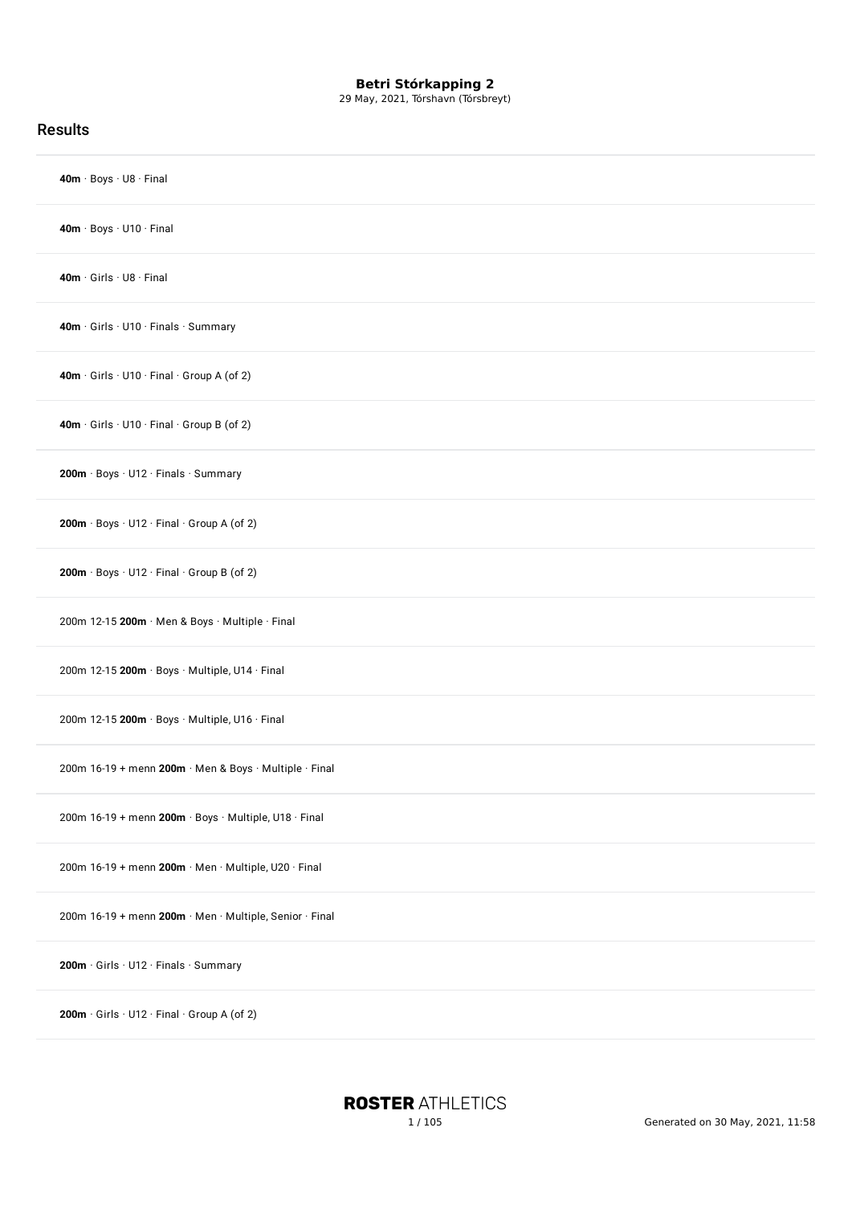29 May, 2021, Tórshavn (Tórsbreyt)

| <b>Results</b>                                          |
|---------------------------------------------------------|
| 40m · Boys · U8 · Final                                 |
| 40m · Boys · U10 · Final                                |
| $40m \cdot$ Girls $\cdot$ U8 $\cdot$ Final              |
| 40m · Girls · U10 · Finals · Summary                    |
| 40m · Girls · U10 · Final · Group A (of 2)              |
| 40m · Girls · U10 · Final · Group B (of 2)              |
| 200m · Boys · U12 · Finals · Summary                    |
| 200m · Boys · U12 · Final · Group A (of 2)              |
| 200m · Boys · U12 · Final · Group B (of 2)              |
| 200m 12-15 200m · Men & Boys · Multiple · Final         |
| 200m 12-15 200m · Boys · Multiple, U14 · Final          |
| 200m 12-15 200m · Boys · Multiple, U16 · Final          |
| 200m 16-19 + menn 200m · Men & Boys · Multiple · Final  |
| 200m 16-19 + menn 200m · Boys · Multiple, U18 · Final   |
| 200m 16-19 + menn 200m · Men · Multiple, U20 · Final    |
| 200m 16-19 + menn 200m · Men · Multiple, Senior · Final |
| 200m · Girls · U12 · Finals · Summary                   |
| 200m · Girls · U12 · Final · Group A (of 2)             |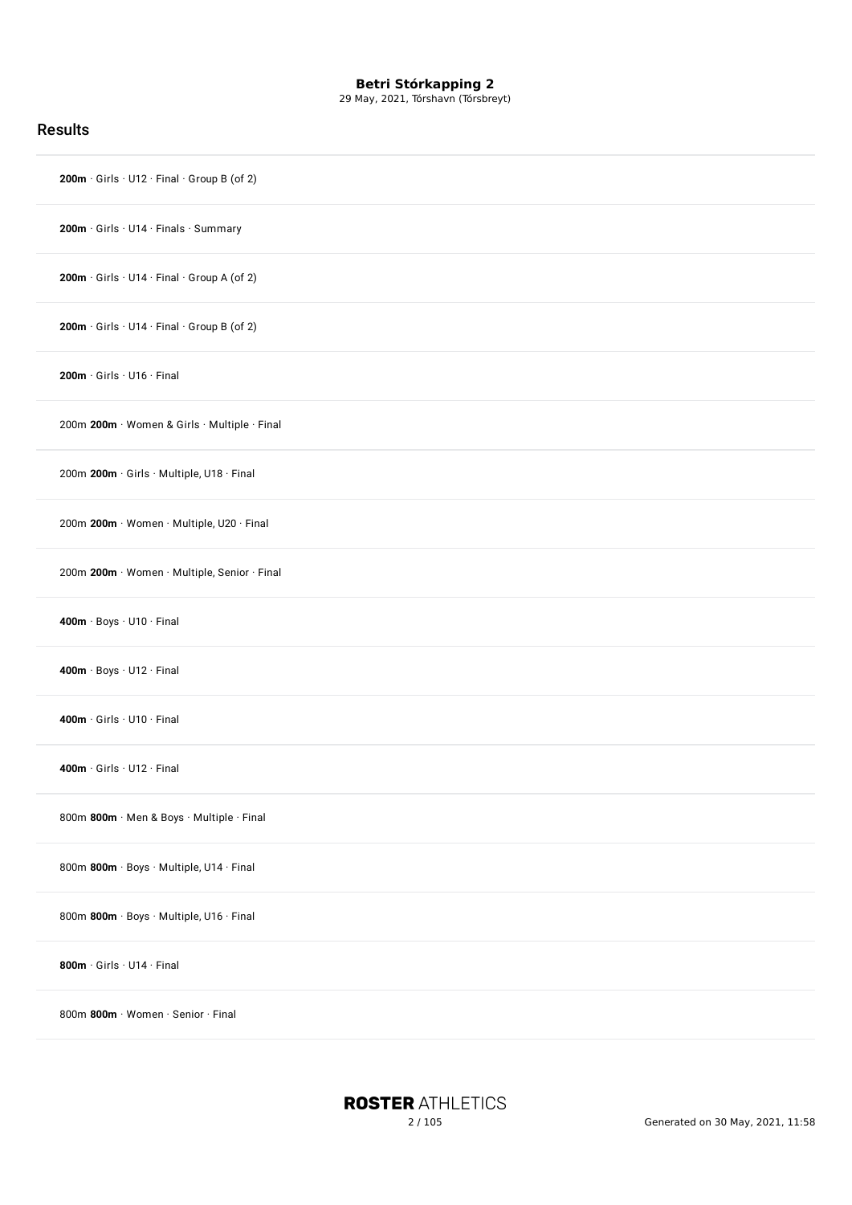29 May, 2021, Tórshavn (Tórsbreyt)

| <b>Results</b>                               |
|----------------------------------------------|
| 200m · Girls · U12 · Final · Group B (of 2)  |
| 200m · Girls · U14 · Finals · Summary        |
| 200m · Girls · U14 · Final · Group A (of 2)  |
| 200m · Girls · U14 · Final · Group B (of 2)  |
| $200m \cdot$ Girls $\cdot$ U16 $\cdot$ Final |
| 200m 200m · Women & Girls · Multiple · Final |
| 200m 200m · Girls · Multiple, U18 · Final    |
| 200m 200m · Women · Multiple, U20 · Final    |
| 200m 200m · Women · Multiple, Senior · Final |
| 400m · Boys · U10 · Final                    |
| 400m · Boys · U12 · Final                    |
| 400m · Girls · U10 · Final                   |
| 400m · Girls · U12 · Final                   |
| 800m 800m · Men & Boys · Multiple · Final    |
| 800m 800m · Boys · Multiple, U14 · Final     |
| 800m 800m · Boys · Multiple, U16 · Final     |
| 800m · Girls · U14 · Final                   |
| 800m 800m · Women · Senior · Final           |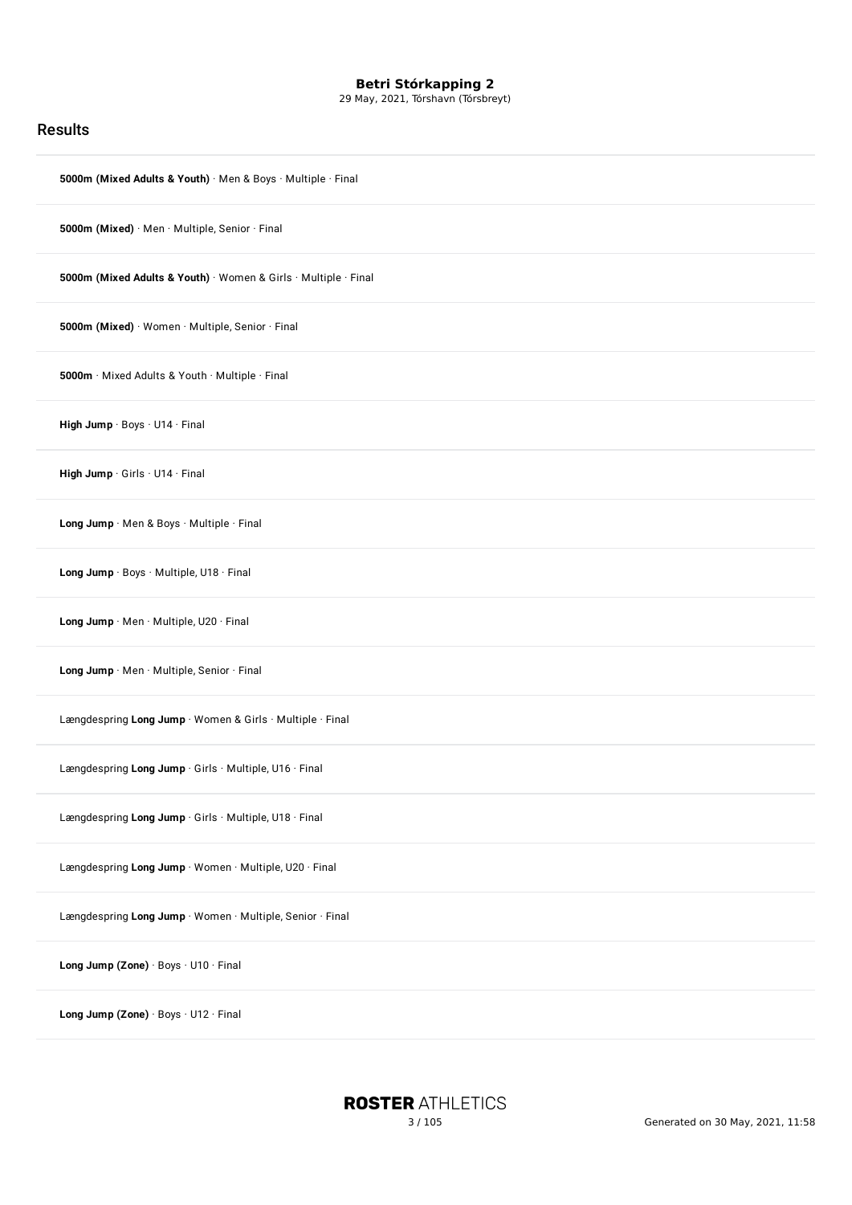29 May, 2021, Tórshavn (Tórsbreyt)

### Results

| 5000m (Mixed Adults & Youth) · Men & Boys · Multiple · Final    |
|-----------------------------------------------------------------|
| 5000m (Mixed) · Men · Multiple, Senior · Final                  |
| 5000m (Mixed Adults & Youth) · Women & Girls · Multiple · Final |
| 5000m (Mixed) · Women · Multiple, Senior · Final                |
| 5000m · Mixed Adults & Youth · Multiple · Final                 |
| High Jump · Boys · U14 · Final                                  |
| High Jump · Girls · U14 · Final                                 |
| Long Jump · Men & Boys · Multiple · Final                       |
| Long Jump · Boys · Multiple, U18 · Final                        |
| Long Jump · Men · Multiple, U20 · Final                         |
| Long Jump . Men . Multiple, Senior . Final                      |
| Længdespring Long Jump · Women & Girls · Multiple · Final       |
| Længdespring Long Jump · Girls · Multiple, U16 · Final          |
| Længdespring Long Jump · Girls · Multiple, U18 · Final          |
| Længdespring Long Jump · Women · Multiple, U20 · Final          |
| Længdespring Long Jump · Women · Multiple, Senior · Final       |
| Long Jump (Zone) · Boys · U10 · Final                           |
| Long Jump (Zone) · Boys · U12 · Final                           |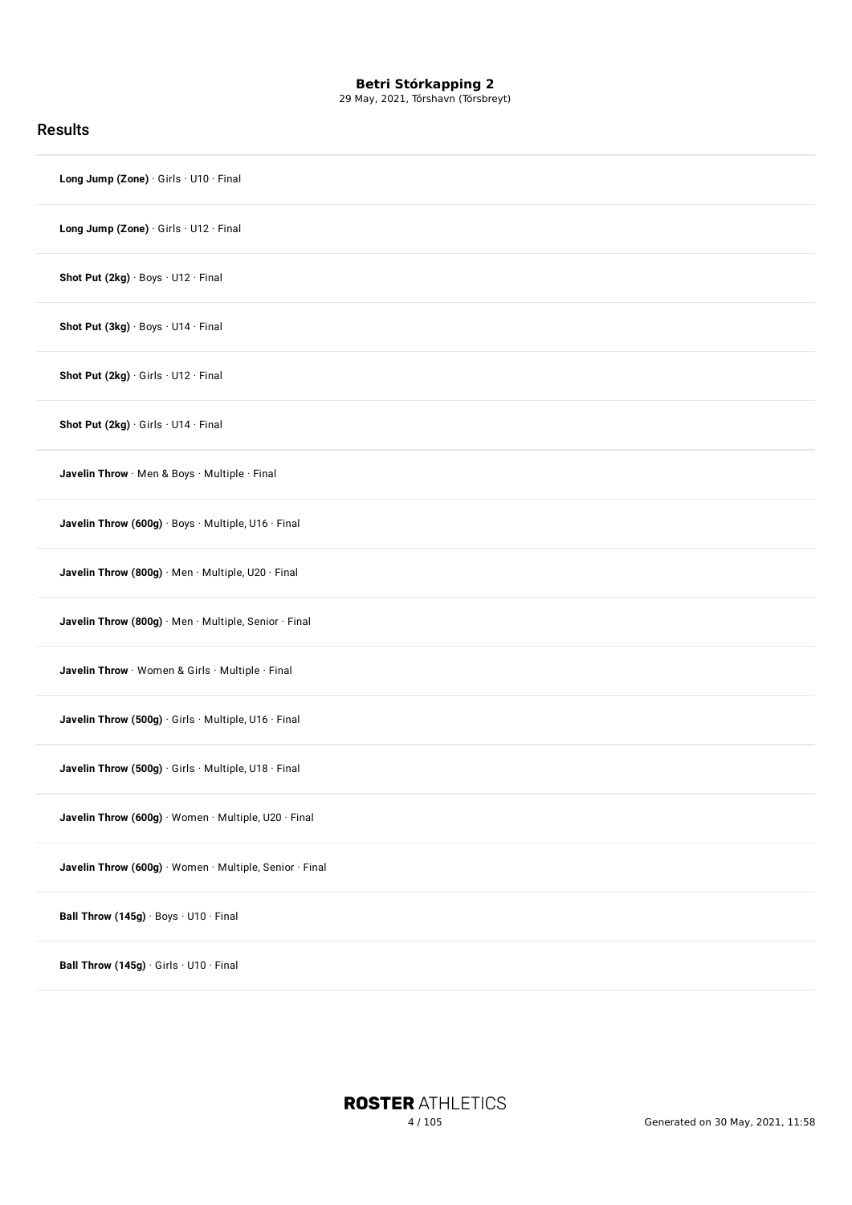29 May, 2021, Tórshavn (Tórsbreyt)

| <b>Results</b>                                          |
|---------------------------------------------------------|
| Long Jump (Zone) · Girls · U10 · Final                  |
| Long Jump (Zone) · Girls · U12 · Final                  |
| Shot Put (2kg) · Boys · U12 · Final                     |
| Shot Put (3kg) · Boys · U14 · Final                     |
| Shot Put (2kg) · Girls · U12 · Final                    |
| Shot Put (2kg) · Girls · U14 · Final                    |
| Javelin Throw · Men & Boys · Multiple · Final           |
| Javelin Throw (600g) · Boys · Multiple, U16 · Final     |
| Javelin Throw (800g) · Men · Multiple, U20 · Final      |
| Javelin Throw (800g) · Men · Multiple, Senior · Final   |
| Javelin Throw · Women & Girls · Multiple · Final        |
| Javelin Throw (500g) · Girls · Multiple, U16 · Final    |
| Javelin Throw (500g) · Girls · Multiple, U18 · Final    |
| Javelin Throw (600g) · Women · Multiple, U20 · Final    |
| Javelin Throw (600g) · Women · Multiple, Senior · Final |
| Ball Throw (145g) · Boys · U10 · Final                  |
| Ball Throw (145g) · Girls · U10 · Final                 |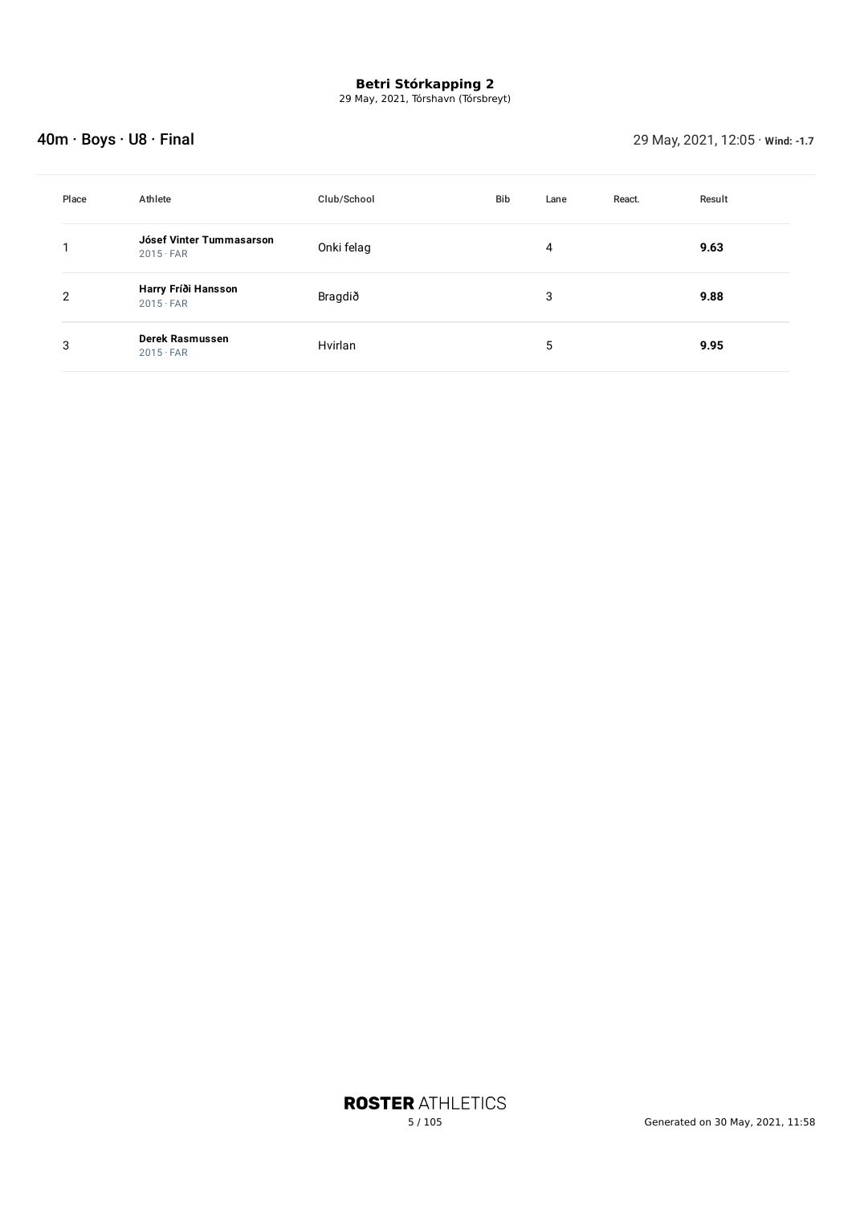29 May, 2021, Tórshavn (Tórsbreyt)

## 40m · Boys · U8 · Final 29 May, 2021, 12:05 · **Wind: -1.7**

| Place | Athlete                                      | Club/School | <b>Bib</b> | Lane | React. | Result |
|-------|----------------------------------------------|-------------|------------|------|--------|--------|
|       | Jósef Vinter Tummasarson<br>$2015 \cdot FAR$ | Onki felag  |            | 4    |        | 9.63   |
| 2     | Harry Fríði Hansson<br>$2015 \cdot FAR$      | Bragdið     |            | 3    |        | 9.88   |
| 3     | Derek Rasmussen<br>$2015 \cdot FAR$          | Hvirlan     |            | 5    |        | 9.95   |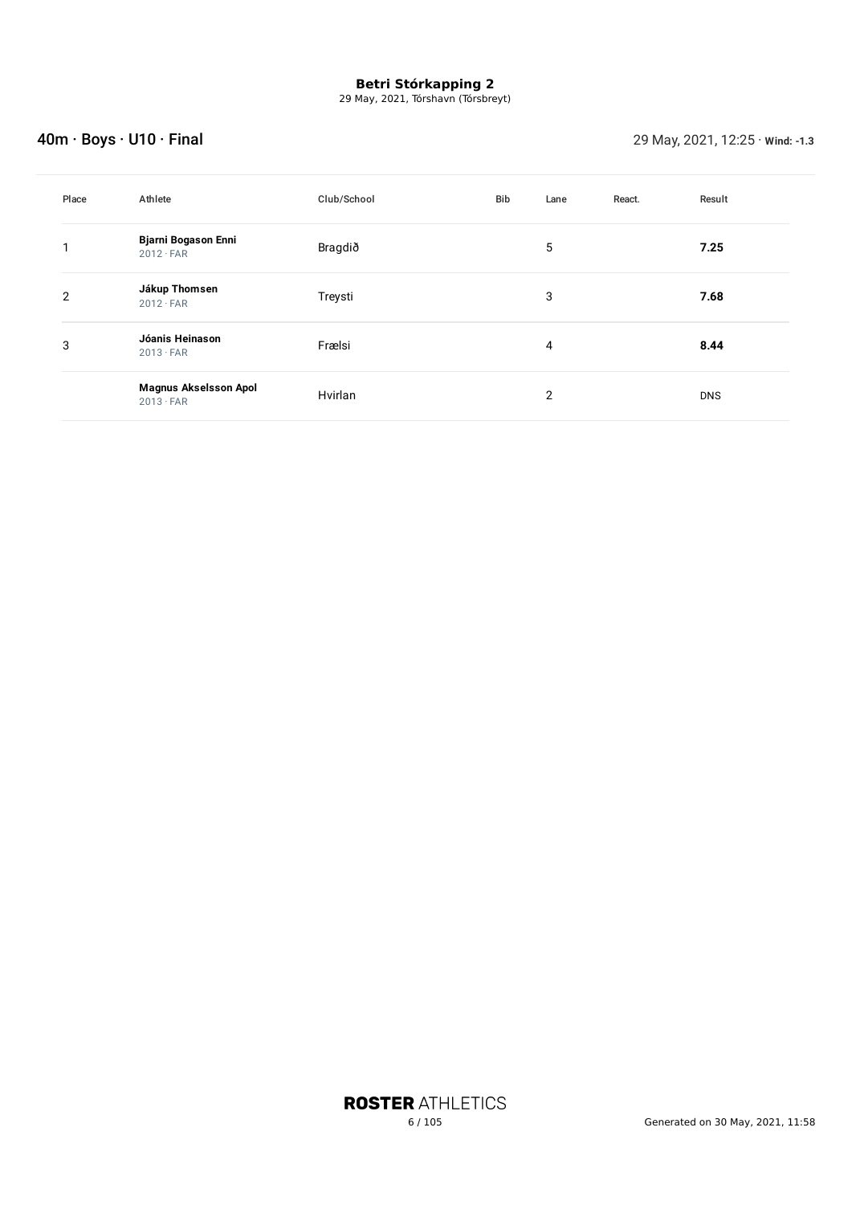29 May, 2021, Tórshavn (Tórsbreyt)

## 40m · Boys · U10 · Final 29 May, 2021, 12:25 · **Wind: -1.3**

| Place          | Athlete                                          | Club/School | Bib | Lane           | React. | Result     |
|----------------|--------------------------------------------------|-------------|-----|----------------|--------|------------|
|                | <b>Bjarni Bogason Enni</b><br>$2012 \cdot FAR$   | Bragdið     |     | 5              |        | 7.25       |
| $\overline{2}$ | Jákup Thomsen<br>$2012 \cdot FAR$                | Treysti     |     | 3              |        | 7.68       |
| 3              | Jóanis Heinason<br>$2013 \cdot FAR$              | Frælsi      |     | 4              |        | 8.44       |
|                | <b>Magnus Akselsson Apol</b><br>$2013 \cdot FAR$ | Hvirlan     |     | $\overline{2}$ |        | <b>DNS</b> |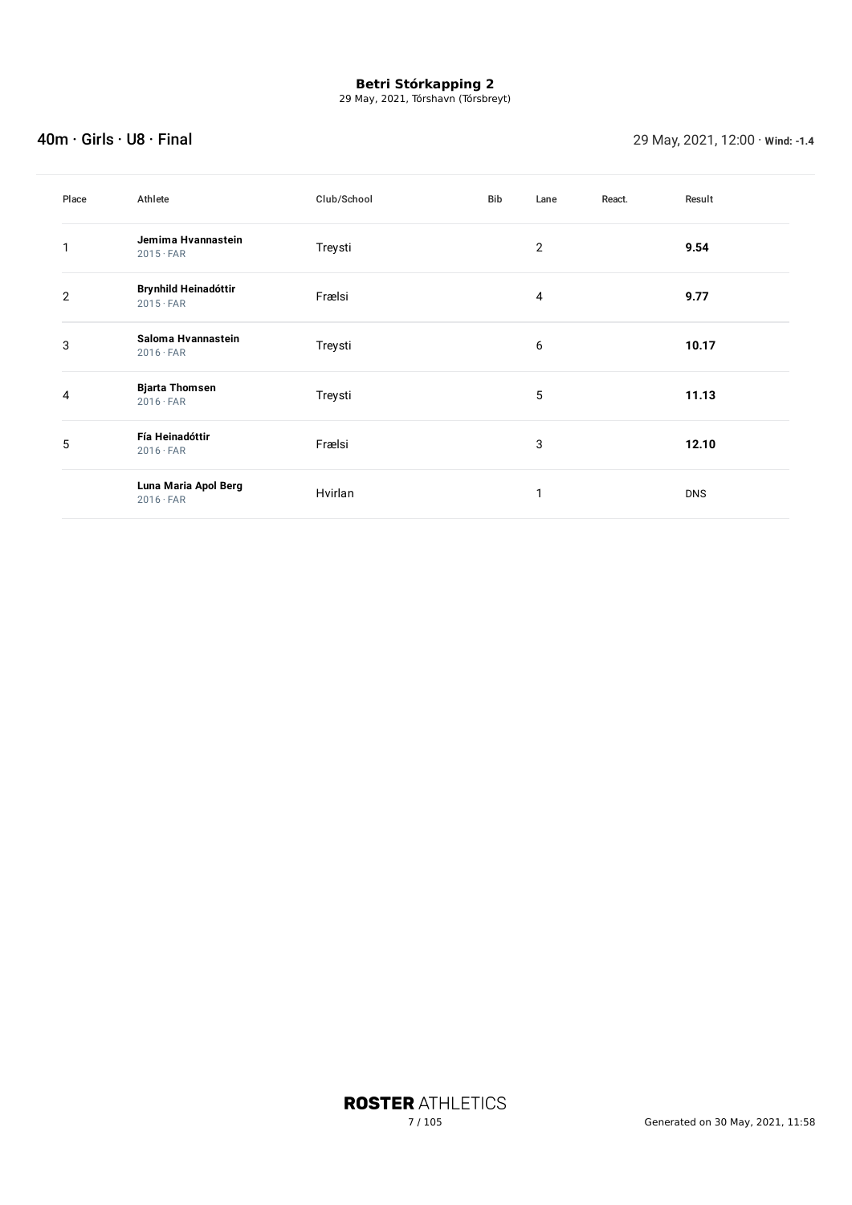29 May, 2021, Tórshavn (Tórsbreyt)

### 40m · Girls · U8 · Final 29 May, 2021, 12:00 · **Wind: -1.4**

| Place | Athlete                                         | Club/School | Bib | Lane           | React. | Result     |
|-------|-------------------------------------------------|-------------|-----|----------------|--------|------------|
|       | Jemima Hvannastein<br>$2015 \cdot FAR$          | Treysti     |     | $\overline{c}$ |        | 9.54       |
| 2     | <b>Brynhild Heinadóttir</b><br>$2015 \cdot FAR$ | Frælsi      |     | 4              |        | 9.77       |
| 3     | Saloma Hvannastein<br>$2016 \cdot FAR$          | Treysti     |     | 6              |        | 10.17      |
| 4     | <b>Bjarta Thomsen</b><br>$2016 \cdot FAR$       | Treysti     |     | 5              |        | 11.13      |
| 5     | Fía Heinadóttir<br>$2016 \cdot FAR$             | Frælsi      |     | 3              |        | 12.10      |
|       | Luna Maria Apol Berg<br>$2016 \cdot FAR$        | Hvirlan     |     | 1              |        | <b>DNS</b> |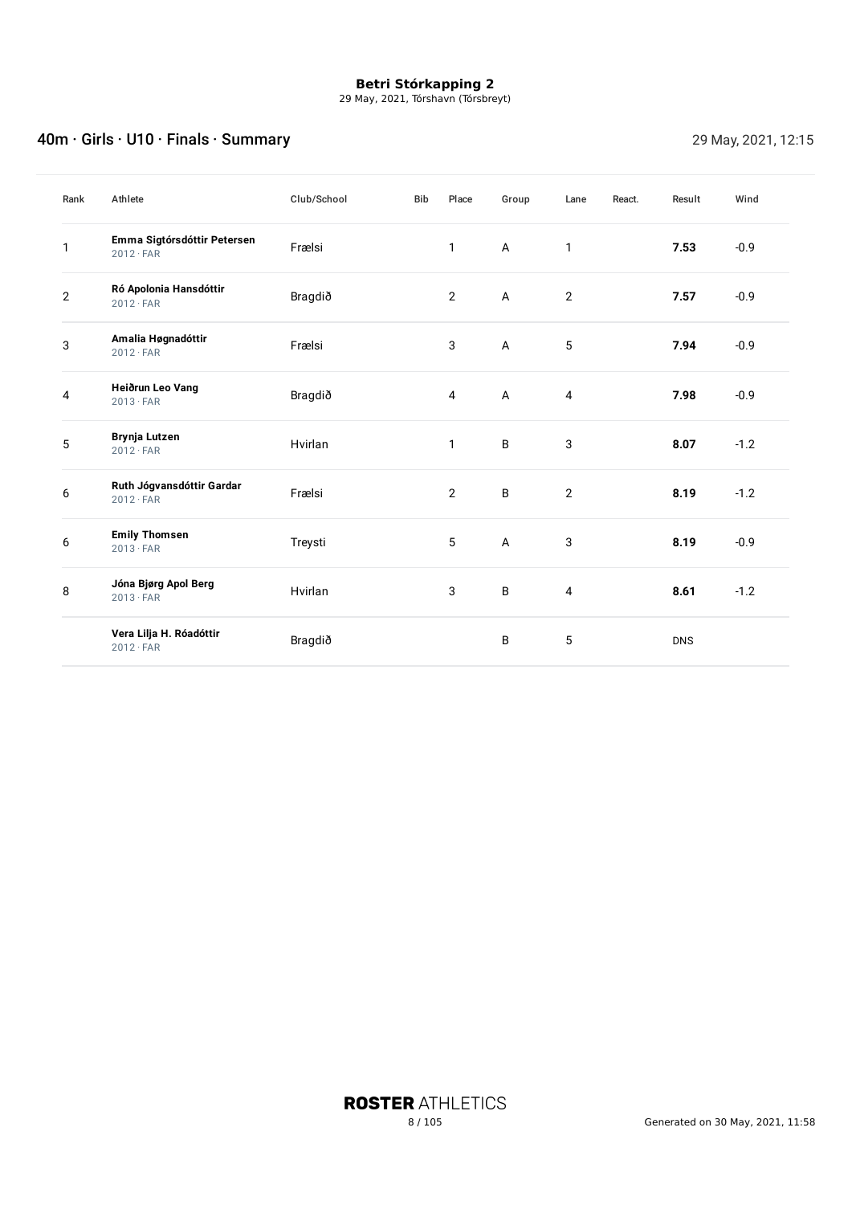29 May, 2021, Tórshavn (Tórsbreyt)

## A0m · Girls · U10 · Finals · Summary 29 May, 2021, 12:15

| Rank           | Athlete                                         | Club/School | <b>Bib</b> | Place          | Group          | Lane           | React. | Result     | Wind   |
|----------------|-------------------------------------------------|-------------|------------|----------------|----------------|----------------|--------|------------|--------|
| 1              | Emma Sigtórsdóttir Petersen<br>$2012 \cdot FAR$ | Frælsi      |            | 1              | A              | 1              |        | 7.53       | $-0.9$ |
| $\overline{2}$ | Ró Apolonia Hansdóttir<br>$2012 \cdot FAR$      | Bragdið     |            | $\overline{2}$ | A              | $\sqrt{2}$     |        | 7.57       | $-0.9$ |
| 3              | Amalia Høgnadóttir<br>$2012 \cdot FAR$          | Frælsi      |            | 3              | $\overline{A}$ | 5              |        | 7.94       | $-0.9$ |
| 4              | Heiðrun Leo Vang<br>$2013 \cdot FAR$            | Bragdið     |            | 4              | A              | $\overline{4}$ |        | 7.98       | $-0.9$ |
| 5              | <b>Brynja Lutzen</b><br>$2012 \cdot FAR$        | Hvirlan     |            | $\mathbf{1}$   | B              | 3              |        | 8.07       | $-1.2$ |
| 6              | Ruth Jógvansdóttir Gardar<br>$2012 \cdot FAR$   | Frælsi      |            | $\overline{2}$ | B              | $\overline{2}$ |        | 8.19       | $-1.2$ |
| 6              | <b>Emily Thomsen</b><br>$2013 \cdot FAR$        | Treysti     |            | 5              | A              | 3              |        | 8.19       | $-0.9$ |
| 8              | Jóna Bjørg Apol Berg<br>$2013 \cdot FAR$        | Hvirlan     |            | 3              | B              | 4              |        | 8.61       | $-1.2$ |
|                | Vera Lilja H. Róadóttir<br>$2012 \cdot FAR$     | Bragdið     |            |                | B              | 5              |        | <b>DNS</b> |        |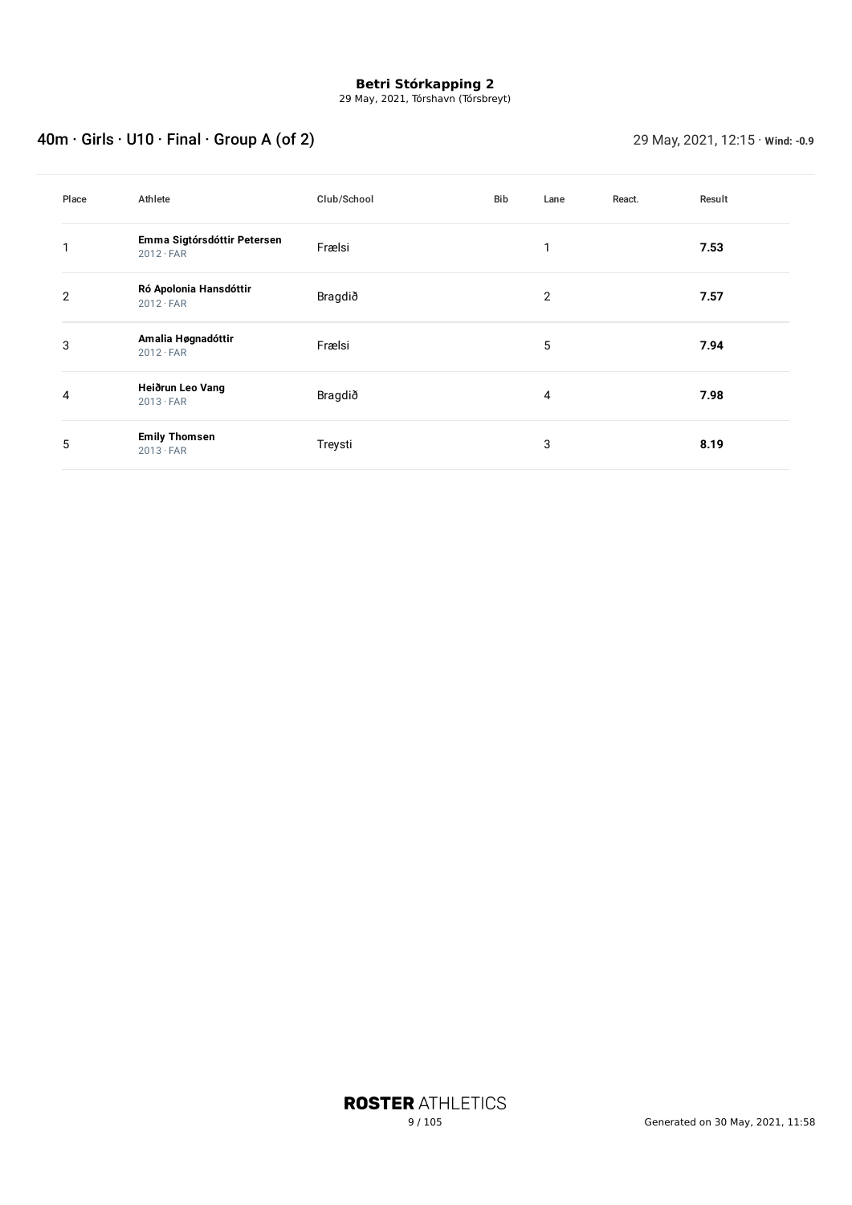29 May, 2021, Tórshavn (Tórsbreyt)

# 40m · Girls · U10 · Final · Group A (of 2) 29 May, 2021, 12:15 · **Wind: -0.9**

| Place          | Athlete                                         | Club/School | Bib | Lane | React. | Result |
|----------------|-------------------------------------------------|-------------|-----|------|--------|--------|
|                | Emma Sigtórsdóttir Petersen<br>$2012 \cdot FAR$ | Frælsi      |     | 1    |        | 7.53   |
| $\overline{2}$ | Ró Apolonia Hansdóttir<br>$2012 \cdot FAR$      | Bragdið     |     | 2    |        | 7.57   |
| 3              | Amalia Høgnadóttir<br>$2012 \cdot FAR$          | Frælsi      |     | 5    |        | 7.94   |
| 4              | Heiðrun Leo Vang<br>$2013 \cdot FAR$            | Bragdið     |     | 4    |        | 7.98   |
| 5              | <b>Emily Thomsen</b><br>$2013 \cdot FAR$        | Treysti     |     | 3    |        | 8.19   |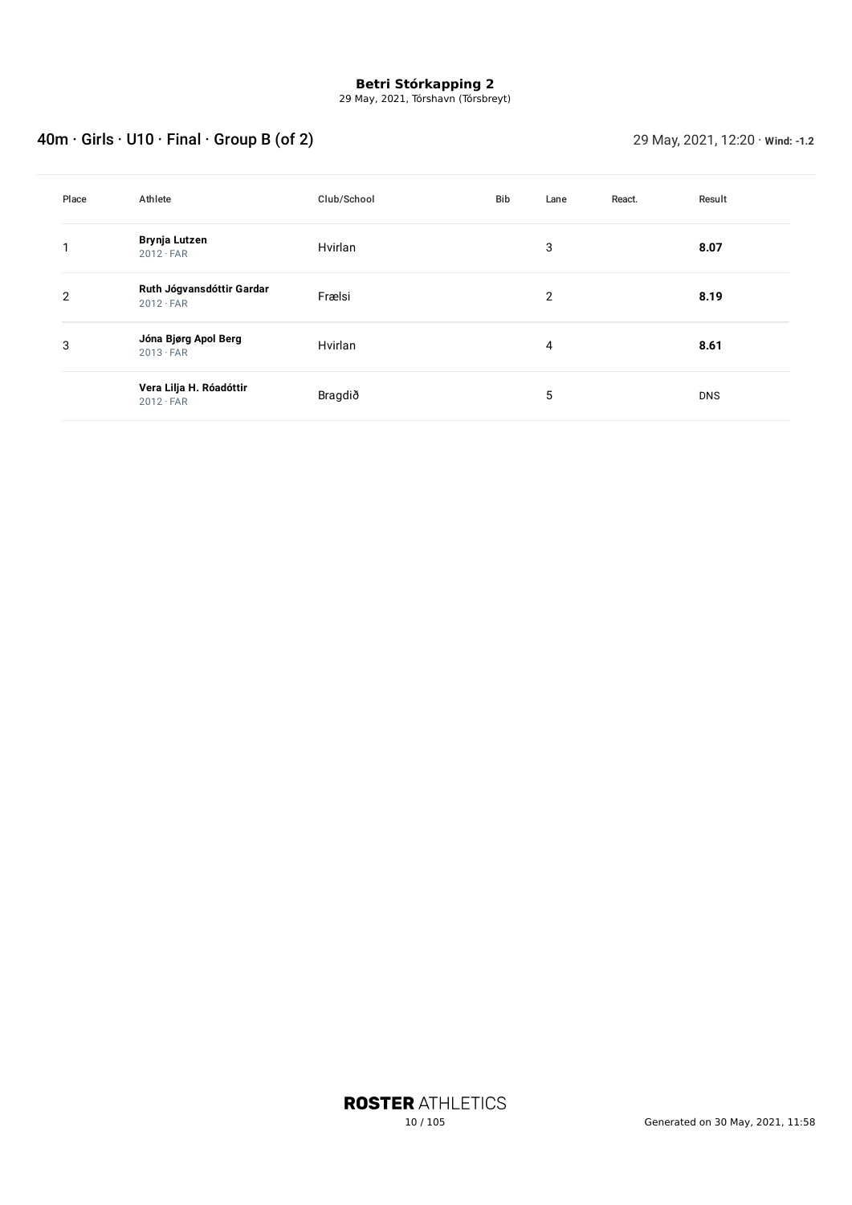29 May, 2021, Tórshavn (Tórsbreyt)

# 40m · Girls · U10 · Final · Group B (of 2) 29 May, 2021, 12:20 · **Wind: -1.2**

| Place | Athlete                                       | Club/School | Bib | Lane | React. | Result     |
|-------|-----------------------------------------------|-------------|-----|------|--------|------------|
|       | Brynja Lutzen<br>$2012 \cdot FAR$             | Hvirlan     |     | 3    |        | 8.07       |
| 2     | Ruth Jógvansdóttir Gardar<br>$2012 \cdot FAR$ | Frælsi      |     | 2    |        | 8.19       |
| 3     | Jóna Bjørg Apol Berg<br>$2013 \cdot FAR$      | Hvirlan     |     | 4    |        | 8.61       |
|       | Vera Lilja H. Róadóttir<br>$2012 \cdot FAR$   | Bragdið     |     | 5    |        | <b>DNS</b> |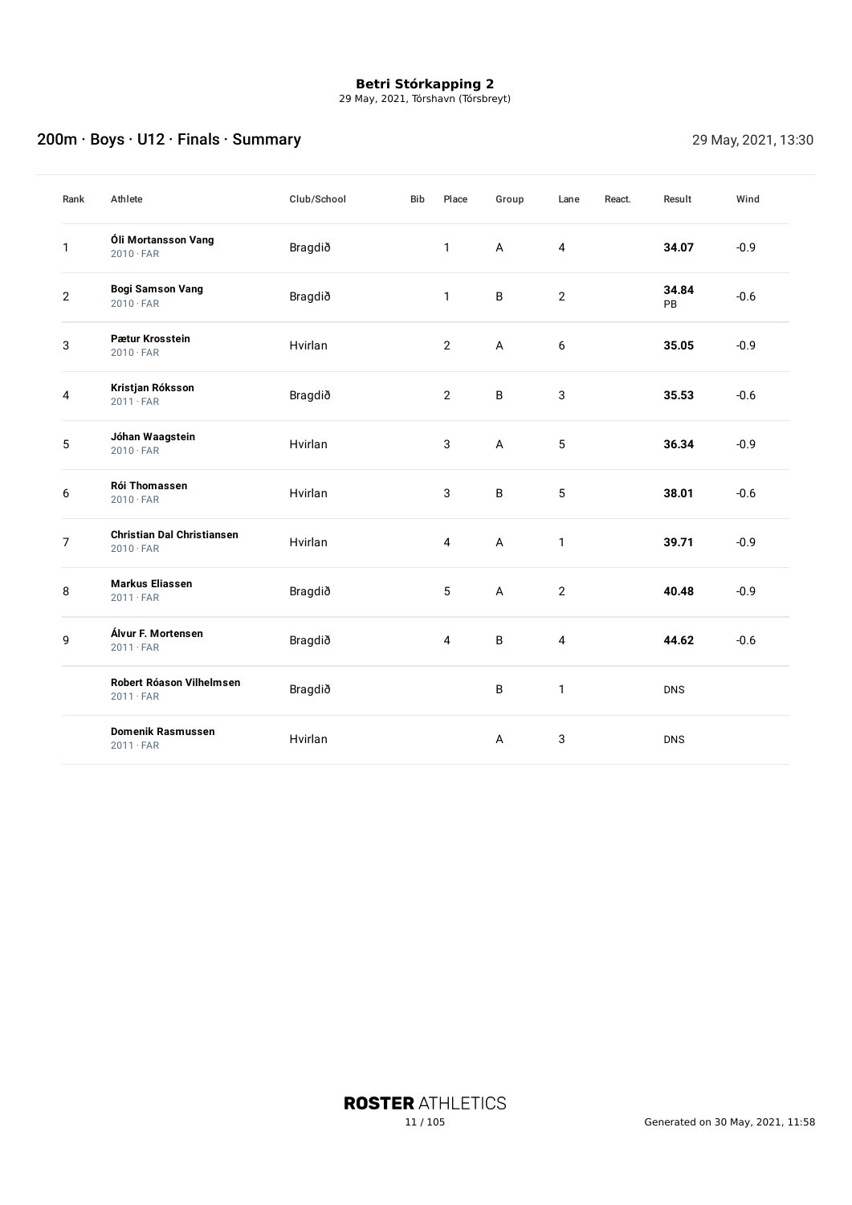29 May, 2021, Tórshavn (Tórsbreyt)

## 200m · Boys · U12 · Finals · Summary 200m · Boys · U12 · Finals · Summary

| Rank           | Athlete                                               | Club/School | <b>Bib</b> | Place          | Group        | Lane           | React. | Result      | Wind   |
|----------------|-------------------------------------------------------|-------------|------------|----------------|--------------|----------------|--------|-------------|--------|
| 1              | Óli Mortansson Vang<br>$2010 \cdot FAR$               | Bragdið     |            | $\mathbf{1}$   | A            | 4              |        | 34.07       | $-0.9$ |
| $\mathbf{2}$   | <b>Bogi Samson Vang</b><br>$2010 \cdot FAR$           | Bragdið     |            | $\mathbf{1}$   | B            | $\overline{2}$ |        | 34.84<br>PB | $-0.6$ |
| 3              | Pætur Krosstein<br>$2010 \cdot FAR$                   | Hvirlan     |            | $\overline{2}$ | A            | 6              |        | 35.05       | $-0.9$ |
| 4              | Kristjan Róksson<br>$2011 \cdot FAR$                  | Bragdið     |            | $\overline{2}$ | B            | 3              |        | 35.53       | $-0.6$ |
| 5              | Jóhan Waagstein<br>$2010 \cdot FAR$                   | Hvirlan     |            | 3              | $\mathsf{A}$ | 5              |        | 36.34       | $-0.9$ |
| 6              | <b>Rói Thomassen</b><br>$2010 \cdot FAR$              | Hvirlan     |            | 3              | B            | 5              |        | 38.01       | $-0.6$ |
| $\overline{7}$ | <b>Christian Dal Christiansen</b><br>$2010 \cdot FAR$ | Hvirlan     |            | $\overline{4}$ | A            | 1              |        | 39.71       | $-0.9$ |
| 8              | <b>Markus Eliassen</b><br>$2011 \cdot FAR$            | Bragdið     |            | 5              | A            | $\overline{2}$ |        | 40.48       | $-0.9$ |
| 9              | Álvur F. Mortensen<br>$2011 \cdot FAR$                | Bragdið     |            | 4              | B            | $\sqrt{4}$     |        | 44.62       | $-0.6$ |
|                | Robert Róason Vilhelmsen<br>$2011 \cdot FAR$          | Bragdið     |            |                | B            | $\mathbf{1}$   |        | <b>DNS</b>  |        |
|                | <b>Domenik Rasmussen</b><br>$2011 \cdot FAR$          | Hvirlan     |            |                | A            | 3              |        | <b>DNS</b>  |        |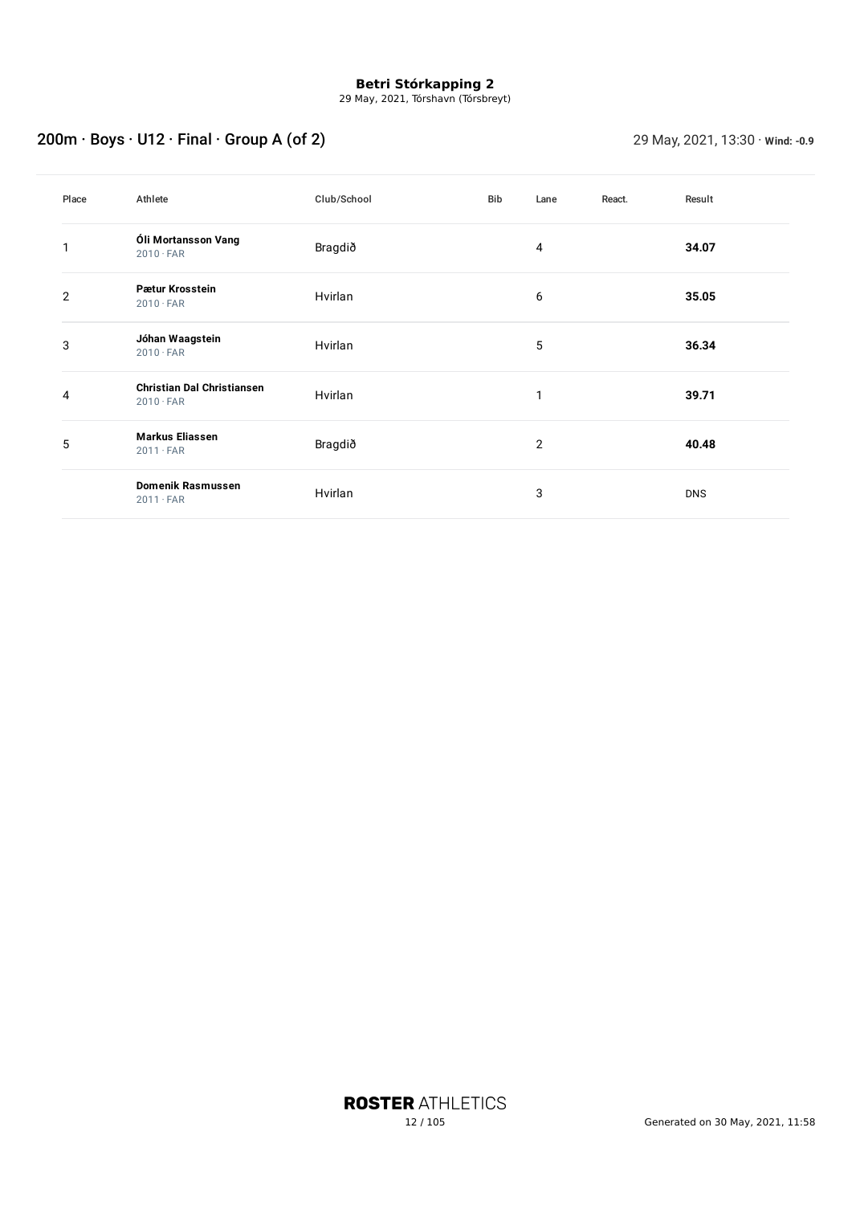29 May, 2021, Tórshavn (Tórsbreyt)

# 200m · Boys · U12 · Final · Group A (of 2) 29 May, 2021, 13:30 · **Wind: -0.9**

| Place          | Athlete                                               | Club/School | Bib | Lane           | React. | Result     |
|----------------|-------------------------------------------------------|-------------|-----|----------------|--------|------------|
| 1              | Óli Mortansson Vang<br>$2010 \cdot FAR$               | Bragdið     |     | 4              |        | 34.07      |
| $\overline{2}$ | Pætur Krosstein<br>$2010 \cdot FAR$                   | Hvirlan     |     | 6              |        | 35.05      |
| 3              | Jóhan Waagstein<br>$2010 \cdot FAR$                   | Hvirlan     |     | 5              |        | 36.34      |
| 4              | <b>Christian Dal Christiansen</b><br>$2010 \cdot FAR$ | Hvirlan     |     | 1              |        | 39.71      |
| 5              | <b>Markus Eliassen</b><br>$2011 \cdot FAR$            | Bragdið     |     | $\overline{2}$ |        | 40.48      |
|                | <b>Domenik Rasmussen</b><br>$2011 \cdot FAR$          | Hvirlan     |     | 3              |        | <b>DNS</b> |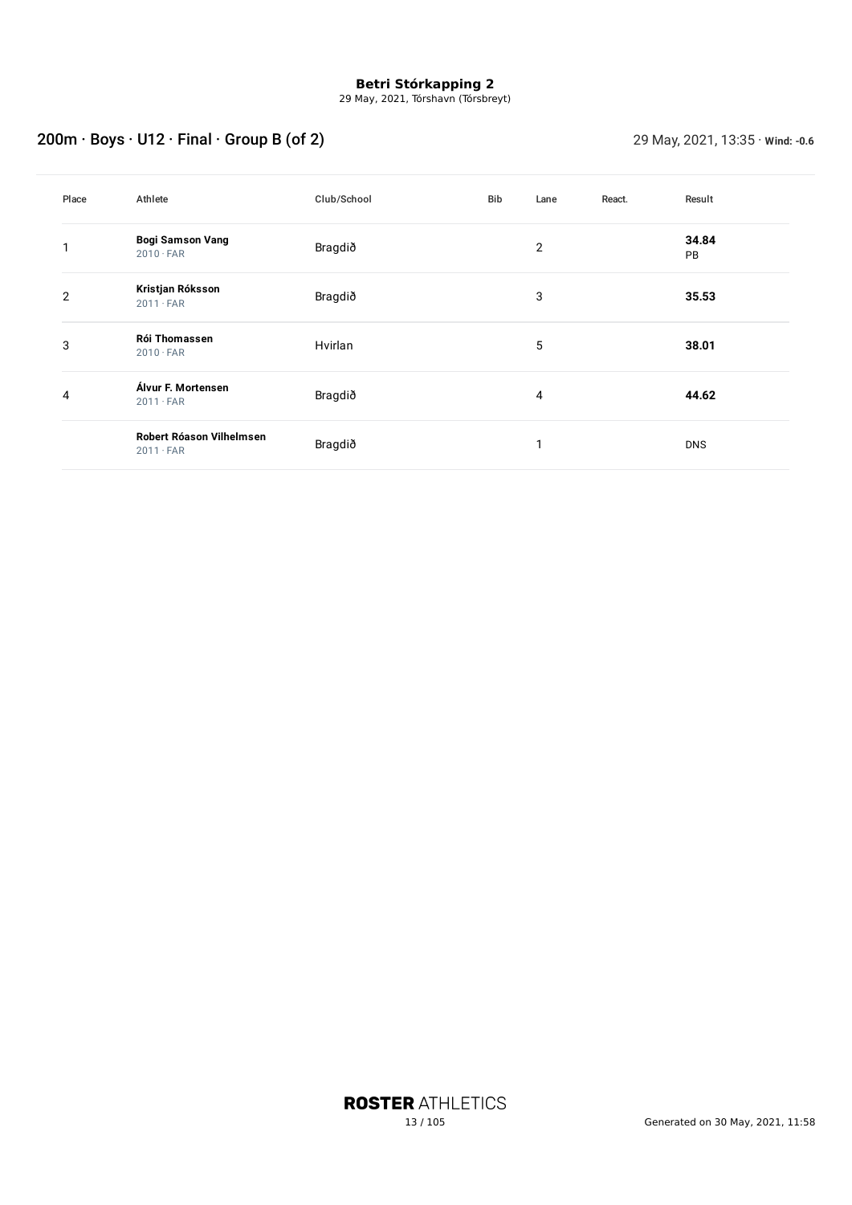29 May, 2021, Tórshavn (Tórsbreyt)

# 200m · Boys · U12 · Final · Group B (of 2) 29 May, 2021, 13:35 · **Wind: -0.6**

| Place          | Athlete                                      | Club/School | Bib | Lane           | React. | Result      |
|----------------|----------------------------------------------|-------------|-----|----------------|--------|-------------|
| 1              | <b>Bogi Samson Vang</b><br>$2010 \cdot FAR$  | Bragdið     |     | $\overline{2}$ |        | 34.84<br>PB |
| $\overline{2}$ | Kristjan Róksson<br>$2011 \cdot FAR$         | Bragdið     |     | 3              |        | 35.53       |
| 3              | Rói Thomassen<br>$2010 \cdot FAR$            | Hvirlan     |     | 5              |        | 38.01       |
| 4              | Álvur F. Mortensen<br>$2011 \cdot FAR$       | Bragdið     |     | 4              |        | 44.62       |
|                | Robert Róason Vilhelmsen<br>$2011 \cdot FAR$ | Bragdið     |     | ٠              |        | <b>DNS</b>  |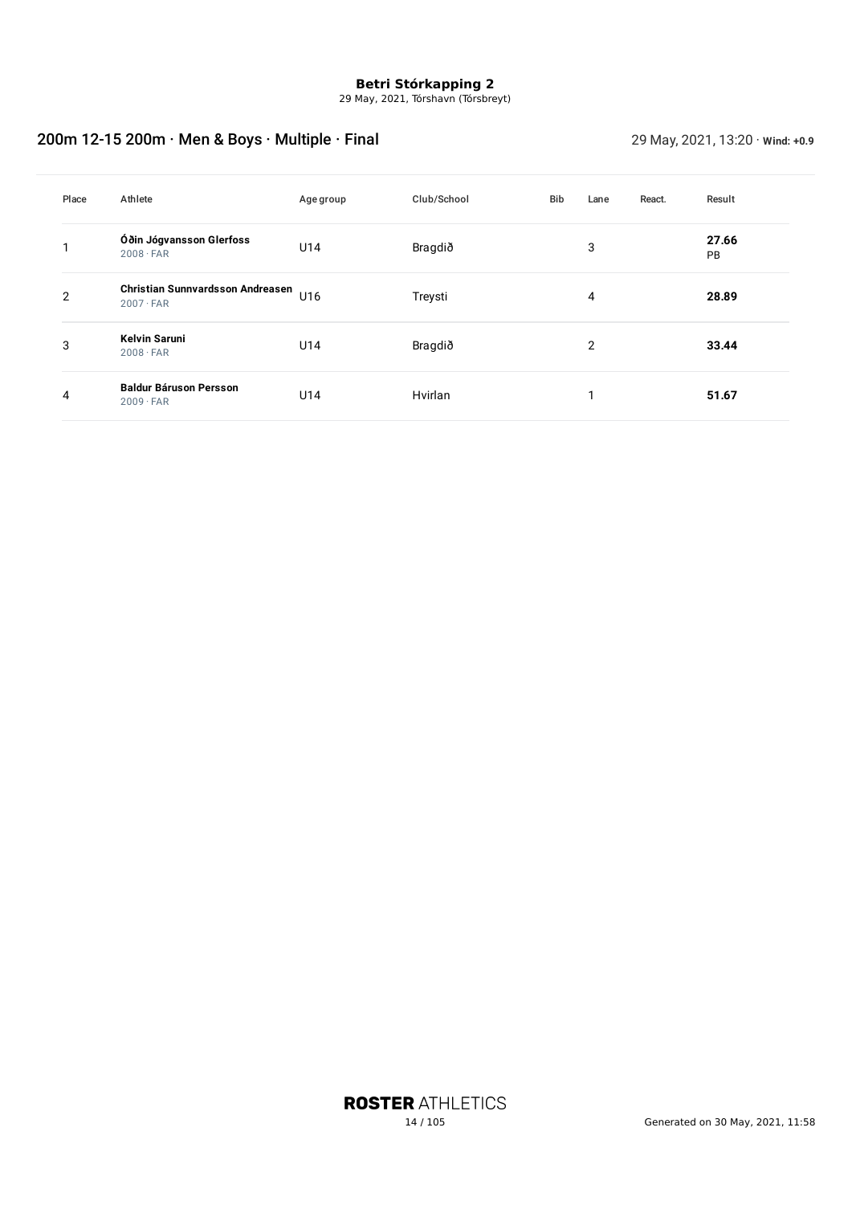29 May, 2021, Tórshavn (Tórsbreyt)

## 200m 12-15 200m · Men & Boys · Multiple · Final 29 May, 2021, 13:20 · **Wind: +0.9**

| Place | Athlete                                              | Agegroup | Club/School | Bib | Lane           | React. | Result             |
|-------|------------------------------------------------------|----------|-------------|-----|----------------|--------|--------------------|
|       | Óðin Jógvansson Glerfoss<br>$2008 \cdot FAR$         | U14      | Bragdið     |     | 3              |        | 27.66<br><b>PB</b> |
| 2     | Christian Sunnvardsson Andreasen<br>$2007 \cdot FAR$ | U16      | Treysti     |     | 4              |        | 28.89              |
| 3     | <b>Kelvin Saruni</b><br>$2008 \cdot FAR$             | U14      | Bragdið     |     | $\overline{2}$ |        | 33.44              |
| 4     | <b>Baldur Báruson Persson</b><br>$2009 \cdot FAR$    | U14      | Hvirlan     |     | 1              |        | 51.67              |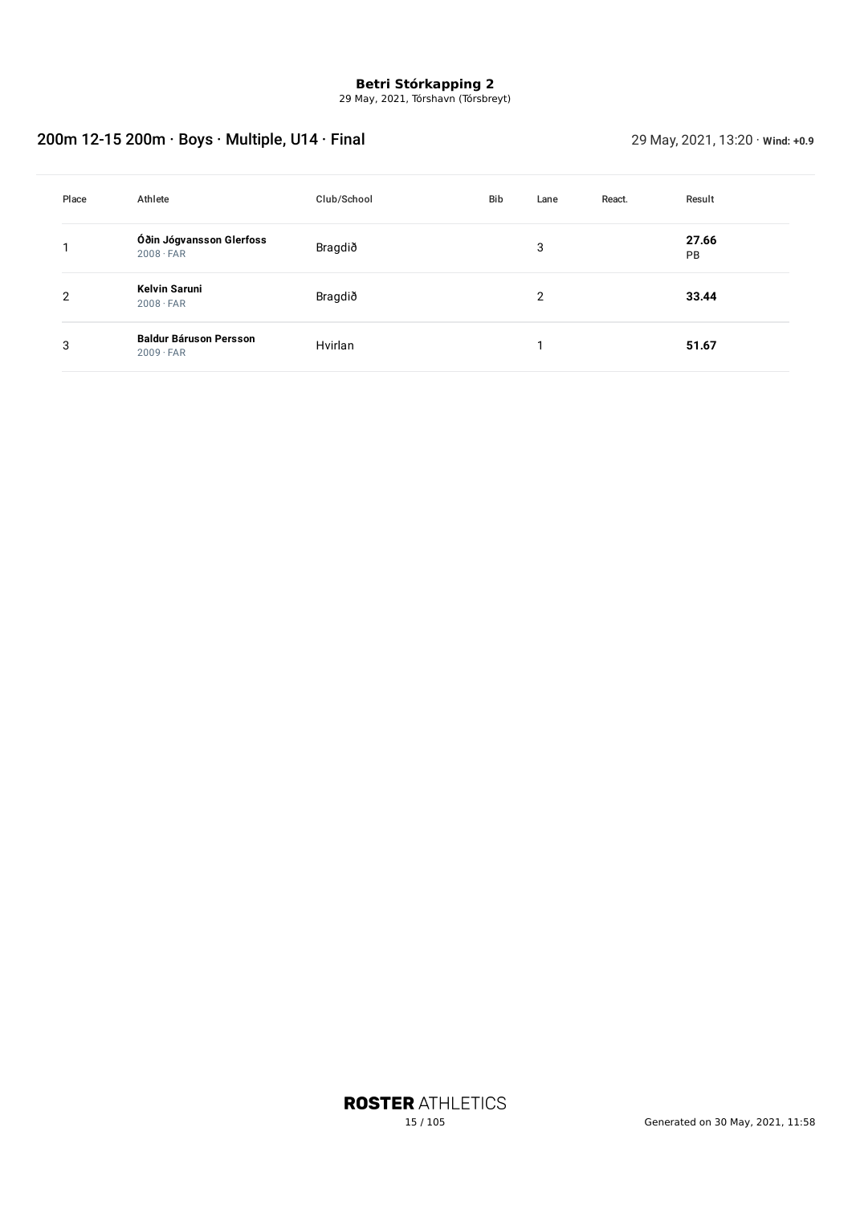29 May, 2021, Tórshavn (Tórsbreyt)

## 200m 12-15 200m · Boys · Multiple, U14 · Final 29 May, 2021, 13:20 · **Wind: +0.9**

| Place | Athlete                                           | Club/School | Bib | Lane | React. | Result      |
|-------|---------------------------------------------------|-------------|-----|------|--------|-------------|
|       | Óðin Jógvansson Glerfoss<br>$2008 \cdot FAR$      | Bragdið     |     | 3    |        | 27.66<br>PB |
| 2     | Kelvin Saruni<br>$2008 \cdot FAR$                 | Bragdið     |     | 2    |        | 33.44       |
| 3     | <b>Baldur Báruson Persson</b><br>$2009 \cdot FAR$ | Hvirlan     |     |      |        | 51.67       |

**ROSTER ATHLETICS**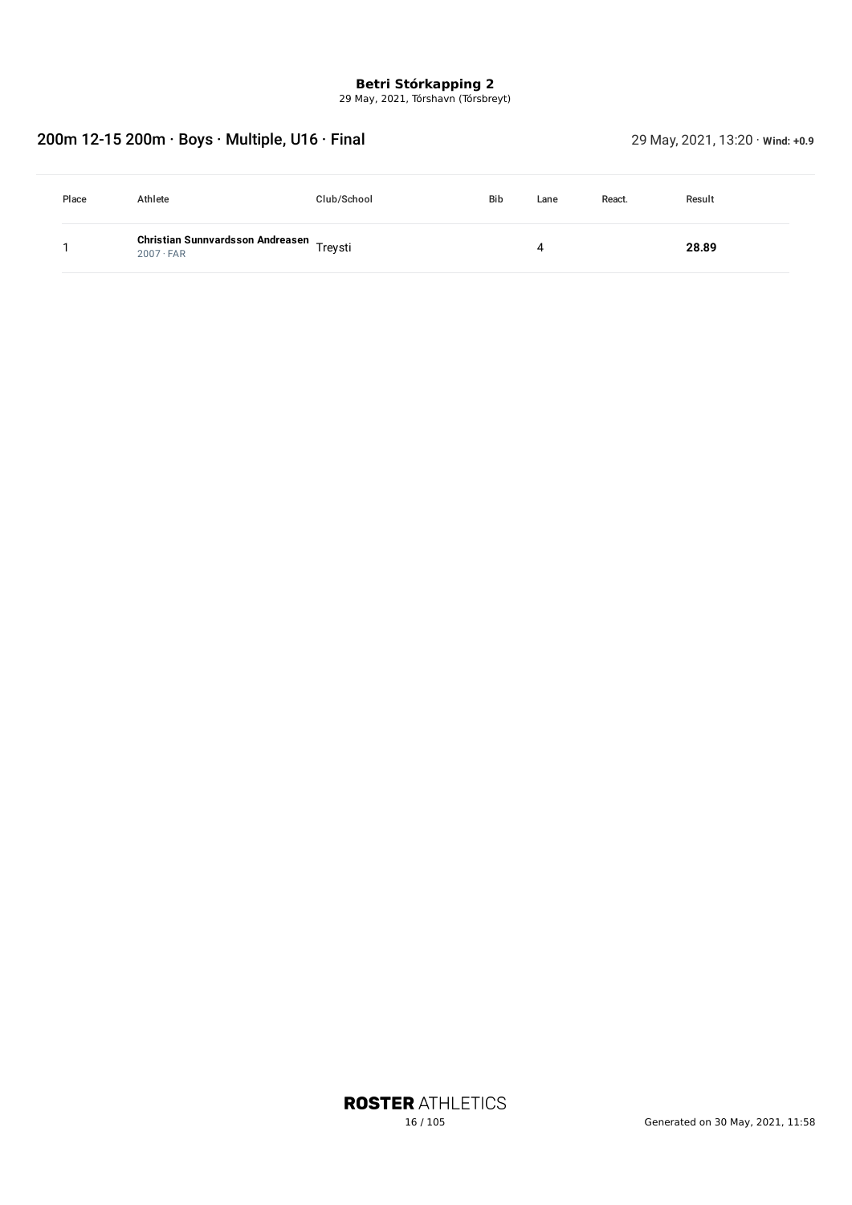29 May, 2021, Tórshavn (Tórsbreyt)

## 200m 12-15 200m · Boys · Multiple, U16 · Final 29 May, 2021, 13:20 · **Wind: +0.9**

| Place | Athlete                                                      | Club/School | <b>Bib</b> | Lane | React. | Result |
|-------|--------------------------------------------------------------|-------------|------------|------|--------|--------|
|       | Christian Sunnvardsson Andreasen Treysti<br>$2007 \cdot FAR$ |             |            | 4    |        | 28.89  |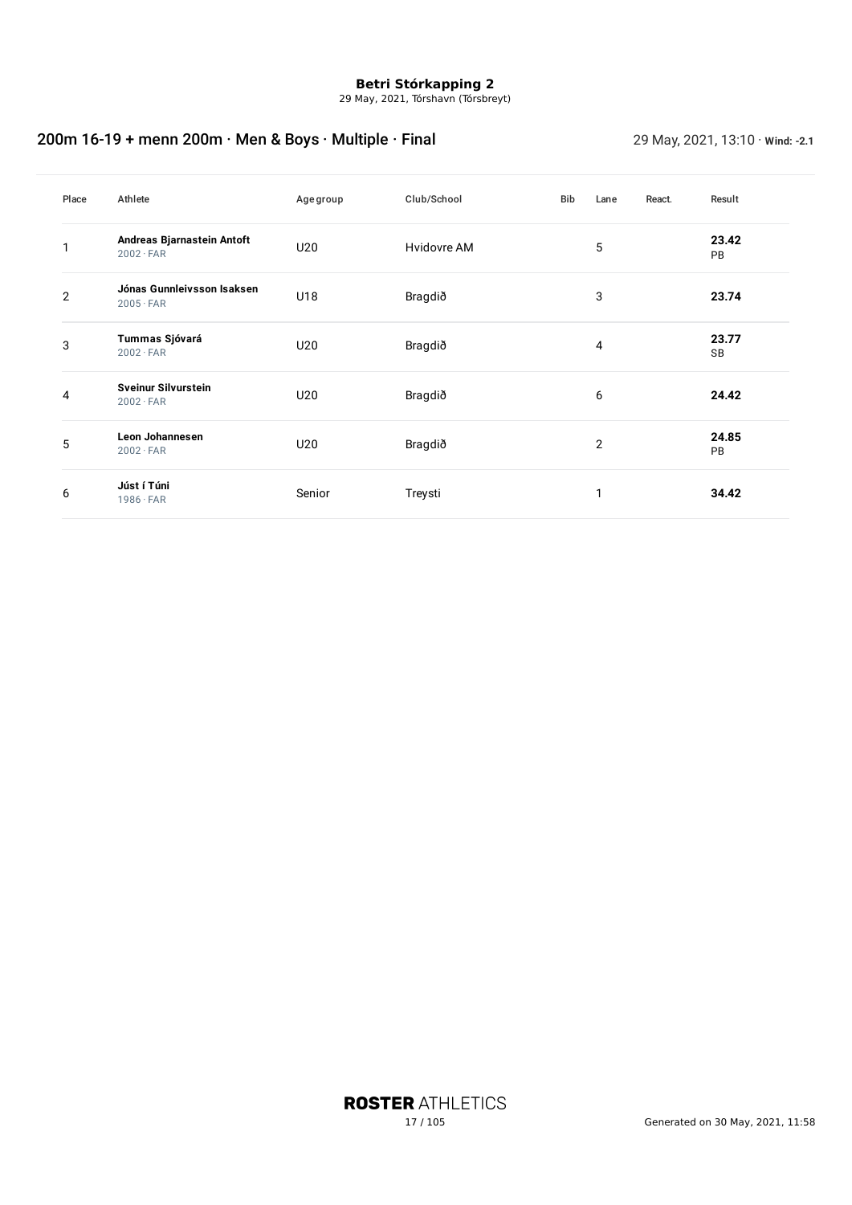29 May, 2021, Tórshavn (Tórsbreyt)

## 200m 16-19 + menn 200m · Men & Boys · Multiple · Final 29 May, 2021, 13:10 · *Wind: -2.1*

| Place          | Athlete                                        | Age group | Club/School | Bib | Lane           | React. | Result             |
|----------------|------------------------------------------------|-----------|-------------|-----|----------------|--------|--------------------|
| 1              | Andreas Bjarnastein Antoft<br>$2002 \cdot FAR$ | U20       | Hvidovre AM |     | 5              |        | 23.42<br>PB        |
| $\overline{2}$ | Jónas Gunnleivsson Isaksen<br>$2005 \cdot FAR$ | U18       | Bragdið     |     | 3              |        | 23.74              |
| 3              | Tummas Sjóvará<br>$2002 \cdot FAR$             | U20       | Bragdið     | 4   |                |        | 23.77<br><b>SB</b> |
| 4              | Sveinur Silvurstein<br>$2002 \cdot FAR$        | U20       | Bragdið     | 6   |                |        | 24.42              |
| 5              | <b>Leon Johannesen</b><br>$2002 \cdot FAR$     | U20       | Bragdið     |     | $\overline{2}$ |        | 24.85<br>PB        |
| 6              | Júst í Túni<br>$1986 \cdot FAR$                | Senior    | Treysti     |     | 1              |        | 34.42              |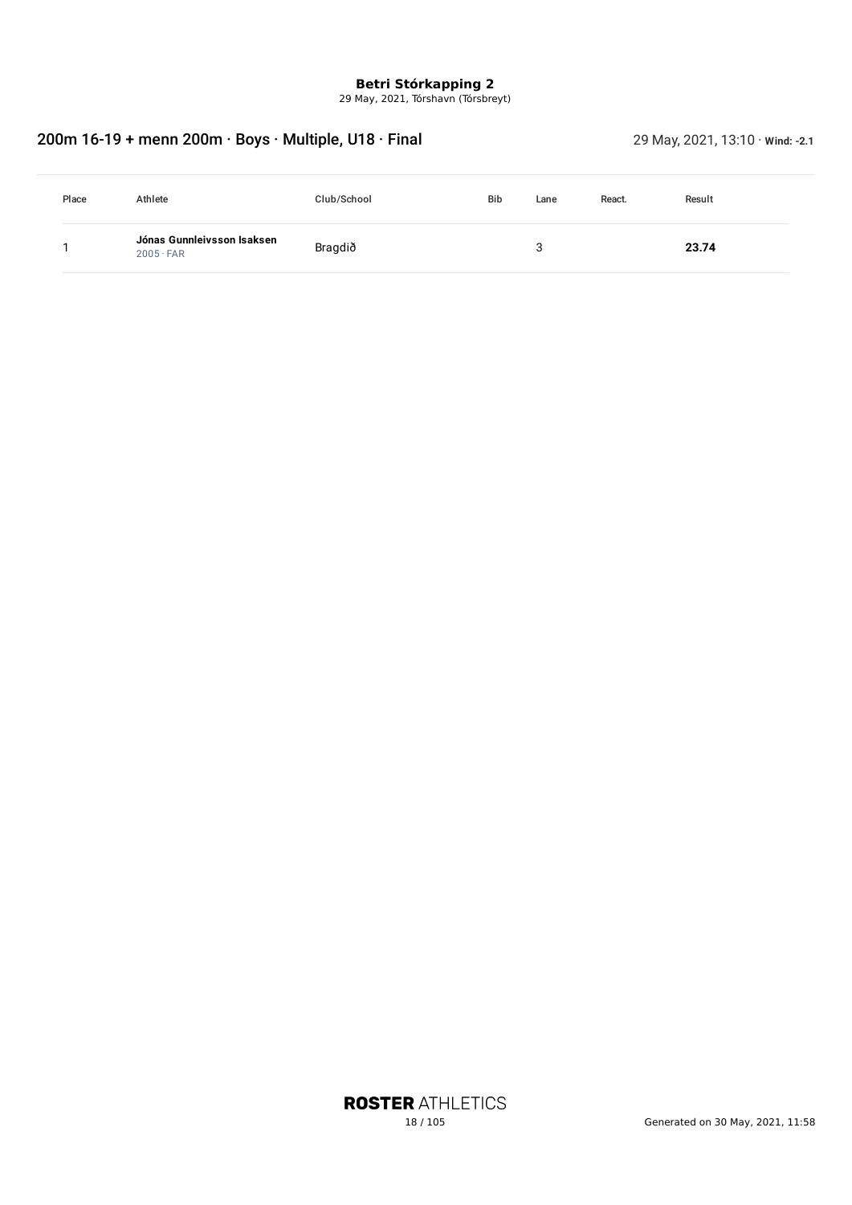29 May, 2021, Tórshavn (Tórsbreyt)

## 200m 16-19 + menn 200m · Boys · Multiple, U18 · Final 29 May, 2021, 13:10 · Wind: -2.1

| Place | Athlete                                        | Club/School | <b>Bib</b> | Lane | React. | Result |
|-------|------------------------------------------------|-------------|------------|------|--------|--------|
|       | Jónas Gunnleivsson Isaksen<br>$2005 \cdot FAR$ | Bragdið     |            |      |        | 23.74  |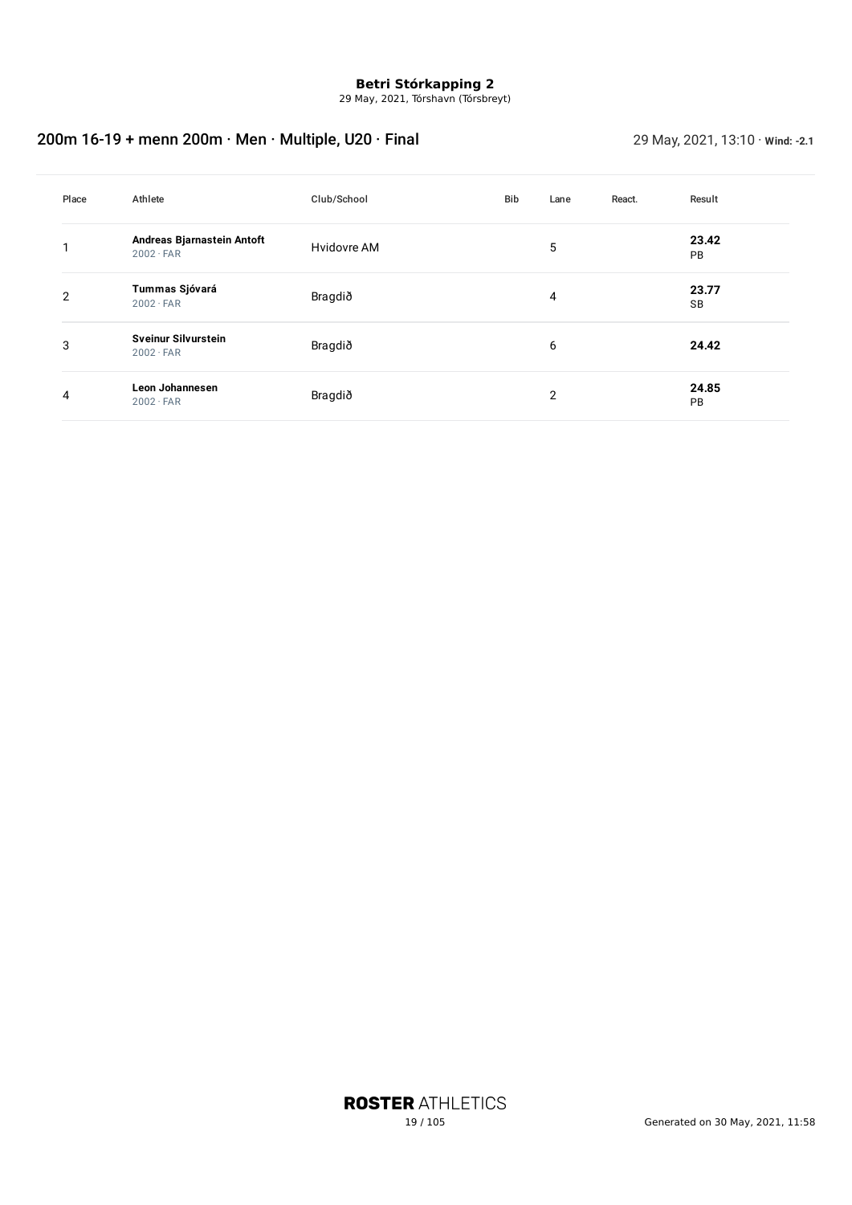29 May, 2021, Tórshavn (Tórsbreyt)

## 200m 16-19 + menn 200m · Men · Multiple, U20 · Final 29 May, 2021, 13:10 · Wind: -2.1

| Place | Athlete                                        | Club/School | Bib | Lane           | React. | Result             |
|-------|------------------------------------------------|-------------|-----|----------------|--------|--------------------|
|       | Andreas Bjarnastein Antoft<br>$2002 \cdot FAR$ | Hvidovre AM |     | 5              |        | 23.42<br><b>PB</b> |
| 2     | Tummas Sjóvará<br>$2002 \cdot FAR$             | Bragdið     |     | 4              |        | 23.77<br><b>SB</b> |
| 3     | <b>Sveinur Silvurstein</b><br>$2002 \cdot FAR$ | Bragdið     |     | 6              |        | 24.42              |
| 4     | Leon Johannesen<br>$2002 \cdot FAR$            | Bragdið     |     | $\overline{2}$ |        | 24.85<br><b>PB</b> |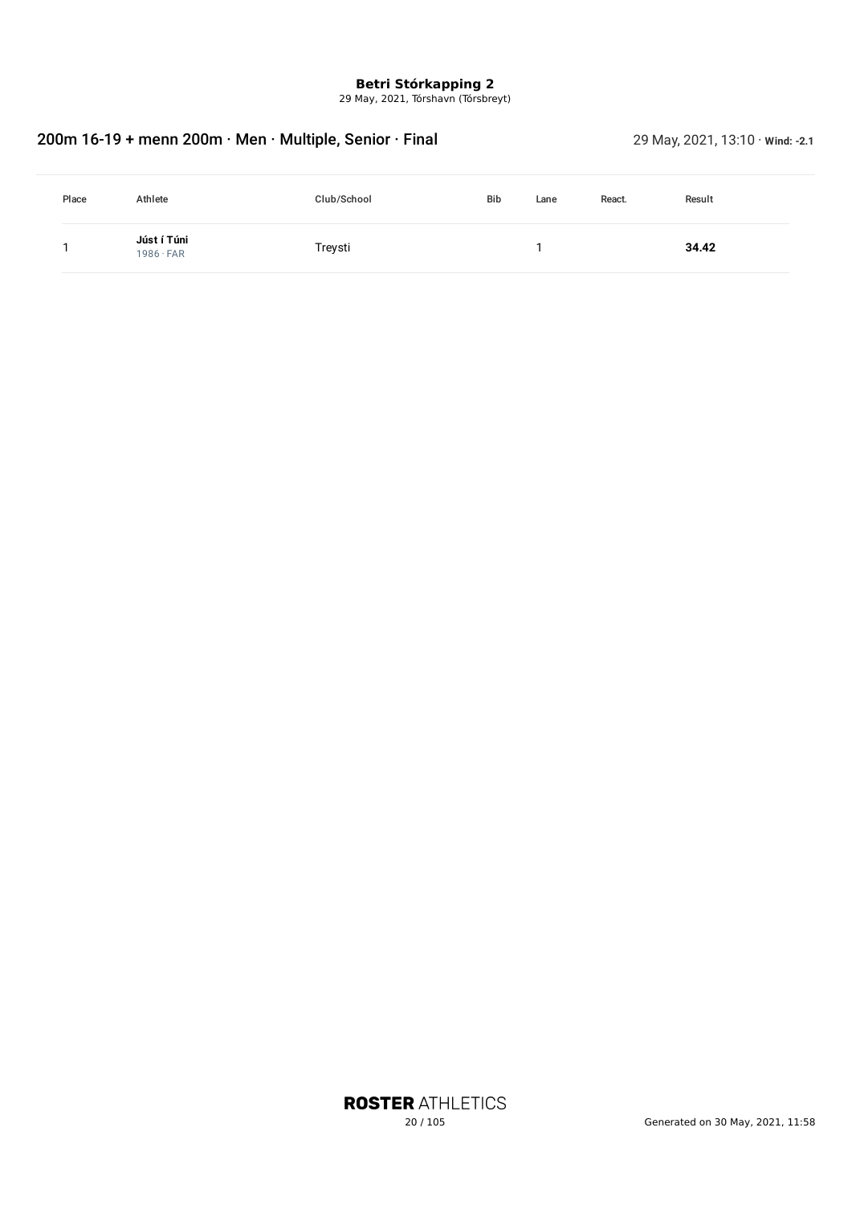29 May, 2021, Tórshavn (Tórsbreyt)

## 200m 16-19 + menn 200m · Men · Multiple, Senior · Final 29 May, 2021, 13:10 · *Wind: -2.1*

| Place | Athlete                         | Club/School | <b>Bib</b> | Lane | React. | Result |
|-------|---------------------------------|-------------|------------|------|--------|--------|
|       | Júst í Túni<br>$1986 \cdot FAR$ | Treysti     |            |      |        | 34.42  |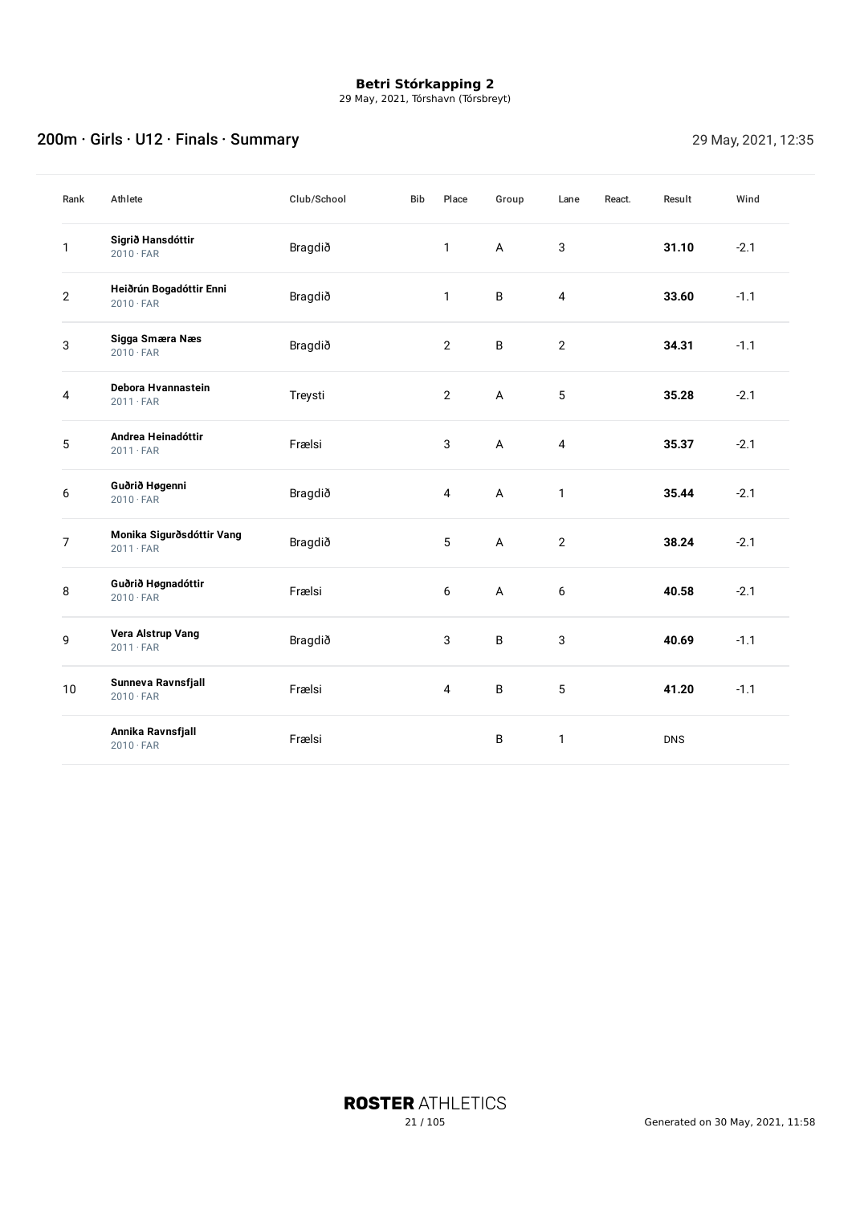29 May, 2021, Tórshavn (Tórsbreyt)

## 200m · Girls · U12 · Finals · Summary 29 May, 2021, 12:35

| Rank         | Athlete                                       | Club/School | <b>Bib</b> | Place          | Group          | Lane           | React. | Result     | Wind   |
|--------------|-----------------------------------------------|-------------|------------|----------------|----------------|----------------|--------|------------|--------|
| 1            | Sigrið Hansdóttir<br>$2010 \cdot FAR$         | Bragdið     |            | 1              | $\mathsf{A}$   | 3              |        | 31.10      | $-2.1$ |
| $\mathbf{2}$ | Heiðrún Bogadóttir Enni<br>$2010 \cdot FAR$   | Bragdið     |            | $\mathbf{1}$   | B              | $\overline{4}$ |        | 33.60      | $-1.1$ |
| 3            | Sigga Smæra Næs<br>$2010 \cdot FAR$           | Bragdið     |            | $\overline{2}$ | B              | $\mathbf{2}$   |        | 34.31      | $-1.1$ |
| 4            | Debora Hvannastein<br>$2011 \cdot FAR$        | Treysti     |            | $\overline{2}$ | A              | 5              |        | 35.28      | $-2.1$ |
| $\mathbf 5$  | Andrea Heinadóttir<br>$2011 \cdot FAR$        | Frælsi      |            | 3              | $\overline{A}$ | $\overline{4}$ |        | 35.37      | $-2.1$ |
| 6            | Guðrið Høgenni<br>$2010 \cdot FAR$            | Bragdið     |            | 4              | A              | $\mathbf{1}$   |        | 35.44      | $-2.1$ |
| 7            | Monika Sigurðsdóttir Vang<br>$2011 \cdot FAR$ | Bragdið     |            | 5              | $\mathsf A$    | $\mathbf{2}$   |        | 38.24      | $-2.1$ |
| 8            | Guðrið Høgnadóttir<br>$2010 \cdot FAR$        | Frælsi      |            | 6              | A              | 6              |        | 40.58      | $-2.1$ |
| 9            | Vera Alstrup Vang<br>$2011 \cdot FAR$         | Bragdið     |            | 3              | B              | 3              |        | 40.69      | $-1.1$ |
| 10           | Sunneva Ravnsfjall<br>$2010 \cdot FAR$        | Frælsi      |            | $\overline{4}$ | B              | 5              |        | 41.20      | $-1.1$ |
|              | Annika Ravnsfjall<br>$2010 \cdot FAR$         | Frælsi      |            |                | B              | $\mathbf{1}$   |        | <b>DNS</b> |        |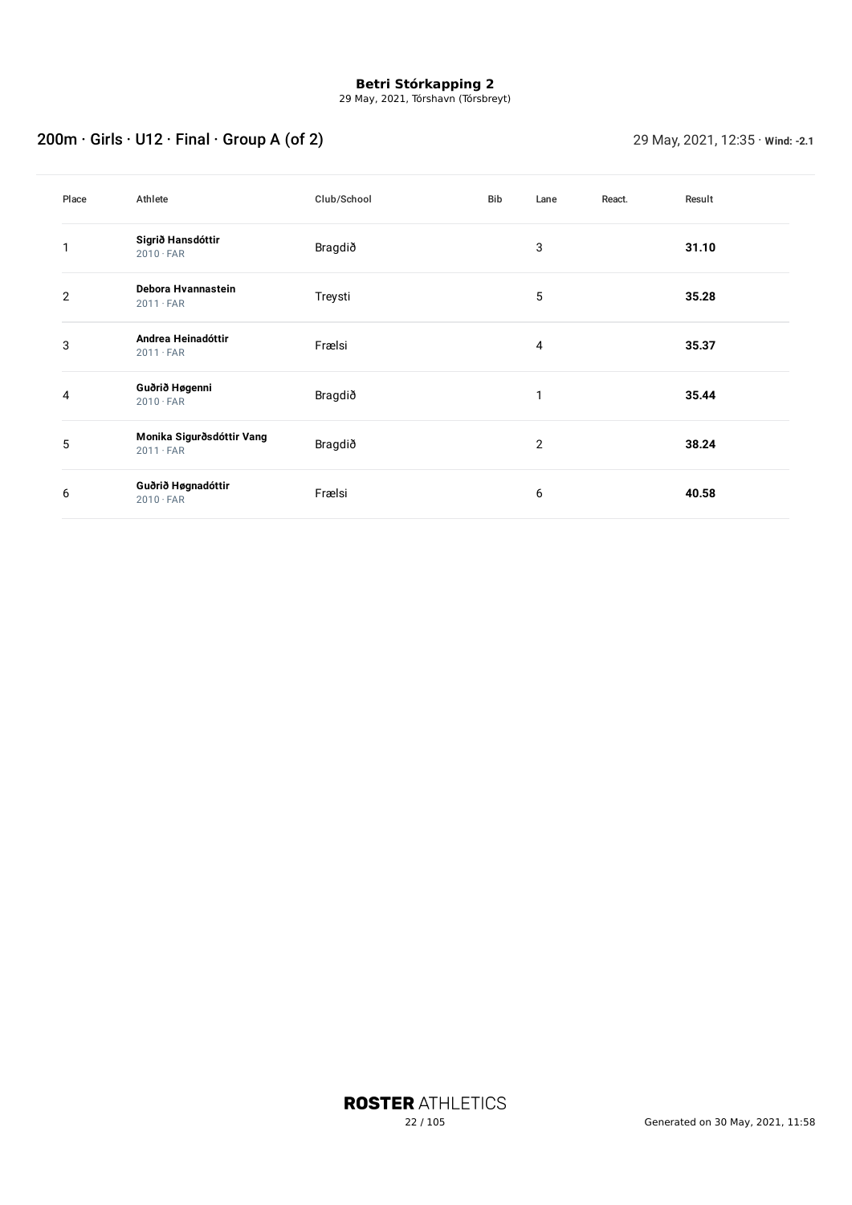29 May, 2021, Tórshavn (Tórsbreyt)

# 200m · Girls · U12 · Final · Group A (of 2) 29 May, 2021, 12:35 · **Wind: -2.1**

| Place | Athlete                                       | Club/School | <b>Bib</b> | Lane           | React. | Result |
|-------|-----------------------------------------------|-------------|------------|----------------|--------|--------|
| 1     | Sigrið Hansdóttir<br>$2010 \cdot FAR$         | Bragdið     |            | 3              |        | 31.10  |
| 2     | Debora Hvannastein<br>$2011 \cdot FAR$        | Treysti     |            | 5              |        | 35.28  |
| 3     | Andrea Heinadóttir<br>$2011 \cdot FAR$        | Frælsi      |            | 4              |        | 35.37  |
| 4     | Guðrið Høgenni<br>$2010 \cdot FAR$            | Bragdið     |            | п              |        | 35.44  |
| 5     | Monika Sigurðsdóttir Vang<br>$2011 \cdot FAR$ | Bragdið     |            | $\overline{2}$ |        | 38.24  |
| 6     | Guðrið Høgnadóttir<br>$2010 \cdot FAR$        | Frælsi      |            | 6              |        | 40.58  |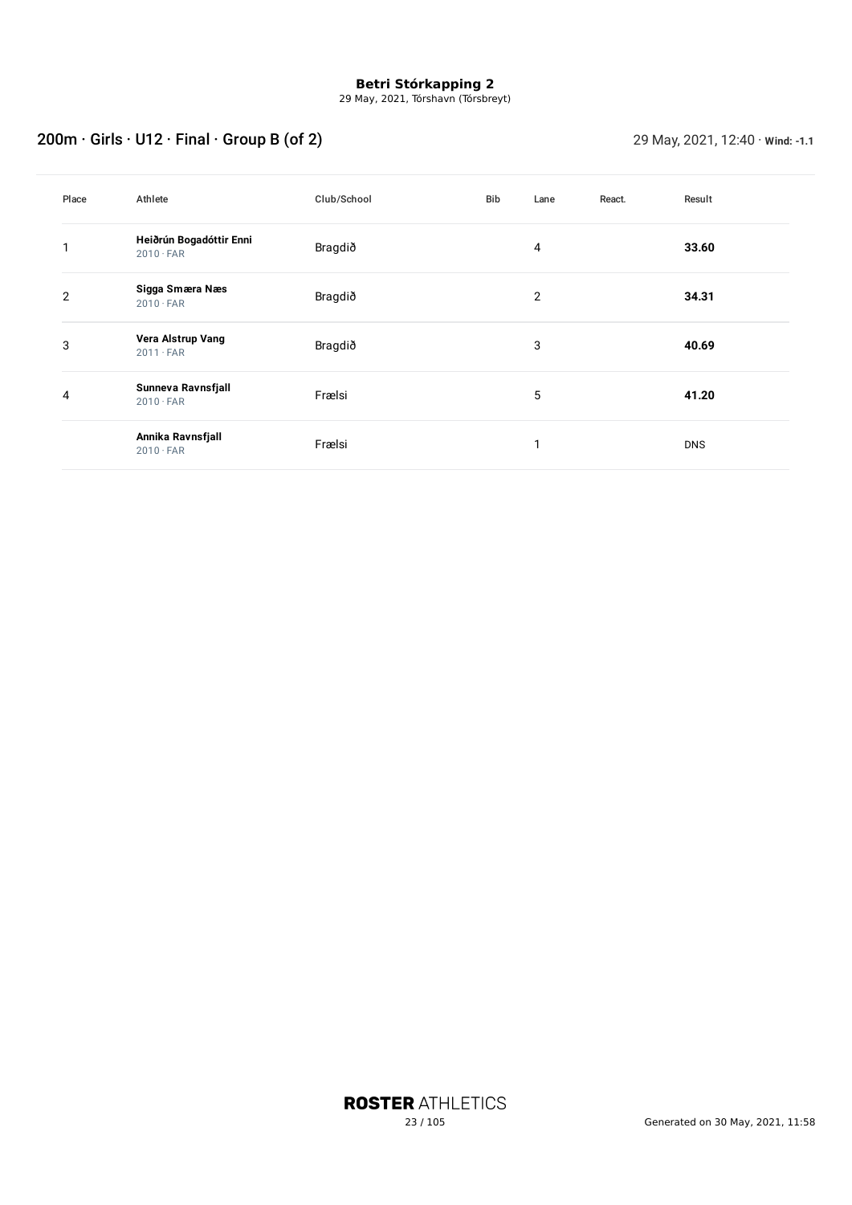29 May, 2021, Tórshavn (Tórsbreyt)

# 200m · Girls · U12 · Final · Group B (of 2) 29 May, 2021, 12:40 · **Wind: -1.1**

| Place | Athlete                                     | Club/School | Bib | Lane | React. | Result     |
|-------|---------------------------------------------|-------------|-----|------|--------|------------|
| 1     | Heiðrún Bogadóttir Enni<br>$2010 \cdot FAR$ | Bragdið     |     | 4    |        | 33.60      |
| 2     | Sigga Smæra Næs<br>$2010 \cdot FAR$         | Bragdið     |     | 2    |        | 34.31      |
| 3     | Vera Alstrup Vang<br>$2011 \cdot FAR$       | Bragdið     |     | 3    |        | 40.69      |
| 4     | Sunneva Ravnsfjall<br>$2010 \cdot FAR$      | Frælsi      |     | 5    |        | 41.20      |
|       | Annika Ravnsfjall<br>$2010 \cdot FAR$       | Frælsi      |     | и    |        | <b>DNS</b> |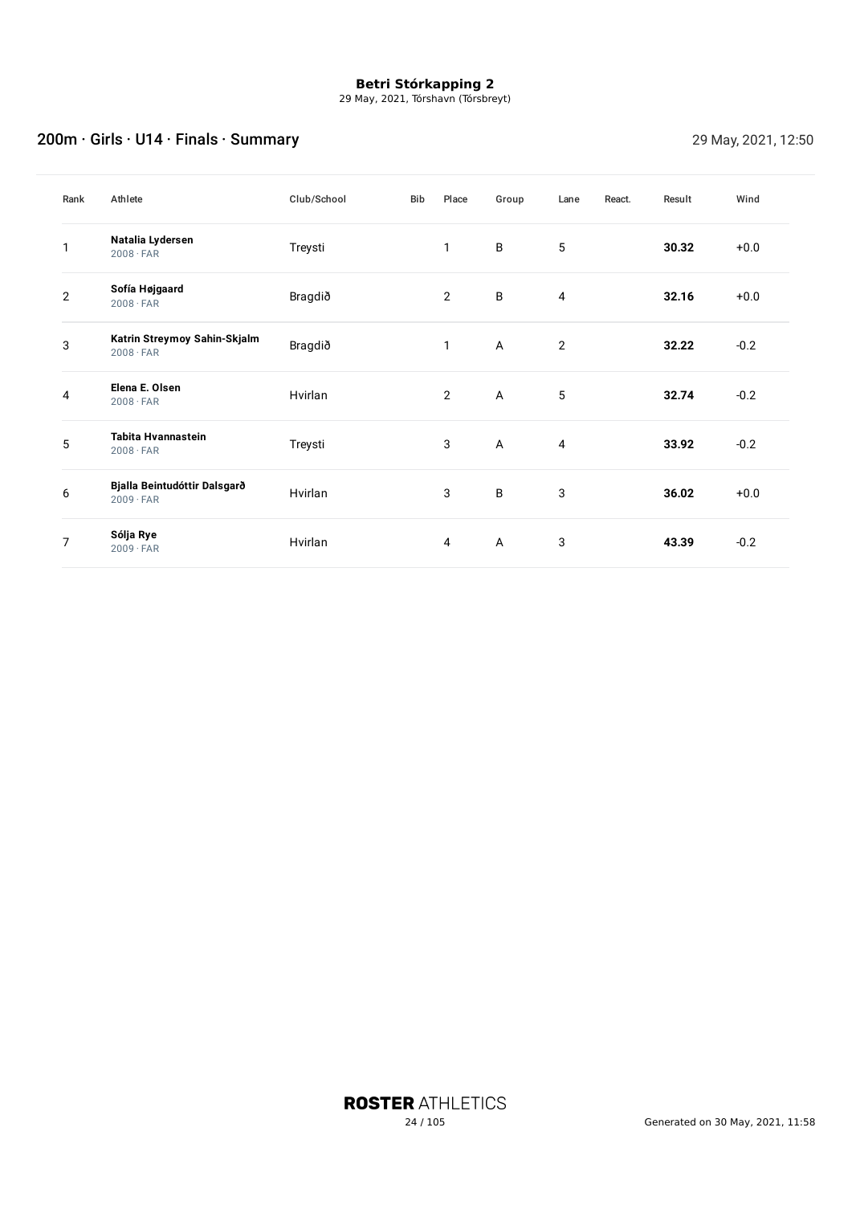29 May, 2021, Tórshavn (Tórsbreyt)

## 200m · Girls · U14 · Finals · Summary 200m · Girls · 29 May, 2021, 12:50

| Rank         | Athlete                                          | Club/School | <b>Bib</b> | Place          | Group        | Lane           | React. | Result | Wind   |
|--------------|--------------------------------------------------|-------------|------------|----------------|--------------|----------------|--------|--------|--------|
| 1            | Natalia Lydersen<br>$2008 \cdot FAR$             | Treysti     |            | 1              | B            | $\overline{5}$ |        | 30.32  | $+0.0$ |
| $\mathbf{2}$ | Sofía Højgaard<br>$2008 \cdot FAR$               | Bragdið     |            | $\overline{2}$ | B            | 4              |        | 32.16  | $+0.0$ |
| 3            | Katrin Streymoy Sahin-Skjalm<br>$2008 \cdot FAR$ | Bragdið     |            | 1              | $\mathsf{A}$ | 2              |        | 32.22  | $-0.2$ |
| 4            | Elena E. Olsen<br>$2008 \cdot FAR$               | Hvirlan     |            | 2              | $\mathsf{A}$ | 5              |        | 32.74  | $-0.2$ |
| 5            | Tabita Hvannastein<br>$2008 \cdot FAR$           | Treysti     |            | 3              | A            | 4              |        | 33.92  | $-0.2$ |
| 6            | Bjalla Beintudóttir Dalsgarð<br>$2009 \cdot FAR$ | Hvirlan     |            | 3              | B            | 3              |        | 36.02  | $+0.0$ |
| 7            | Sólja Rye<br>$2009 \cdot FAR$                    | Hvirlan     |            | 4              | A            | 3              |        | 43.39  | $-0.2$ |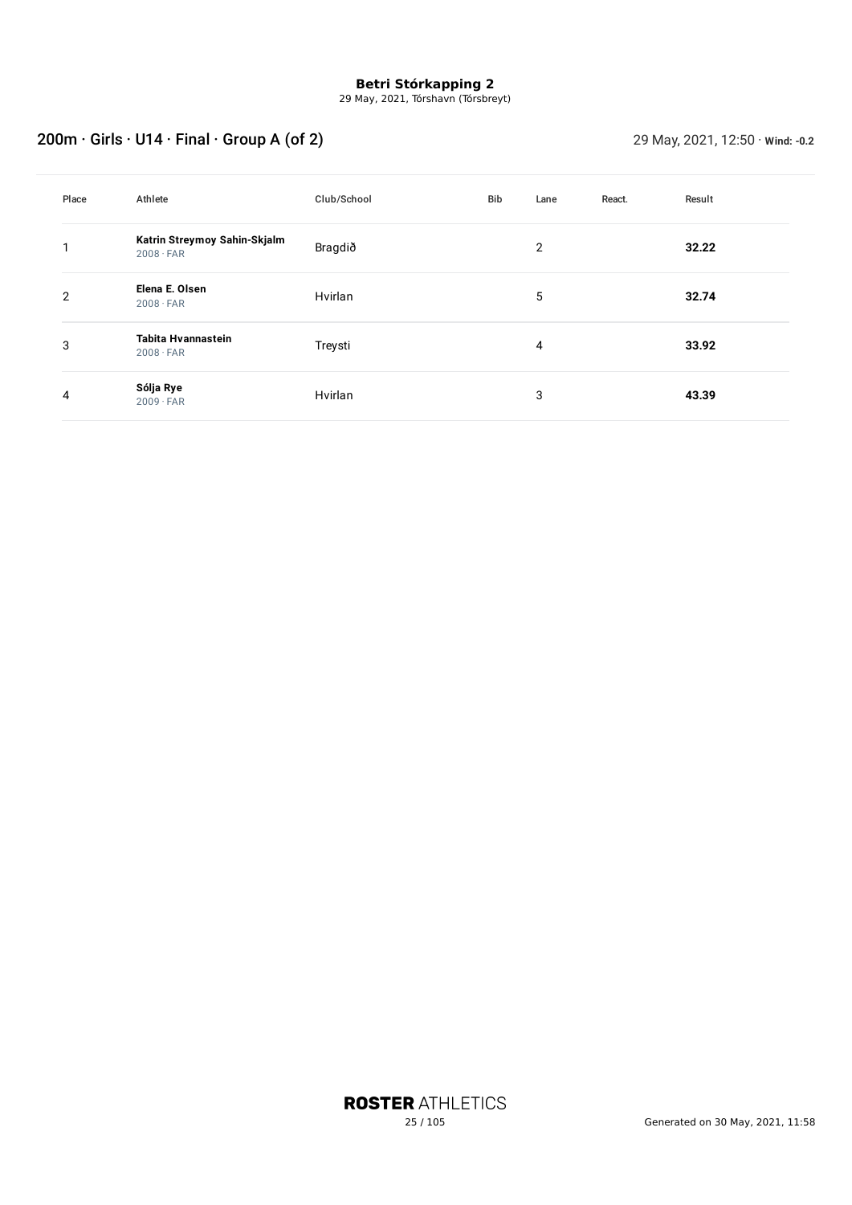29 May, 2021, Tórshavn (Tórsbreyt)

# 200m · Girls · U14 · Final · Group A (of 2) 29 May, 2021, 12:50 · **Wind:** -0.2

| Place          | Athlete                                          | Club/School | Bib | Lane           | React. | Result |
|----------------|--------------------------------------------------|-------------|-----|----------------|--------|--------|
|                | Katrin Streymoy Sahin-Skjalm<br>$2008 \cdot FAR$ | Bragdið     |     | $\overline{2}$ |        | 32.22  |
| $\overline{2}$ | Elena E. Olsen<br>$2008 \cdot FAR$               | Hvirlan     |     | 5              |        | 32.74  |
| 3              | Tabita Hvannastein<br>$2008 \cdot FAR$           | Treysti     |     | 4              |        | 33.92  |
| 4              | Sólja Rye<br>$2009 \cdot FAR$                    | Hvirlan     |     | 3              |        | 43.39  |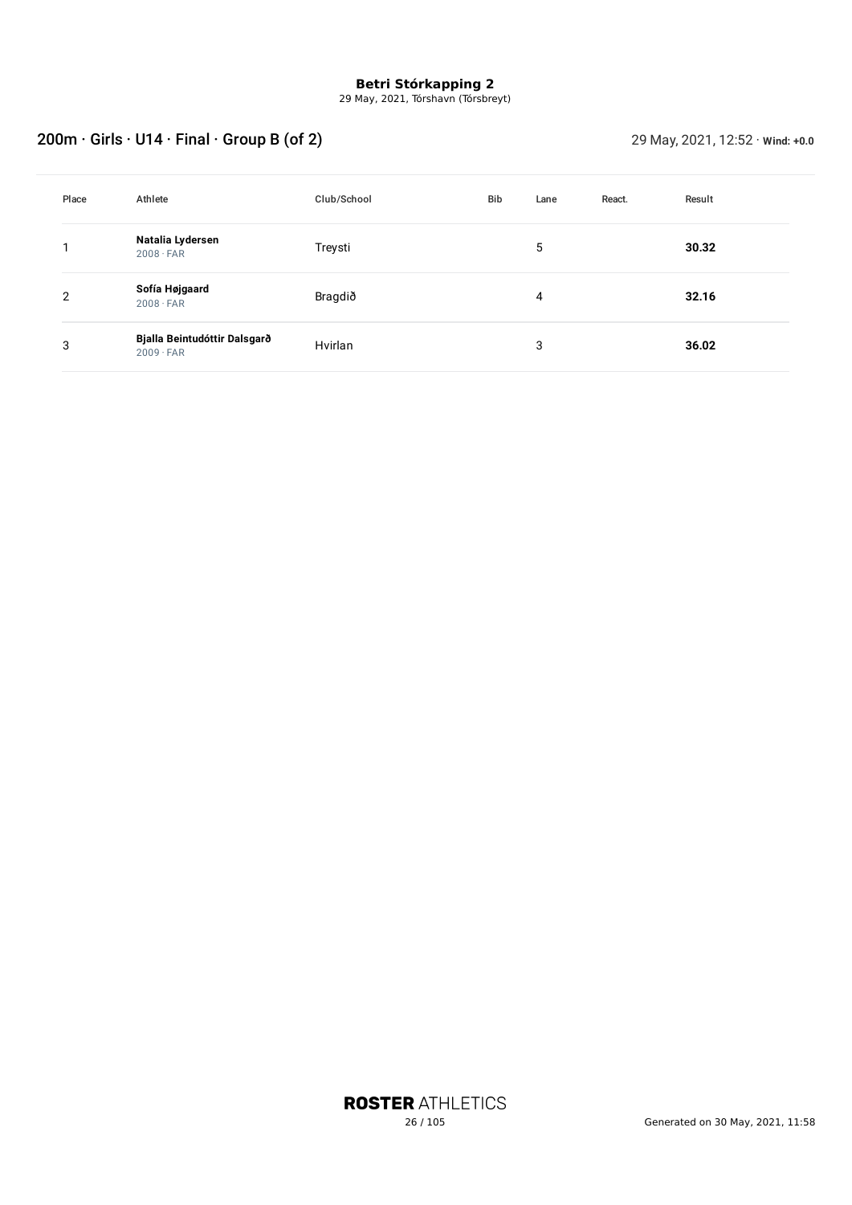29 May, 2021, Tórshavn (Tórsbreyt)

# 200m · Girls · U14 · Final · Group B (of 2) 29 May, 2021, 12:52 · Wind: +0.0

| Place | Athlete                                          | Club/School | Bib | Lane | React. | Result |
|-------|--------------------------------------------------|-------------|-----|------|--------|--------|
|       | Natalia Lydersen<br>$2008 \cdot FAR$             | Treysti     |     | 5    |        | 30.32  |
| 2     | Sofía Højgaard<br>$2008 \cdot FAR$               | Bragdið     |     | 4    |        | 32.16  |
| 3     | Bjalla Beintudóttir Dalsgarð<br>$2009 \cdot FAR$ | Hvirlan     |     | 3    |        | 36.02  |

**ROSTER ATHLETICS**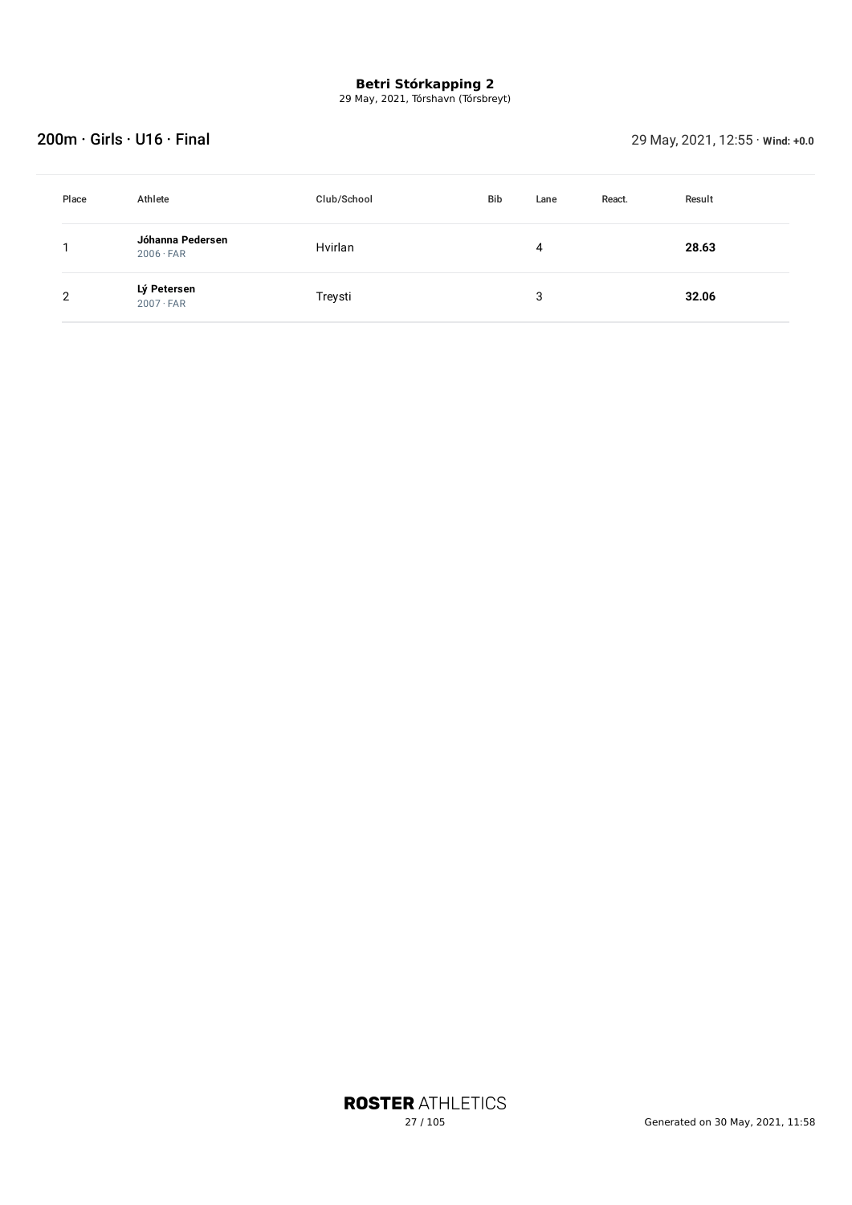29 May, 2021, Tórshavn (Tórsbreyt)

### 200m · Girls · U16 · Final 29 May, 2021, 12:55 · **Wind: +0.0**

| Place | Athlete                              | Club/School | <b>Bib</b> | Lane | React. | Result |
|-------|--------------------------------------|-------------|------------|------|--------|--------|
|       | Jóhanna Pedersen<br>$2006 \cdot FAR$ | Hvirlan     |            | 4    |        | 28.63  |
| 2     | Lý Petersen<br>$2007 \cdot FAR$      | Treysti     |            | 3    |        | 32.06  |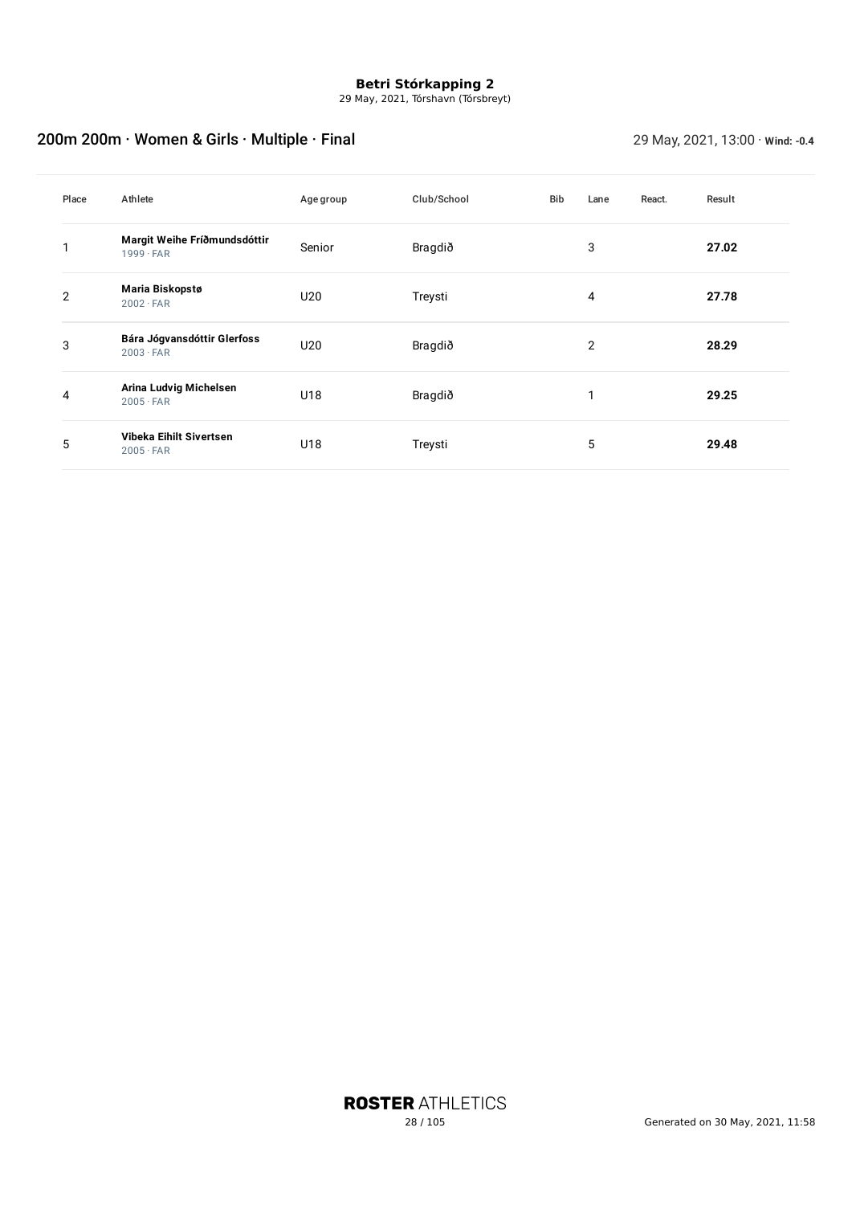29 May, 2021, Tórshavn (Tórsbreyt)

## 200m 200m · Women & Girls · Multiple · Final 29 May, 2021, 13:00 · **Wind: -0.4**

| Place | Athlete                                          | Age group | Club/School | Bib | Lane           | React. | Result |
|-------|--------------------------------------------------|-----------|-------------|-----|----------------|--------|--------|
|       | Margit Weihe Fríðmundsdóttir<br>$1999 \cdot FAR$ | Senior    | Bragdið     |     | 3              |        | 27.02  |
| 2     | Maria Biskopstø<br>$2002 \cdot FAR$              | U20       | Treysti     |     | 4              |        | 27.78  |
| 3     | Bára Jógvansdóttir Glerfoss<br>$2003 \cdot FAR$  | U20       | Bragdið     |     | $\overline{2}$ |        | 28.29  |
| 4     | Arina Ludvig Michelsen<br>$2005 \cdot FAR$       | U18       | Bragdið     |     |                |        | 29.25  |
| 5     | Vibeka Eihilt Sivertsen<br>$2005 \cdot FAR$      | U18       | Treysti     |     | 5              |        | 29.48  |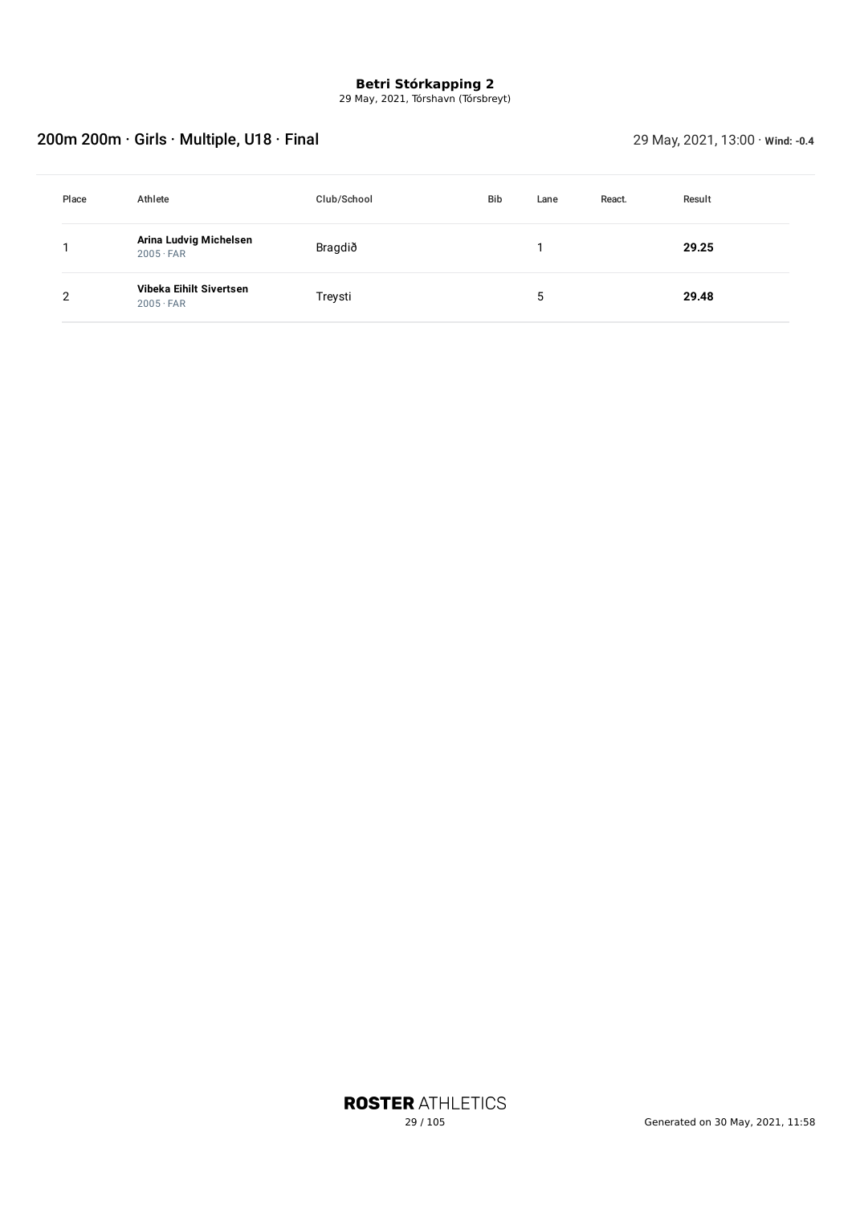29 May, 2021, Tórshavn (Tórsbreyt)

## 200m 200m · Girls · Multiple, U18 · Final 200m **29 May, 2021, 13:00 ·** *Wind:* -0.4

| Place | Athlete                                     | Club/School | <b>Bib</b> | Lane | React. | Result |
|-------|---------------------------------------------|-------------|------------|------|--------|--------|
|       | Arina Ludvig Michelsen<br>$2005 \cdot FAR$  | Bragdið     |            |      |        | 29.25  |
| 2     | Vibeka Eihilt Sivertsen<br>$2005 \cdot FAR$ | Treysti     |            | 5    |        | 29.48  |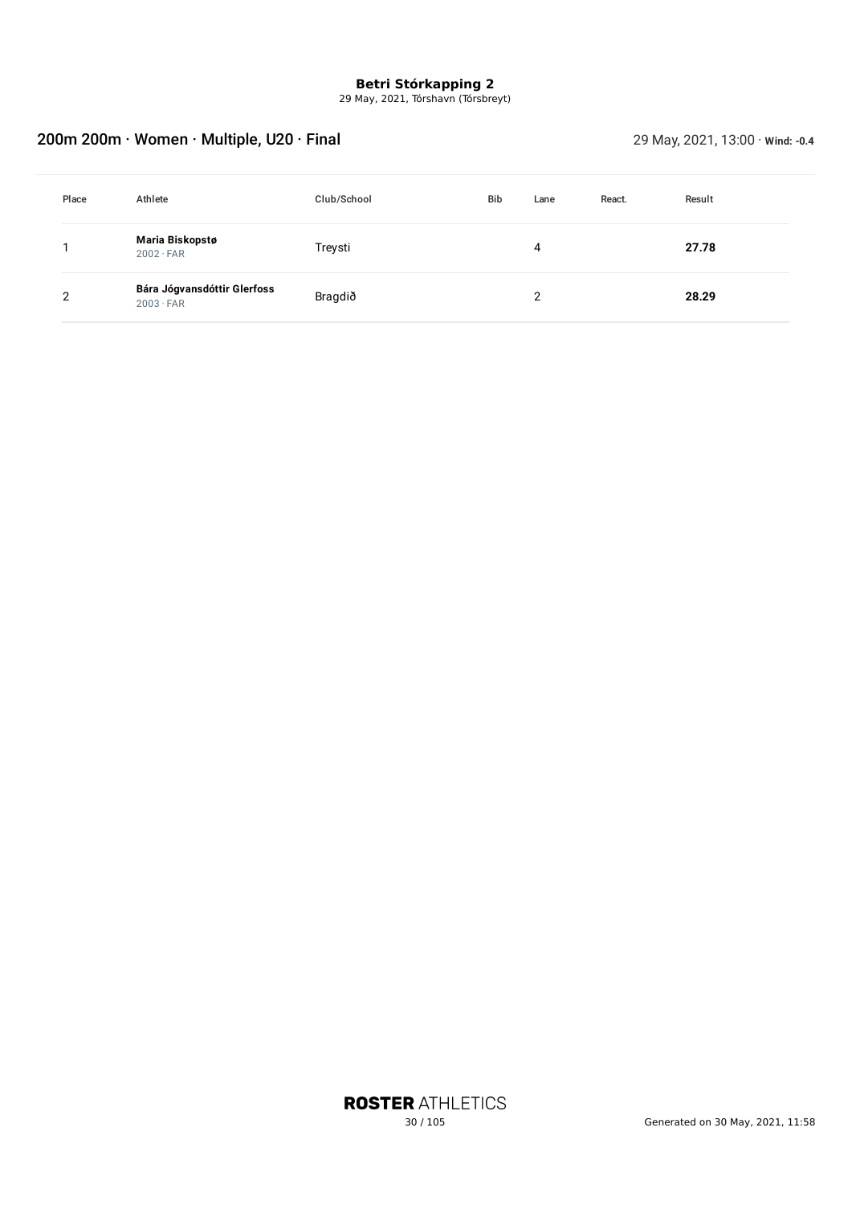29 May, 2021, Tórshavn (Tórsbreyt)

## 200m 200m · Women · Multiple, U20 · Final 29 May, 2021, 13:00 · **Wind: -0.4**

| Place | Athlete                                         | Club/School | <b>Bib</b> | Lane | React. | Result |
|-------|-------------------------------------------------|-------------|------------|------|--------|--------|
|       | Maria Biskopstø<br>$2002 \cdot FAR$             | Treysti     |            | 4    |        | 27.78  |
| っ     | Bára Jógvansdóttir Glerfoss<br>$2003 \cdot FAR$ | Bragdið     |            | າ    |        | 28.29  |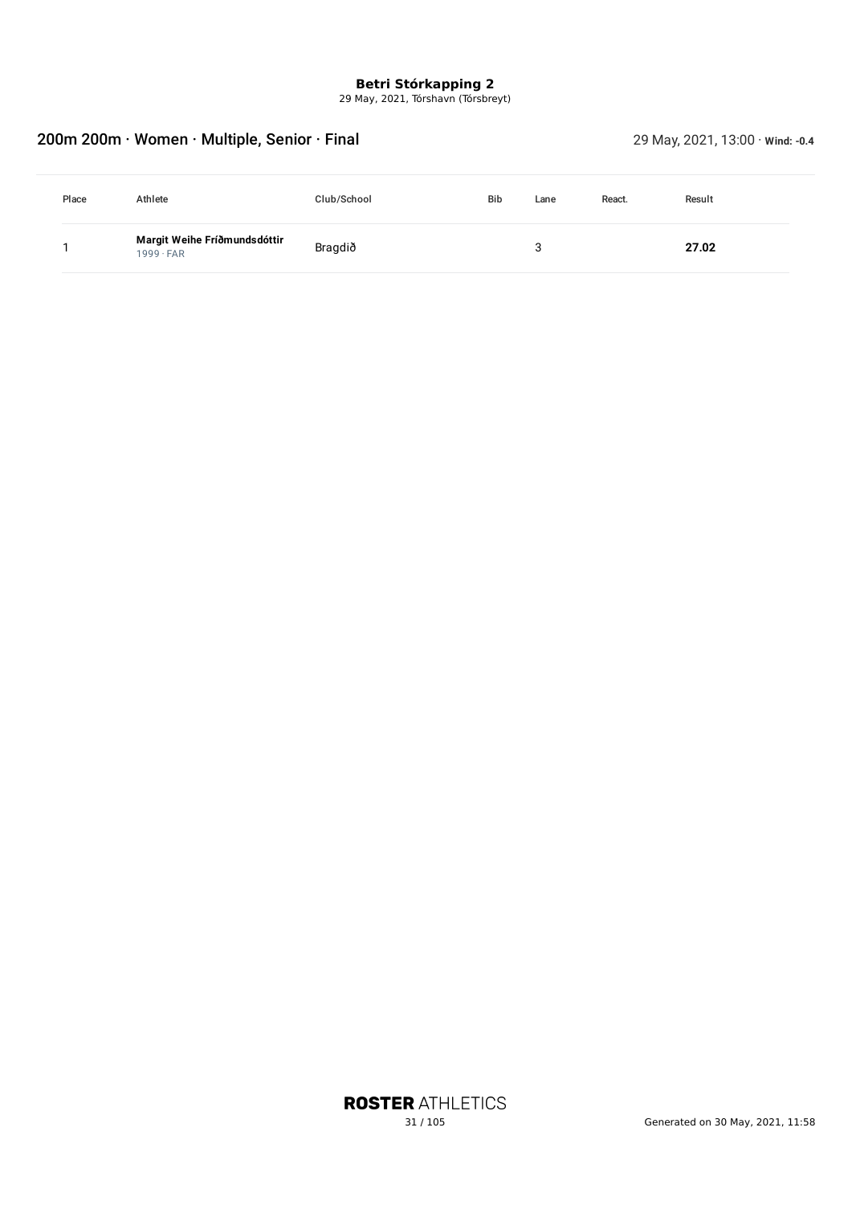29 May, 2021, Tórshavn (Tórsbreyt)

## 200m 200m · Women · Multiple, Senior · Final 29 May, 2021, 13:00 · **Wind: -0.4**

| Place | Athlete                                          | Club/School | <b>Bib</b> | Lane | React. | Result |
|-------|--------------------------------------------------|-------------|------------|------|--------|--------|
|       | Margit Weihe Fríðmundsdóttir<br>$1999 \cdot FAR$ | Bragdið     |            |      |        | 27.02  |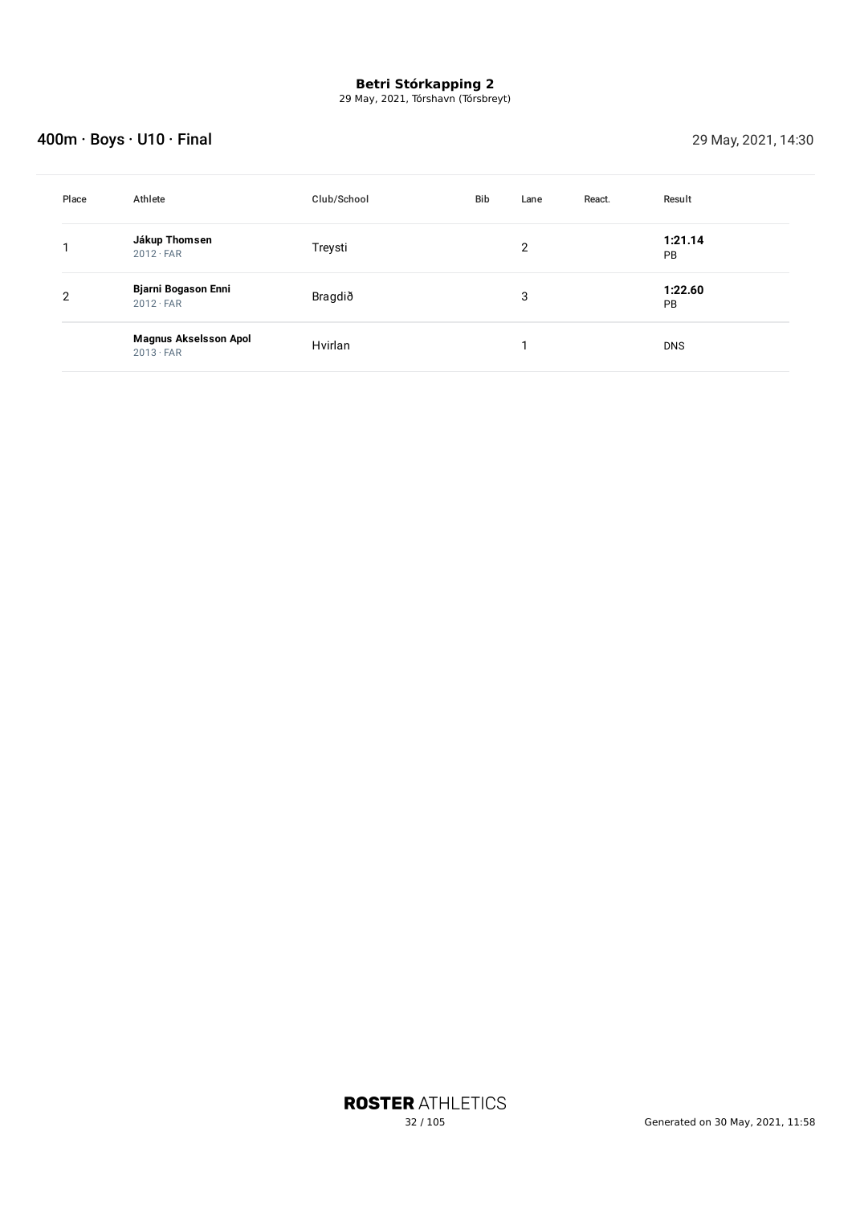29 May, 2021, Tórshavn (Tórsbreyt)

## **400m · Boys · U10 · Final 29 May, 2021, 14:30**

| Place | Athlete                                          | Club/School | Bib | Lane | React. | Result               |
|-------|--------------------------------------------------|-------------|-----|------|--------|----------------------|
|       | Jákup Thomsen<br>$2012 \cdot FAR$                | Treysti     |     | 2    |        | 1:21.14<br>PB        |
| 2     | Bjarni Bogason Enni<br>$2012 \cdot FAR$          | Bragdið     |     | 3    |        | 1:22.60<br><b>PB</b> |
|       | <b>Magnus Akselsson Apol</b><br>$2013 \cdot FAR$ | Hvirlan     |     |      |        | <b>DNS</b>           |

**ROSTER ATHLETICS**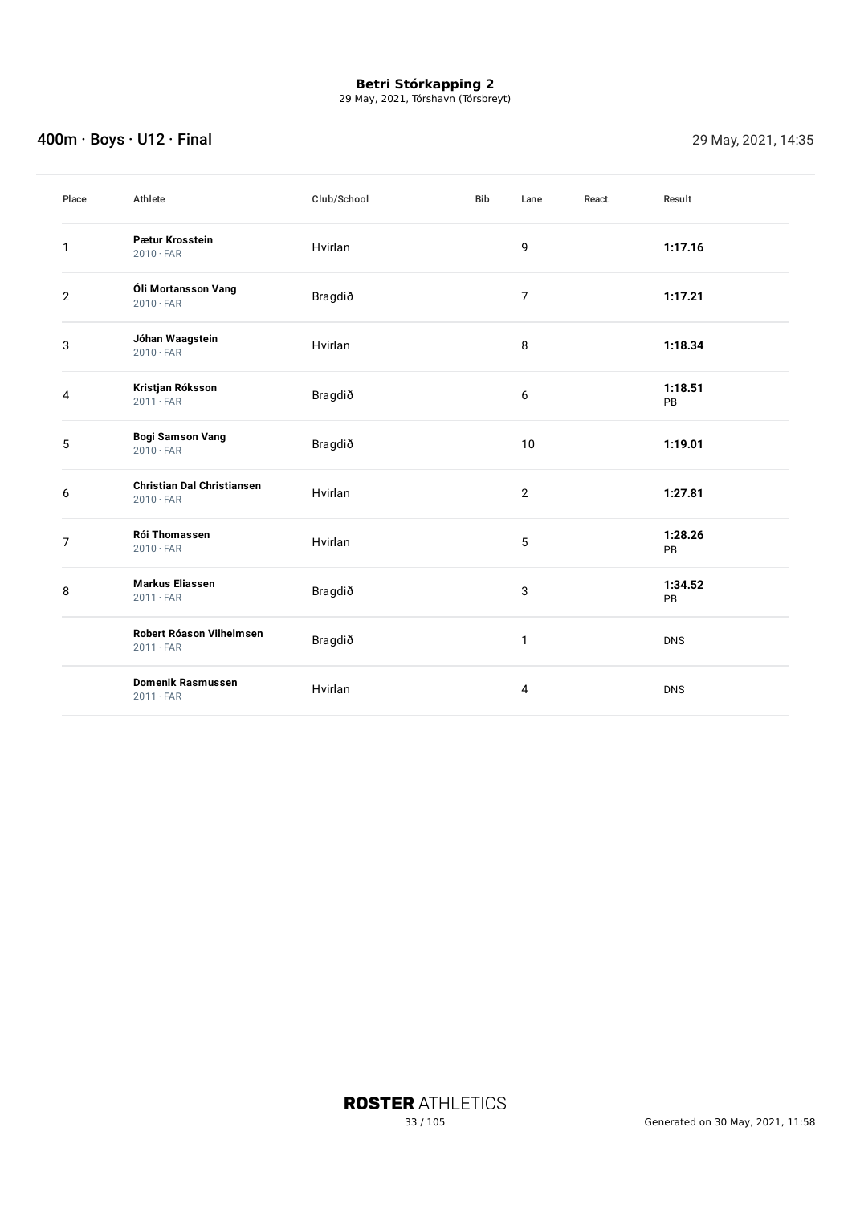29 May, 2021, Tórshavn (Tórsbreyt)

## **400m · Boys · U12 · Final 29 May, 2021, 14:35**

| Place          | Athlete                                               | Club/School | <b>Bib</b> | Lane           | React. | Result        |
|----------------|-------------------------------------------------------|-------------|------------|----------------|--------|---------------|
| 1              | Pætur Krosstein<br>$2010 \cdot FAR$                   | Hvirlan     |            | 9              |        | 1:17.16       |
| $\overline{2}$ | Óli Mortansson Vang<br>$2010 \cdot FAR$               | Bragdið     |            | $\overline{7}$ |        | 1:17.21       |
| 3              | Jóhan Waagstein<br>$2010 \cdot FAR$                   | Hvirlan     |            | 8              |        | 1:18.34       |
| 4              | Kristjan Róksson<br>$2011 \cdot FAR$                  | Bragdið     |            | 6              |        | 1:18.51<br>PB |
| 5              | <b>Bogi Samson Vang</b><br>$2010 \cdot FAR$           | Bragdið     |            | 10             |        | 1:19.01       |
| 6              | <b>Christian Dal Christiansen</b><br>$2010 \cdot FAR$ | Hvirlan     |            | $\overline{2}$ |        | 1:27.81       |
| $\overline{7}$ | Rói Thomassen<br>$2010 \cdot FAR$                     | Hvirlan     |            | $\overline{5}$ |        | 1:28.26<br>PB |
| 8              | <b>Markus Eliassen</b><br>$2011 \cdot FAR$            | Bragdið     |            | 3              |        | 1:34.52<br>PB |
|                | Robert Róason Vilhelmsen<br>$2011 \cdot FAR$          | Bragdið     |            | $\mathbf{1}$   |        | <b>DNS</b>    |
|                | <b>Domenik Rasmussen</b><br>$2011 \cdot FAR$          | Hvirlan     |            | 4              |        | <b>DNS</b>    |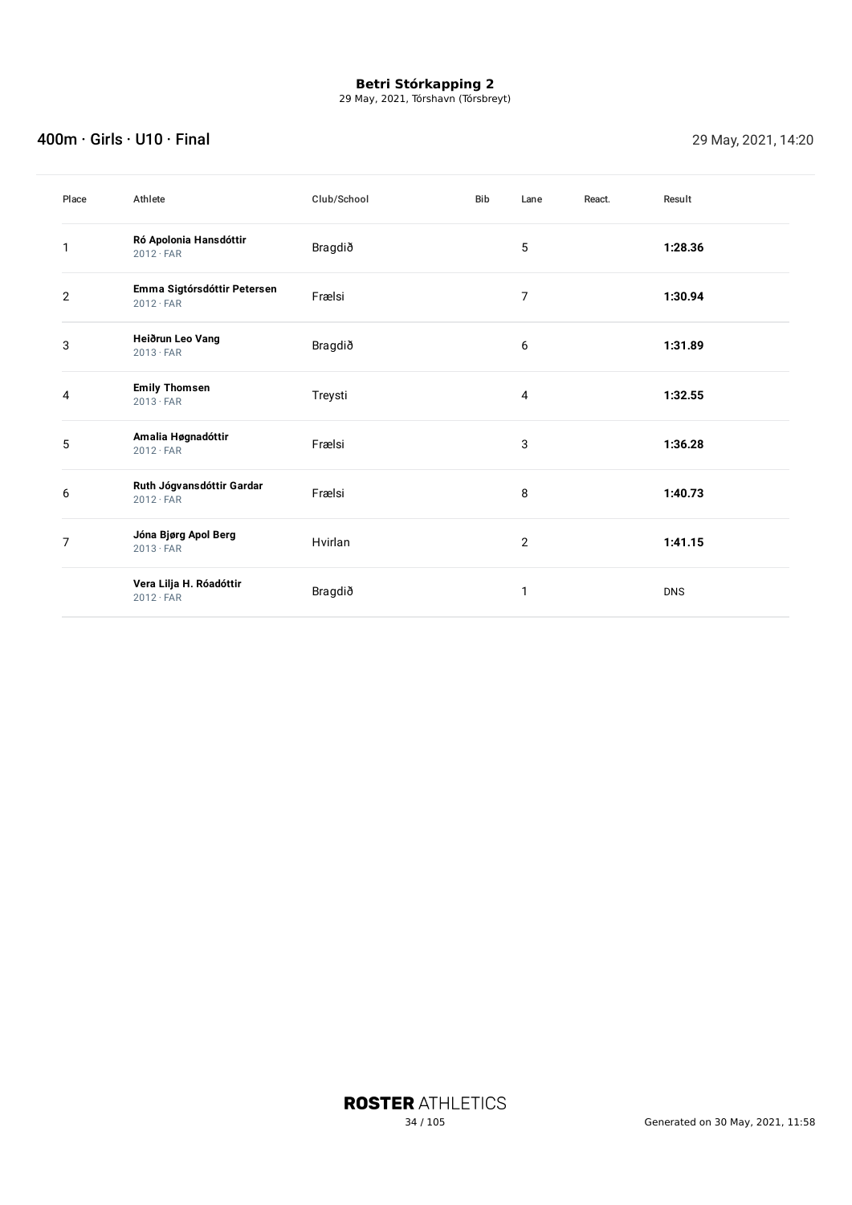29 May, 2021, Tórshavn (Tórsbreyt)

### 400m · Girls · U10 · Final 29 May, 2021, 14:20

| Place        | Athlete                                         | Club/School | <b>Bib</b> | Lane           | React. | Result     |
|--------------|-------------------------------------------------|-------------|------------|----------------|--------|------------|
| 1            | Ró Apolonia Hansdóttir<br>$2012 \cdot FAR$      | Bragdið     |            | 5              |        | 1:28.36    |
| $\mathbf{2}$ | Emma Sigtórsdóttir Petersen<br>$2012 \cdot FAR$ | Frælsi      |            | 7              |        | 1:30.94    |
| 3            | Heiðrun Leo Vang<br>$2013 \cdot FAR$            | Bragdið     |            | 6              |        | 1:31.89    |
| 4            | <b>Emily Thomsen</b><br>$2013 \cdot FAR$        | Treysti     |            | 4              |        | 1:32.55    |
| 5            | Amalia Høgnadóttir<br>$2012 \cdot FAR$          | Frælsi      |            | 3              |        | 1:36.28    |
| 6            | Ruth Jógvansdóttir Gardar<br>$2012 \cdot FAR$   | Frælsi      |            | 8              |        | 1:40.73    |
| 7            | Jóna Bjørg Apol Berg<br>$2013 \cdot FAR$        | Hvirlan     |            | $\overline{2}$ |        | 1:41.15    |
|              | Vera Lilja H. Róadóttir<br>$2012 \cdot FAR$     | Bragdið     |            | 1              |        | <b>DNS</b> |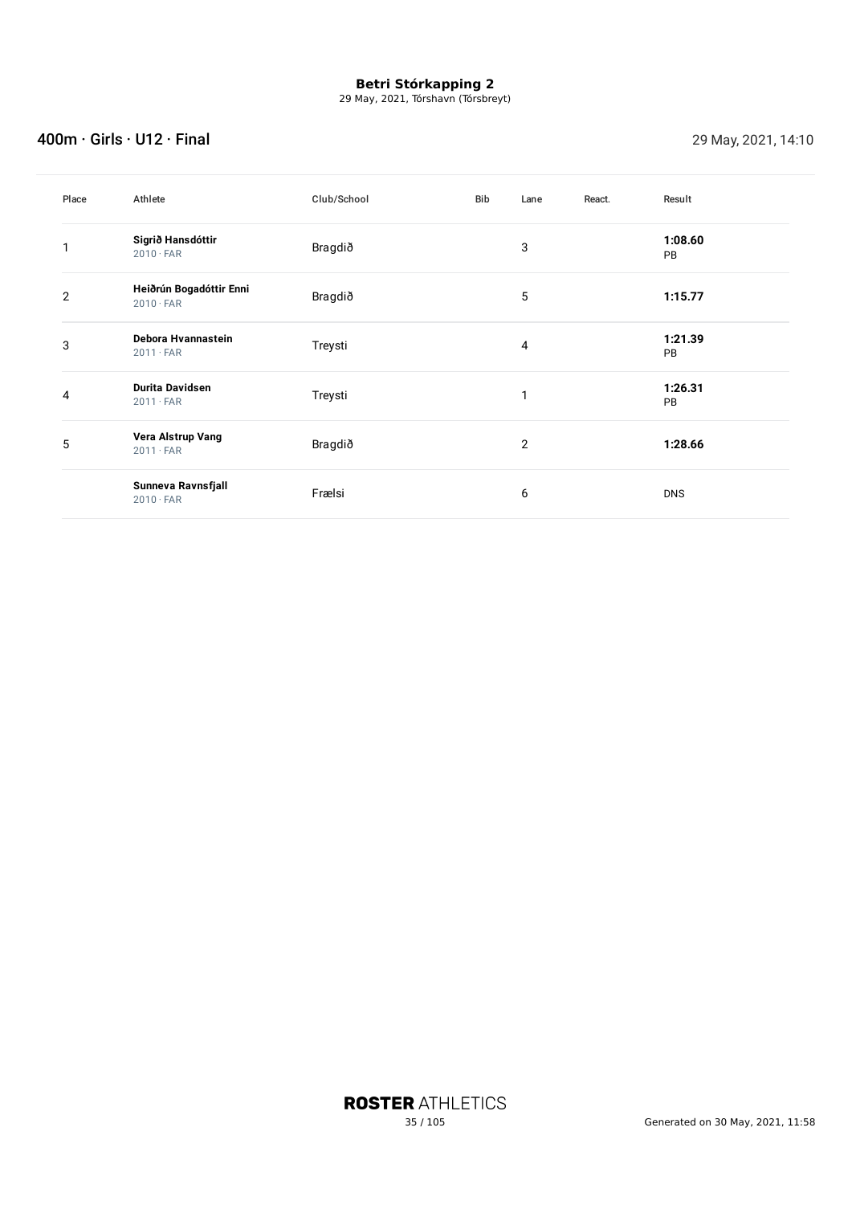29 May, 2021, Tórshavn (Tórsbreyt)

### 400m · Girls · U12 · Final 29 May, 2021, 14:10

| Place          | Athlete                                     | Club/School | Bib | Lane | React. | Result               |
|----------------|---------------------------------------------|-------------|-----|------|--------|----------------------|
|                | Sigrið Hansdóttir<br>$2010 \cdot FAR$       | Bragdið     |     | 3    |        | 1:08.60<br><b>PB</b> |
| $\overline{2}$ | Heiðrún Bogadóttir Enni<br>$2010 \cdot FAR$ | Bragdið     |     | 5    |        | 1:15.77              |
| 3              | Debora Hvannastein<br>$2011 \cdot FAR$      | Treysti     |     | 4    |        | 1:21.39<br><b>PB</b> |
| 4              | <b>Durita Davidsen</b><br>$2011 \cdot FAR$  | Treysti     |     | 1    |        | 1:26.31<br><b>PB</b> |
| 5              | Vera Alstrup Vang<br>$2011 \cdot FAR$       | Bragdið     |     | 2    |        | 1:28.66              |
|                | Sunneva Ravnsfjall<br>$2010 \cdot FAR$      | Frælsi      |     | 6    |        | <b>DNS</b>           |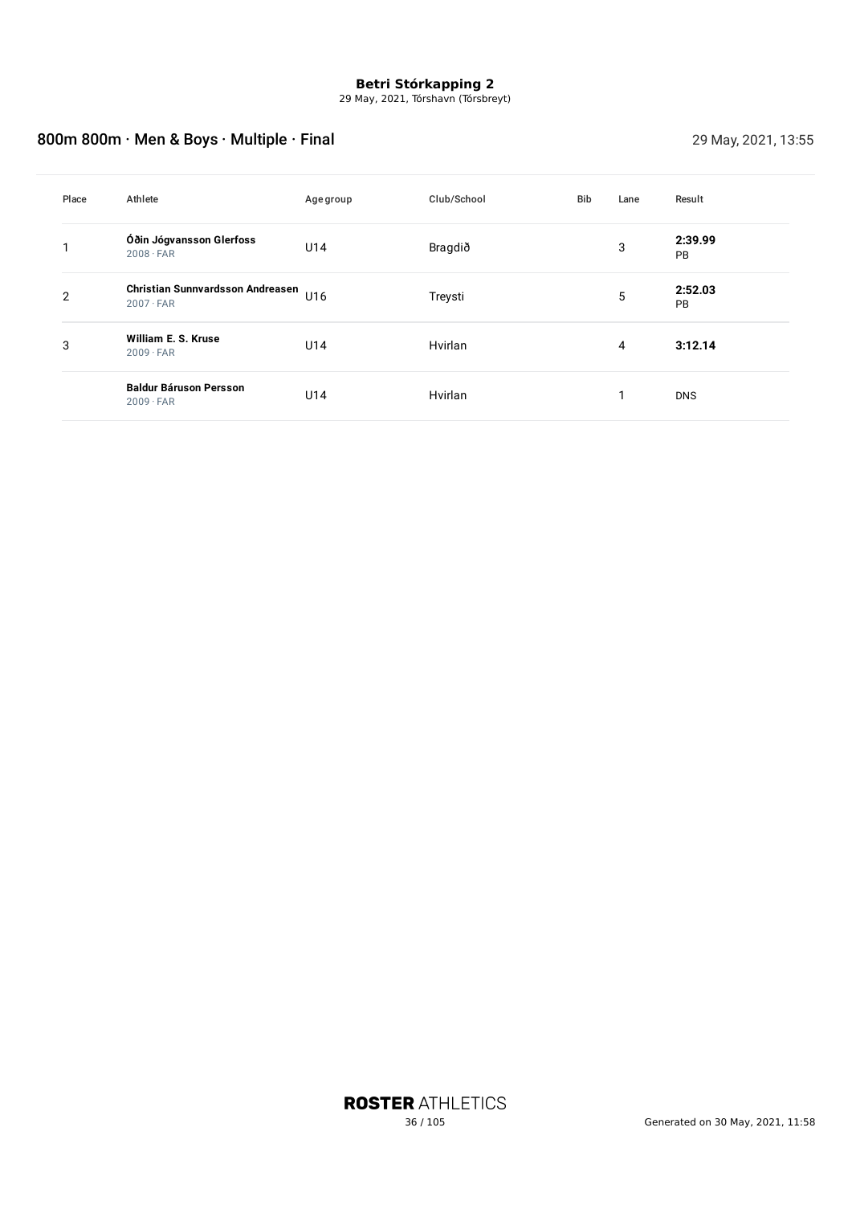29 May, 2021, Tórshavn (Tórsbreyt)

## 800m 800m · Men & Boys · Multiple · Final 29 May, 2021, 13:55

| Place | Athlete                                                     | Agegroup | Club/School | <b>Bib</b> | Lane | Result        |
|-------|-------------------------------------------------------------|----------|-------------|------------|------|---------------|
|       | Óðin Jógvansson Glerfoss<br>$2008 \cdot FAR$                | U14      | Bragdið     |            | 3    | 2:39.99<br>PB |
| 2     | <b>Christian Sunnvardsson Andreasen</b><br>$2007 \cdot FAR$ | U16      | Treysti     |            | 5    | 2:52.03<br>PB |
| 3     | William E. S. Kruse<br>$2009 \cdot FAR$                     | U14      | Hvirlan     |            | 4    | 3:12.14       |
|       | <b>Baldur Báruson Persson</b><br>$2009 \cdot FAR$           | U14      | Hvirlan     |            | 1    | <b>DNS</b>    |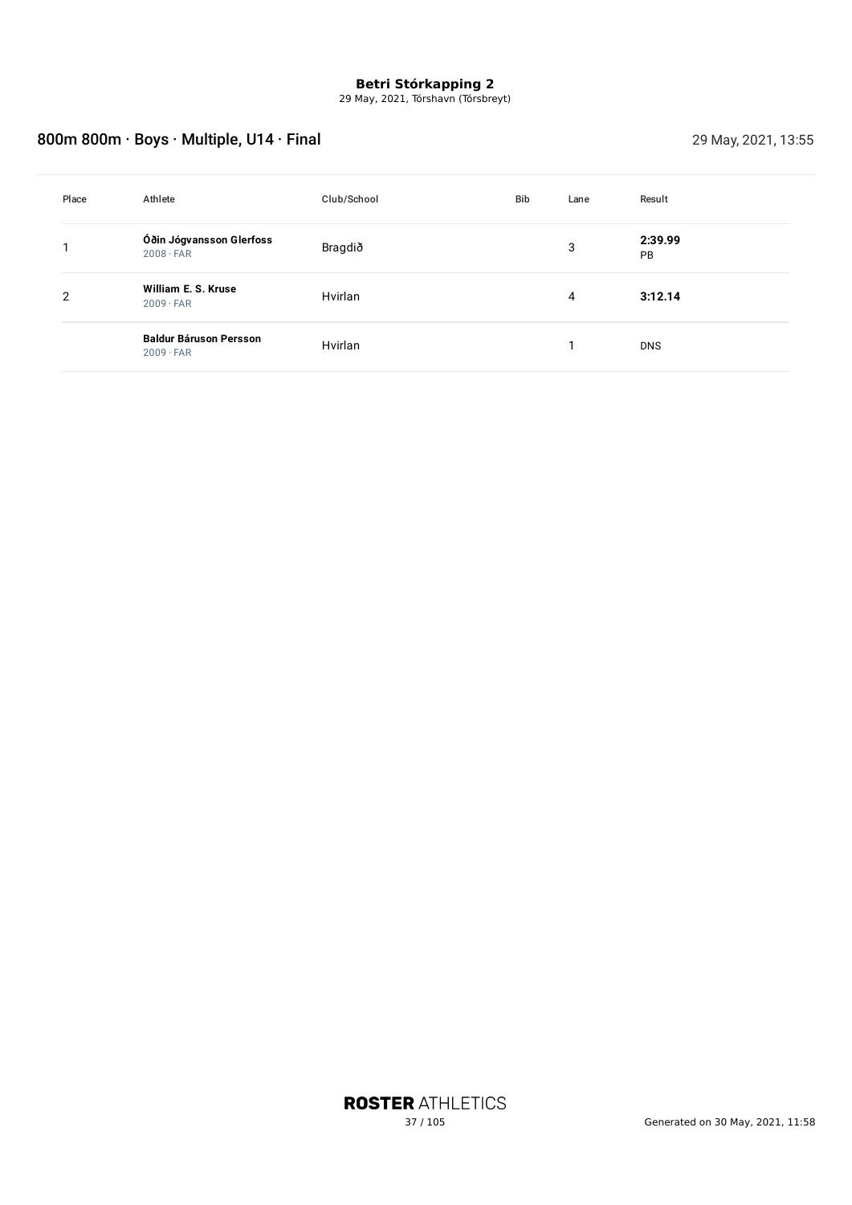29 May, 2021, Tórshavn (Tórsbreyt)

# 800m 800m · Boys · Multiple, U14 · Final 29 May, 2021, 13:55

| Place | Athlete                                           | Club/School | Bib | Lane | Result               |
|-------|---------------------------------------------------|-------------|-----|------|----------------------|
|       | Óðin Jógvansson Glerfoss<br>$2008 \cdot FAR$      | Bragdið     |     | 3    | 2:39.99<br><b>PB</b> |
| 2     | William E. S. Kruse<br>$2009 \cdot FAR$           | Hvirlan     |     | 4    | 3:12.14              |
|       | <b>Baldur Báruson Persson</b><br>$2009 \cdot FAR$ | Hvirlan     |     |      | <b>DNS</b>           |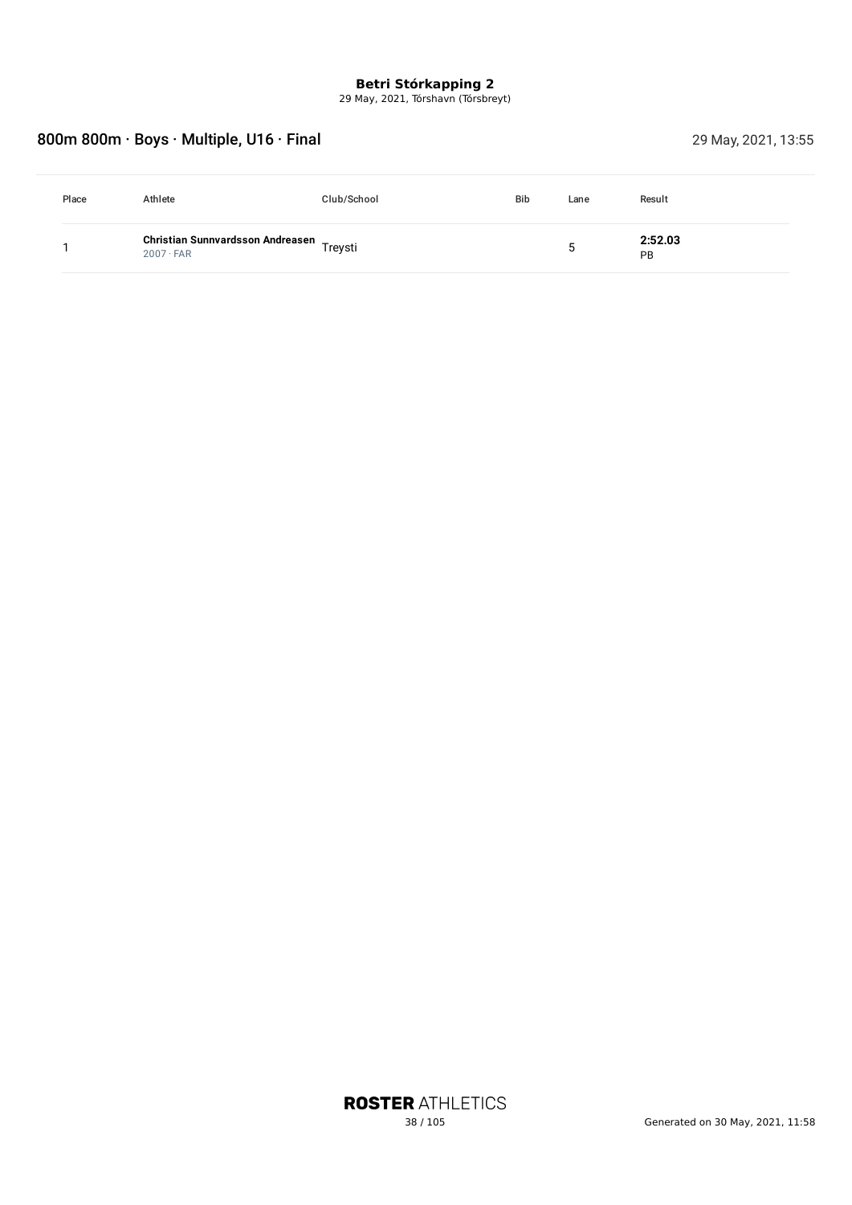29 May, 2021, Tórshavn (Tórsbreyt)

# 800m 800m · Boys · Multiple, U16 · Final 29 May, 2021, 13:55

| Place | Athlete                                                      | Club/School | <b>Bib</b> | Lane | Result        |
|-------|--------------------------------------------------------------|-------------|------------|------|---------------|
|       | Christian Sunnvardsson Andreasen Treysti<br>$2007 \cdot FAR$ |             |            |      | 2:52.03<br>PB |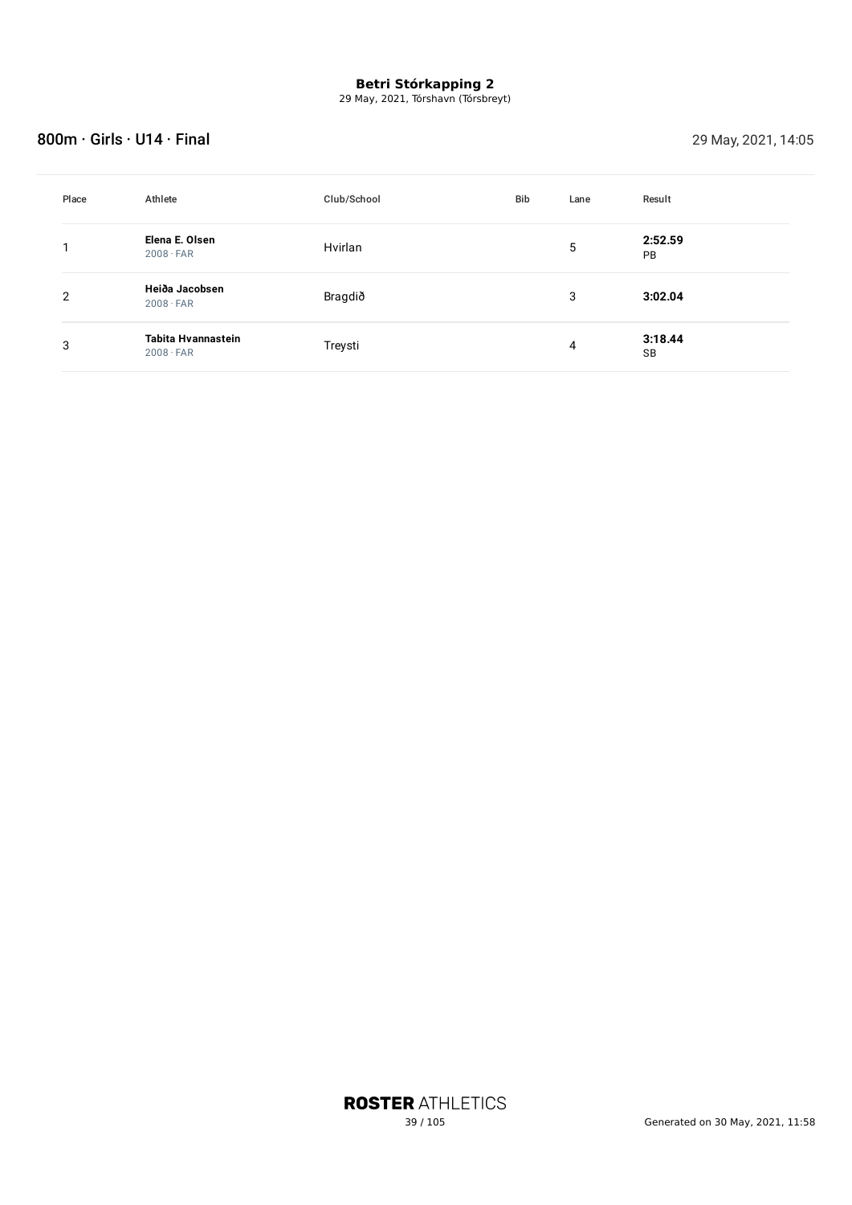29 May, 2021, Tórshavn (Tórsbreyt)

### 800m · Girls · U14 · Final 29 May, 2021, 14:05

| Place | Athlete                                | Club/School | <b>Bib</b> | Lane | Result               |
|-------|----------------------------------------|-------------|------------|------|----------------------|
|       | Elena E. Olsen<br>$2008 \cdot FAR$     | Hvirlan     |            | 5    | 2:52.59<br><b>PB</b> |
| 2     | Heiða Jacobsen<br>$2008 \cdot FAR$     | Bragdið     |            | 3    | 3:02.04              |
| 3     | Tabita Hvannastein<br>$2008 \cdot FAR$ | Treysti     |            | 4    | 3:18.44<br>SB        |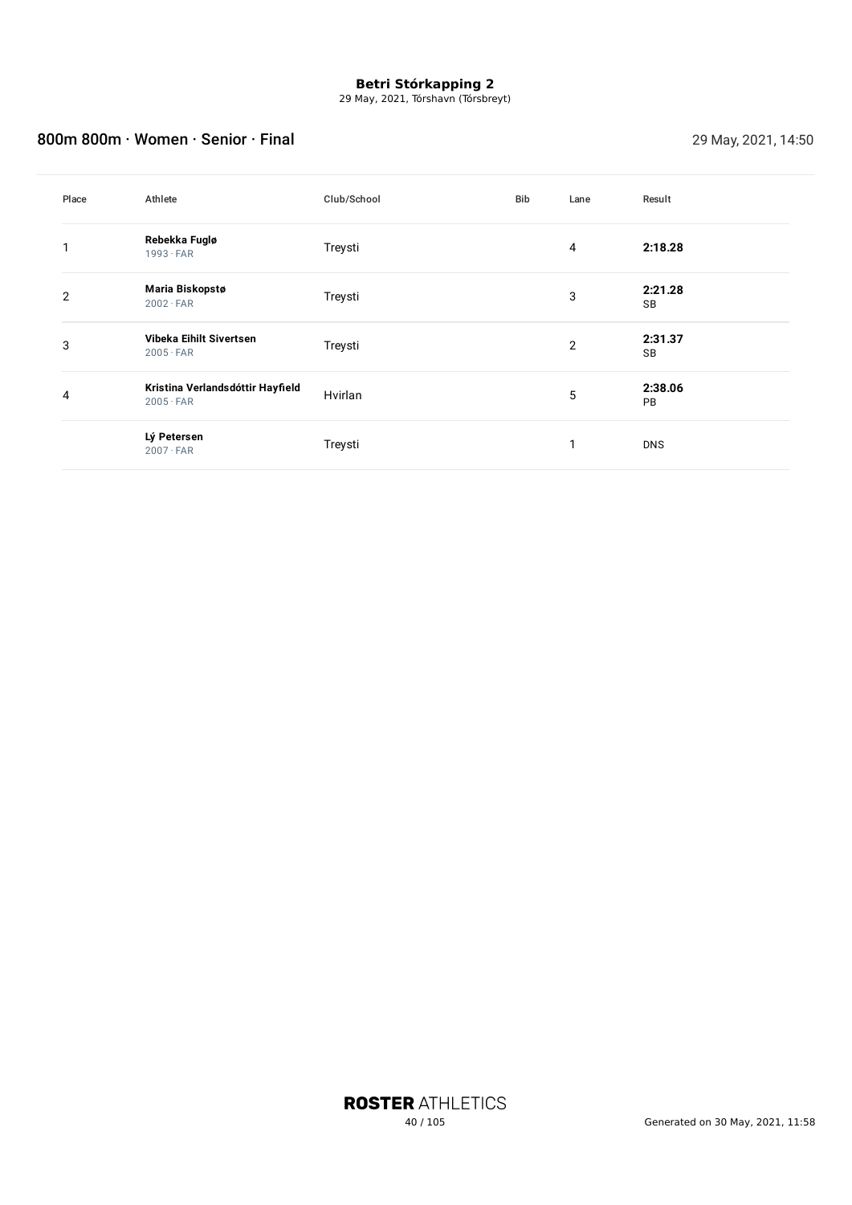29 May, 2021, Tórshavn (Tórsbreyt)

### 800m 800m · Women · Senior · Final 29 May, 2021, 14:50

| Place | Athlete                                              | Club/School | Bib | Lane | Result        |
|-------|------------------------------------------------------|-------------|-----|------|---------------|
|       | Rebekka Fuglø<br>$1993 \cdot FAR$                    | Treysti     |     | 4    | 2:18.28       |
| 2     | Maria Biskopstø<br>$2002 \cdot FAR$                  | Treysti     |     | 3    | 2:21.28<br>SB |
| 3     | Vibeka Eihilt Sivertsen<br>$2005 \cdot FAR$          | Treysti     |     | 2    | 2:31.37<br>SB |
| 4     | Kristina Verlandsdóttir Hayfield<br>$2005 \cdot FAR$ | Hvirlan     |     | 5    | 2:38.06<br>PB |
|       | Lý Petersen<br>$2007 \cdot FAR$                      | Treysti     |     | 1    | <b>DNS</b>    |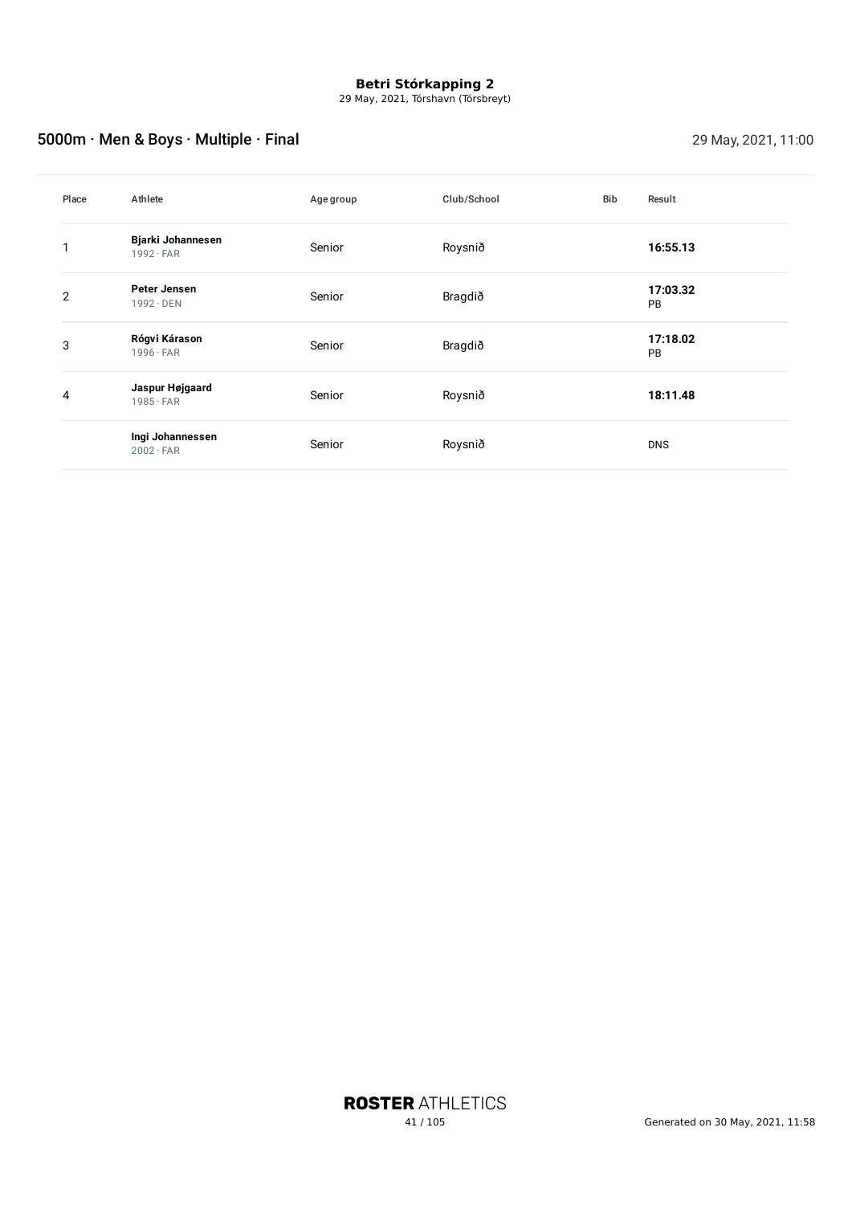29 May, 2021, Tórshavn (Tórsbreyt)

# 5000m · Men & Boys · Multiple · Final 29 May, 2021, 11:00

| Place | Athlete                                 | Age group | Club/School | Bib | Result                |
|-------|-----------------------------------------|-----------|-------------|-----|-----------------------|
|       | Bjarki Johannesen<br>$1992 \cdot FAR$   | Senior    | Roysnið     |     | 16:55.13              |
| 2     | <b>Peter Jensen</b><br>$1992 \cdot$ DEN | Senior    | Bragdið     |     | 17:03.32<br>PB        |
| 3     | Rógvi Kárason<br>$1996 \cdot FAR$       | Senior    | Bragdið     |     | 17:18.02<br><b>PB</b> |
| 4     | Jaspur Højgaard<br>$1985 \cdot FAR$     | Senior    | Roysnið     |     | 18:11.48              |
|       | Ingi Johannessen<br>$2002 \cdot FAR$    | Senior    | Roysnið     |     | <b>DNS</b>            |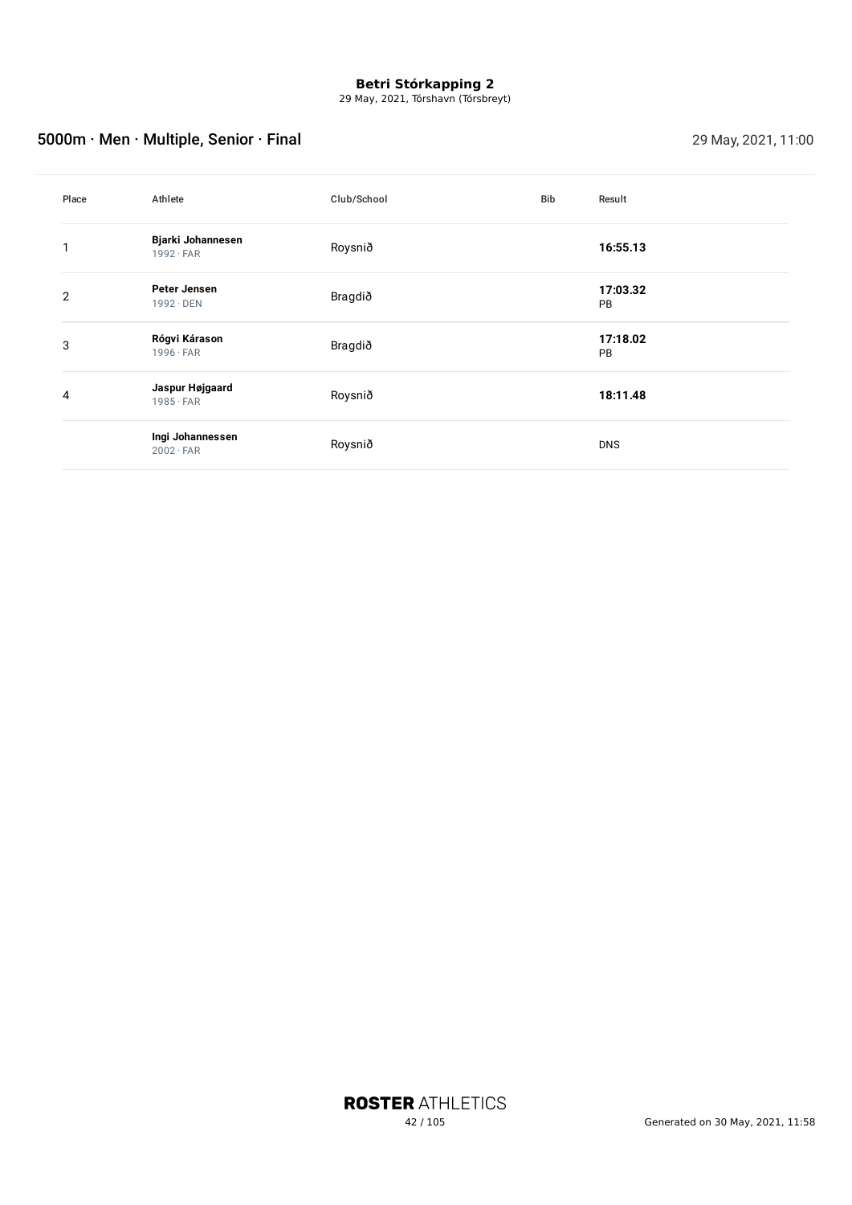29 May, 2021, Tórshavn (Tórsbreyt)

# 5000m · Men · Multiple, Senior · Final 29 May, 2021, 11:00

| Place          | Athlete                               | Club/School | Bib | Result                |
|----------------|---------------------------------------|-------------|-----|-----------------------|
|                | Bjarki Johannesen<br>$1992 \cdot FAR$ | Roysnið     |     | 16:55.13              |
| $\overline{2}$ | Peter Jensen<br>$1992 \cdot$ DEN      | Bragdið     |     | 17:03.32<br>PB        |
| 3              | Rógvi Kárason<br>$1996 \cdot FAR$     | Bragdið     |     | 17:18.02<br><b>PB</b> |
| 4              | Jaspur Højgaard<br>$1985 \cdot FAR$   | Roysnið     |     | 18:11.48              |
|                | Ingi Johannessen<br>$2002 \cdot FAR$  | Roysnið     |     | <b>DNS</b>            |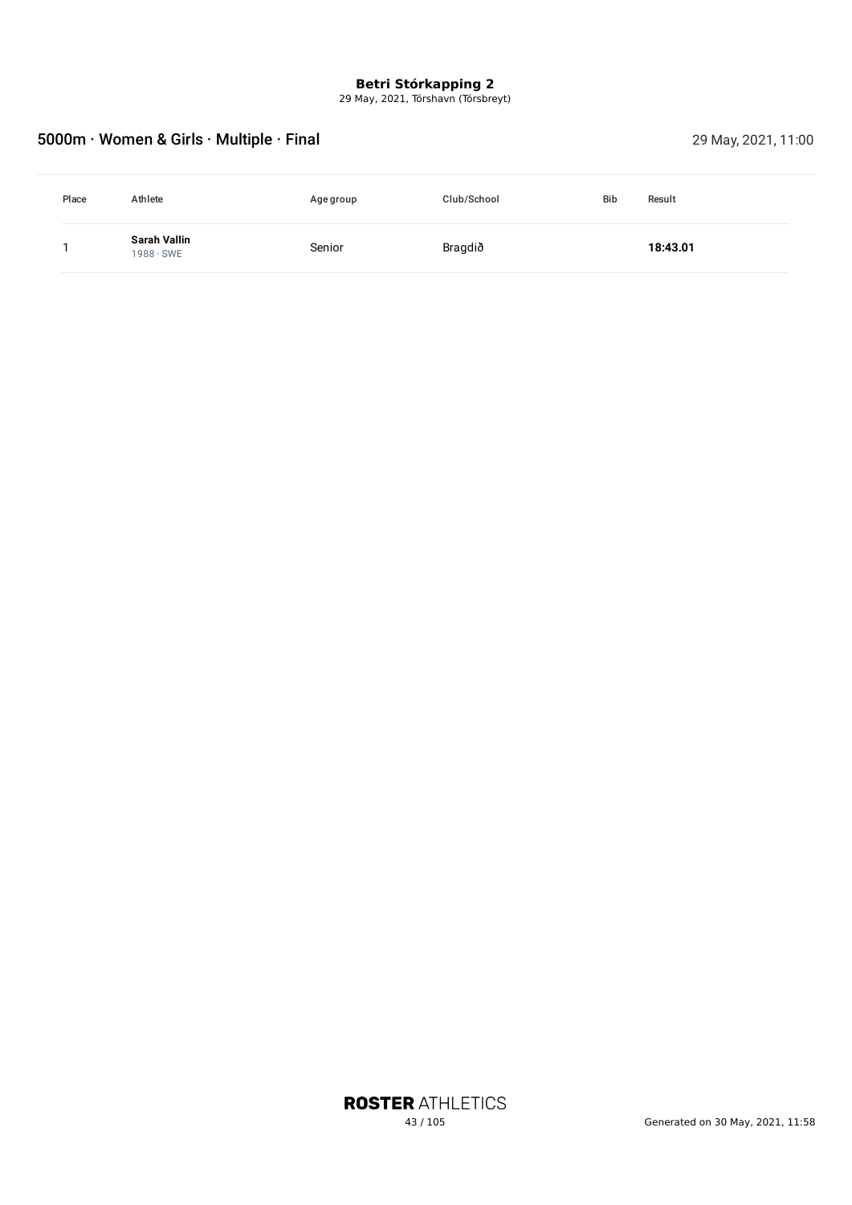29 May, 2021, Tórshavn (Tórsbreyt)

# 5000m · Women & Girls · Multiple · Final 29 May, 2021, 11:00

| Place | Athlete                          | Age group | Club/School | <b>Bib</b> | Result   |
|-------|----------------------------------|-----------|-------------|------------|----------|
|       | Sarah Vallin<br>$1988 \cdot$ SWE | Senior    | Bragdið     |            | 18:43.01 |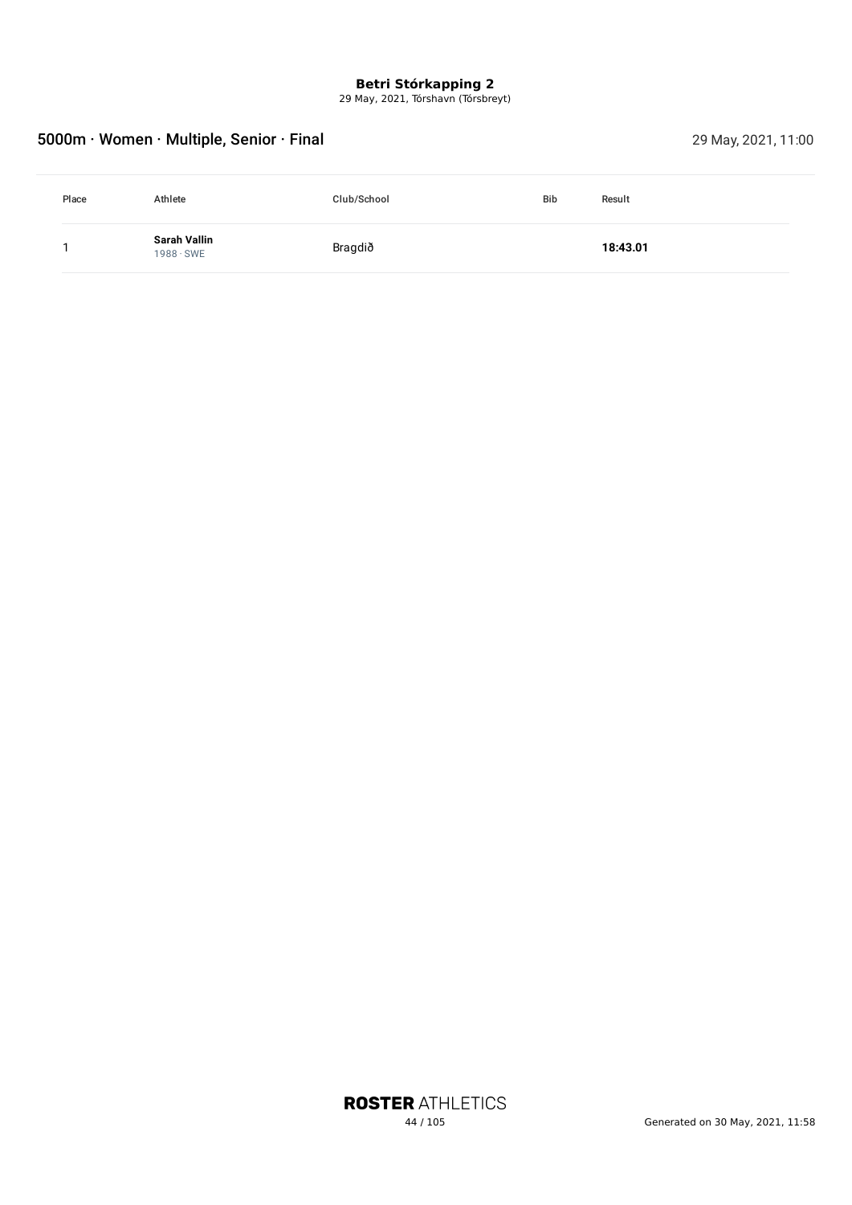29 May, 2021, Tórshavn (Tórsbreyt)

# 5000m · Women · Multiple, Senior · Final 29 May, 2021, 11:00

| Place | Athlete                          | Club/School | <b>Bib</b> | Result   |
|-------|----------------------------------|-------------|------------|----------|
|       | Sarah Vallin<br>$1988 \cdot$ SWE | Bragdið     |            | 18:43.01 |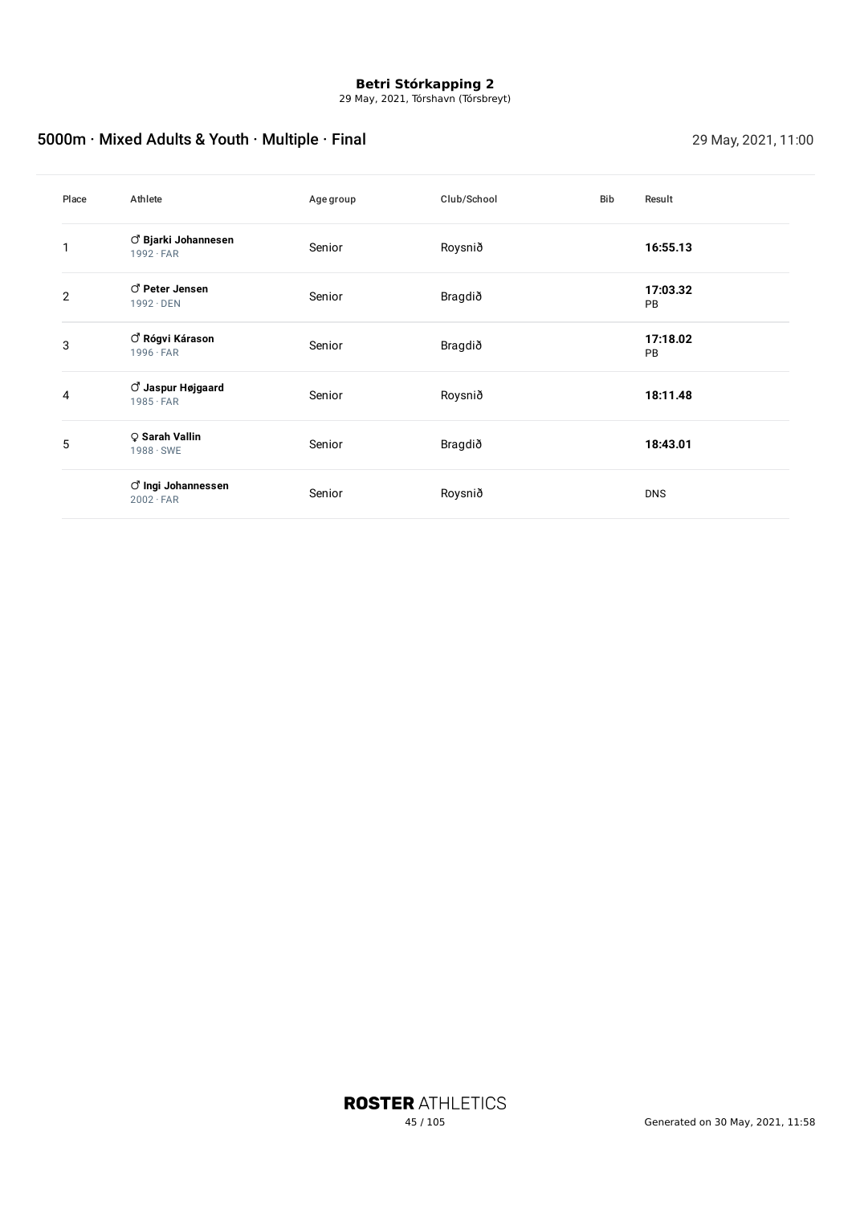29 May, 2021, Tórshavn (Tórsbreyt)

# 5000m · Mixed Adults & Youth · Multiple · Final 29 May, 2021, 11:00

| Place | Athlete                                              | Agegroup | Club/School | Bib | Result                |
|-------|------------------------------------------------------|----------|-------------|-----|-----------------------|
|       | $\vec{C}$ Bjarki Johannesen<br>$1992 \cdot FAR$      | Senior   | Roysnið     |     | 16:55.13              |
| 2     | C Peter Jensen<br>$1992 \cdot$ DEN                   | Senior   | Bragdið     |     | 17:03.32<br>PB        |
| 3     | $\circlearrowleft$ Rógvi Kárason<br>$1996 \cdot FAR$ | Senior   | Bragdið     |     | 17:18.02<br><b>PB</b> |
| 4     | ් Jaspur Højgaard<br>$1985 \cdot FAR$                | Senior   | Roysnið     |     | 18:11.48              |
| 5     | ♀ Sarah Vallin<br>$1988 \cdot$ SWE                   | Senior   | Bragdið     |     | 18:43.01              |
|       | ් Ingi Johannessen<br>$2002 \cdot FAR$               | Senior   | Roysnið     |     | <b>DNS</b>            |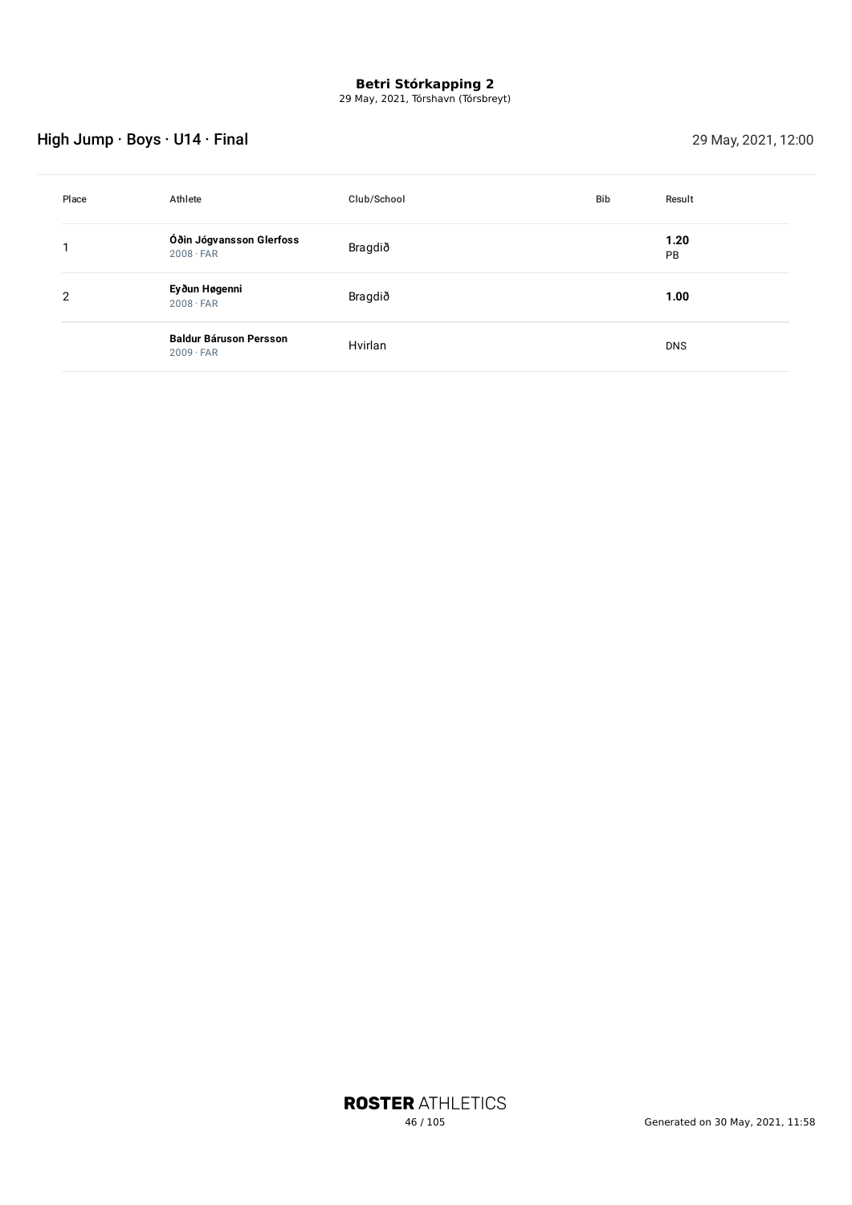29 May, 2021, Tórshavn (Tórsbreyt)

# High Jump · Boys · U14 · Final 29 May, 2021, 12:00

| Place | Athlete                                           | Club/School | <b>Bib</b> | Result            |
|-------|---------------------------------------------------|-------------|------------|-------------------|
|       | Óðin Jógvansson Glerfoss<br>$2008 \cdot FAR$      | Bragdið     |            | 1.20<br><b>PB</b> |
| 2     | Eyðun Høgenni<br>$2008 \cdot FAR$                 | Bragdið     |            | 1.00              |
|       | <b>Baldur Báruson Persson</b><br>$2009 \cdot FAR$ | Hvirlan     |            | <b>DNS</b>        |

**ROSTER ATHLETICS**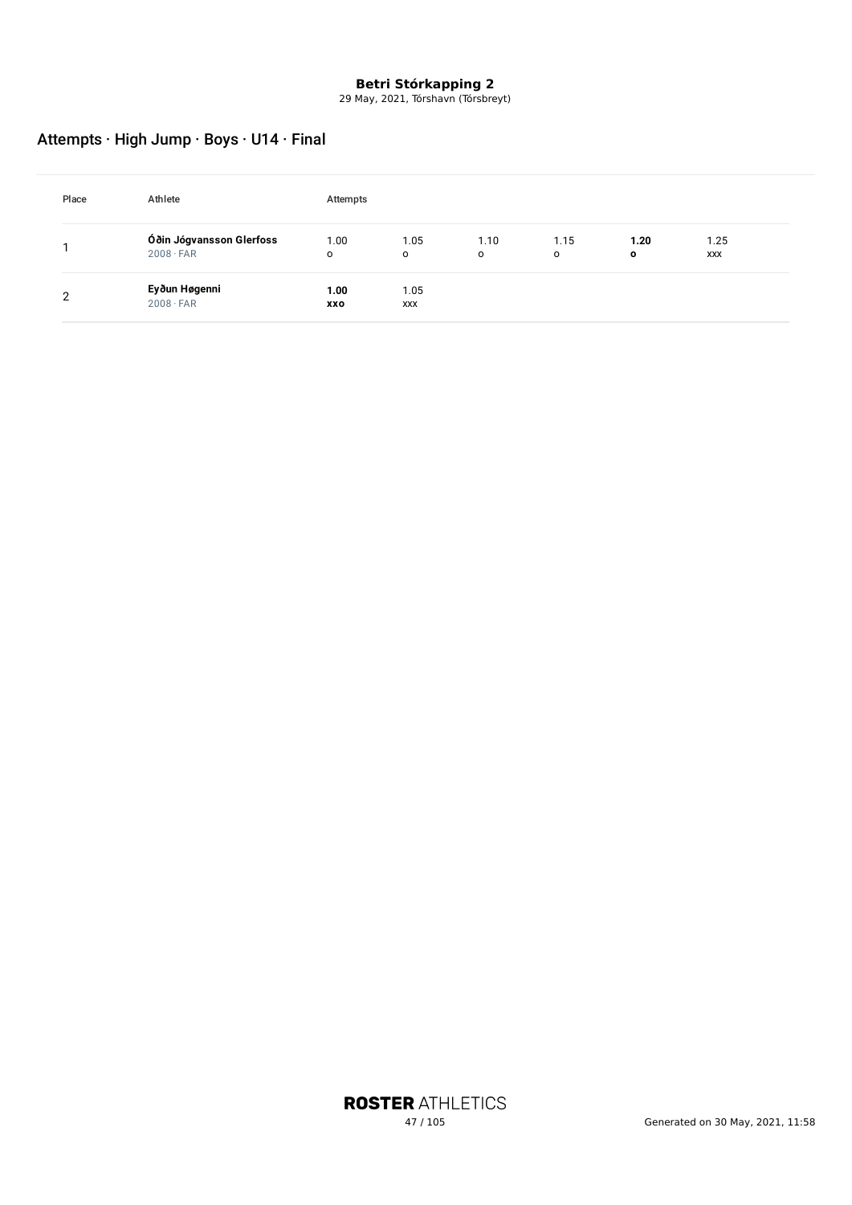29 May, 2021, Tórshavn (Tórsbreyt)

# Attempts · High Jump · Boys · U14 · Final

| Place | Athlete                                      | Attempts        |                 |                 |           |                     |                    |  |
|-------|----------------------------------------------|-----------------|-----------------|-----------------|-----------|---------------------|--------------------|--|
|       | Óðin Jógvansson Glerfoss<br>$2008 \cdot FAR$ | 1.00<br>$\circ$ | 1.05<br>$\circ$ | 1.10<br>$\circ$ | 1.15<br>o | 1.20<br>$\mathbf o$ | 1.25<br><b>XXX</b> |  |
| າ     | Eyðun Høgenni<br>$2008 \cdot FAR$            | 1.00<br>XXO     | 1.05<br>XXX     |                 |           |                     |                    |  |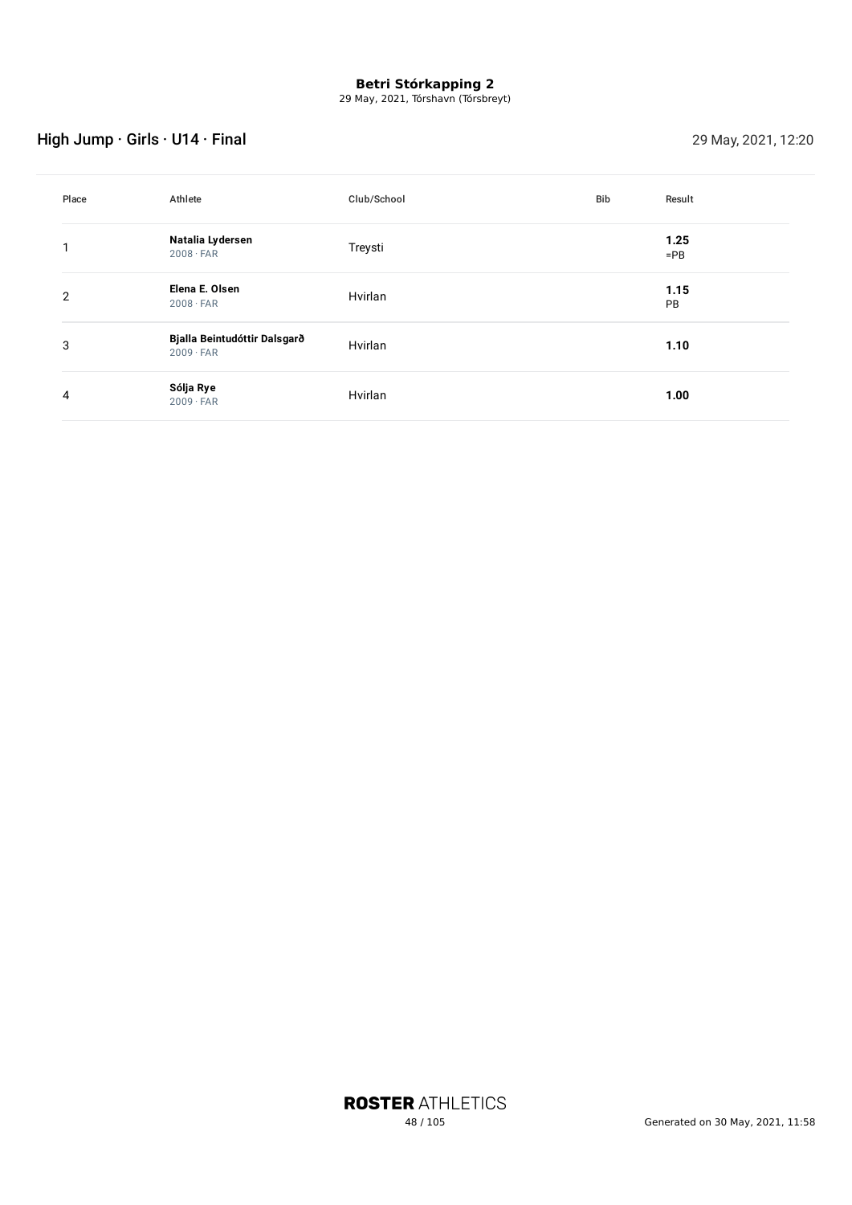29 May, 2021, Tórshavn (Tórsbreyt)

# High Jump · Girls · U14 · Final 29 May, 2021, 12:20

| Place | Athlete                                          | Club/School | Bib | Result         |
|-------|--------------------------------------------------|-------------|-----|----------------|
|       | Natalia Lydersen<br>$2008 \cdot FAR$             | Treysti     |     | 1.25<br>$=$ PB |
| 2     | Elena E. Olsen<br>$2008 \cdot FAR$               | Hvirlan     |     | 1.15<br>PB     |
| 3     | Bjalla Beintudóttir Dalsgarð<br>$2009 \cdot FAR$ | Hvirlan     |     | 1.10           |
| 4     | Sólja Rye<br>$2009 \cdot FAR$                    | Hvirlan     |     | 1.00           |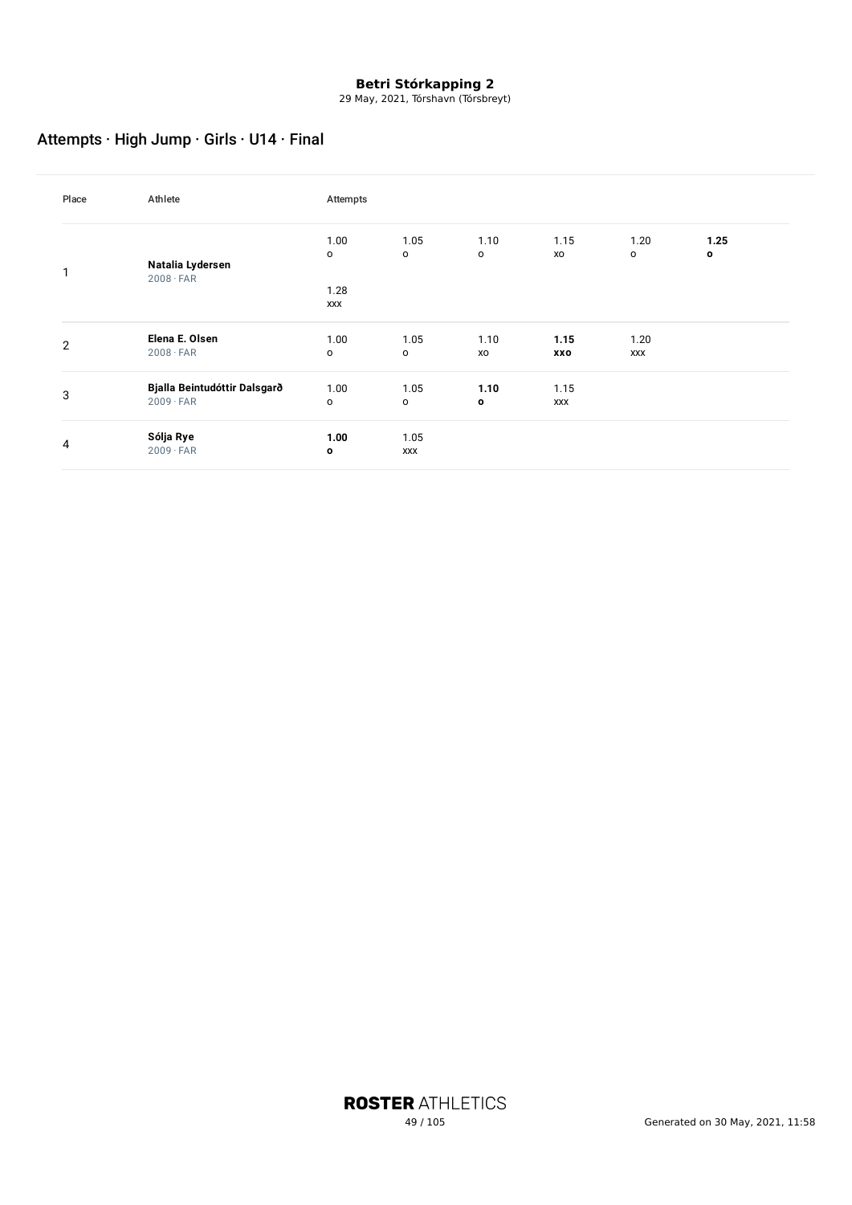29 May, 2021, Tórshavn (Tórsbreyt)

# Attempts · High Jump · Girls · U14 · Final

| Place          | Athlete                                          | Attempts               |                      |            |                    |                        |                      |
|----------------|--------------------------------------------------|------------------------|----------------------|------------|--------------------|------------------------|----------------------|
| 1              | Natalia Lydersen                                 | 1.00<br>o              | 1.05<br>$\mathsf{o}$ | 1.10<br>o  | 1.15<br>xo         | 1.20<br>$\mathsf{o}\,$ | 1.25<br>$\mathbf{o}$ |
|                | $2008 \cdot FAR$                                 | 1.28<br><b>XXX</b>     |                      |            |                    |                        |                      |
| $\overline{2}$ | Elena E. Olsen<br>$2008 \cdot FAR$               | 1.00<br>o              | 1.05<br>o            | 1.10<br>XO | 1.15<br>XXO        | 1.20<br><b>XXX</b>     |                      |
| 3              | Bjalla Beintudóttir Dalsgarð<br>$2009 \cdot FAR$ | 1.00<br>$\mathsf{o}\,$ | 1.05<br>$\circ$      | 1.10<br>0  | 1.15<br><b>XXX</b> |                        |                      |
| 4              | Sólja Rye<br>$2009 \cdot FAR$                    | 1.00<br>o              | 1.05<br><b>XXX</b>   |            |                    |                        |                      |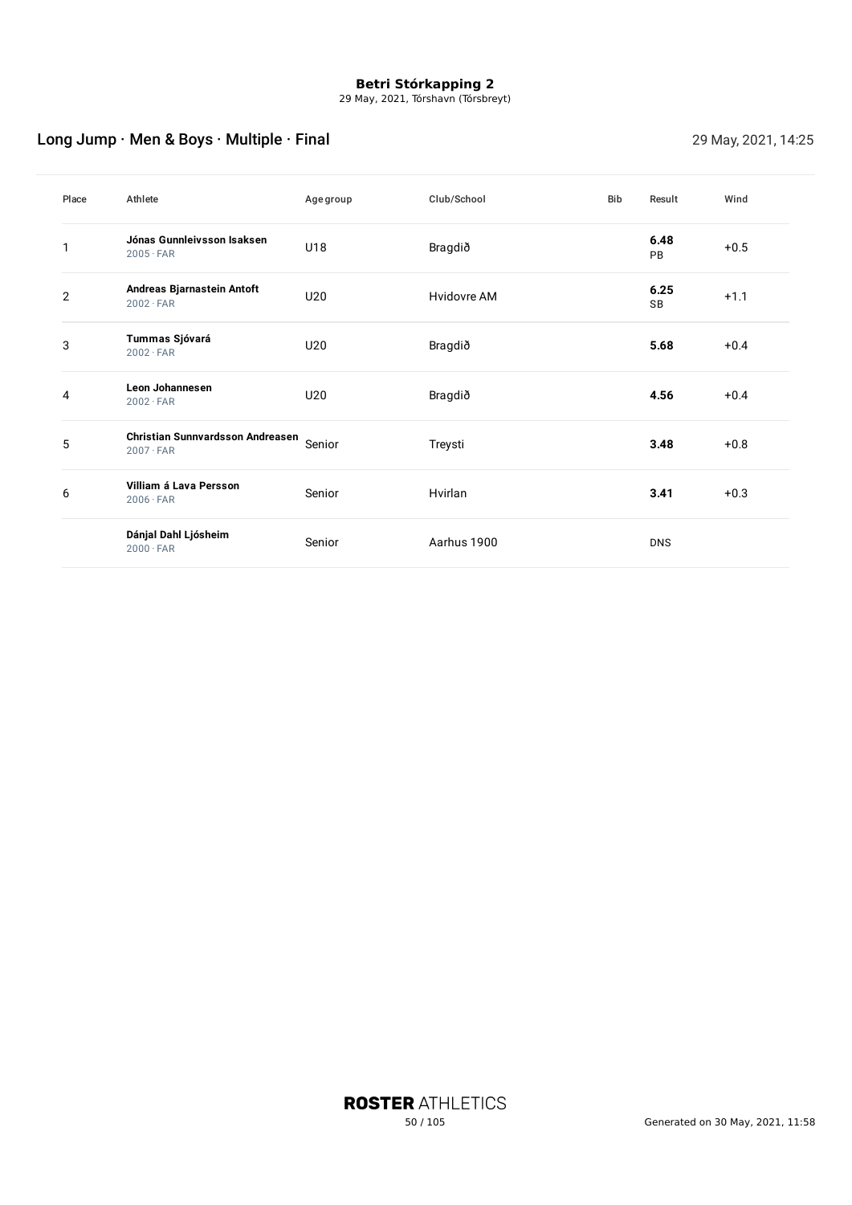29 May, 2021, Tórshavn (Tórsbreyt)

# Long Jump · Men & Boys · Multiple · Final 29 May, 2021, 14:25

| Place          | Athlete                                              | Agegroup | Club/School | <b>Bib</b> | Result            | Wind   |
|----------------|------------------------------------------------------|----------|-------------|------------|-------------------|--------|
|                | Jónas Gunnleivsson Isaksen<br>$2005 \cdot FAR$       | U18      | Bragdið     |            | 6.48<br><b>PB</b> | $+0.5$ |
| $\overline{2}$ | Andreas Bjarnastein Antoft<br>$2002 \cdot FAR$       | U20      | Hvidovre AM |            | 6.25<br><b>SB</b> | $+1.1$ |
| 3              | Tummas Sjóvará<br>$2002 \cdot FAR$                   | U20      | Bragdið     |            | 5.68              | $+0.4$ |
| 4              | Leon Johannesen<br>$2002 \cdot FAR$                  | U20      | Bragdið     |            | 4.56              | $+0.4$ |
| 5              | Christian Sunnvardsson Andreasen<br>$2007 \cdot FAR$ | Senior   | Treysti     |            | 3.48              | $+0.8$ |
| 6              | Villiam á Lava Persson<br>$2006 \cdot FAR$           | Senior   | Hvirlan     |            | 3.41              | $+0.3$ |
|                | Dánjal Dahl Ljósheim<br>$2000 \cdot FAR$             | Senior   | Aarhus 1900 |            | <b>DNS</b>        |        |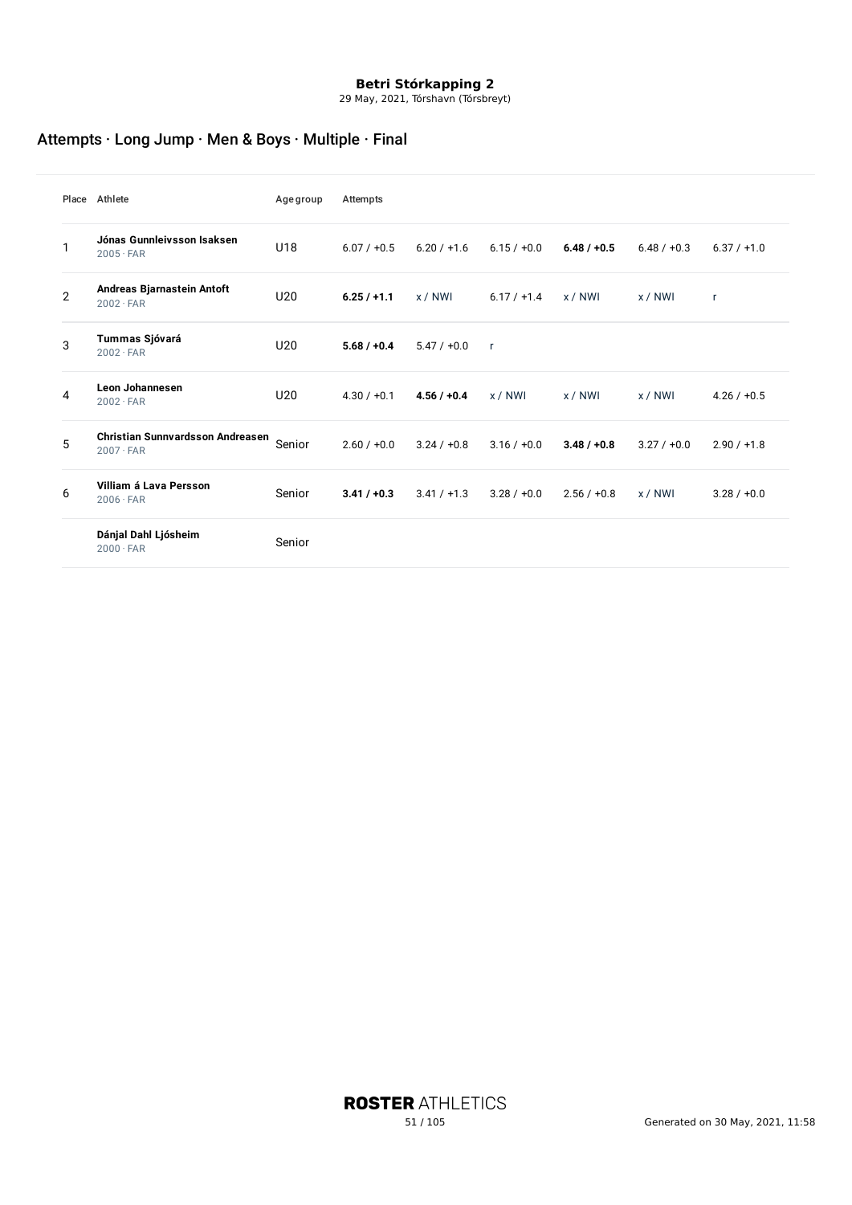29 May, 2021, Tórshavn (Tórsbreyt)

# Attempts · Long Jump · Men & Boys · Multiple · Final

|                | Place Athlete                                        | <b>Age group</b> | Attempts      |               |               |               |               |               |
|----------------|------------------------------------------------------|------------------|---------------|---------------|---------------|---------------|---------------|---------------|
| 1              | Jónas Gunnleivsson Isaksen<br>$2005 \cdot FAR$       | U18              | $6.07 / +0.5$ | $6.20 / +1.6$ | $6.15 / +0.0$ | $6.48 / +0.5$ | $6.48 / +0.3$ | $6.37 / +1.0$ |
| $\overline{2}$ | Andreas Bjarnastein Antoft<br>$2002 \cdot FAR$       | U20              | $6.25/+1.1$   | x / NWI       | $6.17 / +1.4$ | x / N W1      | x / NWI       | $\mathsf{r}$  |
| 3              | Tummas Sjóvará<br>$2002 \cdot FAR$                   | U20              | $5.68 / +0.4$ | $5.47 / +0.0$ | $\mathsf{r}$  |               |               |               |
| 4              | Leon Johannesen<br>$2002 \cdot FAR$                  | U20              | $4.30 / +0.1$ | $4.56 / +0.4$ | x / NWI       | x / NWI       | x / NWI       | $4.26 / +0.5$ |
| 5              | Christian Sunnvardsson Andreasen<br>$2007 \cdot FAR$ | Senior           | $2.60 / +0.0$ | $3.24 / +0.8$ | $3.16 / +0.0$ | $3.48 / +0.8$ | 3.27/10.0     | $2.90 / +1.8$ |
| 6              | Villiam á Lava Persson<br>$2006 \cdot FAR$           | Senior           | $3.41 / +0.3$ | $3.41 / +1.3$ | $3.28 / +0.0$ | $2.56 / +0.8$ | x / N W1      | $3.28 / +0.0$ |
|                | Dánjal Dahl Ljósheim<br>$2000 \cdot FAR$             | Senior           |               |               |               |               |               |               |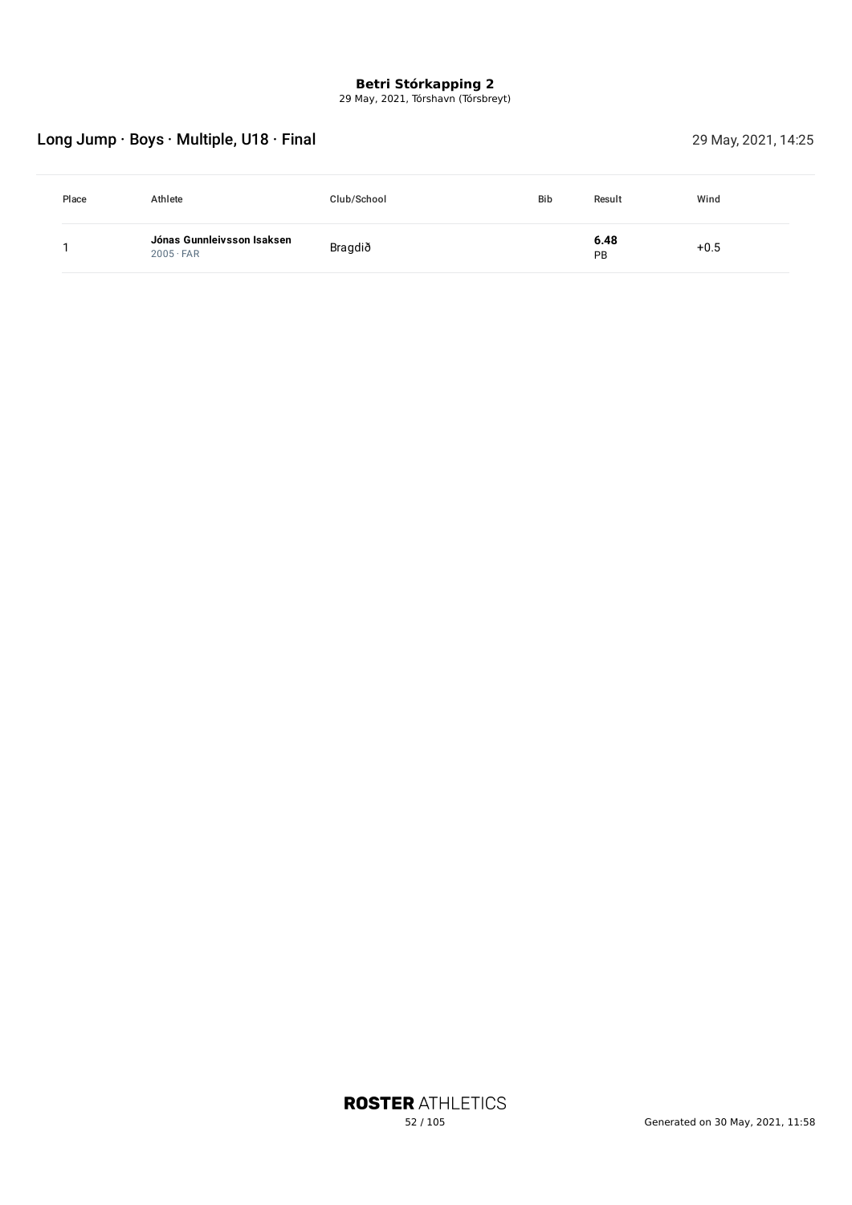29 May, 2021, Tórshavn (Tórsbreyt)

# Long Jump · Boys · Multiple, U18 · Final 29 May, 2021, 14:25

| Place | Athlete                                        | Club/School | <b>Bib</b> | Result     | Wind   |
|-------|------------------------------------------------|-------------|------------|------------|--------|
|       | Jónas Gunnleivsson Isaksen<br>$2005 \cdot FAR$ | Bragdið     |            | 6.48<br>PB | $+0.5$ |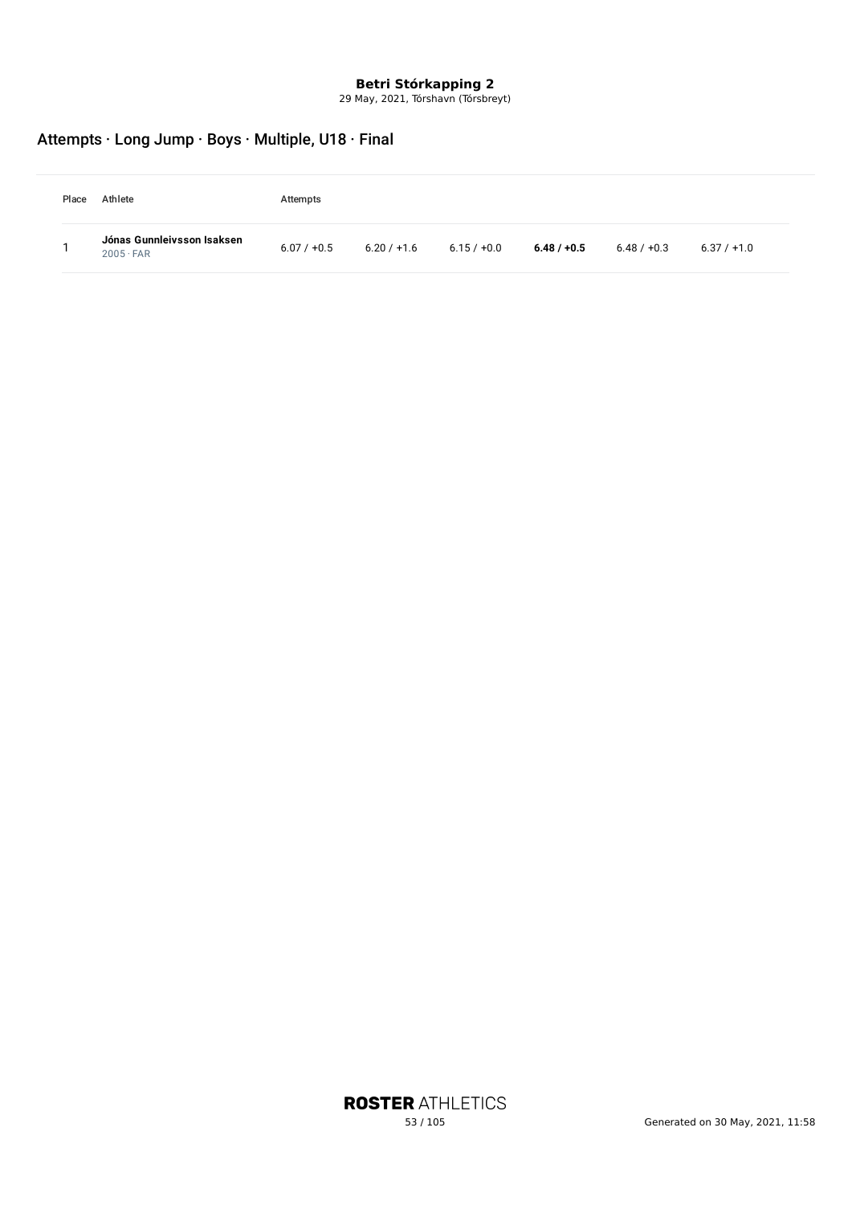29 May, 2021, Tórshavn (Tórsbreyt)

# Attempts · Long Jump · Boys · Multiple, U18 · Final

| Place | Athlete                                        | Attempts      |               |               |               |               |               |
|-------|------------------------------------------------|---------------|---------------|---------------|---------------|---------------|---------------|
|       | Jónas Gunnleivsson Isaksen<br>$2005 \cdot FAR$ | $6.07 / +0.5$ | $6.20 / +1.6$ | $6.15 / +0.0$ | $6.48 / +0.5$ | $6.48 / +0.3$ | $6.37 / +1.0$ |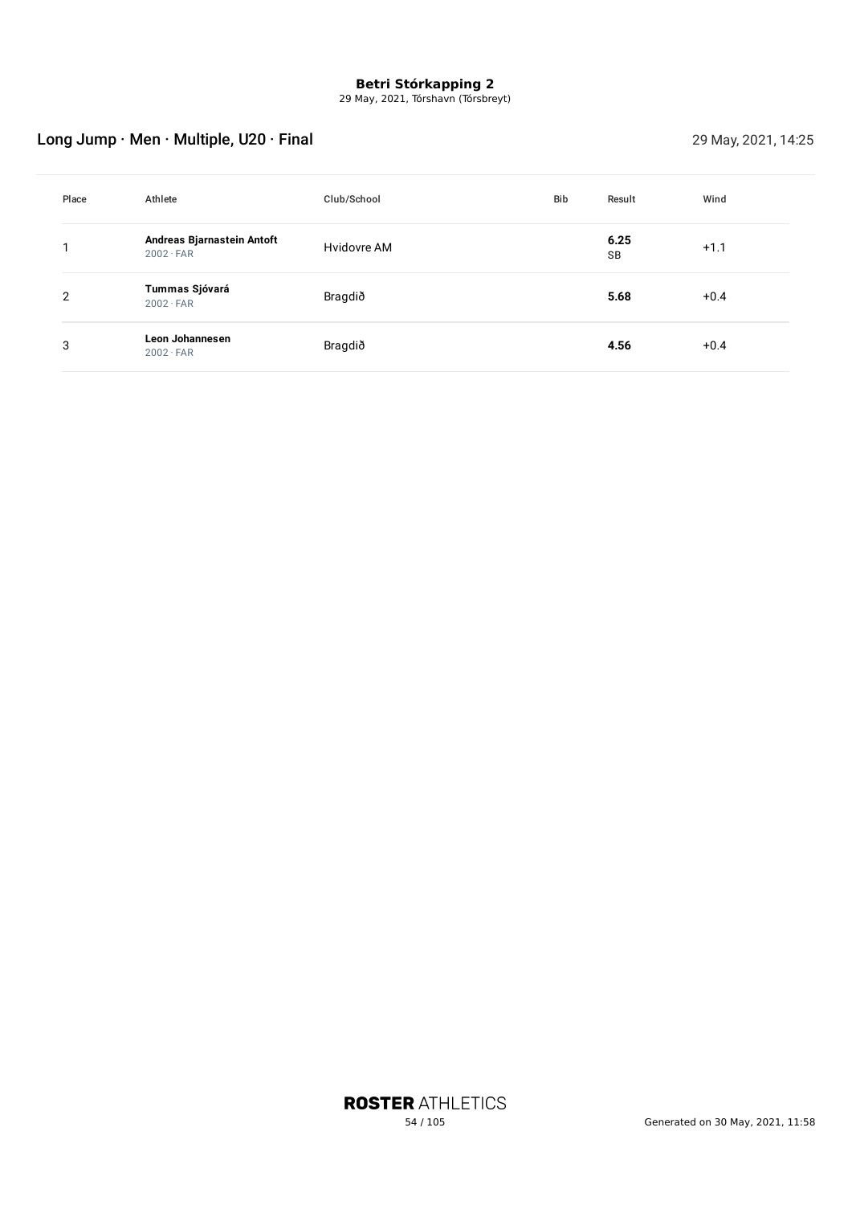29 May, 2021, Tórshavn (Tórsbreyt)

# Long Jump · Men · Multiple, U20 · Final 29 May, 2021, 14:25

| Place | Athlete                                        | Club/School | Bib | Result     | Wind   |
|-------|------------------------------------------------|-------------|-----|------------|--------|
|       | Andreas Bjarnastein Antoft<br>$2002 \cdot FAR$ | Hvidovre AM |     | 6.25<br>SB | $+1.1$ |
| 2     | Tummas Sjóvará<br>$2002 \cdot FAR$             | Bragdið     |     | 5.68       | $+0.4$ |
| 3     | Leon Johannesen<br>$2002 \cdot FAR$            | Bragdið     |     | 4.56       | $+0.4$ |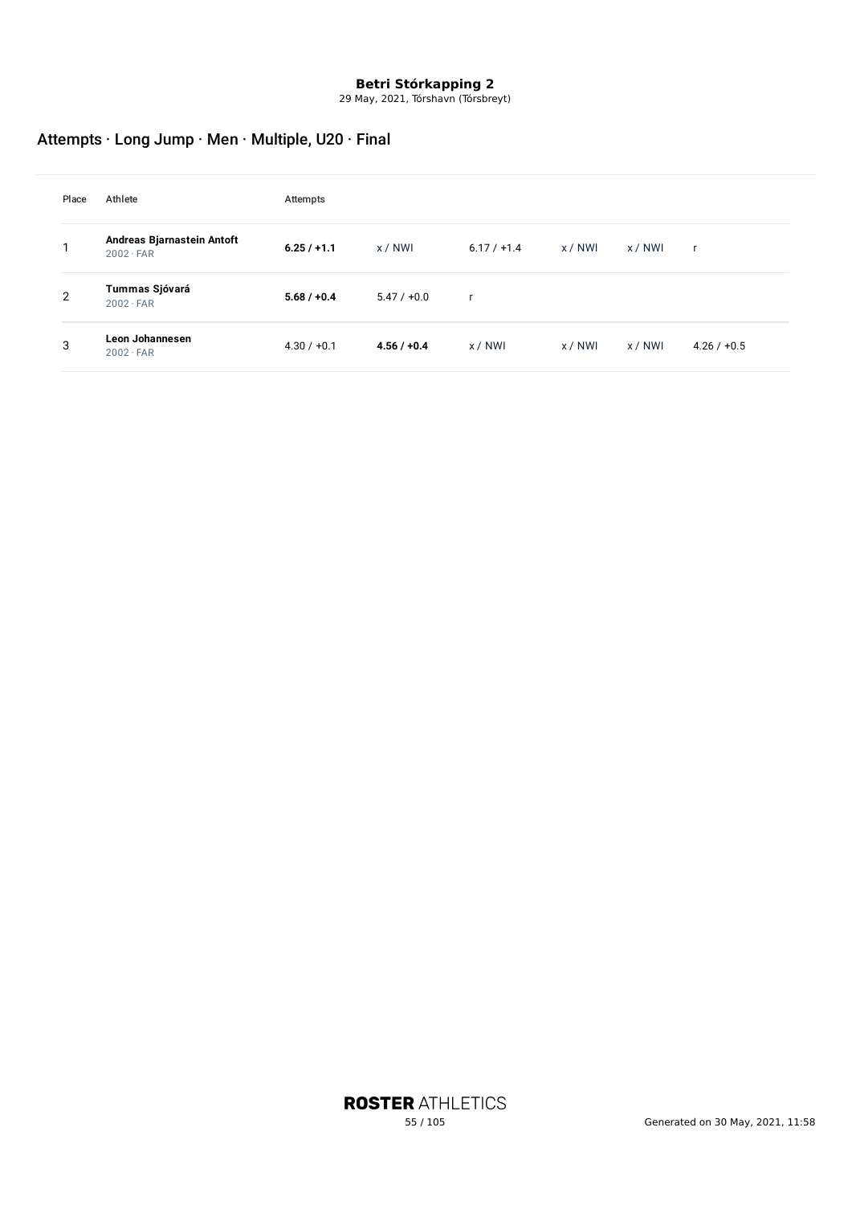29 May, 2021, Tórshavn (Tórsbreyt)

# Attempts · Long Jump · Men · Multiple, U20 · Final

| Place | Athlete                                        | Attempts      |               |               |         |         |               |
|-------|------------------------------------------------|---------------|---------------|---------------|---------|---------|---------------|
|       | Andreas Bjarnastein Antoft<br>$2002 \cdot FAR$ | $6.25 / +1.1$ | x / NWI       | $6.17 / +1.4$ | x / NWI | x / NWI | <b>r</b>      |
| 2     | Tummas Sjóvará<br>$2002 \cdot FAR$             | $5.68 / +0.4$ | $5.47 / +0.0$ | ×             |         |         |               |
| 3     | Leon Johannesen<br>$2002 \cdot FAR$            | $4.30 / +0.1$ | $4.56 / +0.4$ | x/NWI         | x / NWI | x/NWI   | $4.26 / +0.5$ |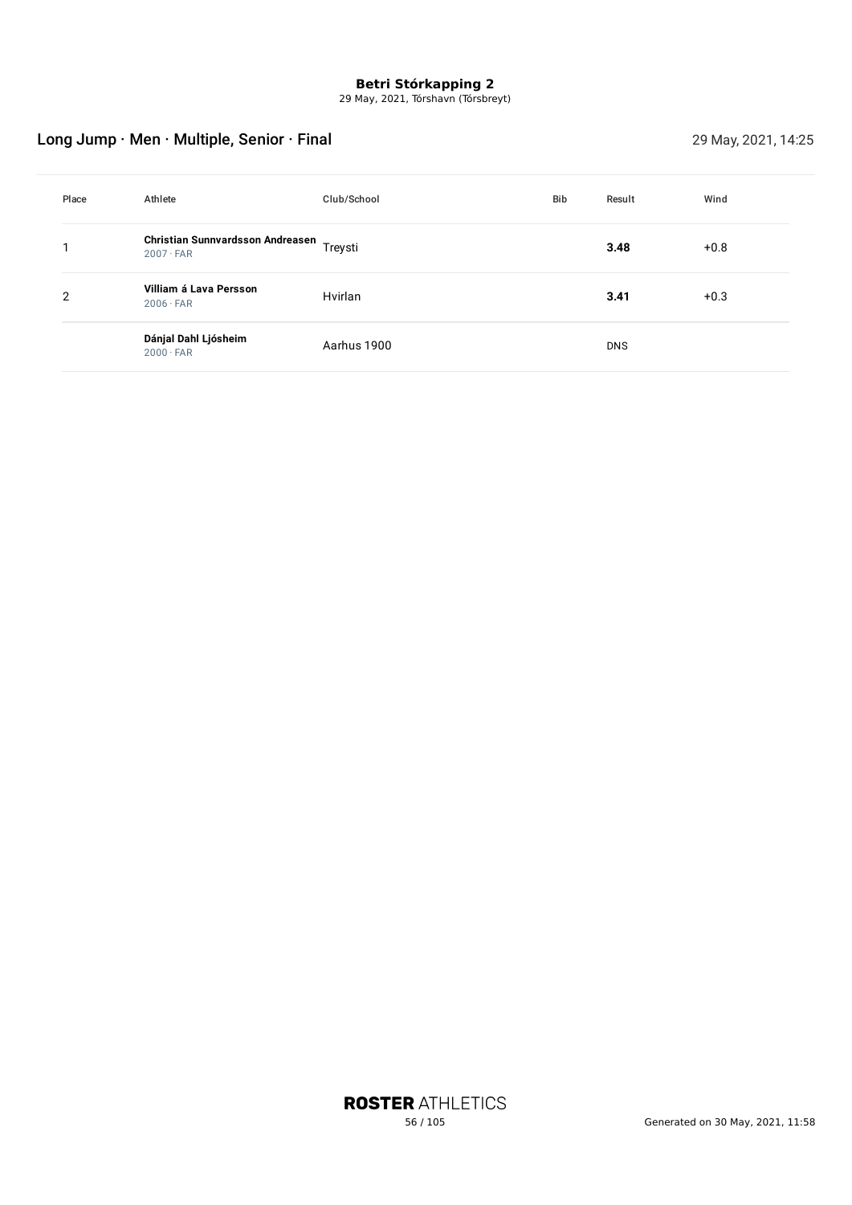29 May, 2021, Tórshavn (Tórsbreyt)

# Long Jump · Men · Multiple, Senior · Final 29 May, 2021, 14:25

| Place | Athlete                                                      | Club/School | <b>Bib</b> | Result     | Wind   |
|-------|--------------------------------------------------------------|-------------|------------|------------|--------|
|       | Christian Sunnvardsson Andreasen Treysti<br>$2007 \cdot FAR$ |             |            | 3.48       | $+0.8$ |
| 2     | Villiam á Lava Persson<br>$2006 \cdot FAR$                   | Hvirlan     |            | 3.41       | $+0.3$ |
|       | Dánjal Dahl Ljósheim<br>$2000 \cdot FAR$                     | Aarhus 1900 |            | <b>DNS</b> |        |

**ROSTER ATHLETICS**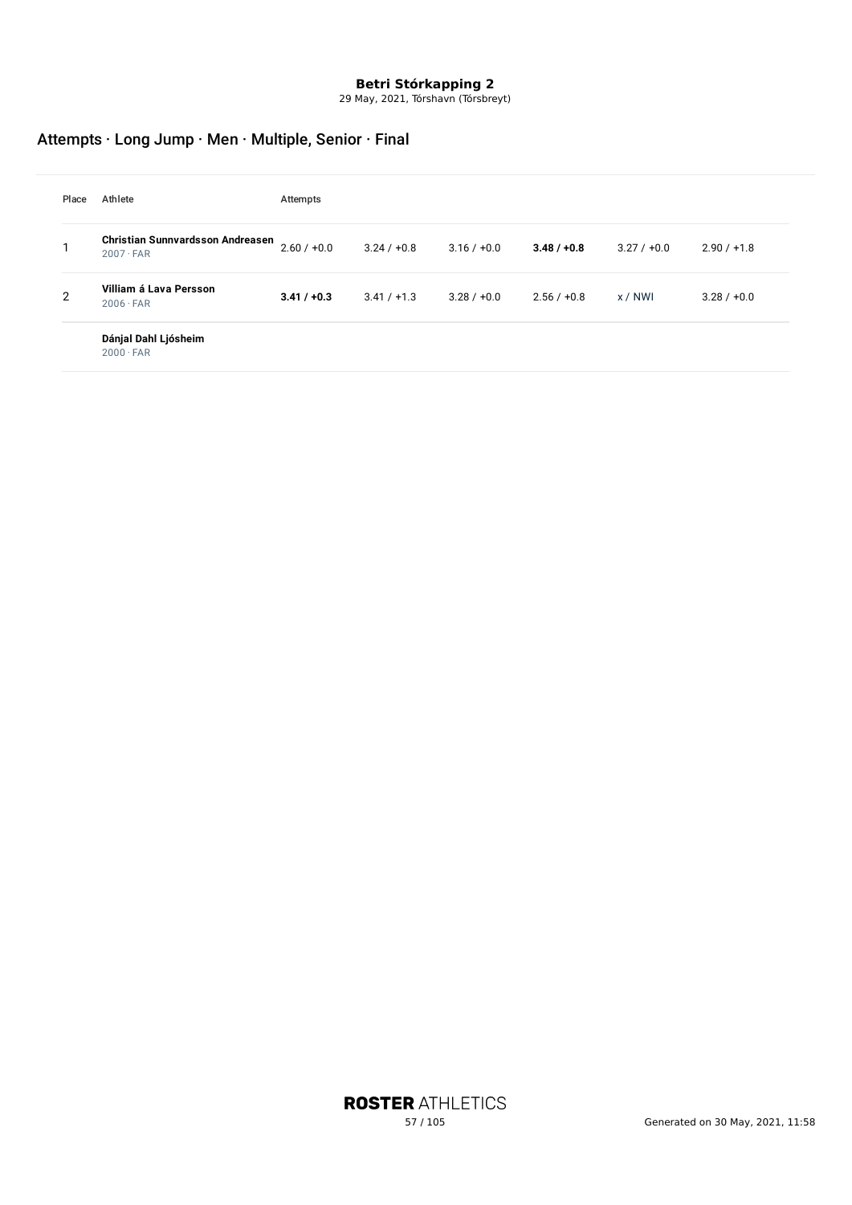29 May, 2021, Tórshavn (Tórsbreyt)

# Attempts · Long Jump · Men · Multiple, Senior · Final

| Place          | Athlete                                                     | Attempts      |               |               |               |           |               |
|----------------|-------------------------------------------------------------|---------------|---------------|---------------|---------------|-----------|---------------|
|                | <b>Christian Sunnvardsson Andreasen</b><br>$2007 \cdot FAR$ | $2.60 / +0.0$ | $3.24 / +0.8$ | $3.16 / +0.0$ | $3.48 / +0.8$ | 3.27/10.0 | $2.90 / +1.8$ |
| $\overline{2}$ | Villiam á Lava Persson<br>$2006 \cdot FAR$                  | $3.41 / +0.3$ | $3.41 / +1.3$ | $3.28 / +0.0$ | $2.56 / +0.8$ | x / NWI   | $3.28 / +0.0$ |
|                | Dánjal Dahl Ljósheim<br>$2000 \cdot FAR$                    |               |               |               |               |           |               |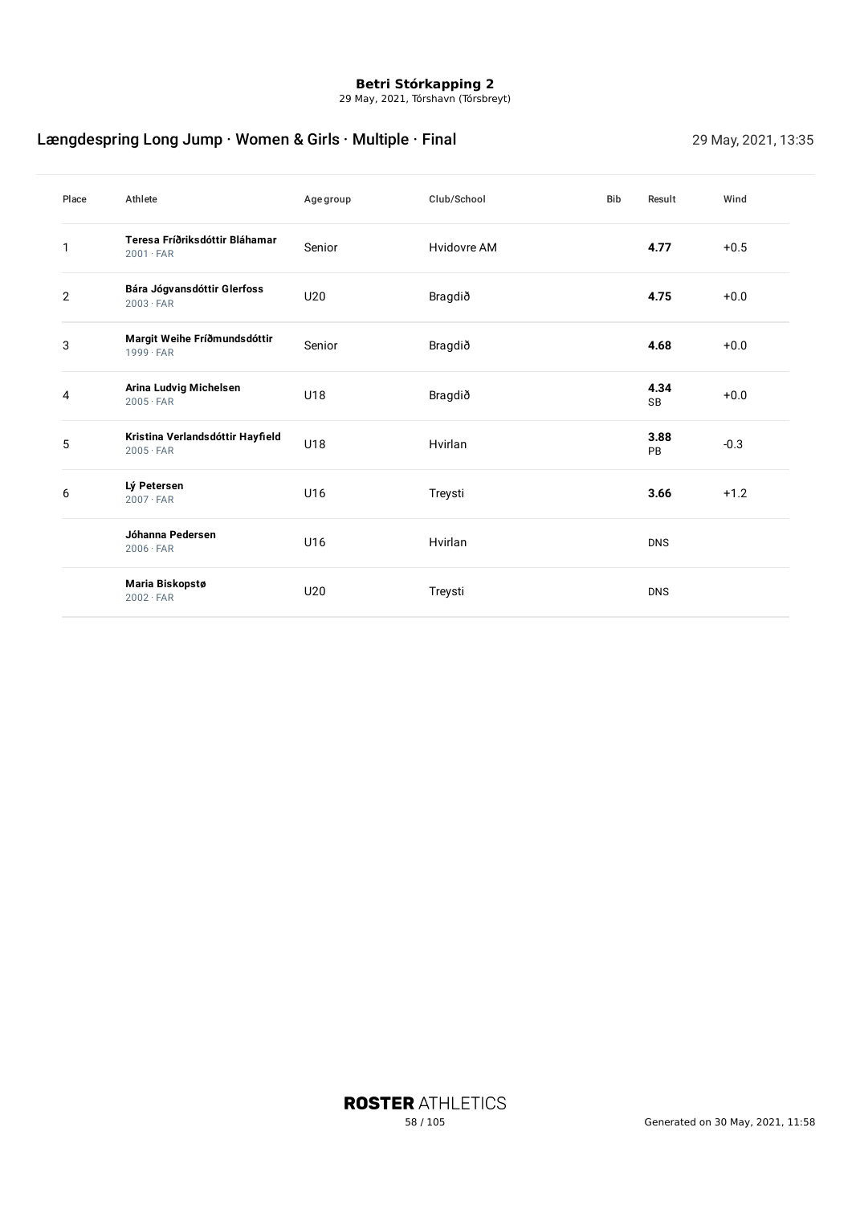29 May, 2021, Tórshavn (Tórsbreyt)

# Længdespring Long Jump · Women & Girls · Multiple · Final 29 May, 2021, 13:35

| Place          | Athlete                                              | Age group       | Club/School | <b>Bib</b> | Result     | Wind   |
|----------------|------------------------------------------------------|-----------------|-------------|------------|------------|--------|
| 1              | Teresa Fríðriksdóttir Bláhamar<br>$2001 \cdot FAR$   | Senior          | Hvidovre AM |            | 4.77       | $+0.5$ |
| $\overline{2}$ | Bára Jógvansdóttir Glerfoss<br>$2003 \cdot FAR$      | U20             | Bragdið     |            | 4.75       | $+0.0$ |
| 3              | Margit Weihe Fríðmundsdóttir<br>$1999 \cdot FAR$     | Senior          | Bragdið     |            | 4.68       | $+0.0$ |
| 4              | Arina Ludvig Michelsen<br>$2005 \cdot FAR$           | U18             | Bragdið     |            | 4.34<br>SB | $+0.0$ |
| 5              | Kristina Verlandsdóttir Hayfield<br>$2005 \cdot FAR$ | U18             | Hvirlan     |            | 3.88<br>PB | $-0.3$ |
| 6              | Lý Petersen<br>$2007 \cdot FAR$                      | U16             | Treysti     |            | 3.66       | $+1.2$ |
|                | Jóhanna Pedersen<br>$2006 \cdot FAR$                 | U16             | Hvirlan     |            | <b>DNS</b> |        |
|                | Maria Biskopstø<br>$2002 \cdot FAR$                  | U <sub>20</sub> | Treysti     |            | <b>DNS</b> |        |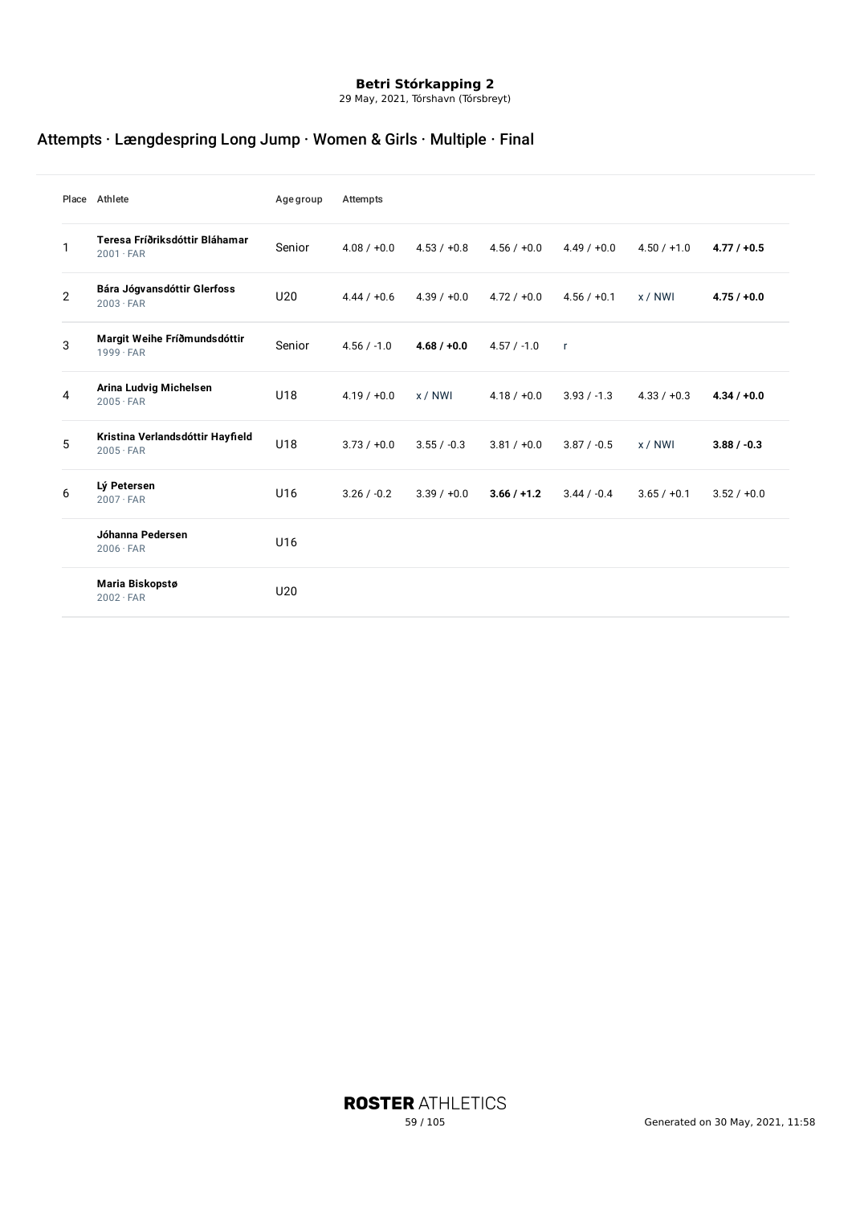29 May, 2021, Tórshavn (Tórsbreyt)

# Attempts · Længdespring Long Jump · Women & Girls · Multiple · Final

|                | Place Athlete                                        | <b>Age group</b> | Attempts      |               |               |               |               |               |
|----------------|------------------------------------------------------|------------------|---------------|---------------|---------------|---------------|---------------|---------------|
| $\mathbf{1}$   | Teresa Fríðriksdóttir Bláhamar<br>$2001 \cdot FAR$   | Senior           | $4.08 / +0.0$ | $4.53 / +0.8$ | $4.56 / +0.0$ | $4.49 / +0.0$ | $4.50 / +1.0$ | $4.77 / +0.5$ |
| $\overline{2}$ | Bára Jógvansdóttir Glerfoss<br>$2003 \cdot FAR$      | U20              | $4.44 / +0.6$ | $4.39 / +0.0$ | $4.72 / +0.0$ | $4.56 / +0.1$ | x/NWI         | $4.75/+0.0$   |
| 3              | Margit Weihe Fríðmundsdóttir<br>$1999 \cdot FAR$     | Senior           | $4.56 / -1.0$ | $4.68 / +0.0$ | $4.57 / -1.0$ | $\mathsf{r}$  |               |               |
| 4              | Arina Ludvig Michelsen<br>$2005 \cdot FAR$           | U18              | $4.19 / +0.0$ | x / NWI       | $4.18 / +0.0$ | $3.93 / -1.3$ | $4.33 / +0.3$ | $4.34 / +0.0$ |
| 5              | Kristina Verlandsdóttir Hayfield<br>$2005 \cdot FAR$ | U18              | $3.73 / +0.0$ | $3.55 / -0.3$ | $3.81 / +0.0$ | $3.87 / -0.5$ | x / NWI       | $3.88 / -0.3$ |
| 6              | Lý Petersen<br>$2007 \cdot FAR$                      | U16              | $3.26 / -0.2$ | $3.39 / +0.0$ | $3.66 / +1.2$ | $3.44 / -0.4$ | $3.65 / +0.1$ | $3.52 / +0.0$ |
|                | Jóhanna Pedersen<br>$2006 \cdot FAR$                 | U16              |               |               |               |               |               |               |
|                | Maria Biskopstø<br>$2002 \cdot FAR$                  | U <sub>20</sub>  |               |               |               |               |               |               |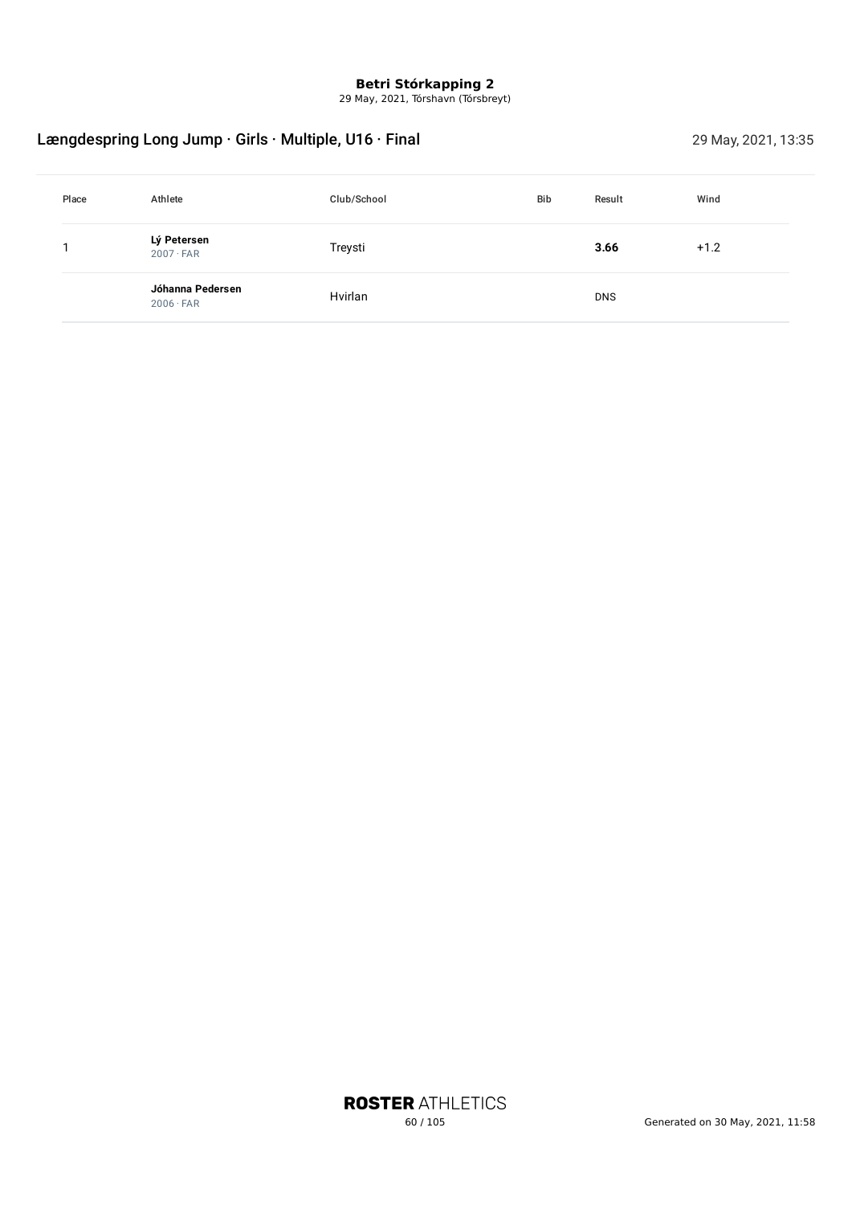29 May, 2021, Tórshavn (Tórsbreyt)

# Længdespring Long Jump · Girls · Multiple, U16 · Final 29 May, 2021, 13:35

| Place | Athlete                              | Club/School | <b>Bib</b> | Result     | Wind   |
|-------|--------------------------------------|-------------|------------|------------|--------|
|       | Lý Petersen<br>$2007 \cdot FAR$      | Treysti     |            | 3.66       | $+1.2$ |
|       | Jóhanna Pedersen<br>$2006 \cdot FAR$ | Hvirlan     |            | <b>DNS</b> |        |

**ROSTER ATHLETICS**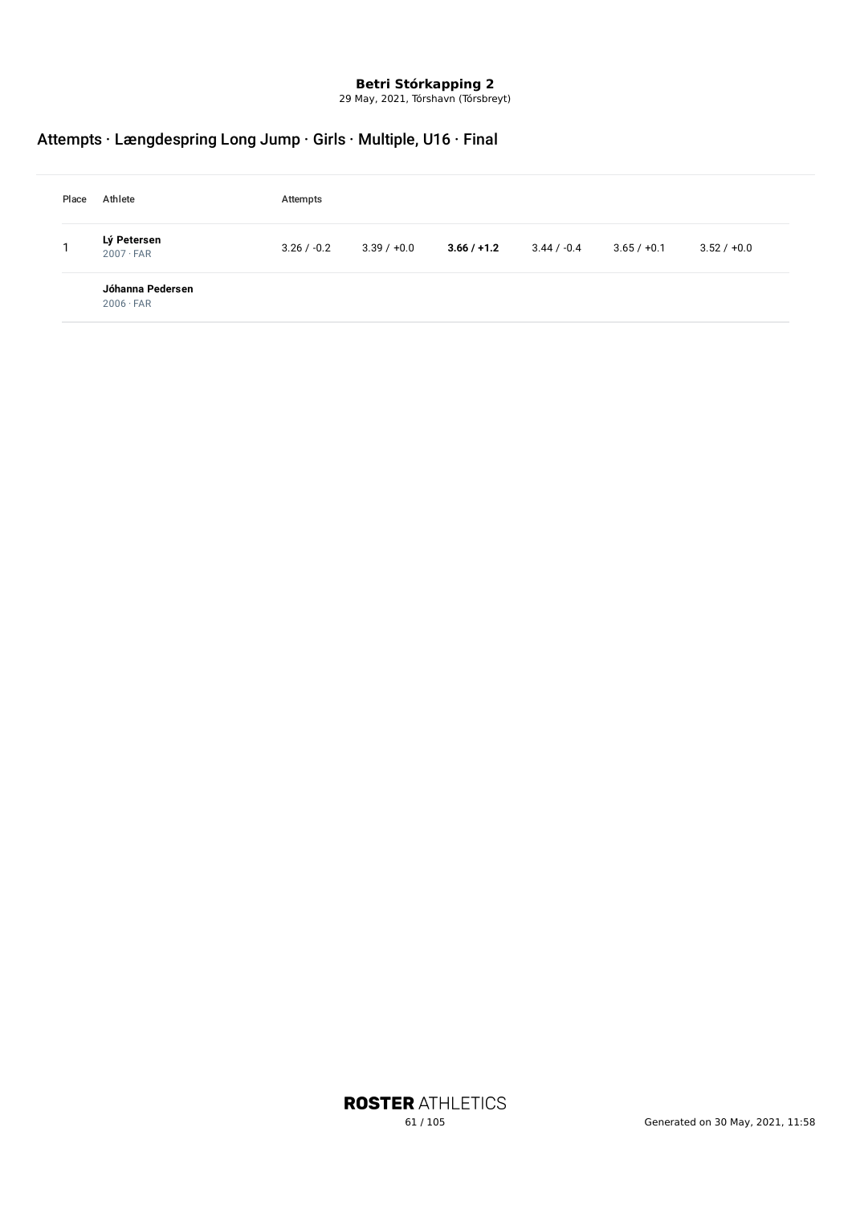29 May, 2021, Tórshavn (Tórsbreyt)

# Attempts · Længdespring Long Jump · Girls · Multiple, U16 · Final

| Place | Athlete                              | Attempts      |               |               |               |               |               |  |  |
|-------|--------------------------------------|---------------|---------------|---------------|---------------|---------------|---------------|--|--|
|       | Lý Petersen<br>$2007 \cdot FAR$      | $3.26 / -0.2$ | $3.39 / +0.0$ | $3.66 / +1.2$ | $3.44 / -0.4$ | $3.65 / +0.1$ | $3.52 / +0.0$ |  |  |
|       | Jóhanna Pedersen<br>$2006 \cdot FAR$ |               |               |               |               |               |               |  |  |

**ROSTER ATHLETICS**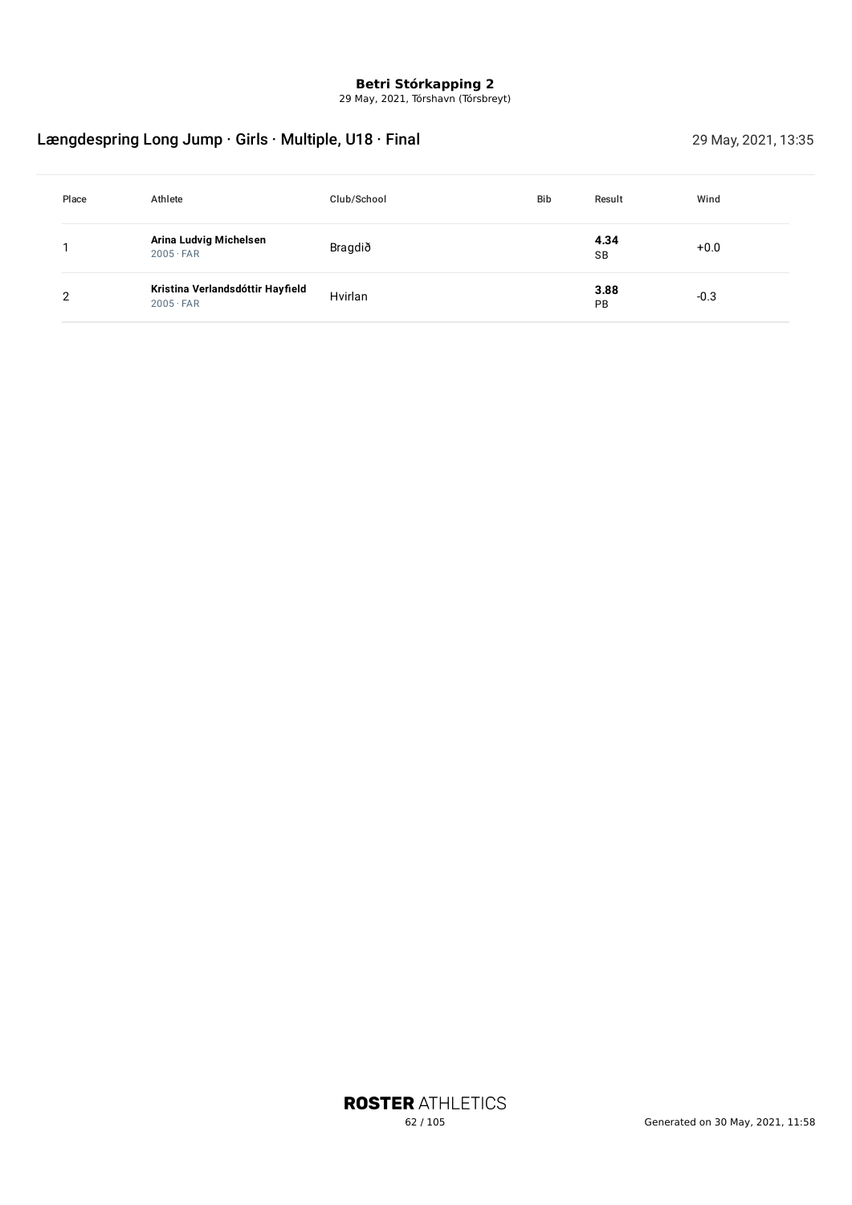29 May, 2021, Tórshavn (Tórsbreyt)

# Længdespring Long Jump · Girls · Multiple, U18 · Final 29 May, 2021, 13:35

| Place | Athlete                                              | Club/School | <b>Bib</b> | Result            | Wind   |
|-------|------------------------------------------------------|-------------|------------|-------------------|--------|
|       | Arina Ludvig Michelsen<br>$2005 \cdot FAR$           | Bragdið     |            | 4.34<br><b>SB</b> | $+0.0$ |
| ⌒     | Kristina Verlandsdóttir Hayfield<br>$2005 \cdot FAR$ | Hvirlan     |            | 3.88<br>PB        | $-0.3$ |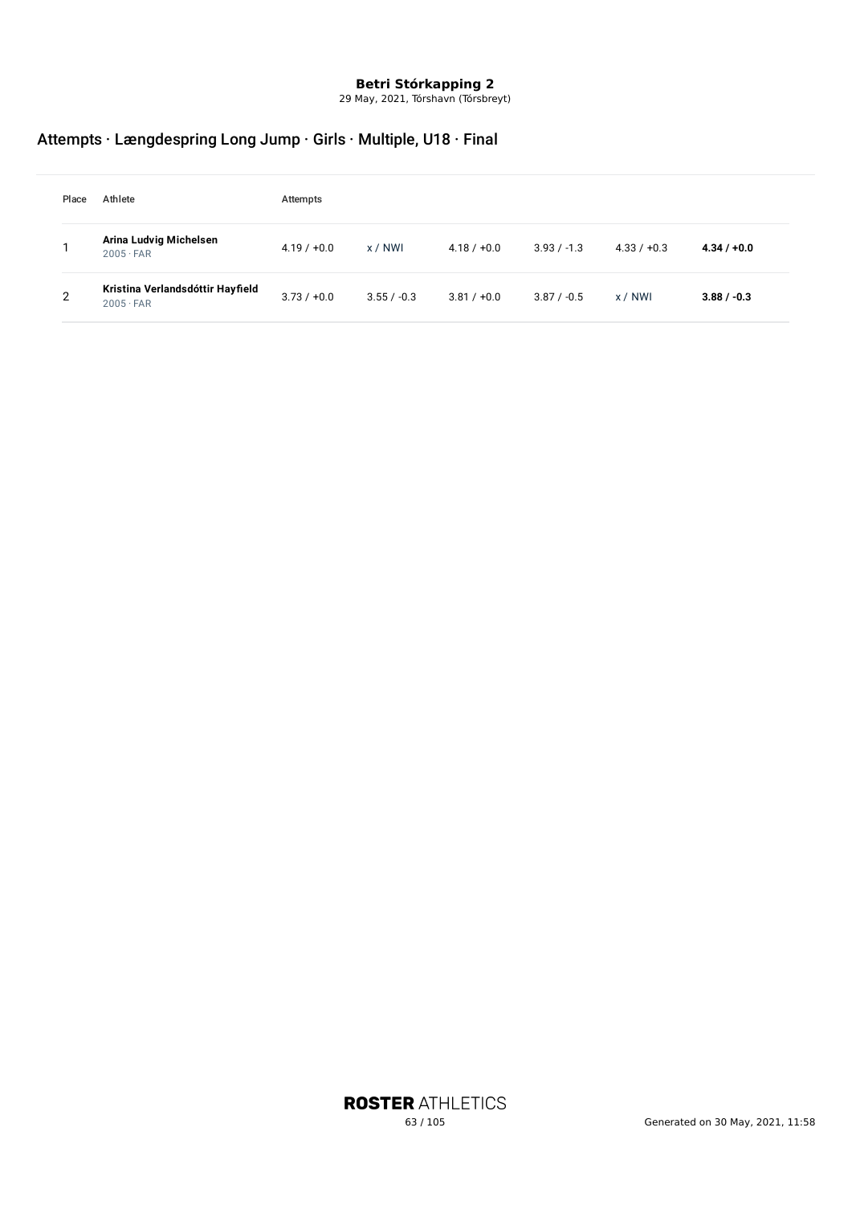29 May, 2021, Tórshavn (Tórsbreyt)

# Attempts · Længdespring Long Jump · Girls · Multiple, U18 · Final

| Place | Athlete                                              | Attempts      |               |               |               |               |               |
|-------|------------------------------------------------------|---------------|---------------|---------------|---------------|---------------|---------------|
|       | Arina Ludvig Michelsen<br>$2005 \cdot FAR$           | $4.19 / +0.0$ | x / NWI       | $4.18 / +0.0$ | $3.93 / -1.3$ | $4.33 / +0.3$ | $4.34 / +0.0$ |
| 2     | Kristina Verlandsdóttir Hayfield<br>$2005 \cdot FAR$ | $3.73 / +0.0$ | $3.55 / -0.3$ | $3.81 / +0.0$ | $3.87 / -0.5$ | x / NWI       | $3.88 / -0.3$ |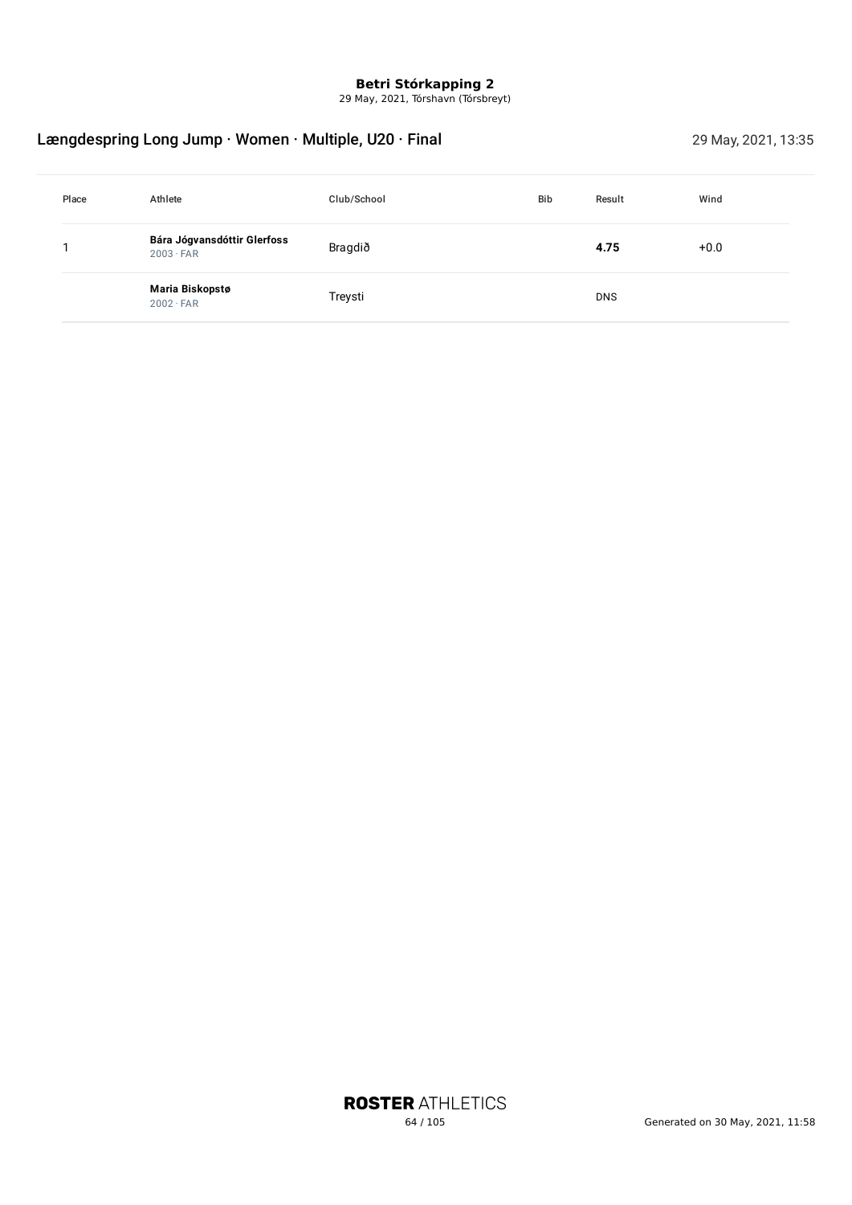29 May, 2021, Tórshavn (Tórsbreyt)

# Længdespring Long Jump · Women · Multiple, U20 · Final 29 May, 2021, 13:35

| Place | Athlete                                         | Club/School | <b>Bib</b> | Result     | Wind   |
|-------|-------------------------------------------------|-------------|------------|------------|--------|
|       | Bára Jógvansdóttir Glerfoss<br>$2003 \cdot FAR$ | Bragdið     |            | 4.75       | $+0.0$ |
|       | Maria Biskopstø<br>$2002 \cdot FAR$             | Treysti     |            | <b>DNS</b> |        |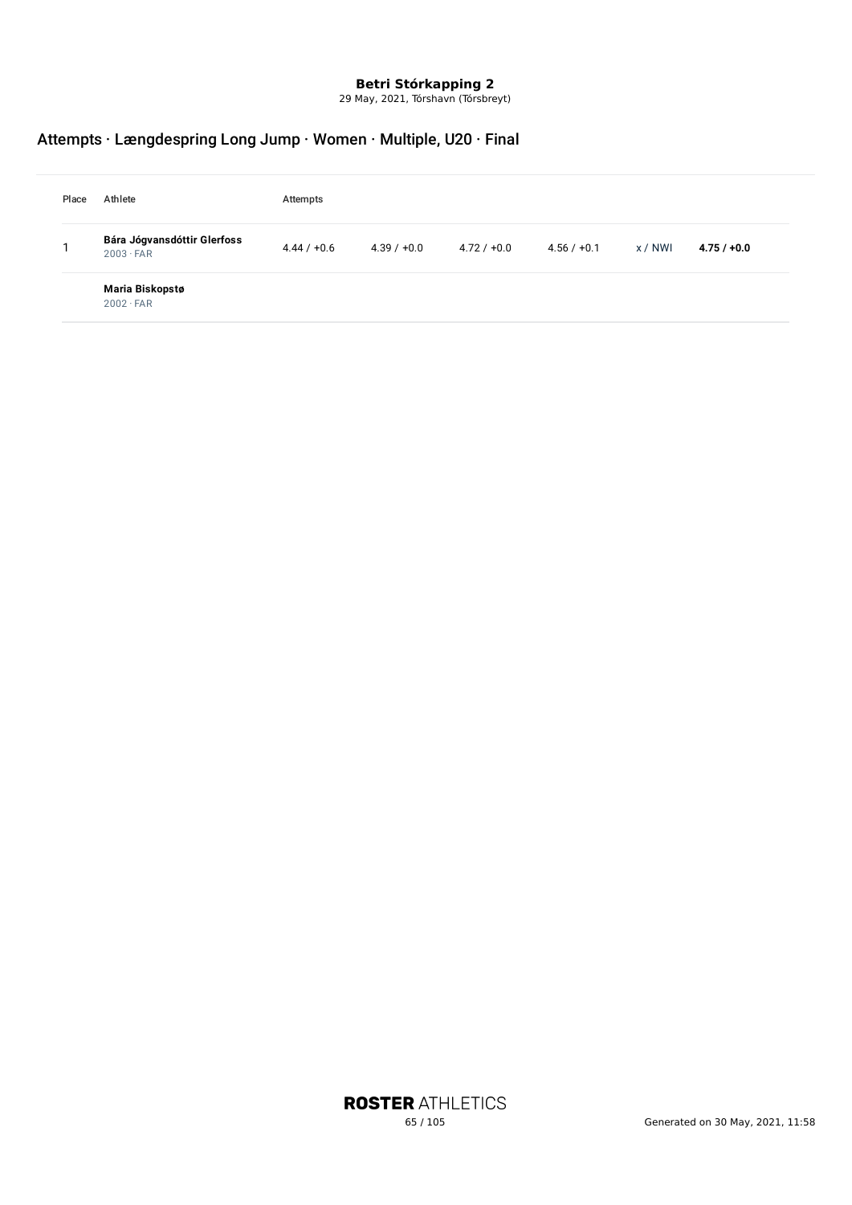29 May, 2021, Tórshavn (Tórsbreyt)

# Attempts · Længdespring Long Jump · Women · Multiple, U20 · Final

| Place | Athlete                                         | Attempts      |               |               |               |         |               |
|-------|-------------------------------------------------|---------------|---------------|---------------|---------------|---------|---------------|
|       | Bára Jógvansdóttir Glerfoss<br>$2003 \cdot FAR$ | $4.44 / +0.6$ | $4.39 / +0.0$ | $4.72 / +0.0$ | $4.56 / +0.1$ | x / NWI | $4.75 / +0.0$ |
|       | Maria Biskopstø<br>$2002 \cdot FAR$             |               |               |               |               |         |               |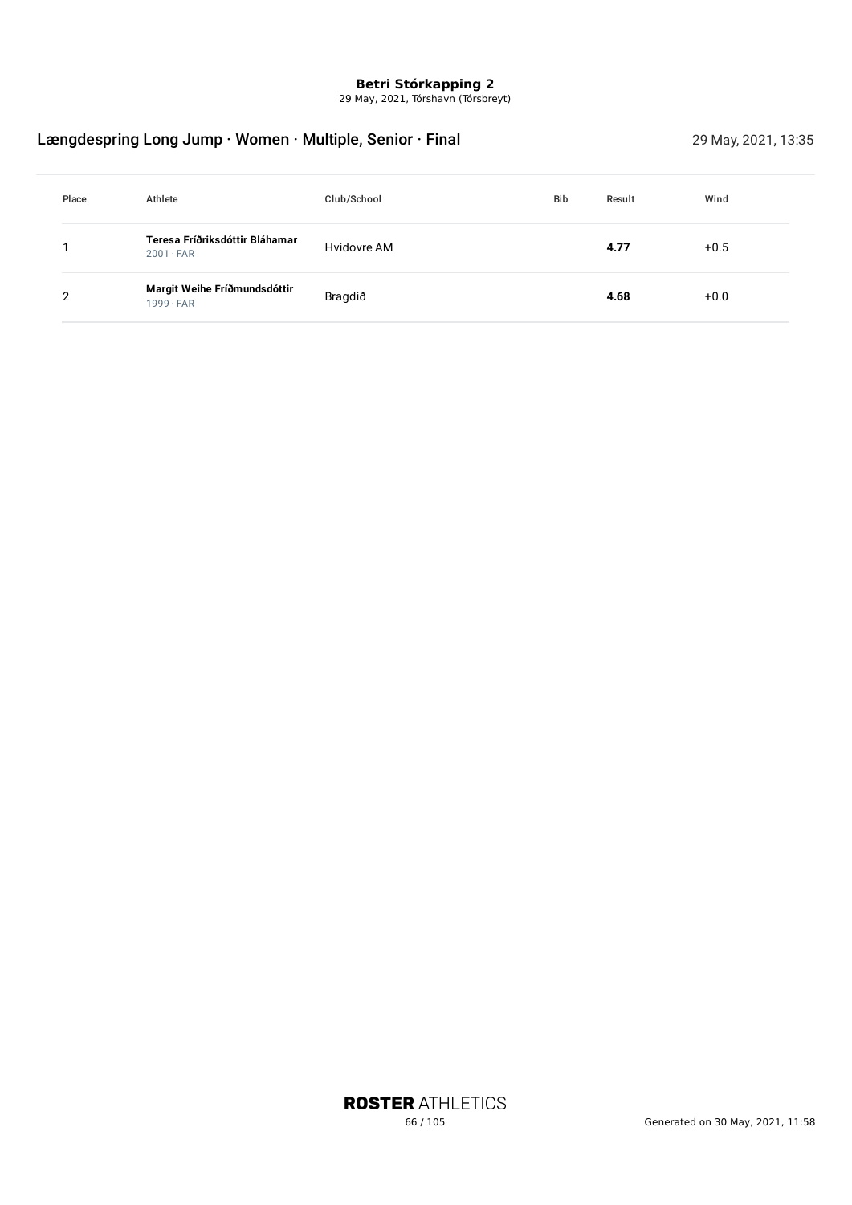29 May, 2021, Tórshavn (Tórsbreyt)

# Længdespring Long Jump · Women · Multiple, Senior · Final 29 May, 2021, 13:35

| Place | Athlete                                            | Club/School | <b>Bib</b> | Result | Wind   |
|-------|----------------------------------------------------|-------------|------------|--------|--------|
|       | Teresa Fríðriksdóttir Bláhamar<br>$2001 \cdot FAR$ | Hvidovre AM |            | 4.77   | $+0.5$ |
| ົ     | Margit Weihe Fríðmundsdóttir<br>$1999 \cdot FAR$   | Bragdið     |            | 4.68   | $+0.0$ |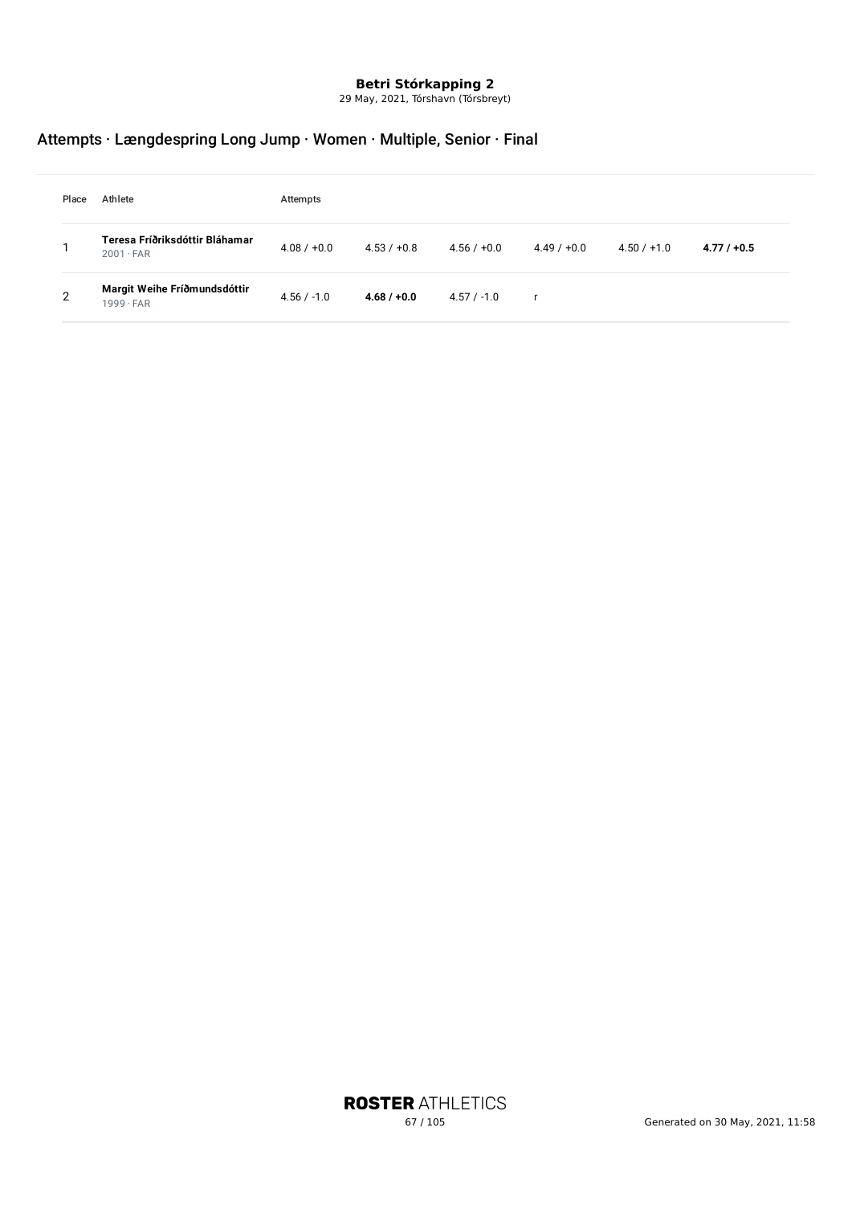29 May, 2021, Tórshavn (Tórsbreyt)

# Attempts · Længdespring Long Jump · Women · Multiple, Senior · Final

| Place | Athlete                                            | Attempts      |               |               |               |               |               |
|-------|----------------------------------------------------|---------------|---------------|---------------|---------------|---------------|---------------|
|       | Teresa Fríðriksdóttir Bláhamar<br>$2001 \cdot FAR$ | $4.08 / +0.0$ | $4.53 / +0.8$ | $4.56 / +0.0$ | $4.49 / +0.0$ | $4.50 / +1.0$ | $4.77 / +0.5$ |
| 2     | Margit Weihe Fríðmundsdóttir<br>$1999 \cdot FAR$   | $4.56 / -1.0$ | $4.68 / +0.0$ | $4.57 / -1.0$ |               |               |               |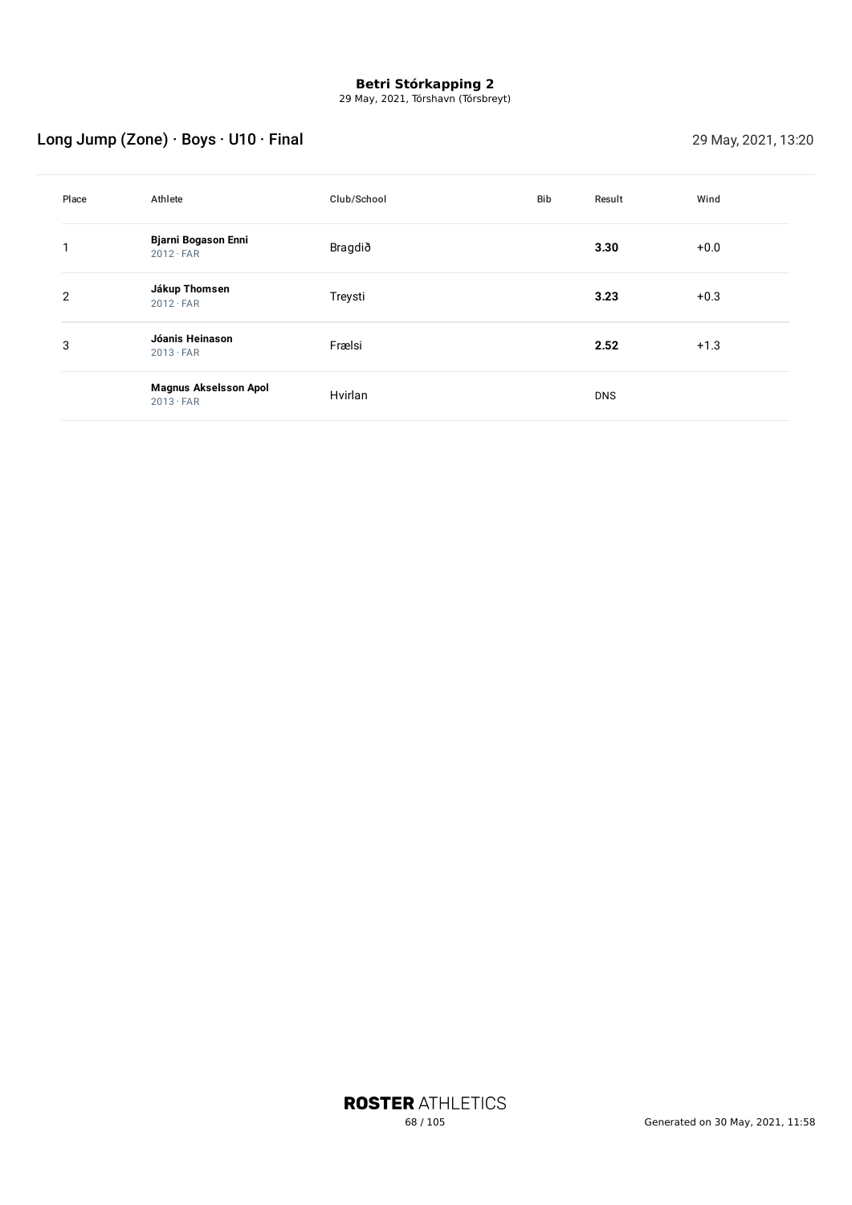29 May, 2021, Tórshavn (Tórsbreyt)

# Long Jump (Zone) · Boys · U10 · Final 29 May, 2021, 13:20

| Place          | Athlete                                          | Club/School | <b>Bib</b> | Result     | Wind   |
|----------------|--------------------------------------------------|-------------|------------|------------|--------|
|                | <b>Bjarni Bogason Enni</b><br>$2012 \cdot FAR$   | Bragdið     |            | 3.30       | $+0.0$ |
| $\overline{2}$ | Jákup Thomsen<br>$2012 \cdot FAR$                | Treysti     |            | 3.23       | $+0.3$ |
| 3              | Jóanis Heinason<br>$2013 \cdot FAR$              | Frælsi      |            | 2.52       | $+1.3$ |
|                | <b>Magnus Akselsson Apol</b><br>$2013 \cdot FAR$ | Hvirlan     |            | <b>DNS</b> |        |

**ROSTER ATHLETICS**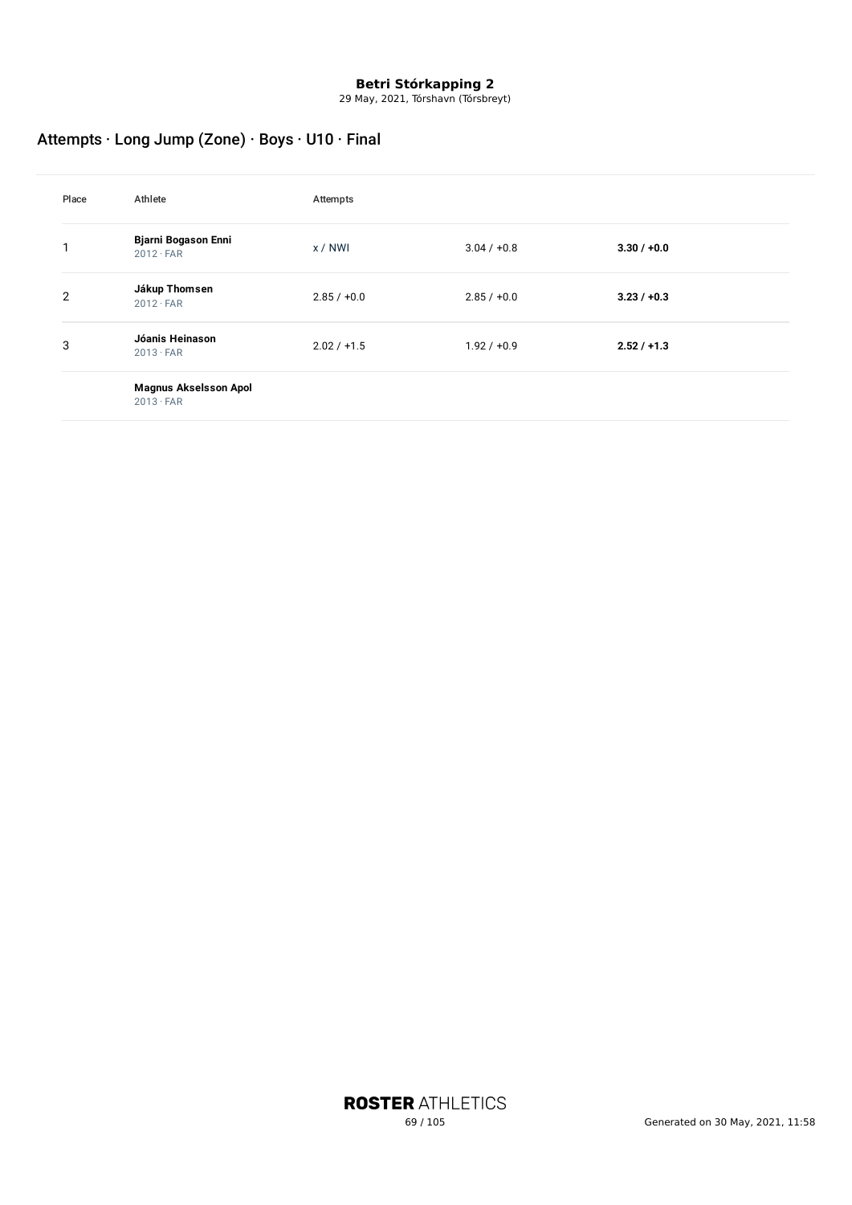29 May, 2021, Tórshavn (Tórsbreyt)

# Attempts · Long Jump (Zone) · Boys · U10 · Final

| Place          | Athlete                                          | Attempts      |               |               |
|----------------|--------------------------------------------------|---------------|---------------|---------------|
|                | <b>Bjarni Bogason Enni</b><br>$2012 \cdot FAR$   | x/NWI         | $3.04 / +0.8$ | $3.30 / +0.0$ |
| $\overline{2}$ | Jákup Thomsen<br>$2012 \cdot FAR$                | $2.85 / +0.0$ | $2.85 / +0.0$ | $3.23 / +0.3$ |
| 3              | Jóanis Heinason<br>$2013 \cdot FAR$              | $2.02 / +1.5$ | $1.92 / +0.9$ | $2.52 / +1.3$ |
|                | <b>Magnus Akselsson Apol</b><br>$2013 \cdot FAR$ |               |               |               |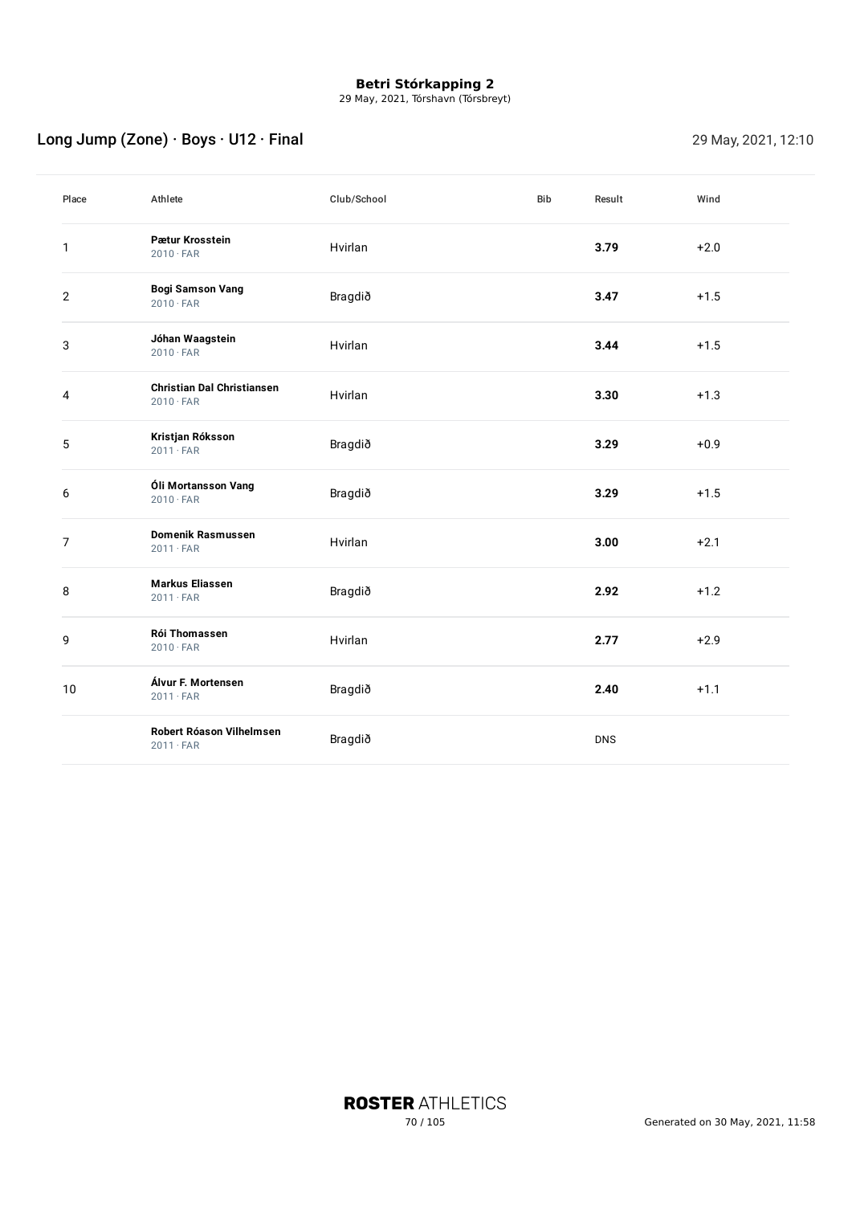29 May, 2021, Tórshavn (Tórsbreyt)

# Long Jump (Zone) · Boys · U12 · Final 29 May, 2021, 12:10

| Place          | Athlete                                               | Club/School | <b>Bib</b> | Result     | Wind   |
|----------------|-------------------------------------------------------|-------------|------------|------------|--------|
| 1              | Pætur Krosstein<br>$2010 \cdot FAR$                   | Hvirlan     |            | 3.79       | $+2.0$ |
| $\mathbf{2}$   | <b>Bogi Samson Vang</b><br>$2010 \cdot FAR$           | Bragdið     |            | 3.47       | $+1.5$ |
| 3              | Jóhan Waagstein<br>$2010 \cdot FAR$                   | Hvirlan     |            | 3.44       | $+1.5$ |
| 4              | <b>Christian Dal Christiansen</b><br>$2010 \cdot FAR$ | Hvirlan     |            | 3.30       | $+1.3$ |
| 5              | Kristjan Róksson<br>$2011 \cdot FAR$                  | Bragdið     |            | 3.29       | $+0.9$ |
| 6              | Óli Mortansson Vang<br>$2010 \cdot FAR$               | Bragdið     |            | 3.29       | $+1.5$ |
| $\overline{7}$ | <b>Domenik Rasmussen</b><br>$2011 \cdot FAR$          | Hvirlan     |            | 3.00       | $+2.1$ |
| 8              | <b>Markus Eliassen</b><br>$2011 \cdot FAR$            | Bragdið     |            | 2.92       | $+1.2$ |
| 9              | <b>Rói Thomassen</b><br>$2010 \cdot FAR$              | Hvirlan     |            | 2.77       | $+2.9$ |
| 10             | Álvur F. Mortensen<br>$2011 \cdot FAR$                | Bragdið     |            | 2.40       | $+1.1$ |
|                | Robert Róason Vilhelmsen<br>$2011 \cdot FAR$          | Bragdið     |            | <b>DNS</b> |        |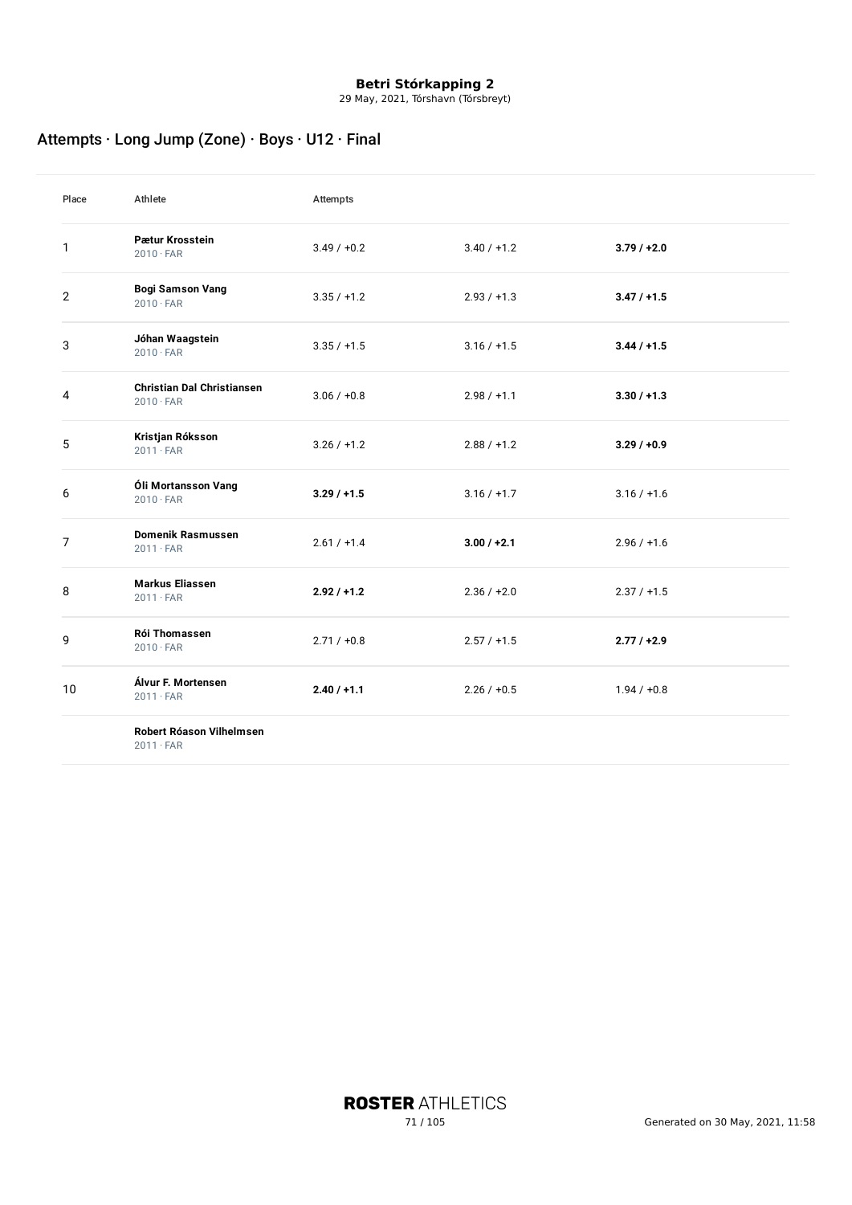29 May, 2021, Tórshavn (Tórsbreyt)

# Attempts · Long Jump (Zone) · Boys · U12 · Final

| Place          | Athlete                                               | Attempts      |               |               |
|----------------|-------------------------------------------------------|---------------|---------------|---------------|
| $\mathbf{1}$   | Pætur Krosstein<br>$2010 \cdot FAR$                   | $3.49 / +0.2$ | $3.40 / +1.2$ | $3.79/+2.0$   |
| $\overline{2}$ | <b>Bogi Samson Vang</b><br>$2010 \cdot FAR$           | $3.35 / +1.2$ | $2.93 / +1.3$ | $3.47 / +1.5$ |
| 3              | Jóhan Waagstein<br>$2010 \cdot FAR$                   | $3.35 / +1.5$ | $3.16 / +1.5$ | $3.44 / +1.5$ |
| 4              | <b>Christian Dal Christiansen</b><br>$2010 \cdot FAR$ | $3.06 / +0.8$ | $2.98 / +1.1$ | $3.30 / +1.3$ |
| 5              | Kristjan Róksson<br>$2011 \cdot FAR$                  | $3.26 / +1.2$ | $2.88 / +1.2$ | 3.29/10.9     |
| 6              | Óli Mortansson Vang<br>$2010 \cdot FAR$               | $3.29/+1.5$   | $3.16 / +1.7$ | $3.16 / +1.6$ |
| $\overline{7}$ | <b>Domenik Rasmussen</b><br>$2011 \cdot FAR$          | $2.61 / +1.4$ | $3.00 / +2.1$ | $2.96 / +1.6$ |
| 8              | <b>Markus Eliassen</b><br>$2011 \cdot FAR$            | $2.92 / +1.2$ | $2.36 / +2.0$ | $2.37 / +1.5$ |
| 9              | <b>Rói Thomassen</b><br>$2010 \cdot FAR$              | $2.71 / +0.8$ | $2.57 / +1.5$ | $2.77/+2.9$   |
| 10             | Álvur F. Mortensen<br>$2011 \cdot FAR$                | $2.40 / +1.1$ | $2.26 / +0.5$ | $1.94 / +0.8$ |

**Robert Róason Vilhelmsen**

 $2011 \cdot FAR$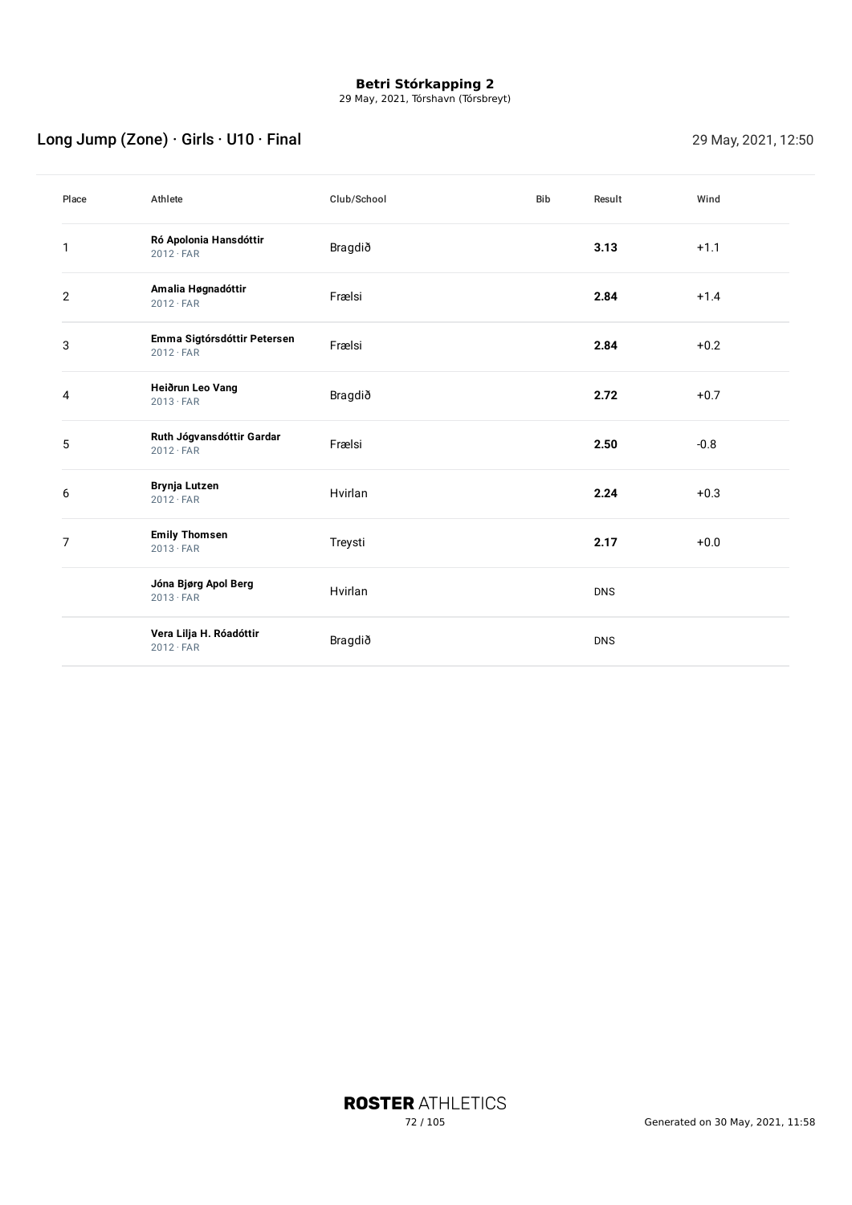29 May, 2021, Tórshavn (Tórsbreyt)

# Long Jump (Zone) · Girls · U10 · Final 29 May, 2021, 12:50

| Place          | Athlete                                         | Club/School | <b>Bib</b> | Result     | Wind   |
|----------------|-------------------------------------------------|-------------|------------|------------|--------|
| $\mathbf{1}$   | Ró Apolonia Hansdóttir<br>$2012 \cdot FAR$      | Bragdið     |            | 3.13       | $+1.1$ |
| 2              | Amalia Høgnadóttir<br>$2012 \cdot FAR$          | Frælsi      |            | 2.84       | $+1.4$ |
| 3              | Emma Sigtórsdóttir Petersen<br>$2012 \cdot FAR$ | Frælsi      |            | 2.84       | $+0.2$ |
| 4              | Heiðrun Leo Vang<br>$2013 \cdot FAR$            | Bragdið     |            | 2.72       | $+0.7$ |
| 5              | Ruth Jógvansdóttir Gardar<br>$2012 \cdot FAR$   | Frælsi      |            | 2.50       | $-0.8$ |
| 6              | Brynja Lutzen<br>$2012 \cdot FAR$               | Hvirlan     |            | 2.24       | $+0.3$ |
| $\overline{7}$ | <b>Emily Thomsen</b><br>$2013 \cdot FAR$        | Treysti     |            | 2.17       | $+0.0$ |
|                | Jóna Bjørg Apol Berg<br>$2013 \cdot FAR$        | Hvirlan     |            | <b>DNS</b> |        |
|                | Vera Lilja H. Róadóttir<br>$2012 \cdot FAR$     | Bragdið     |            | <b>DNS</b> |        |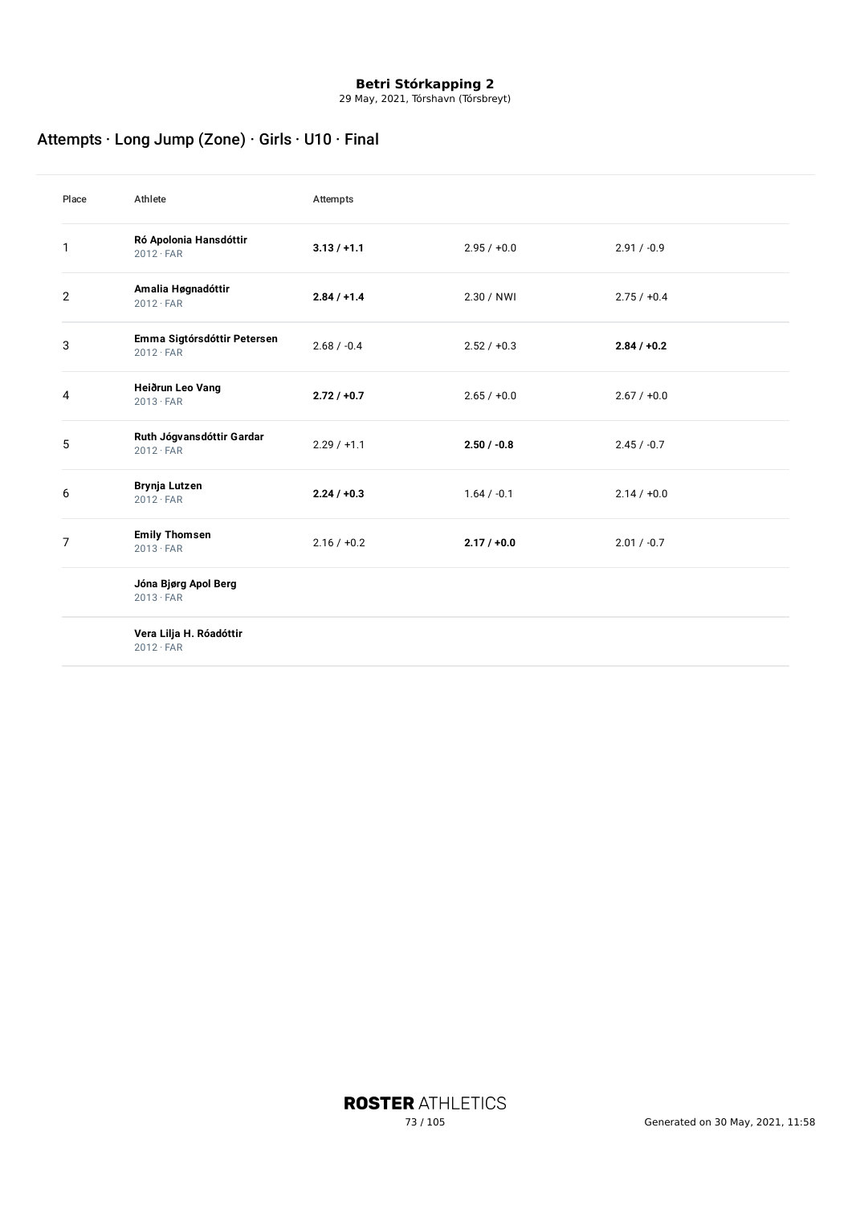29 May, 2021, Tórshavn (Tórsbreyt)

## Attempts · Long Jump (Zone) · Girls · U10 · Final

| Place          | Athlete                                         | Attempts      |               |               |
|----------------|-------------------------------------------------|---------------|---------------|---------------|
| $\mathbf{1}$   | Ró Apolonia Hansdóttir<br>$2012 \cdot FAR$      | $3.13 / +1.1$ | $2.95 / +0.0$ | $2.91 / -0.9$ |
| $\overline{2}$ | Amalia Høgnadóttir<br>$2012 \cdot FAR$          | $2.84 / +1.4$ | 2.30 / NWI    | $2.75 / +0.4$ |
| 3              | Emma Sigtórsdóttir Petersen<br>$2012 \cdot FAR$ | $2.68 / -0.4$ | $2.52 / +0.3$ | $2.84 / +0.2$ |
| 4              | Heiðrun Leo Vang<br>$2013 \cdot FAR$            | $2.72 / +0.7$ | $2.65 / +0.0$ | $2.67 / +0.0$ |
| 5              | Ruth Jógvansdóttir Gardar<br>$2012 \cdot FAR$   | $2.29 / +1.1$ | $2.50 / -0.8$ | $2.45 / -0.7$ |
| 6              | Brynja Lutzen<br>$2012 \cdot FAR$               | $2.24 / +0.3$ | $1.64 / -0.1$ | $2.14 / +0.0$ |
| $\overline{7}$ | <b>Emily Thomsen</b><br>$2013 \cdot FAR$        | $2.16 / +0.2$ | $2.17 / +0.0$ | $2.01 / -0.7$ |
|                | Jóna Bjørg Apol Berg<br>$2013 \cdot FAR$        |               |               |               |
|                | Vera Lilja H. Róadóttir<br>$2012 \cdot FAR$     |               |               |               |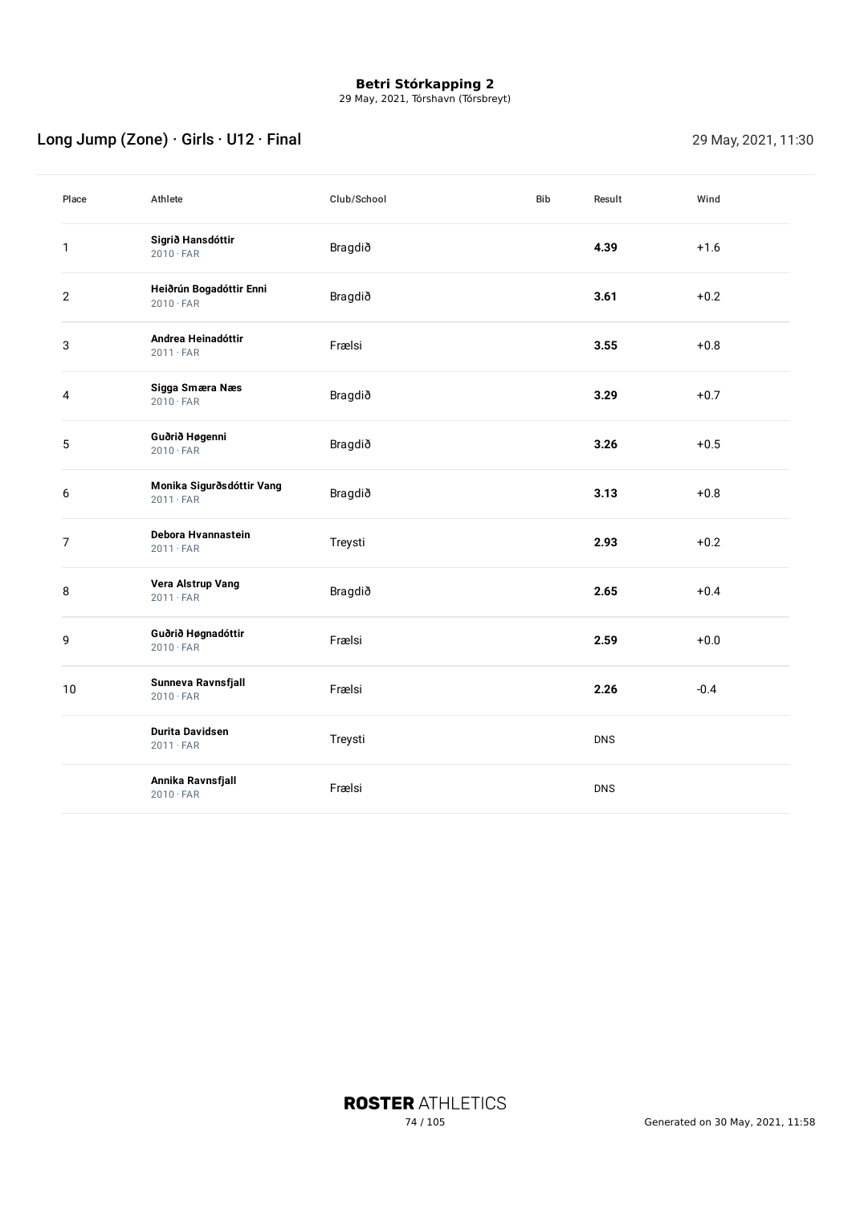29 May, 2021, Tórshavn (Tórsbreyt)

## Long Jump (Zone) · Girls · U12 · Final 29 May, 2021, 11:30

| Place          | Athlete                                       | Club/School | Bib | Result     | Wind   |
|----------------|-----------------------------------------------|-------------|-----|------------|--------|
| $\mathbf{1}$   | Sigrið Hansdóttir<br>$2010 \cdot FAR$         | Bragdið     |     | 4.39       | $+1.6$ |
| $\mathbf{2}$   | Heiðrún Bogadóttir Enni<br>$2010 \cdot FAR$   | Bragdið     |     | 3.61       | $+0.2$ |
| 3              | Andrea Heinadóttir<br>$2011 \cdot FAR$        | Frælsi      |     | 3.55       | $+0.8$ |
| 4              | Sigga Smæra Næs<br>$2010 \cdot FAR$           | Bragdið     |     | 3.29       | $+0.7$ |
| 5              | Guðrið Høgenni<br>$2010 \cdot FAR$            | Bragdið     |     | 3.26       | $+0.5$ |
| 6              | Monika Sigurðsdóttir Vang<br>$2011 \cdot FAR$ | Bragdið     |     | 3.13       | $+0.8$ |
| $\overline{7}$ | Debora Hvannastein<br>$2011 \cdot FAR$        | Treysti     |     | 2.93       | $+0.2$ |
| 8              | Vera Alstrup Vang<br>$2011 \cdot FAR$         | Bragdið     |     | 2.65       | $+0.4$ |
| 9              | Guðrið Høgnadóttir<br>$2010 \cdot FAR$        | Frælsi      |     | 2.59       | $+0.0$ |
| $10\,$         | Sunneva Ravnsfjall<br>$2010 \cdot FAR$        | Frælsi      |     | 2.26       | $-0.4$ |
|                | <b>Durita Davidsen</b><br>$2011 \cdot FAR$    | Treysti     |     | <b>DNS</b> |        |
|                | Annika Ravnsfjall<br>$2010 \cdot FAR$         | Frælsi      |     | <b>DNS</b> |        |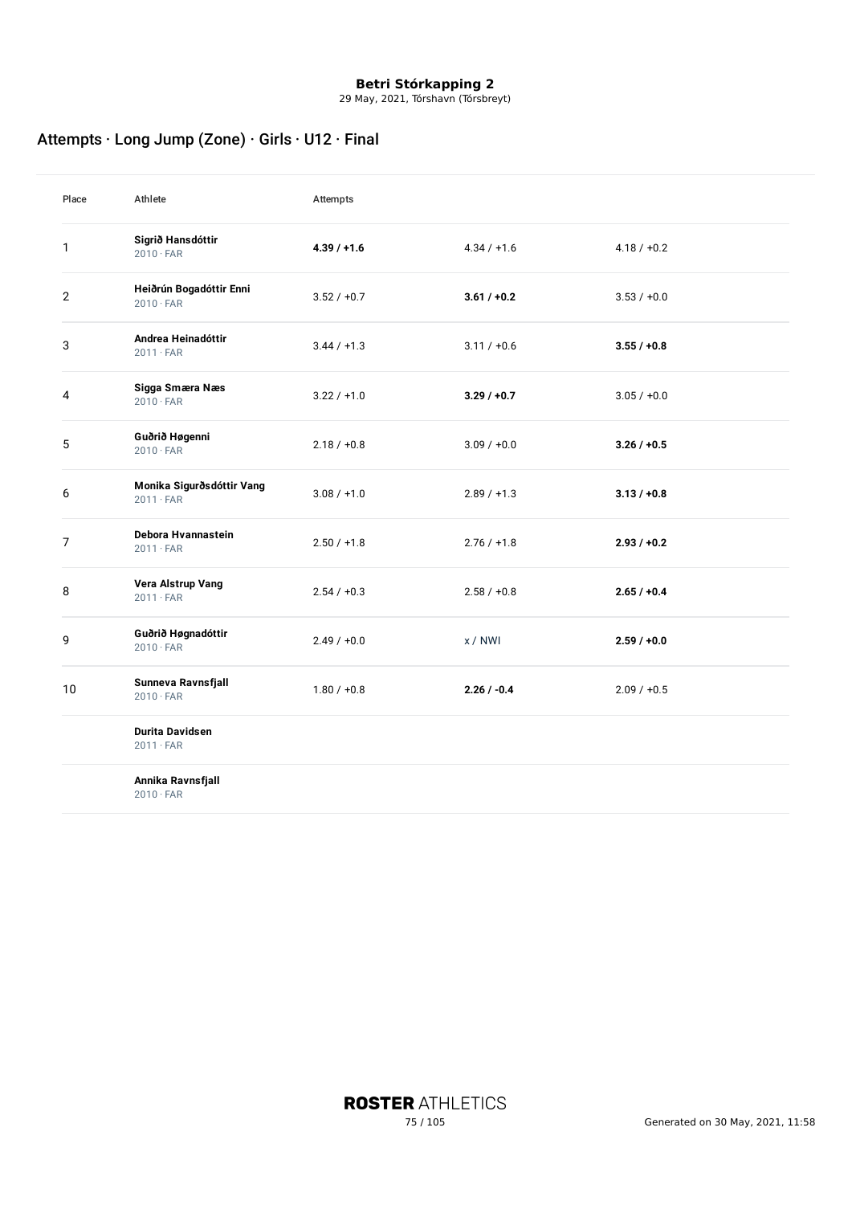29 May, 2021, Tórshavn (Tórsbreyt)

## Attempts · Long Jump (Zone) · Girls · U12 · Final

| Place          | Athlete                                       | Attempts      |               |               |
|----------------|-----------------------------------------------|---------------|---------------|---------------|
| 1              | Sigrið Hansdóttir<br>$2010 \cdot FAR$         | $4.39 / +1.6$ | $4.34 / +1.6$ | $4.18 / +0.2$ |
| $\overline{2}$ | Heiðrún Bogadóttir Enni<br>$2010 \cdot FAR$   | $3.52 / +0.7$ | $3.61 / +0.2$ | $3.53 / +0.0$ |
| 3              | Andrea Heinadóttir<br>$2011 \cdot FAR$        | $3.44 / +1.3$ | $3.11 / +0.6$ | $3.55 / +0.8$ |
| 4              | Sigga Smæra Næs<br>$2010 \cdot FAR$           | $3.22 / +1.0$ | $3.29 / +0.7$ | $3.05 / +0.0$ |
| 5              | Guðrið Høgenni<br>$2010 \cdot FAR$            | $2.18 / +0.8$ | $3.09 / +0.0$ | $3.26 / +0.5$ |
| 6              | Monika Sigurðsdóttir Vang<br>$2011 \cdot FAR$ | $3.08 / +1.0$ | $2.89 / +1.3$ | $3.13 / +0.8$ |
| 7              | Debora Hvannastein<br>$2011 \cdot FAR$        | $2.50 / +1.8$ | $2.76 / +1.8$ | $2.93 / +0.2$ |
| 8              | Vera Alstrup Vang<br>$2011 \cdot FAR$         | $2.54 / +0.3$ | $2.58 / +0.8$ | $2.65 / +0.4$ |
| 9              | Guðrið Høgnadóttir<br>$2010 \cdot FAR$        | $2.49 / +0.0$ | x / NWI       | $2.59 / +0.0$ |
| 10             | Sunneva Ravnsfjall<br>$2010 \cdot FAR$        | $1.80 / +0.8$ | $2.26 / -0.4$ | $2.09 / +0.5$ |
|                | <b>Durita Davidsen</b><br>$2011 \cdot FAR$    |               |               |               |
|                | Annika Ravnsfjall<br>$2010 \cdot FAR$         |               |               |               |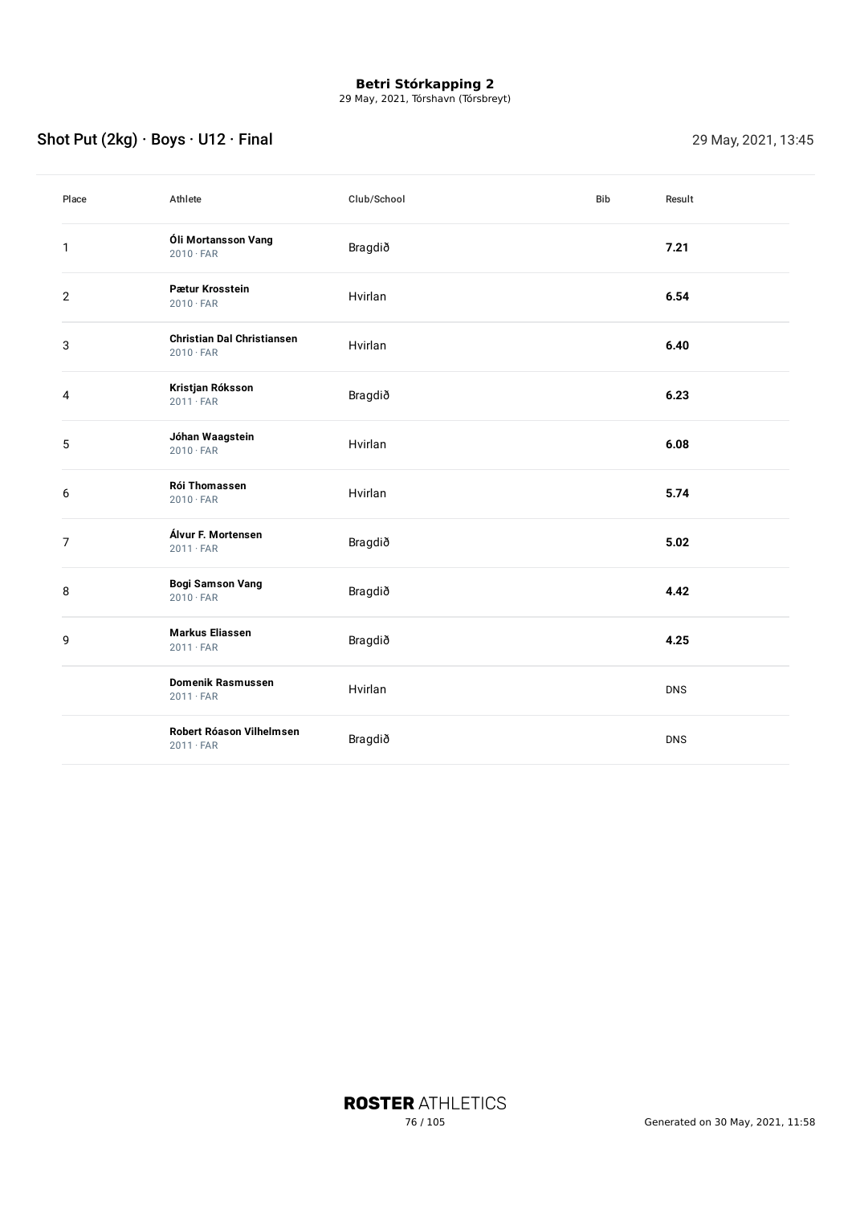29 May, 2021, Tórshavn (Tórsbreyt)

## Shot Put (2kg) · Boys · U12 · Final 29 May, 2021, 13:45

| Place          | Athlete                                               | Club/School | <b>Bib</b> | Result     |
|----------------|-------------------------------------------------------|-------------|------------|------------|
| 1              | Óli Mortansson Vang<br>$2010 \cdot FAR$               | Bragdið     |            | 7.21       |
| $\overline{2}$ | Pætur Krosstein<br>$2010 \cdot FAR$                   | Hvirlan     |            | 6.54       |
| 3              | <b>Christian Dal Christiansen</b><br>$2010 \cdot FAR$ | Hvirlan     |            | 6.40       |
| 4              | Kristjan Róksson<br>$2011 \cdot FAR$                  | Bragdið     |            | 6.23       |
| 5              | Jóhan Waagstein<br>$2010 \cdot FAR$                   | Hvirlan     |            | 6.08       |
| 6              | Rói Thomassen<br>$2010 \cdot FAR$                     | Hvirlan     |            | 5.74       |
| $\overline{7}$ | Álvur F. Mortensen<br>$2011 \cdot FAR$                | Bragdið     |            | 5.02       |
| 8              | <b>Bogi Samson Vang</b><br>$2010 \cdot FAR$           | Bragdið     |            | 4.42       |
| 9              | <b>Markus Eliassen</b><br>$2011 \cdot FAR$            | Bragdið     |            | 4.25       |
|                | <b>Domenik Rasmussen</b><br>$2011 \cdot FAR$          | Hvirlan     |            | <b>DNS</b> |
|                | Robert Róason Vilhelmsen<br>$2011 \cdot FAR$          | Bragdið     |            | <b>DNS</b> |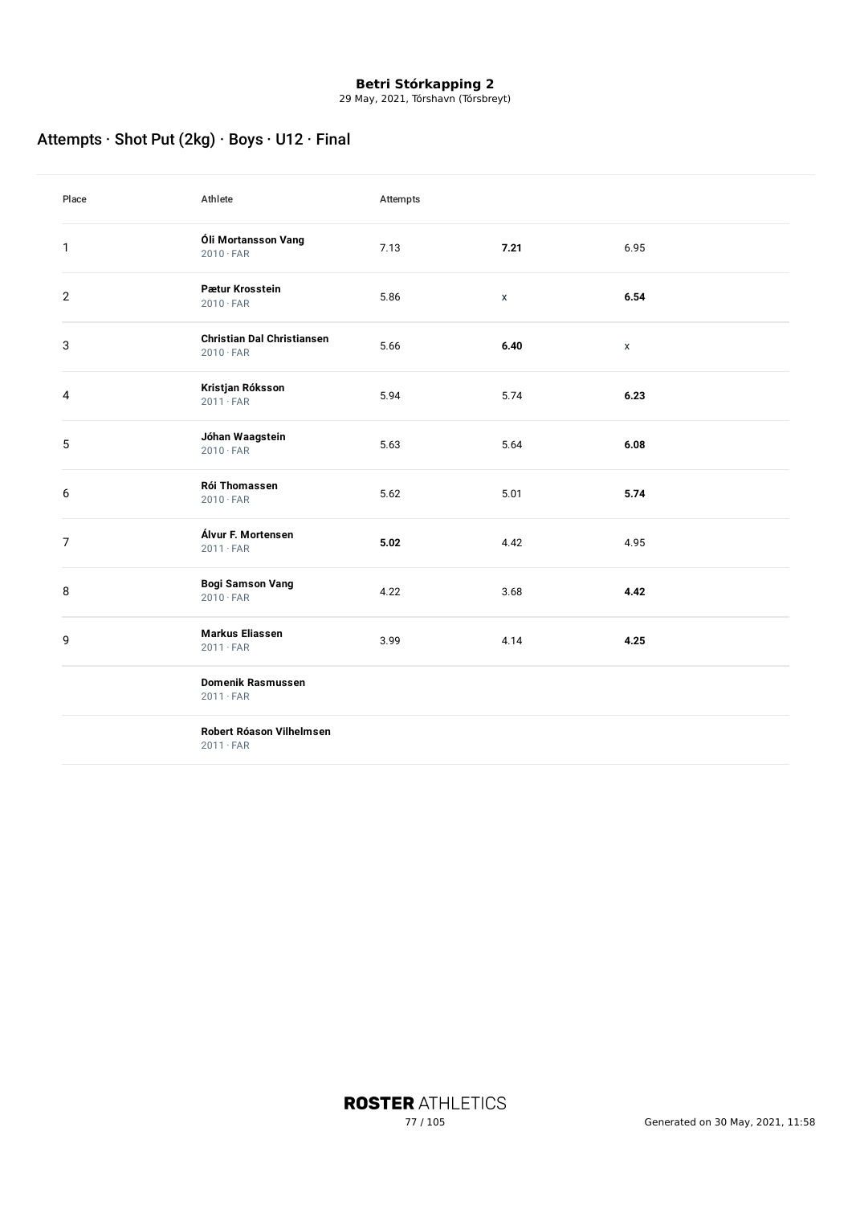29 May, 2021, Tórshavn (Tórsbreyt)

## Attempts · Shot Put (2kg) · Boys · U12 · Final

| Place          | Athlete                                               | Attempts |             |              |
|----------------|-------------------------------------------------------|----------|-------------|--------------|
| $\mathbf{1}$   | Óli Mortansson Vang<br>$2010 \cdot FAR$               | 7.13     | 7.21        | 6.95         |
| $\overline{2}$ | Pætur Krosstein<br>$2010 \cdot FAR$                   | 5.86     | $\mathsf X$ | 6.54         |
| 3              | <b>Christian Dal Christiansen</b><br>$2010 \cdot FAR$ | 5.66     | 6.40        | $\mathsf{x}$ |
| 4              | Kristjan Róksson<br>$2011 \cdot FAR$                  | 5.94     | 5.74        | 6.23         |
| 5              | Jóhan Waagstein<br>$2010 \cdot FAR$                   | 5.63     | 5.64        | 6.08         |
| 6              | Rói Thomassen<br>$2010 \cdot FAR$                     | 5.62     | 5.01        | 5.74         |
| $\overline{7}$ | Álvur F. Mortensen<br>$2011 \cdot FAR$                | 5.02     | 4.42        | 4.95         |
| 8              | <b>Bogi Samson Vang</b><br>$2010 \cdot FAR$           | 4.22     | 3.68        | 4.42         |
| 9              | <b>Markus Eliassen</b><br>$2011 \cdot FAR$            | 3.99     | 4.14        | 4.25         |
|                | <b>Domenik Rasmussen</b><br>$2011 \cdot FAR$          |          |             |              |
|                | Robert Róason Vilhelmsen                              |          |             |              |

· FAR

**ROSTER ATHLETICS**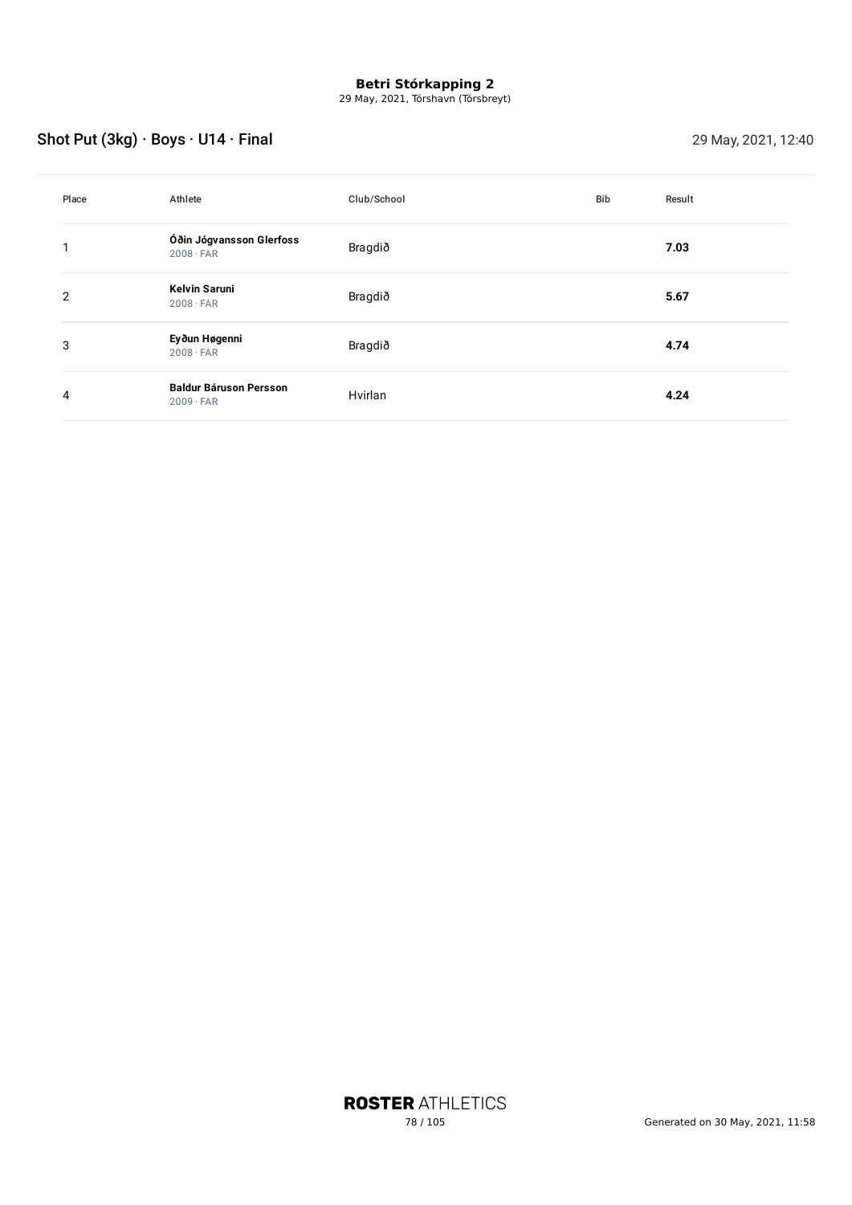29 May, 2021, Tórshavn (Tórsbreyt)

## Shot Put (3kg) · Boys · U14 · Final 29 May, 2021, 12:40

| Place          | Athlete                                           | Club/School | Bib | Result |
|----------------|---------------------------------------------------|-------------|-----|--------|
|                | Óðin Jógvansson Glerfoss<br>$2008 \cdot FAR$      | Bragdið     |     | 7.03   |
| $\overline{2}$ | <b>Kelvin Saruni</b><br>$2008 \cdot FAR$          | Bragdið     |     | 5.67   |
| 3              | Eyðun Høgenni<br>$2008 \cdot FAR$                 | Bragdið     |     | 4.74   |
| 4              | <b>Baldur Báruson Persson</b><br>$2009 \cdot FAR$ | Hvirlan     |     | 4.24   |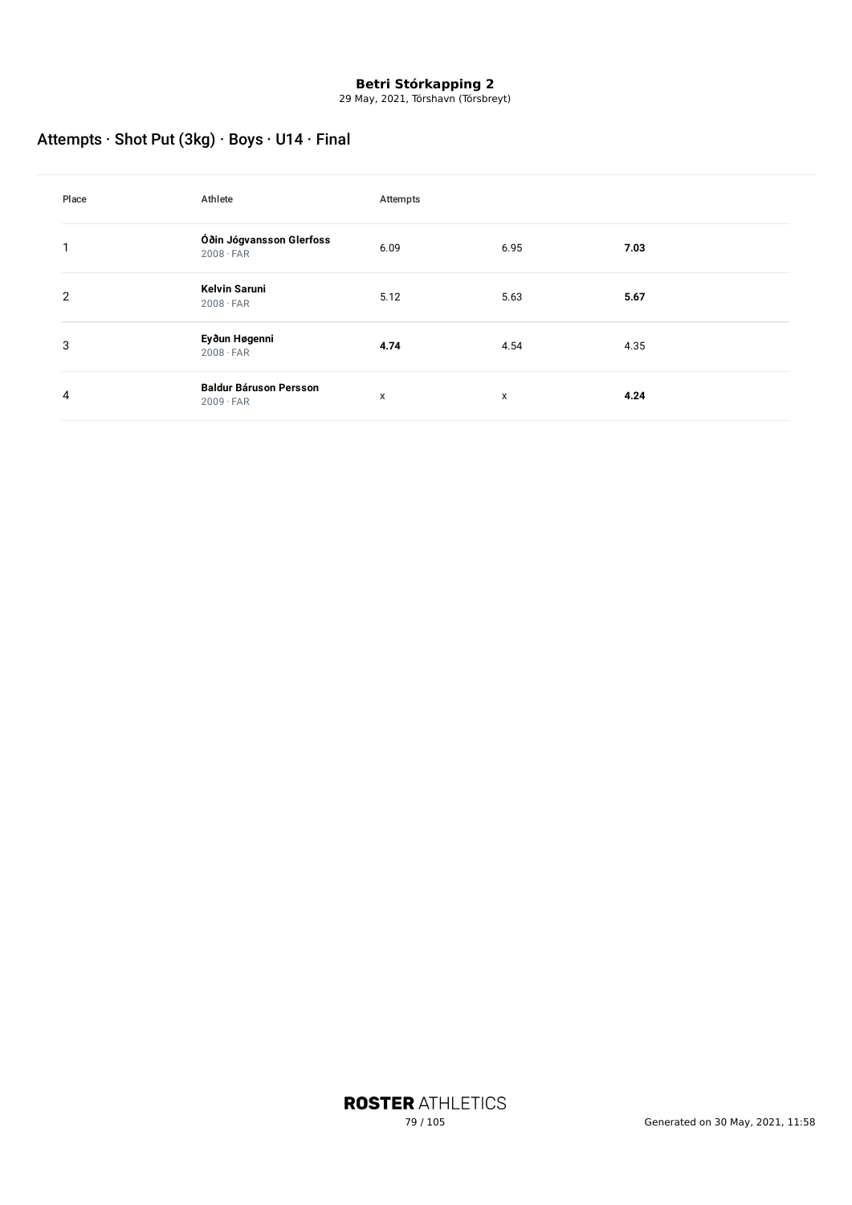29 May, 2021, Tórshavn (Tórsbreyt)

## Attempts · Shot Put (3kg) · Boys · U14 · Final

| Place | Athlete                                           | Attempts |      |      |
|-------|---------------------------------------------------|----------|------|------|
| 1     | Óðin Jógvansson Glerfoss<br>$2008 \cdot FAR$      | 6.09     | 6.95 | 7.03 |
| 2     | <b>Kelvin Saruni</b><br>$2008 \cdot FAR$          | 5.12     | 5.63 | 5.67 |
| 3     | Eyðun Høgenni<br>$2008 \cdot FAR$                 | 4.74     | 4.54 | 4.35 |
| 4     | <b>Baldur Báruson Persson</b><br>$2009 \cdot FAR$ | X        | x    | 4.24 |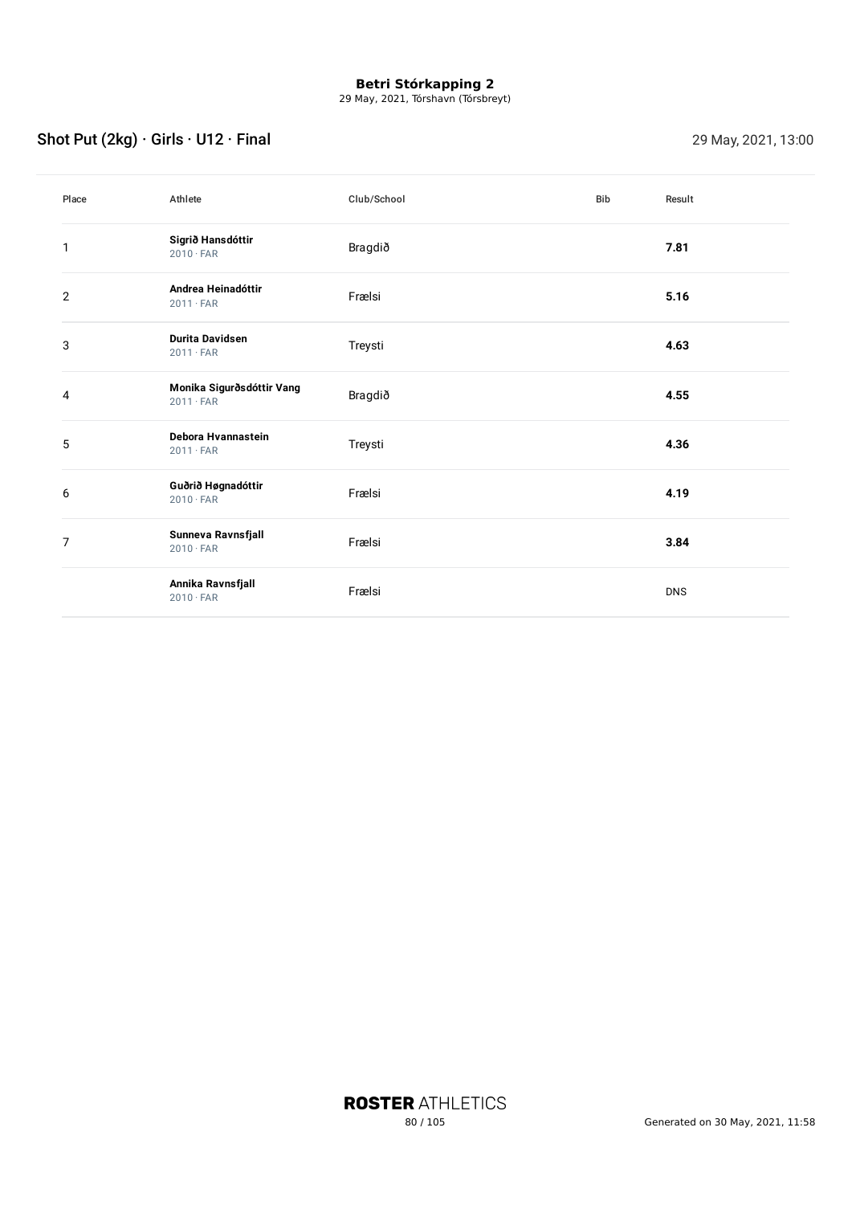29 May, 2021, Tórshavn (Tórsbreyt)

## Shot Put  $(2kg) \cdot$  Girls  $\cdot$  U12  $\cdot$  Final 29 May, 2021, 13:00

| Place          | Athlete                                       | Club/School | Bib | Result     |
|----------------|-----------------------------------------------|-------------|-----|------------|
| 1              | Sigrið Hansdóttir<br>$2010 \cdot FAR$         | Bragdið     |     | 7.81       |
| $\mathbf{2}$   | Andrea Heinadóttir<br>$2011 \cdot FAR$        | Frælsi      |     | 5.16       |
| 3              | <b>Durita Davidsen</b><br>$2011 \cdot FAR$    | Treysti     |     | 4.63       |
| 4              | Monika Sigurðsdóttir Vang<br>$2011 \cdot FAR$ | Bragdið     |     | 4.55       |
| 5              | Debora Hvannastein<br>$2011 \cdot FAR$        | Treysti     |     | 4.36       |
| 6              | Guðrið Høgnadóttir<br>$2010 \cdot FAR$        | Frælsi      |     | 4.19       |
| $\overline{7}$ | Sunneva Ravnsfjall<br>$2010 \cdot FAR$        | Frælsi      |     | 3.84       |
|                | Annika Ravnsfjall<br>$2010 \cdot FAR$         | Frælsi      |     | <b>DNS</b> |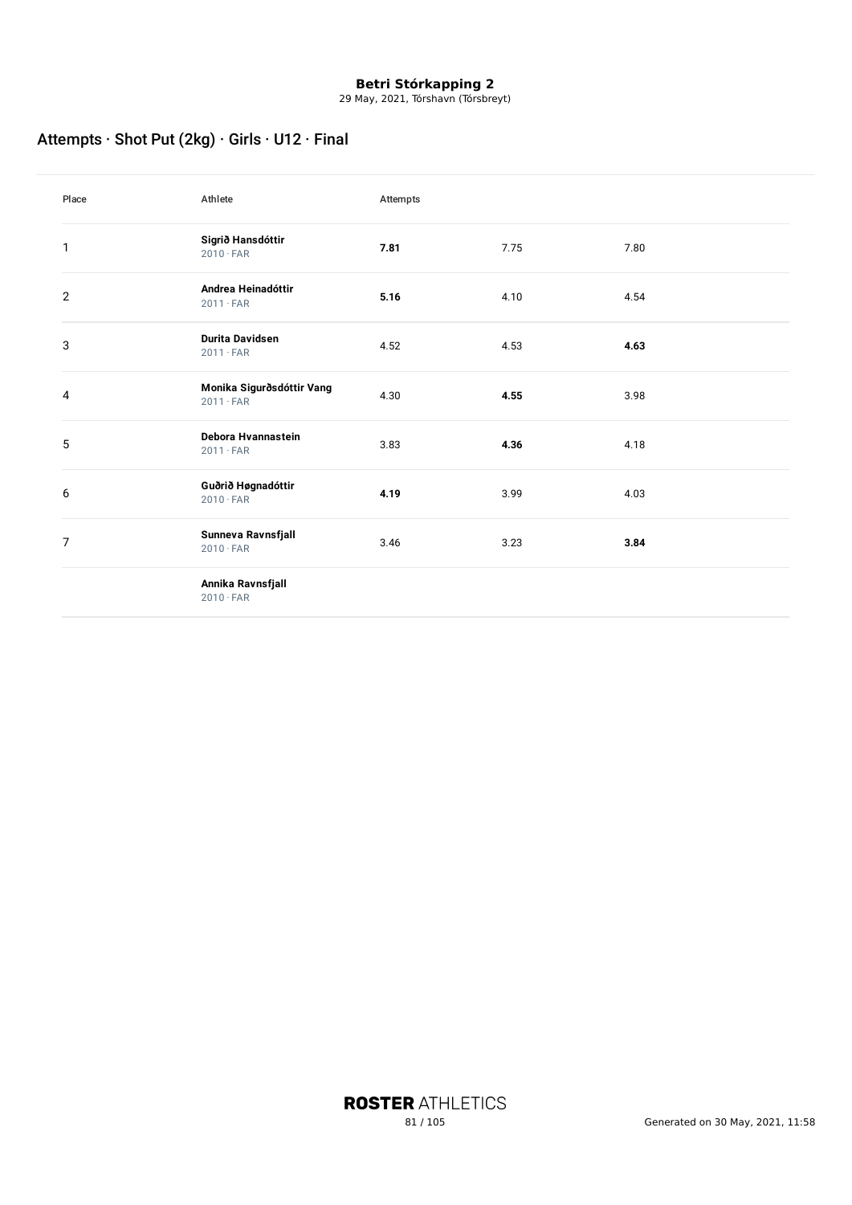29 May, 2021, Tórshavn (Tórsbreyt)

## Attempts · Shot Put (2kg) · Girls · U12 · Final

| Place          | Athlete                                       | Attempts |      |      |
|----------------|-----------------------------------------------|----------|------|------|
| $\mathbf{1}$   | Sigrið Hansdóttir<br>$2010 \cdot FAR$         | 7.81     | 7.75 | 7.80 |
| $\overline{2}$ | Andrea Heinadóttir<br>$2011 \cdot FAR$        | 5.16     | 4.10 | 4.54 |
| 3              | <b>Durita Davidsen</b><br>$2011 \cdot FAR$    | 4.52     | 4.53 | 4.63 |
| 4              | Monika Sigurðsdóttir Vang<br>$2011 \cdot FAR$ | 4.30     | 4.55 | 3.98 |
| 5              | Debora Hvannastein<br>$2011 \cdot FAR$        | 3.83     | 4.36 | 4.18 |
| 6              | Guðrið Høgnadóttir<br>$2010 \cdot FAR$        | 4.19     | 3.99 | 4.03 |
| $\overline{7}$ | Sunneva Ravnsfjall<br>$2010 \cdot FAR$        | 3.46     | 3.23 | 3.84 |
|                | Annika Ravnsfjall<br>$2010 \cdot FAR$         |          |      |      |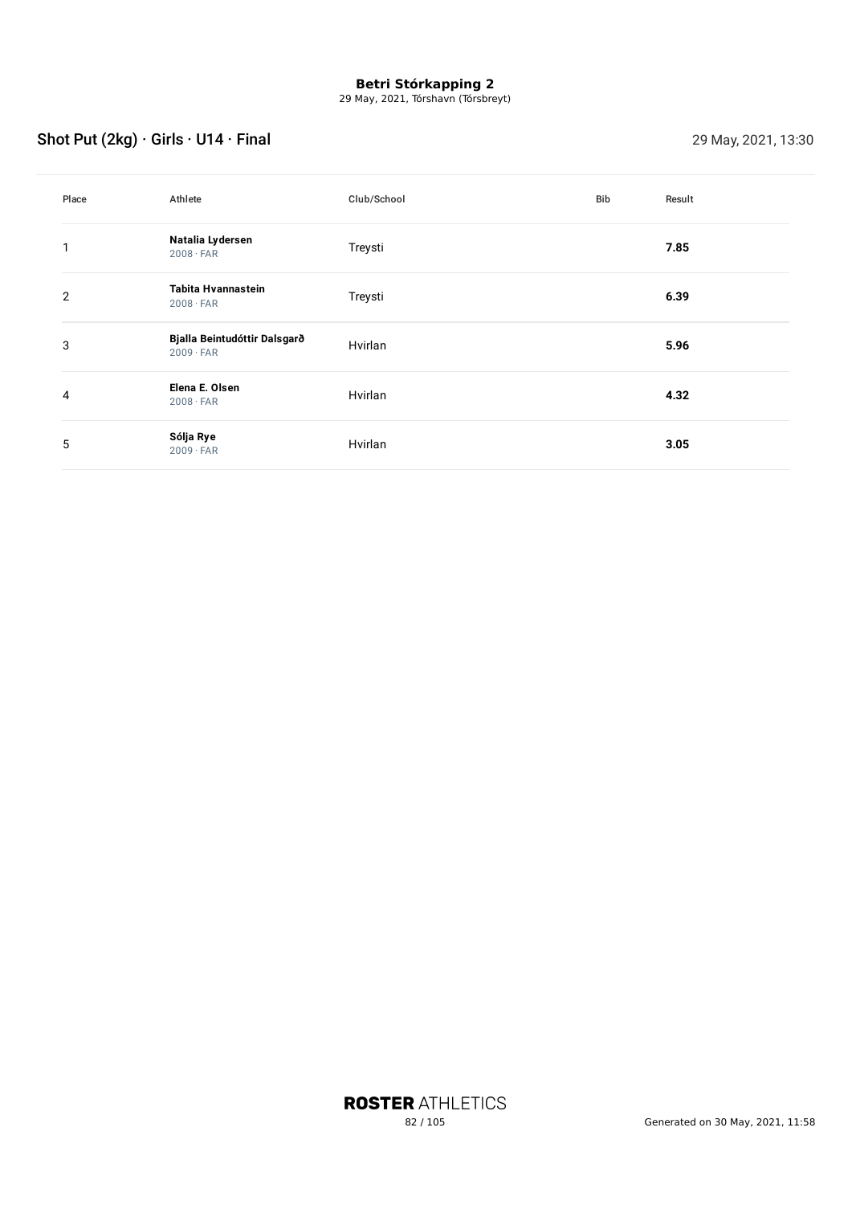29 May, 2021, Tórshavn (Tórsbreyt)

## Shot Put  $(2kg) \cdot$  Girls  $\cdot$  U14  $\cdot$  Final 29 May, 2021, 13:30

| Place | Athlete                                          | Club/School | Bib | Result |
|-------|--------------------------------------------------|-------------|-----|--------|
| 1     | Natalia Lydersen<br>$2008 \cdot FAR$             | Treysti     |     | 7.85   |
| 2     | Tabita Hvannastein<br>$2008 \cdot FAR$           | Treysti     |     | 6.39   |
| 3     | Bjalla Beintudóttir Dalsgarð<br>$2009 \cdot FAR$ | Hvirlan     |     | 5.96   |
| 4     | Elena E. Olsen<br>$2008 \cdot FAR$               | Hvirlan     |     | 4.32   |
| 5     | Sólja Rye<br>$2009 \cdot FAR$                    | Hvirlan     |     | 3.05   |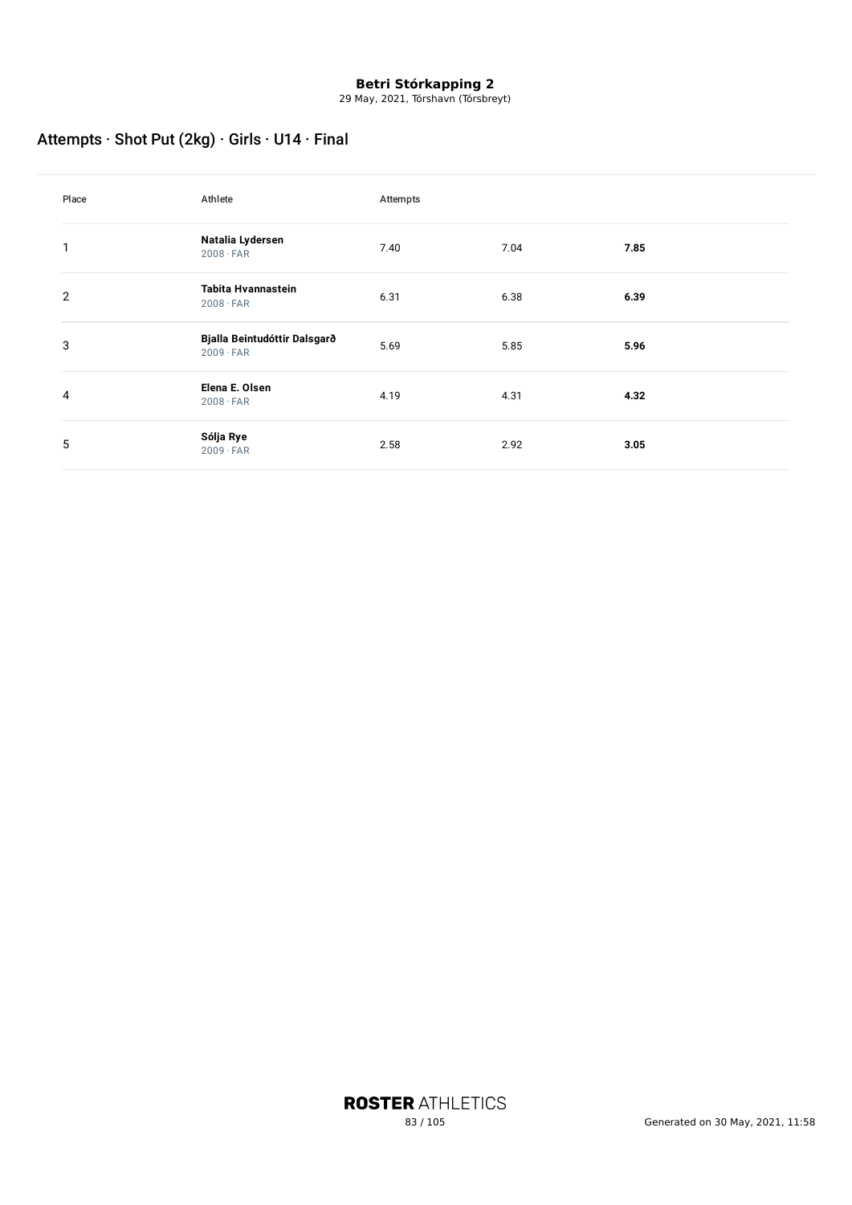29 May, 2021, Tórshavn (Tórsbreyt)

## Attempts · Shot Put (2kg) · Girls · U14 · Final

| Place | Athlete                                          | Attempts |      |      |
|-------|--------------------------------------------------|----------|------|------|
| 1     | Natalia Lydersen<br>$2008 \cdot FAR$             | 7.40     | 7.04 | 7.85 |
| 2     | Tabita Hvannastein<br>$2008 \cdot FAR$           | 6.31     | 6.38 | 6.39 |
| 3     | Bjalla Beintudóttir Dalsgarð<br>$2009 \cdot FAR$ | 5.69     | 5.85 | 5.96 |
| 4     | Elena E. Olsen<br>$2008 \cdot FAR$               | 4.19     | 4.31 | 4.32 |
| 5     | Sólja Rye<br>$2009 \cdot FAR$                    | 2.58     | 2.92 | 3.05 |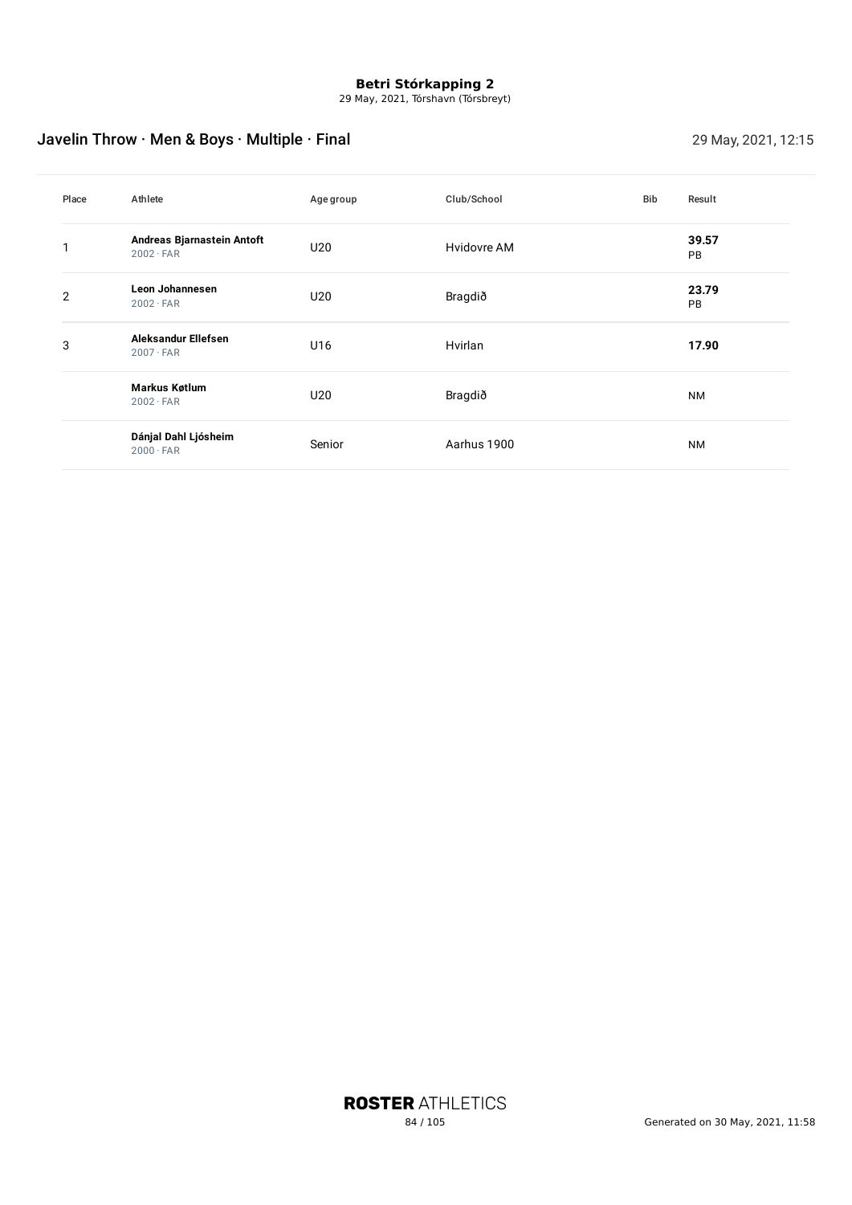29 May, 2021, Tórshavn (Tórsbreyt)

## Javelin Throw · Men & Boys · Multiple · Final 29 May, 2021, 12:15

| Place          | Athlete                                        | Age group       | Club/School | Bib | Result      |
|----------------|------------------------------------------------|-----------------|-------------|-----|-------------|
|                | Andreas Bjarnastein Antoft<br>$2002 \cdot FAR$ | U20             | Hvidovre AM |     | 39.57<br>PB |
| $\overline{2}$ | <b>Leon Johannesen</b><br>$2002 \cdot FAR$     | U20             | Bragdið     |     | 23.79<br>PB |
| 3              | Aleksandur Ellefsen<br>$2007 \cdot FAR$        | U16             | Hvirlan     |     | 17.90       |
|                | <b>Markus Køtlum</b><br>$2002 \cdot FAR$       | U <sub>20</sub> | Bragdið     |     | <b>NM</b>   |
|                | Dánjal Dahl Ljósheim<br>$2000 \cdot FAR$       | Senior          | Aarhus 1900 |     | <b>NM</b>   |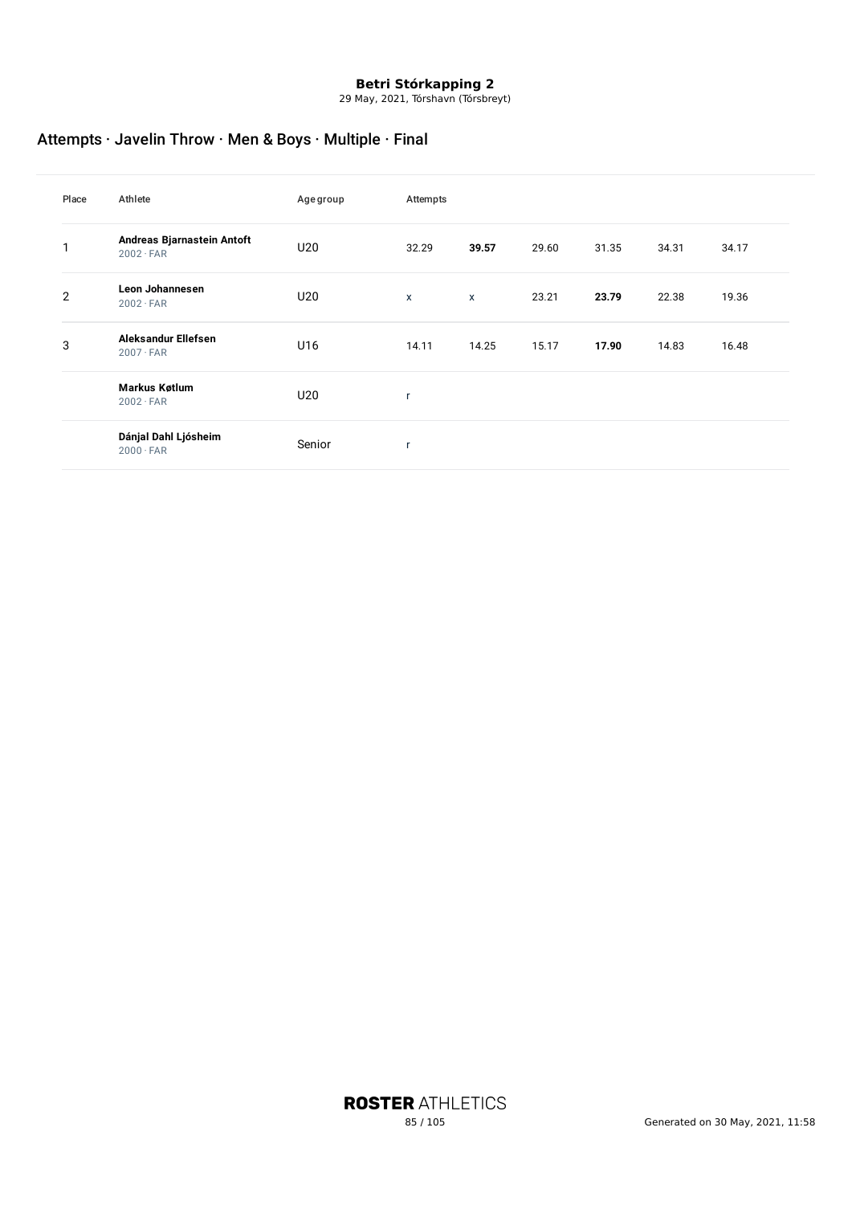29 May, 2021, Tórshavn (Tórsbreyt)

## Attempts · Javelin Throw · Men & Boys · Multiple · Final

| Place          | Athlete                                        | Agegroup | Attempts |              |       |       |       |       |
|----------------|------------------------------------------------|----------|----------|--------------|-------|-------|-------|-------|
|                | Andreas Bjarnastein Antoft<br>$2002 \cdot FAR$ | U20      | 32.29    | 39.57        | 29.60 | 31.35 | 34.31 | 34.17 |
| $\overline{2}$ | <b>Leon Johannesen</b><br>$2002 \cdot FAR$     | U20      | X        | $\pmb{\chi}$ | 23.21 | 23.79 | 22.38 | 19.36 |
| 3              | Aleksandur Ellefsen<br>$2007 \cdot FAR$        | U16      | 14.11    | 14.25        | 15.17 | 17.90 | 14.83 | 16.48 |
|                | <b>Markus Køtlum</b><br>$2002 \cdot FAR$       | U20      | r        |              |       |       |       |       |
|                | Dánjal Dahl Ljósheim<br>$2000 \cdot FAR$       | Senior   | r        |              |       |       |       |       |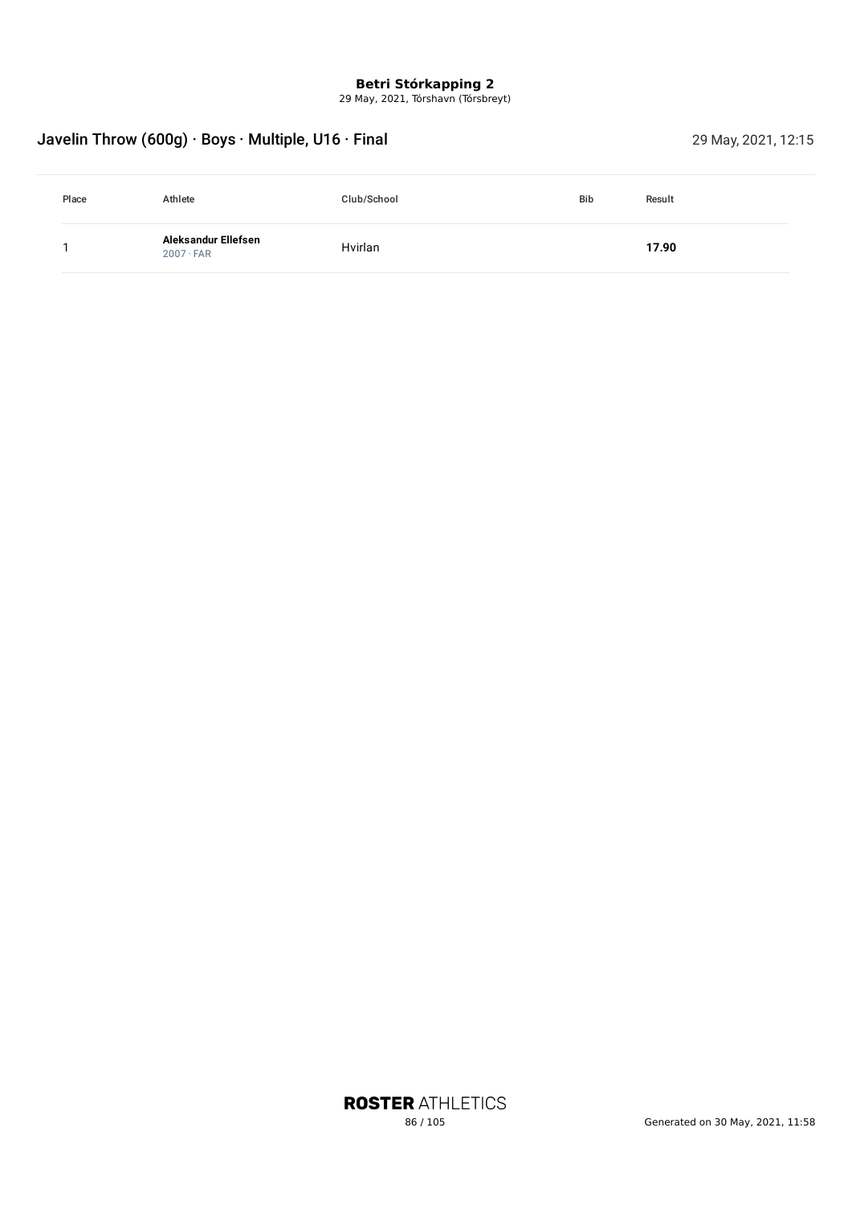29 May, 2021, Tórshavn (Tórsbreyt)

## Javelin Throw (600g) · Boys · Multiple, U16 · Final 29 May, 2021, 12:15

| Place | Athlete                                 | Club/School | <b>Bib</b> | Result |
|-------|-----------------------------------------|-------------|------------|--------|
|       | Aleksandur Ellefsen<br>$2007 \cdot FAR$ | Hvirlan     |            | 17.90  |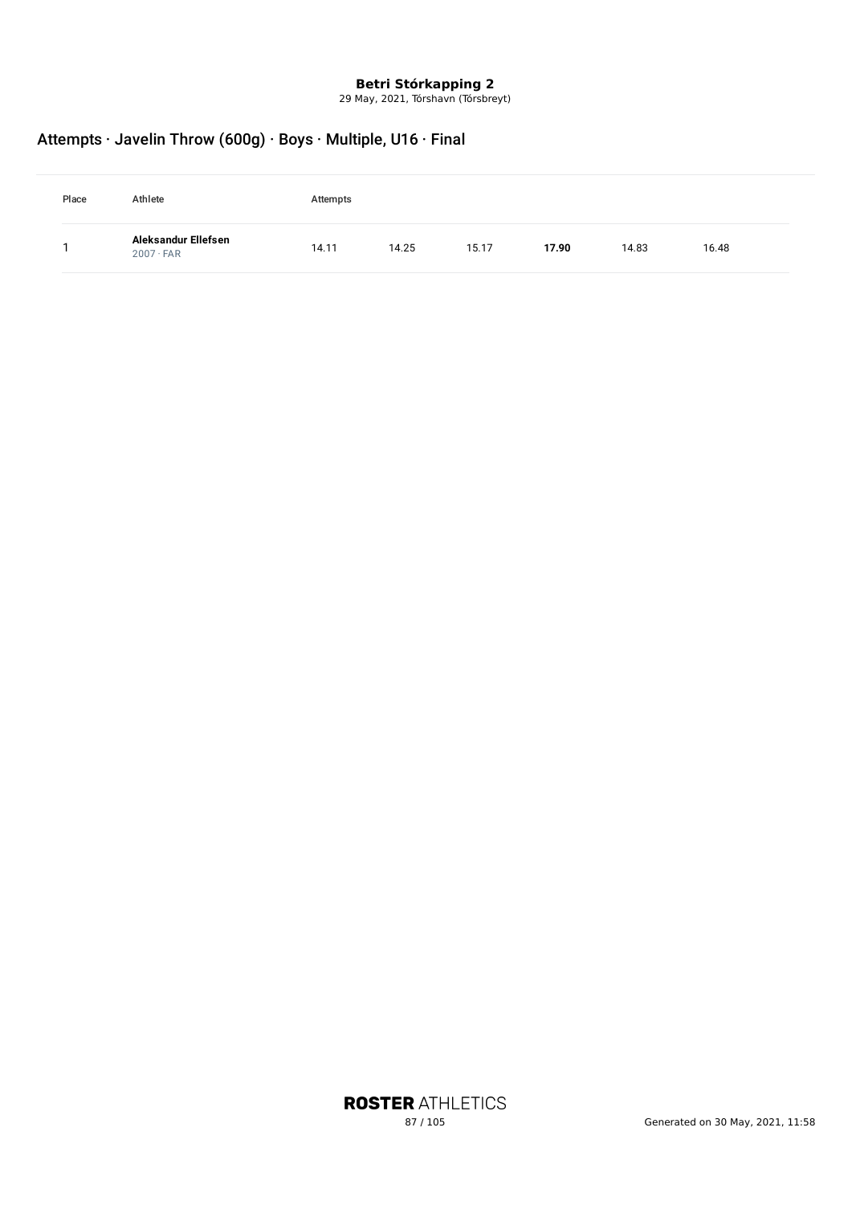29 May, 2021, Tórshavn (Tórsbreyt)

## Attempts · Javelin Throw (600g) · Boys · Multiple, U16 · Final

| Place | Athlete                                 | Attempts |       |       |       |       |       |
|-------|-----------------------------------------|----------|-------|-------|-------|-------|-------|
|       | Aleksandur Ellefsen<br>$2007 \cdot FAR$ | 14.11    | 14.25 | 15.17 | 17.90 | 14.83 | 16.48 |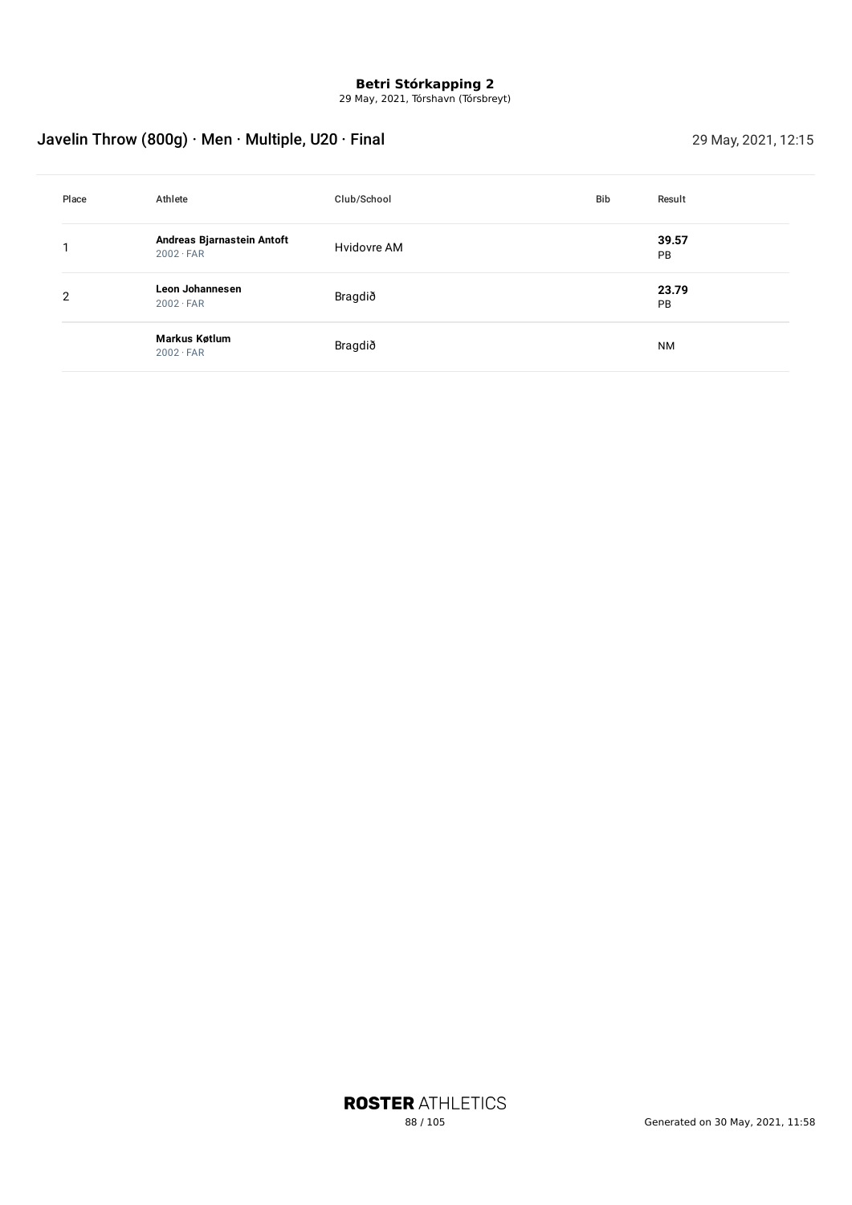29 May, 2021, Tórshavn (Tórsbreyt)

## Javelin Throw (800g) · Men · Multiple, U20 · Final 29 May, 2021, 12:15

| Place          | Athlete                                        | Club/School | <b>Bib</b> | Result      |
|----------------|------------------------------------------------|-------------|------------|-------------|
|                | Andreas Bjarnastein Antoft<br>$2002 \cdot FAR$ | Hvidovre AM |            | 39.57<br>PB |
| $\overline{2}$ | Leon Johannesen<br>$2002 \cdot FAR$            | Bragdið     |            | 23.79<br>PB |
|                | Markus Køtlum<br>$2002 \cdot FAR$              | Bragdið     |            | <b>NM</b>   |

**ROSTER ATHLETICS**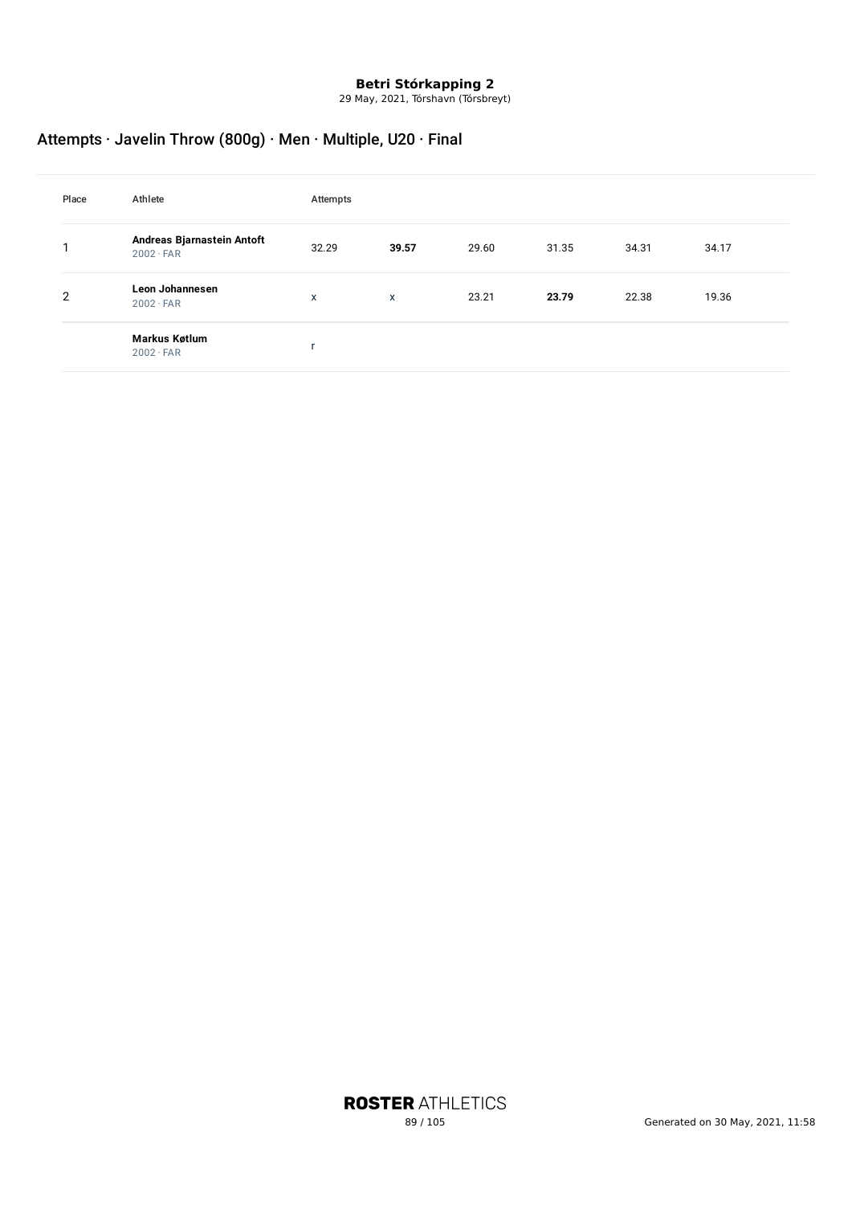29 May, 2021, Tórshavn (Tórsbreyt)

## Attempts · Javelin Throw (800g) · Men · Multiple, U20 · Final

| Place          | Athlete                                        | Attempts |       |       |       |       |       |
|----------------|------------------------------------------------|----------|-------|-------|-------|-------|-------|
|                | Andreas Bjarnastein Antoft<br>$2002 \cdot FAR$ | 32.29    | 39.57 | 29.60 | 31.35 | 34.31 | 34.17 |
| $\overline{2}$ | Leon Johannesen<br>$2002 \cdot FAR$            | X        | X     | 23.21 | 23.79 | 22.38 | 19.36 |
|                | Markus Køtlum<br>$2002 \cdot FAR$              | ٠        |       |       |       |       |       |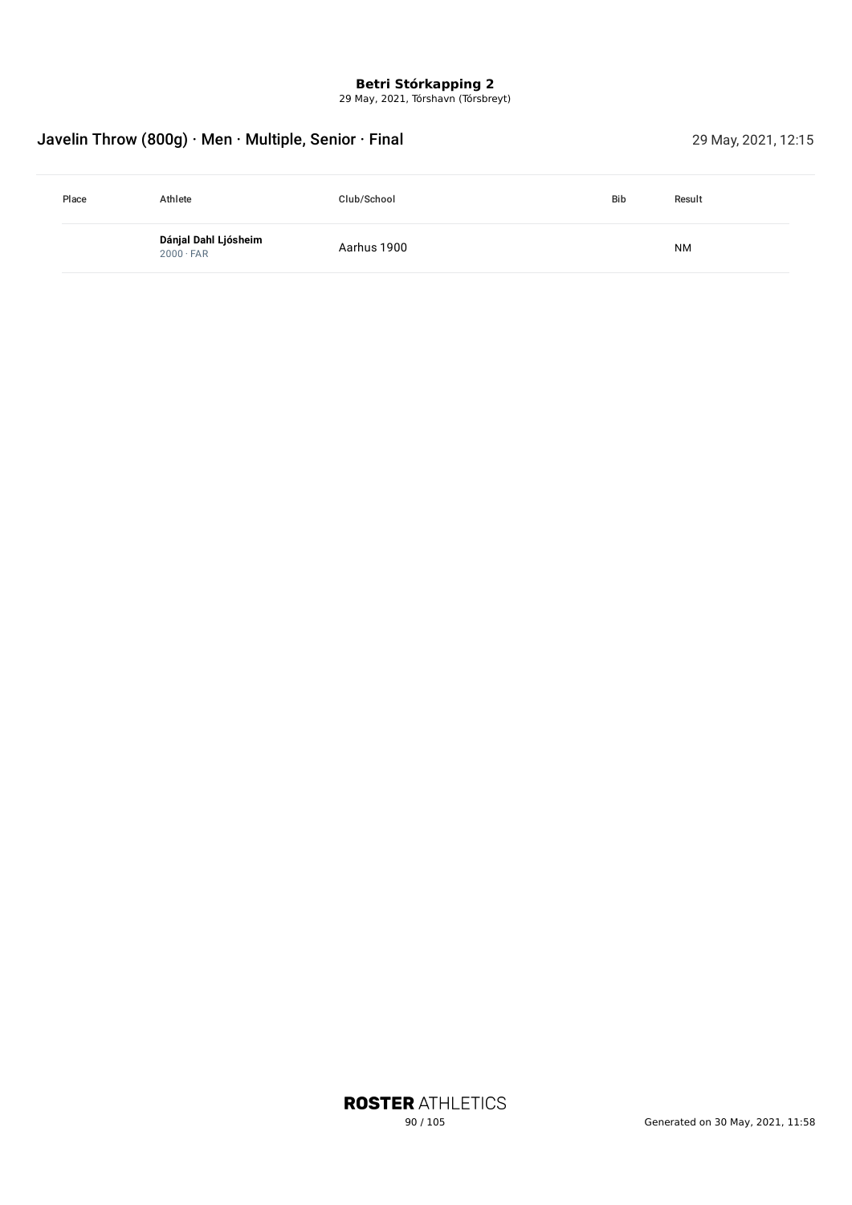29 May, 2021, Tórshavn (Tórsbreyt)

## Javelin Throw (800g) · Men · Multiple, Senior · Final 29 May, 2021, 12:15

| Place | Athlete                                  | Club/School | <b>Bib</b> | Result    |  |
|-------|------------------------------------------|-------------|------------|-----------|--|
|       | Dánjal Dahl Ljósheim<br>$2000 \cdot FAR$ | Aarhus 1900 |            | <b>NM</b> |  |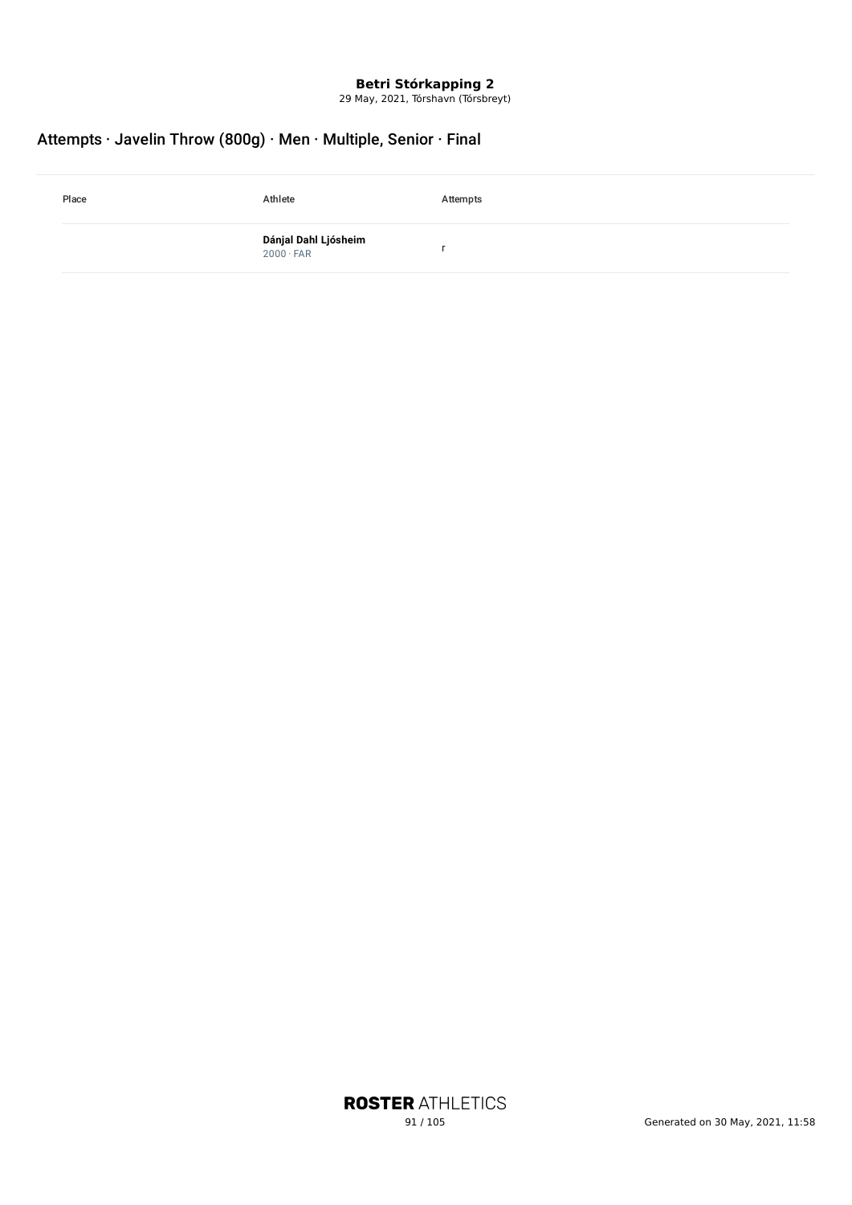29 May, 2021, Tórshavn (Tórsbreyt)

## Attempts · Javelin Throw (800g) · Men · Multiple, Senior · Final

| Place | Athlete                                   | Attempts |
|-------|-------------------------------------------|----------|
|       | <b>Dánjal Dahl Ljósheim</b><br>2000 · FAR |          |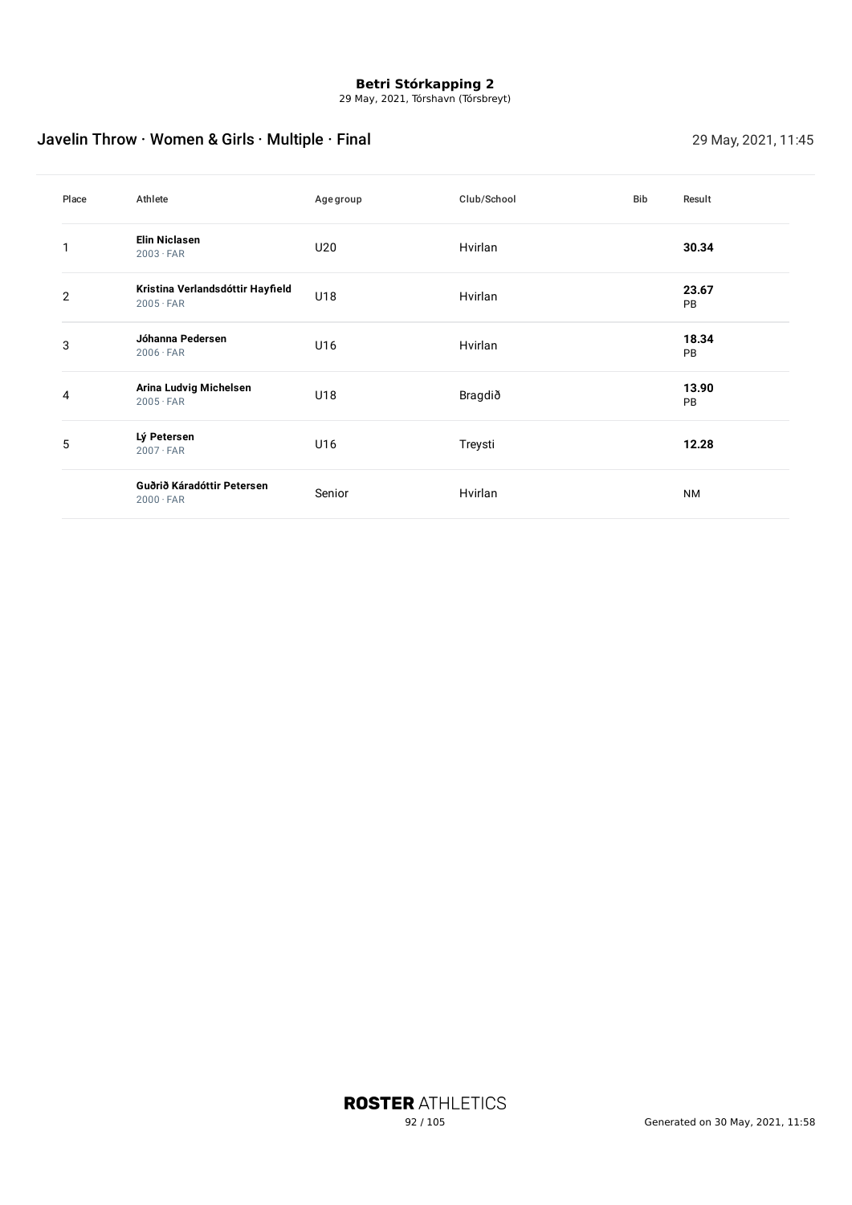29 May, 2021, Tórshavn (Tórsbreyt)

## Javelin Throw · Women & Girls · Multiple · Final 29 May, 2021, 11:45

| Place          | Athlete                                              | Agegroup | Club/School | Bib | Result             |
|----------------|------------------------------------------------------|----------|-------------|-----|--------------------|
|                | <b>Elin Niclasen</b><br>$2003 \cdot FAR$             | U20      | Hvirlan     |     | 30.34              |
| $\overline{2}$ | Kristina Verlandsdóttir Hayfield<br>$2005 \cdot FAR$ | U18      | Hvirlan     |     | 23.67<br>PB        |
| 3              | Jóhanna Pedersen<br>$2006 \cdot FAR$                 | U16      | Hvirlan     |     | 18.34<br><b>PB</b> |
| 4              | Arina Ludvig Michelsen<br>$2005 \cdot FAR$           | U18      | Bragdið     |     | 13.90<br><b>PB</b> |
| 5              | Lý Petersen<br>$2007 \cdot FAR$                      | U16      | Treysti     |     | 12.28              |
|                | Guðrið Káradóttir Petersen<br>$2000 \cdot FAR$       | Senior   | Hvirlan     |     | <b>NM</b>          |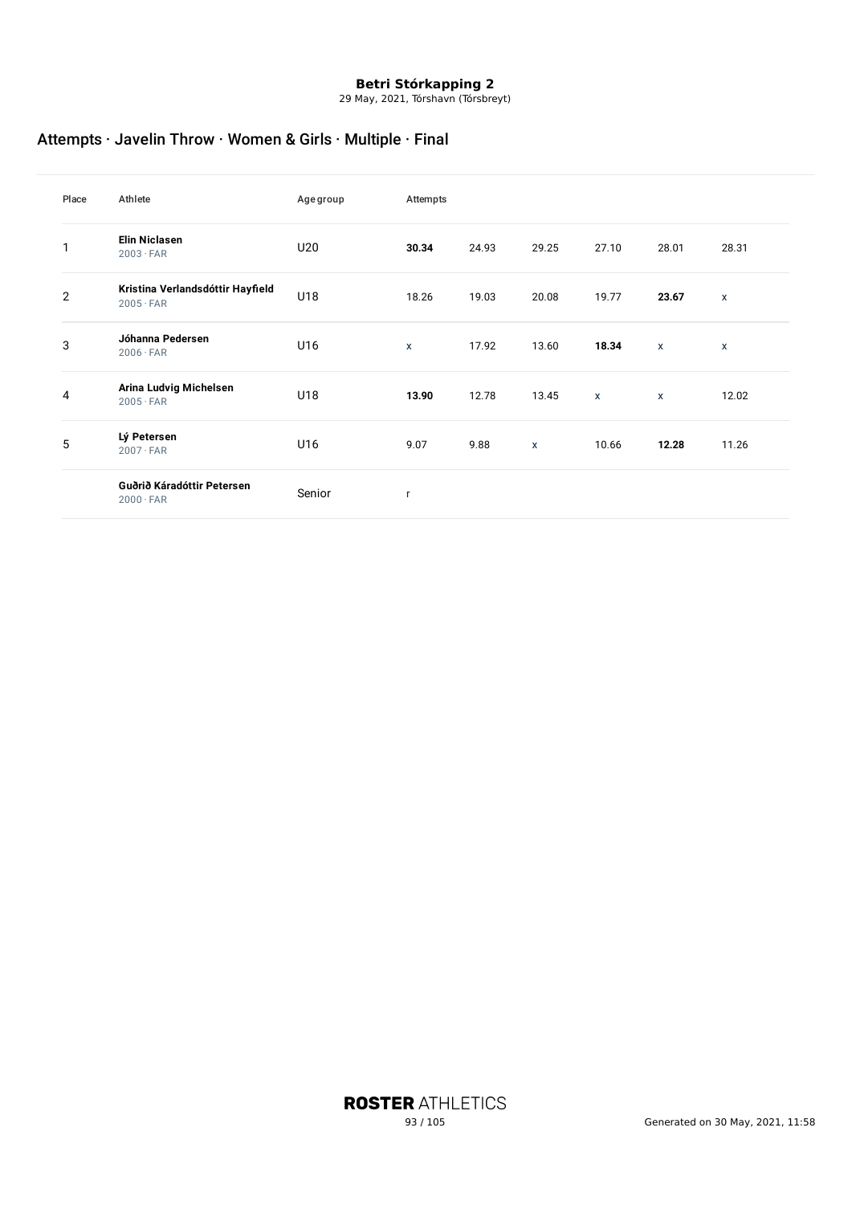29 May, 2021, Tórshavn (Tórsbreyt)

## Attempts · Javelin Throw · Women & Girls · Multiple · Final

| Place          | Athlete                                              | Agegroup | Attempts     |       |       |              |              |              |
|----------------|------------------------------------------------------|----------|--------------|-------|-------|--------------|--------------|--------------|
| 1              | <b>Elin Niclasen</b><br>$2003 \cdot FAR$             | U20      | 30.34        | 24.93 | 29.25 | 27.10        | 28.01        | 28.31        |
| $\overline{2}$ | Kristina Verlandsdóttir Hayfield<br>$2005 \cdot FAR$ | U18      | 18.26        | 19.03 | 20.08 | 19.77        | 23.67        | $\mathsf{x}$ |
| 3              | Jóhanna Pedersen<br>$2006 \cdot FAR$                 | U16      | $\mathsf{x}$ | 17.92 | 13.60 | 18.34        | $\mathsf{x}$ | $\mathsf{x}$ |
| 4              | Arina Ludvig Michelsen<br>$2005 \cdot FAR$           | U18      | 13.90        | 12.78 | 13.45 | $\mathsf{x}$ | $\mathsf{x}$ | 12.02        |
| 5              | Lý Petersen<br>$2007 \cdot FAR$                      | U16      | 9.07         | 9.88  | X     | 10.66        | 12.28        | 11.26        |
|                | Guðrið Káradóttir Petersen<br>$2000 \cdot FAR$       | Senior   | r,           |       |       |              |              |              |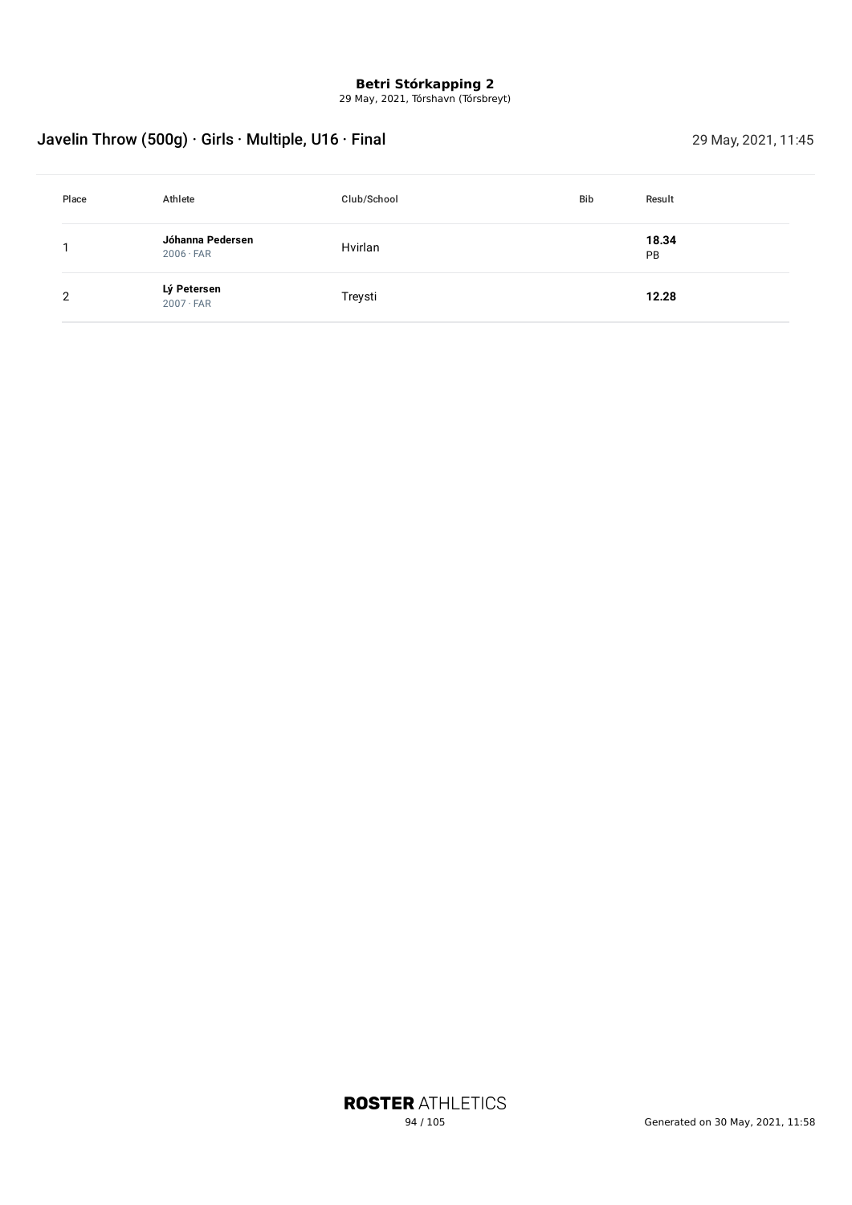29 May, 2021, Tórshavn (Tórsbreyt)

## Javelin Throw (500g) · Girls · Multiple, U16 · Final 29 May, 2021, 11:45

| Place | Athlete                              | Club/School | <b>Bib</b> | Result             |
|-------|--------------------------------------|-------------|------------|--------------------|
|       | Jóhanna Pedersen<br>$2006 \cdot FAR$ | Hvirlan     |            | 18.34<br><b>PB</b> |
| 2     | Lý Petersen<br>$2007 \cdot FAR$      | Treysti     |            | 12.28              |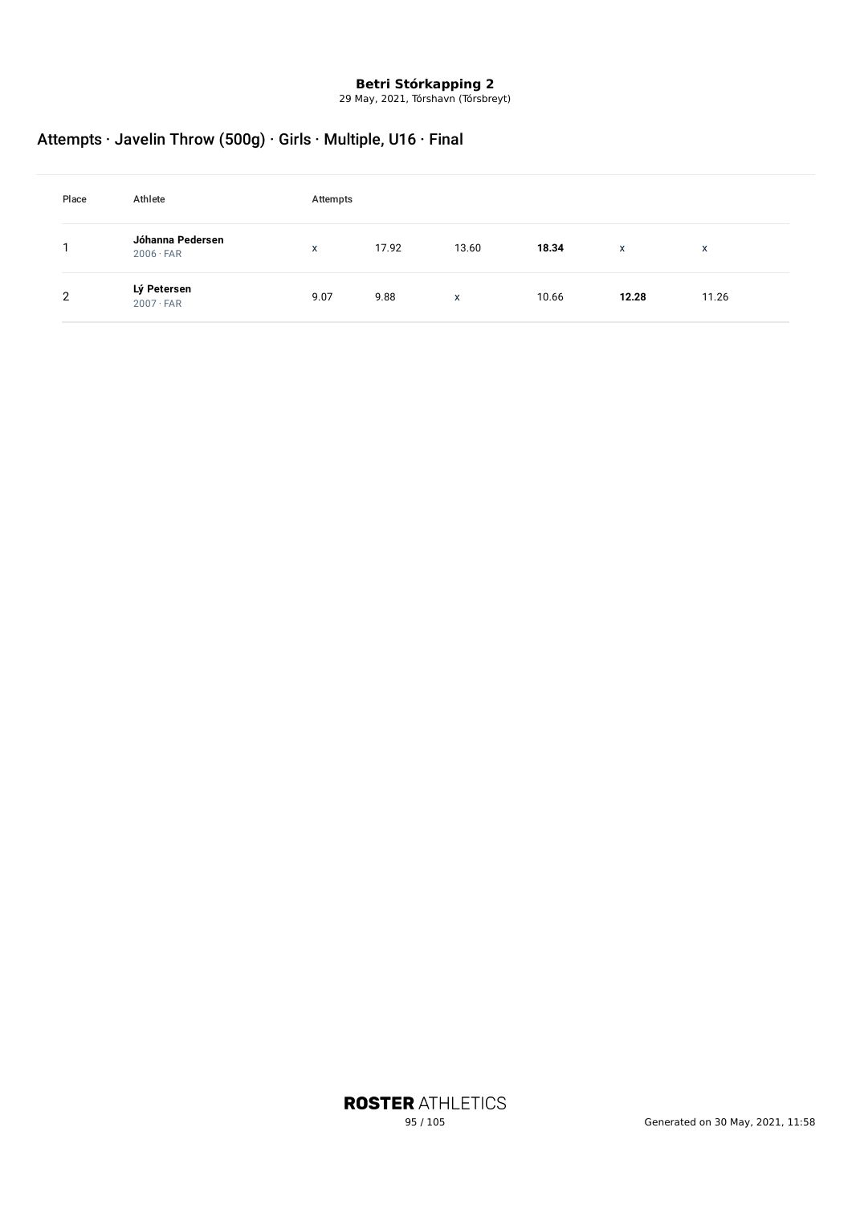29 May, 2021, Tórshavn (Tórsbreyt)

## Attempts · Javelin Throw (500g) · Girls · Multiple, U16 · Final

| Place | Athlete                              | Attempts     |       |       |       |       |              |
|-------|--------------------------------------|--------------|-------|-------|-------|-------|--------------|
|       | Jóhanna Pedersen<br>$2006 \cdot FAR$ | $\mathsf{x}$ | 17.92 | 13.60 | 18.34 | X     | $\mathsf{x}$ |
| 2     | Lý Petersen<br>$2007 \cdot FAR$      | 9.07         | 9.88  | X     | 10.66 | 12.28 | 11.26        |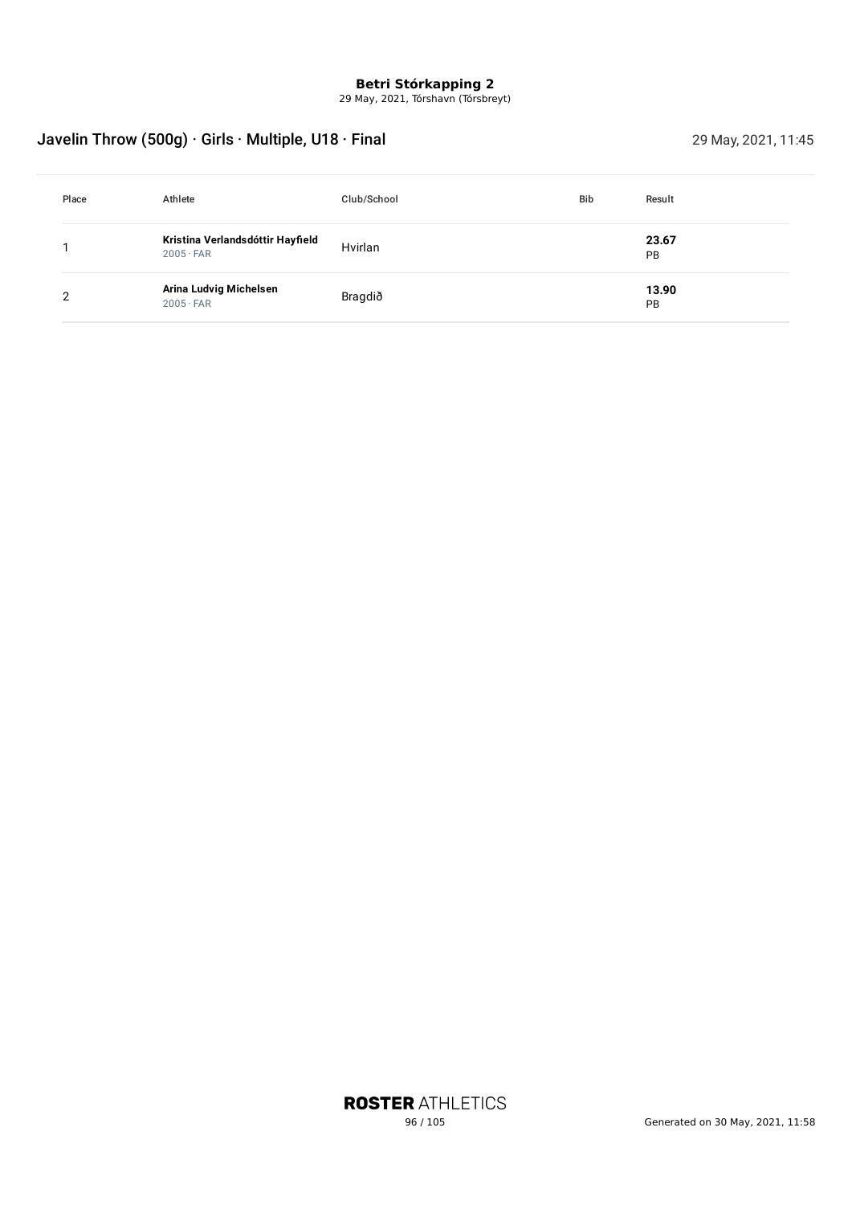29 May, 2021, Tórshavn (Tórsbreyt)

## Javelin Throw (500g) · Girls · Multiple, U18 · Final 29 May, 2021, 11:45

| Place | Athlete                                              | Club/School | <b>Bib</b> | Result      |
|-------|------------------------------------------------------|-------------|------------|-------------|
|       | Kristina Verlandsdóttir Hayfield<br>$2005 \cdot FAR$ | Hvirlan     |            | 23.67<br>PB |
| 2     | Arina Ludvig Michelsen<br>$2005 \cdot FAR$           | Bragdið     |            | 13.90<br>PB |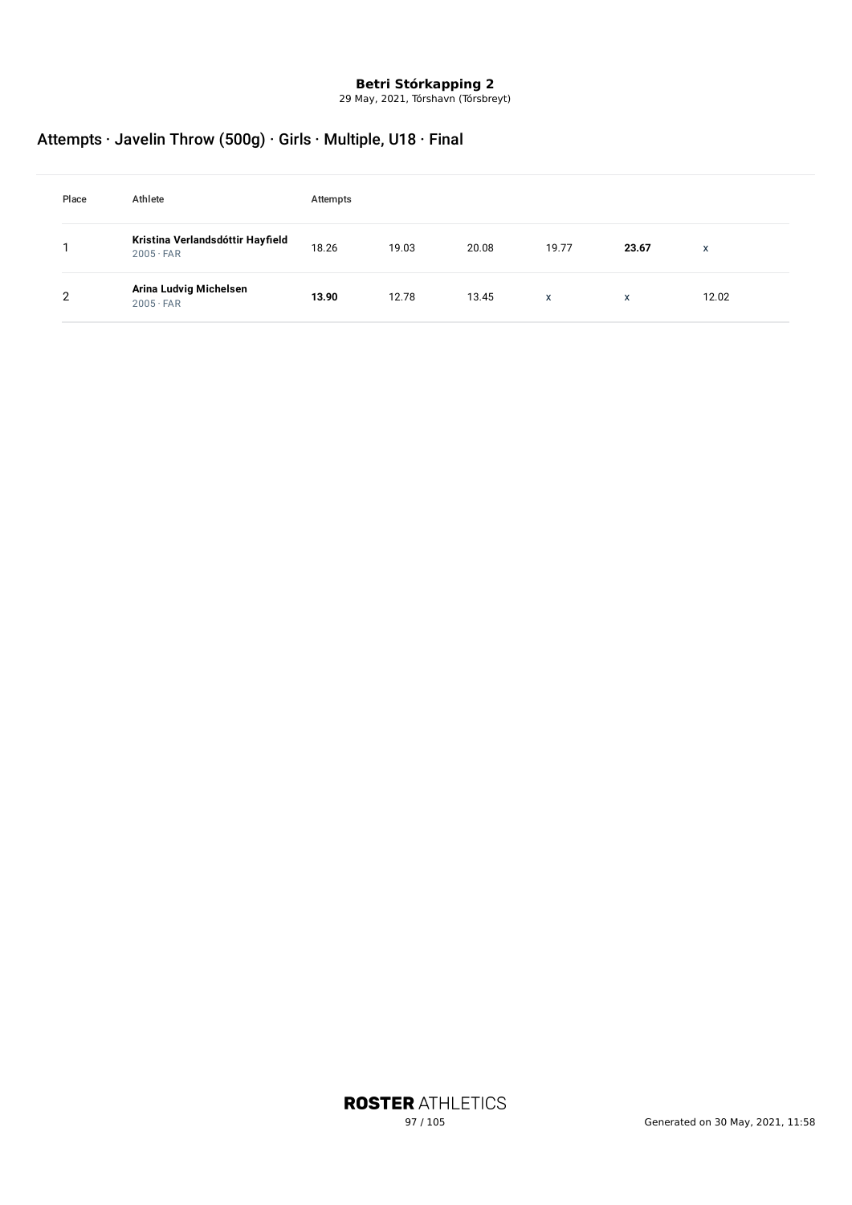29 May, 2021, Tórshavn (Tórsbreyt)

## Attempts · Javelin Throw (500g) · Girls · Multiple, U18 · Final

| Place | Athlete                                              | Attempts |       |       |       |       |       |
|-------|------------------------------------------------------|----------|-------|-------|-------|-------|-------|
|       | Kristina Verlandsdóttir Hayfield<br>$2005 \cdot FAR$ | 18.26    | 19.03 | 20.08 | 19.77 | 23.67 | X     |
| ົ     | Arina Ludvig Michelsen<br>$2005 \cdot FAR$           | 13.90    | 12.78 | 13.45 | X     | X     | 12.02 |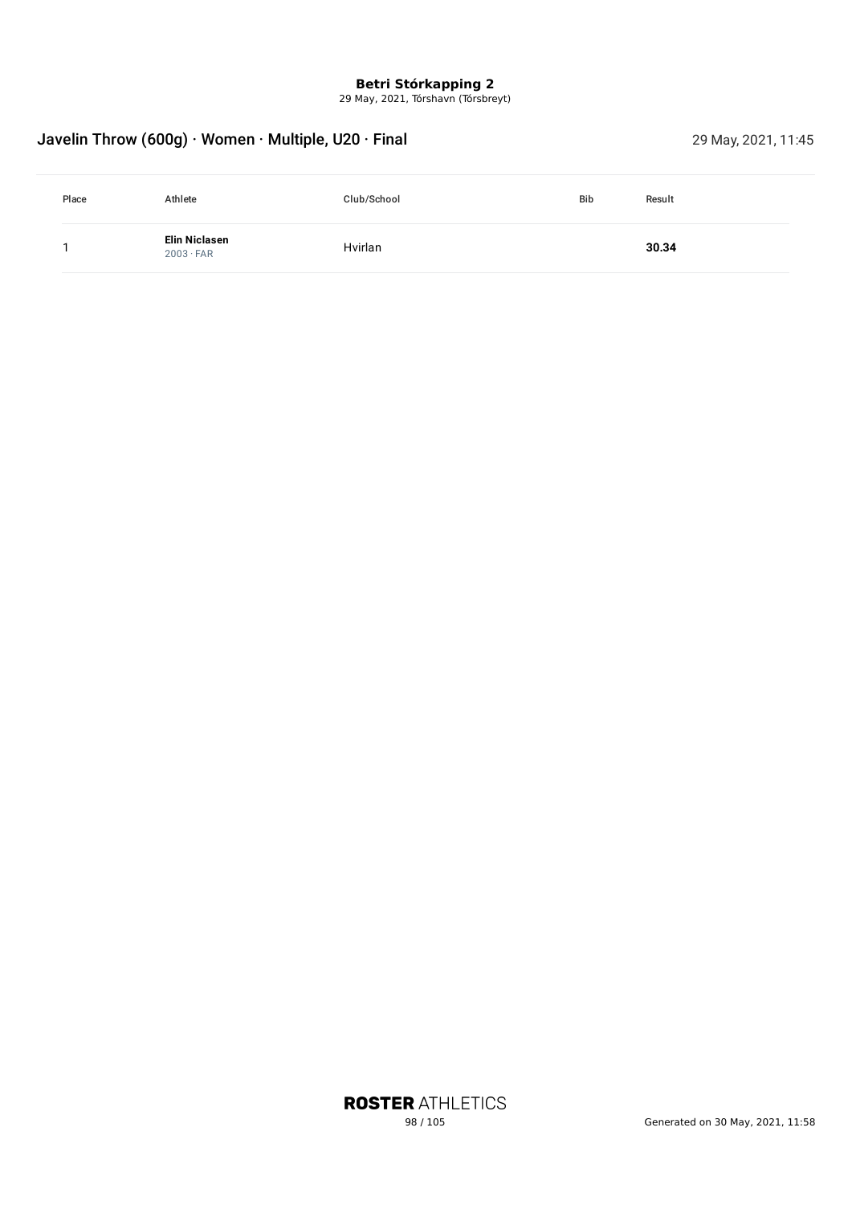29 May, 2021, Tórshavn (Tórsbreyt)

## Javelin Throw (600g) · Women · Multiple, U20 · Final 29 May, 2021, 11:45

| Place | Athlete                                  | Club/School | <b>Bib</b> | Result |
|-------|------------------------------------------|-------------|------------|--------|
|       | <b>Elin Niclasen</b><br>$2003 \cdot FAR$ | Hvirlan     |            | 30.34  |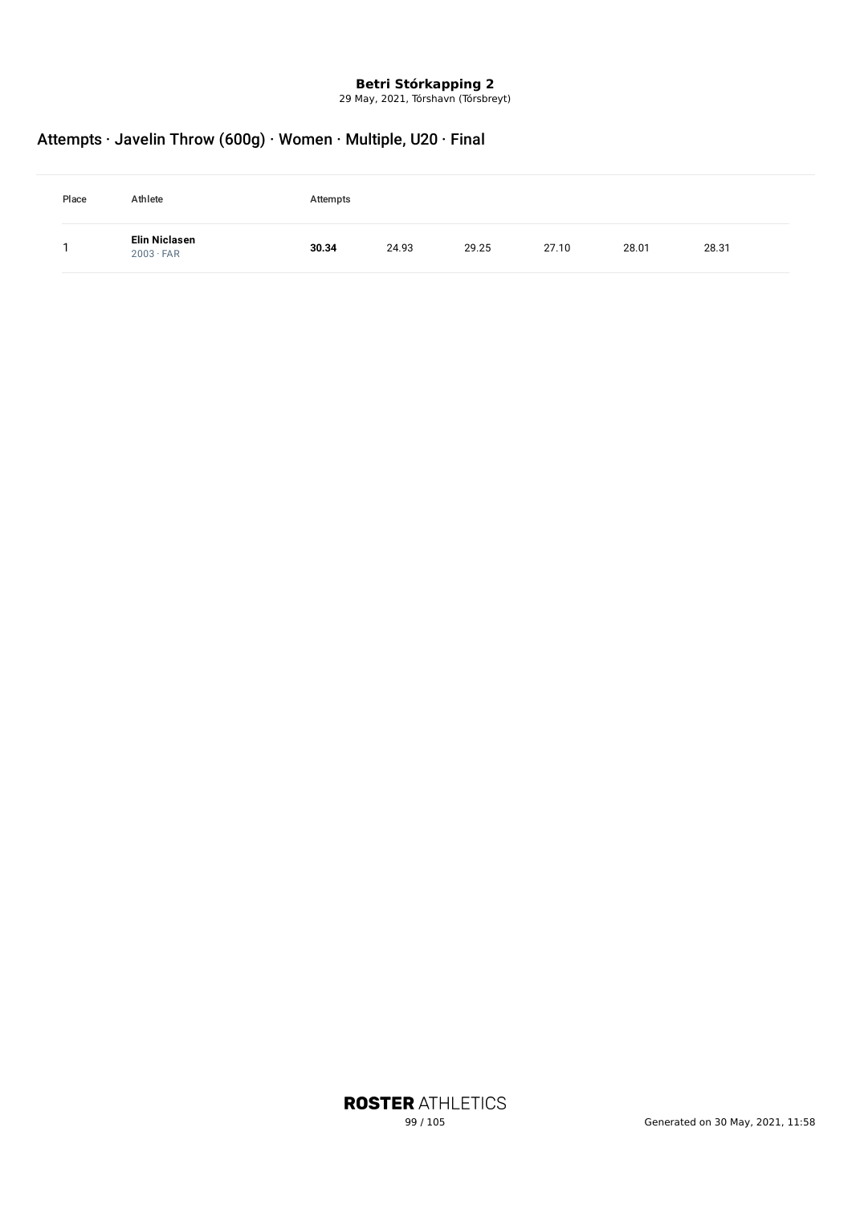29 May, 2021, Tórshavn (Tórsbreyt)

## Attempts · Javelin Throw (600g) · Women · Multiple, U20 · Final

| Place | Athlete                           | Attempts |       |       |       |       |       |
|-------|-----------------------------------|----------|-------|-------|-------|-------|-------|
|       | Elin Niclasen<br>$2003 \cdot FAR$ | 30.34    | 24.93 | 29.25 | 27.10 | 28.01 | 28.31 |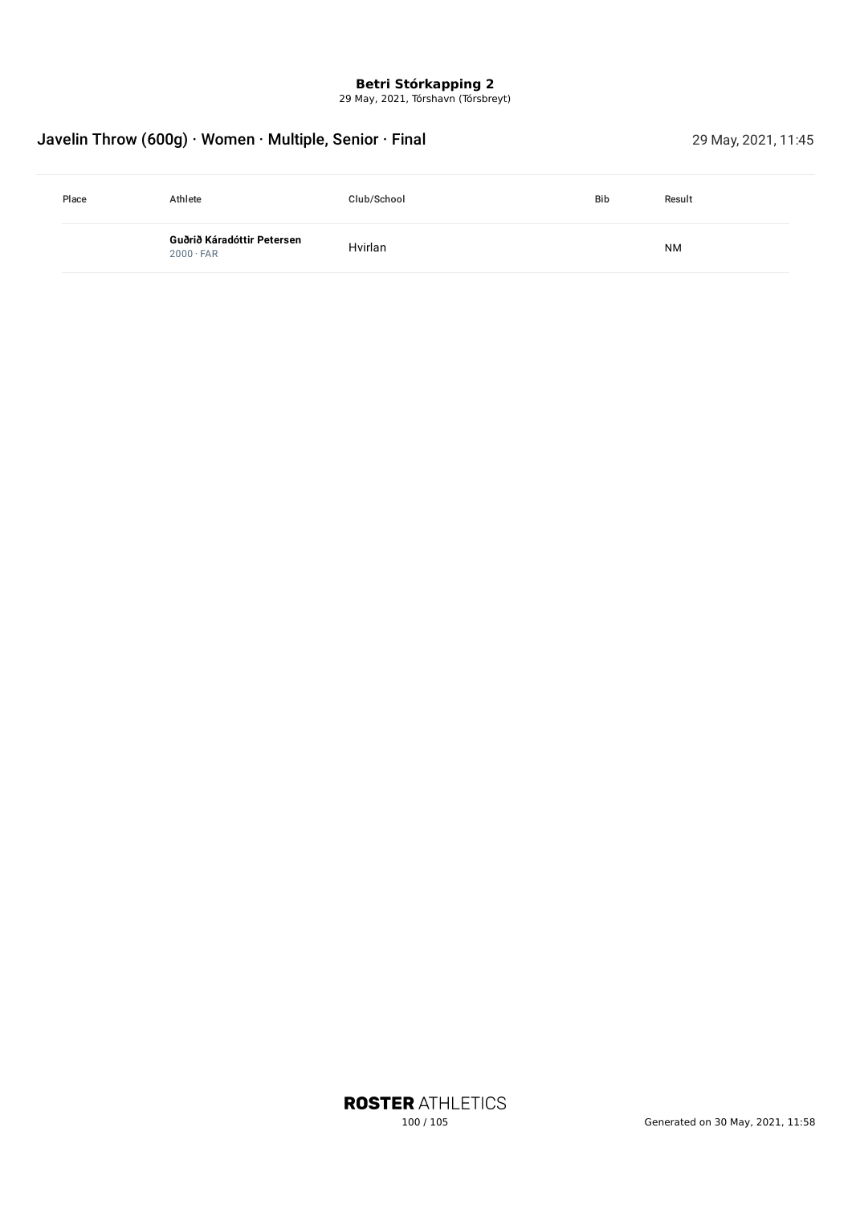29 May, 2021, Tórshavn (Tórsbreyt)

## Javelin Throw (600g) · Women · Multiple, Senior · Final 29 May, 2021, 11:45

| Place | Athlete                                        | Club/School | <b>Bib</b> | Result    |  |
|-------|------------------------------------------------|-------------|------------|-----------|--|
|       | Guðrið Káradóttir Petersen<br>$2000 \cdot FAR$ | Hvirlan     |            | <b>NM</b> |  |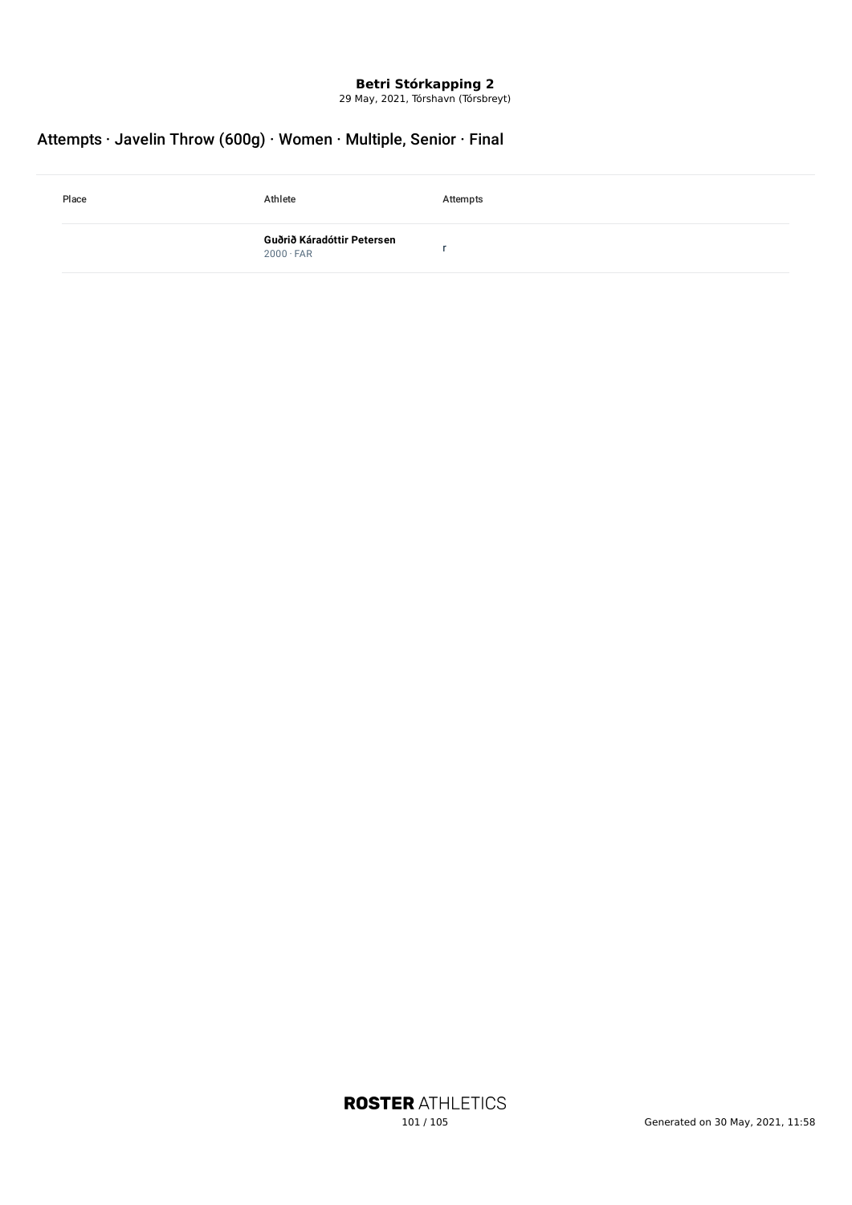29 May, 2021, Tórshavn (Tórsbreyt)

## Attempts · Javelin Throw (600g) · Women · Multiple, Senior · Final

| Place | Athlete                                        | Attempts |
|-------|------------------------------------------------|----------|
|       | Guðrið Káradóttir Petersen<br>$2000 \cdot FAR$ |          |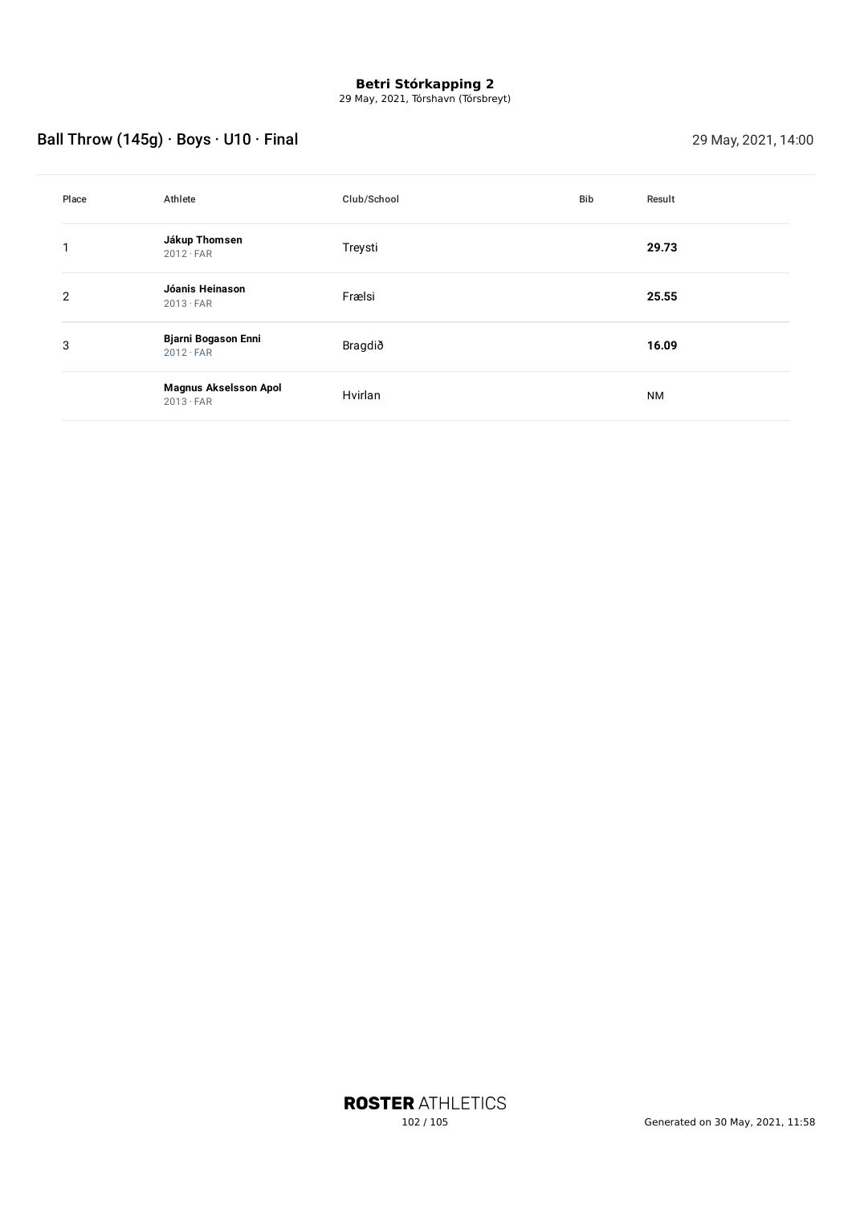29 May, 2021, Tórshavn (Tórsbreyt)

# Ball Throw (145g) · Boys · U10 · Final 29 May, 2021, 14:00

| Place | Athlete                                          | Club/School | Bib | Result    |
|-------|--------------------------------------------------|-------------|-----|-----------|
| 1     | Jákup Thomsen<br>$2012 \cdot FAR$                | Treysti     |     | 29.73     |
| 2     | Jóanis Heinason<br>$2013 \cdot FAR$              | Frælsi      |     | 25.55     |
| 3     | <b>Bjarni Bogason Enni</b><br>$2012 \cdot FAR$   | Bragdið     |     | 16.09     |
|       | <b>Magnus Akselsson Apol</b><br>$2013 \cdot FAR$ | Hvirlan     |     | <b>NM</b> |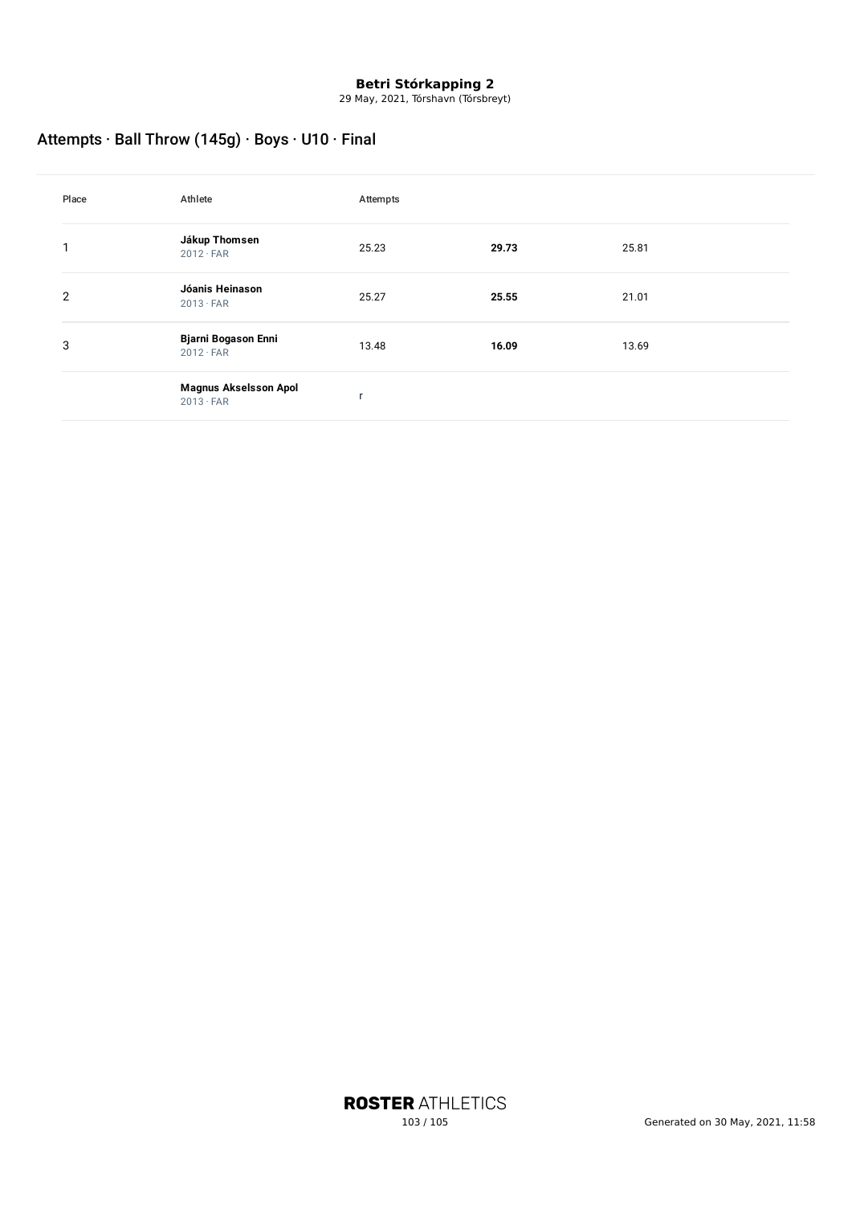29 May, 2021, Tórshavn (Tórsbreyt)

## Attempts · Ball Throw (145g) · Boys · U10 · Final

| Place | Athlete                                          | Attempts |       |       |
|-------|--------------------------------------------------|----------|-------|-------|
| 1     | Jákup Thomsen<br>$2012 \cdot FAR$                | 25.23    | 29.73 | 25.81 |
| 2     | Jóanis Heinason<br>$2013 \cdot FAR$              | 25.27    | 25.55 | 21.01 |
| 3     | <b>Bjarni Bogason Enni</b><br>$2012 \cdot FAR$   | 13.48    | 16.09 | 13.69 |
|       | <b>Magnus Akselsson Apol</b><br>$2013 \cdot FAR$ |          |       |       |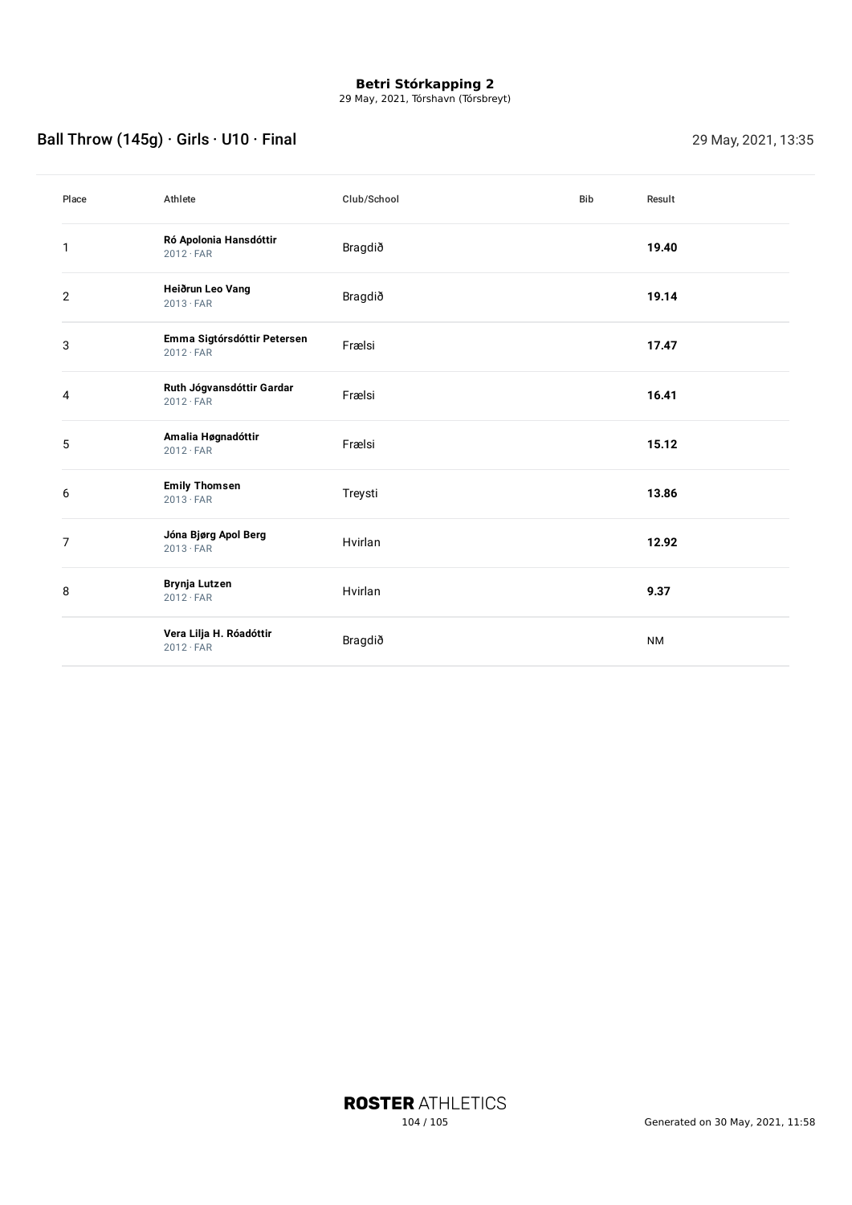29 May, 2021, Tórshavn (Tórsbreyt)

## Ball Throw (145g) · Girls · U10 · Final 29 May, 2021, 13:35

| Place        | Athlete                                         | Club/School | Bib | Result    |
|--------------|-------------------------------------------------|-------------|-----|-----------|
| 1            | Ró Apolonia Hansdóttir<br>$2012 \cdot FAR$      | Bragdið     |     | 19.40     |
| $\mathbf{2}$ | Heiðrun Leo Vang<br>$2013 \cdot FAR$            | Bragdið     |     | 19.14     |
| 3            | Emma Sigtórsdóttir Petersen<br>$2012 \cdot FAR$ | Frælsi      |     | 17.47     |
| 4            | Ruth Jógvansdóttir Gardar<br>$2012 \cdot FAR$   | Frælsi      |     | 16.41     |
| 5            | Amalia Høgnadóttir<br>$2012 \cdot FAR$          | Frælsi      |     | 15.12     |
| 6            | <b>Emily Thomsen</b><br>$2013 \cdot FAR$        | Treysti     |     | 13.86     |
| 7            | Jóna Bjørg Apol Berg<br>$2013 \cdot FAR$        | Hvirlan     |     | 12.92     |
| 8            | <b>Brynja Lutzen</b><br>$2012 \cdot FAR$        | Hvirlan     |     | 9.37      |
|              | Vera Lilja H. Róadóttir<br>$2012 \cdot FAR$     | Bragdið     |     | <b>NM</b> |